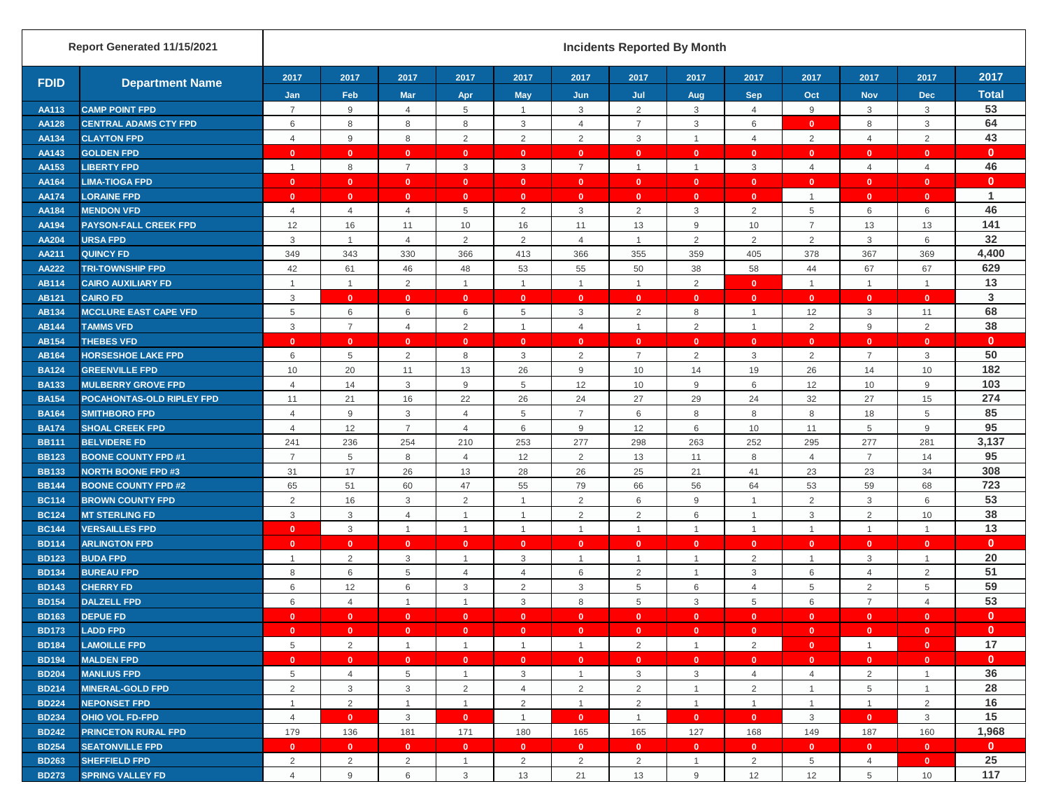|              | Report Generated 11/15/2021  |                |                 |                         |                |                    |                         | <b>Incidents Reported By Month</b> |                |                    |                |                    |                    |                      |
|--------------|------------------------------|----------------|-----------------|-------------------------|----------------|--------------------|-------------------------|------------------------------------|----------------|--------------------|----------------|--------------------|--------------------|----------------------|
| <b>FDID</b>  | <b>Department Name</b>       | 2017<br>Jan    | 2017<br>Feb     | 2017<br><b>Mar</b>      | 2017<br>Apr    | 2017<br><b>May</b> | 2017<br>Jun             | 2017<br>Jul                        | 2017<br>Aug    | 2017<br><b>Sep</b> | 2017<br>Oct    | 2017<br><b>Nov</b> | 2017<br><b>Dec</b> | 2017<br><b>Total</b> |
| <b>AA113</b> | <b>CAMP POINT FPD</b>        | $\overline{7}$ | 9               | $\overline{4}$          | 5              | $\mathbf{1}$       | 3                       | 2                                  | 3              | $\overline{4}$     | 9              | 3                  | 3                  | 53                   |
| <b>AA128</b> | <b>CENTRAL ADAMS CTY FPD</b> | 6              | 8               | 8                       | 8              | 3                  | $\overline{4}$          | $\overline{7}$                     | $\mathsf 3$    | 6                  | $\mathbf{0}$   | 8                  | $\mathsf 3$        | 64                   |
| AA134        | <b>CLAYTON FPD</b>           | $\overline{4}$ | $9\,$           | 8                       | 2              | $\overline{2}$     | 2                       | $\mathbf{3}$                       | $\mathbf{1}$   | $\overline{4}$     | 2              | $\overline{4}$     | $\overline{2}$     | 43                   |
| AA143        | <b>GOLDEN FPD</b>            | $\mathbf{0}$   | $\mathbf{0}$    | $\mathbf{0}$            | $\mathbf{0}$   | $\mathbf{0}$       | $\mathbf{0}$            | $\mathbf{0}$                       | $\mathbf{0}$   | $\mathbf{0}$       | $\mathbf{0}$   | $\mathbf{0}$       | $\mathbf{0}$       | $\mathbf{0}$         |
| AA153        | <b>LIBERTY FPD</b>           |                | 8               | $\overline{7}$          | 3              | 3                  | $\overline{7}$          | $\overline{1}$                     |                | $\mathbf{3}$       | $\overline{4}$ | $\overline{4}$     | $\overline{4}$     | 46                   |
| <b>AA164</b> | <b>LIMA-TIOGA FPD</b>        | $\mathbf{0}$   | $\mathbf{0}$    | $\mathbf{0}$            | $\mathbf{0}$   | $\mathbf{0}$       | $\mathbf{0}$            | $\mathbf{0}$                       | $\mathbf{0}$   | $\mathbf{0}$       | $\mathbf{0}$   | $\mathbf{0}$       | $\mathbf{0}$       | $\mathbf{0}$         |
| <b>AA174</b> | <b>LORAINE FPD</b>           | $\mathbf{0}$   | $\mathbf{0}$    | $\mathbf{0}$            | $\mathbf{0}$   | $\mathbf{0}$       | $\mathbf{0}$            | $\mathbf{0}$                       | $\mathbf{0}$   | $\mathbf{0}$       | $\mathbf{1}$   | $\mathbf{0}$       | $\mathbf{0}$       | $\mathbf{1}$         |
| <b>AA184</b> | <b>MENDON VFD</b>            | $\overline{4}$ | $\overline{4}$  | $\overline{4}$          | 5              | $\overline{2}$     | $\mathbf{3}$            | $\overline{2}$                     | 3              | $\overline{2}$     | 5              | 6                  | 6                  | 46                   |
| AA194        | <b>PAYSON-FALL CREEK FPD</b> | 12             | 16              | 11                      | 10             | 16                 | 11                      | 13                                 | $9\,$          | $10$               | $\overline{7}$ | 13                 | 13                 | 141                  |
| <b>AA204</b> | <b>URSA FPD</b>              | $\mathsf 3$    | $\overline{1}$  | $\overline{4}$          | $\overline{2}$ | $\overline{2}$     | $\overline{4}$          | $\overline{1}$                     | $\sqrt{2}$     | $\overline{2}$     | $\overline{2}$ | 3                  | 6                  | 32                   |
| <b>AA211</b> | <b>QUINCY FD</b>             | 349            | 343             | 330                     | 366            | 413                | 366                     | 355                                | 359            | 405                | 378            | 367                | 369                | 4,400                |
| <b>AA222</b> | <b>TRI-TOWNSHIP FPD</b>      | 42             | 61              | 46                      | 48             | 53                 | 55                      | 50                                 | 38             | 58                 | 44             | 67                 | 67                 | 629                  |
| <b>AB114</b> | <b>CAIRO AUXILIARY FD</b>    |                | $\mathbf{1}$    | $\overline{2}$          | $\overline{1}$ | $\mathbf{1}$       | $\overline{1}$          | $\overline{1}$                     | $\overline{2}$ | $\mathbf{0}$       | $\mathbf{1}$   | $\mathbf{1}$       | $\overline{1}$     | 13                   |
| <b>AB121</b> | <b>CAIRO FD</b>              | 3              | $\mathbf{0}$    | $\mathbf{0}$            | $\mathbf{0}$   | $\mathbf{0}$       | $\mathbf{0}$            | $\Omega$                           | $\mathbf{0}$   | $\mathbf{0}$       | $\mathbf{0}$   | $\mathbf{0}$       | $\mathbf{0}$       | 3                    |
| AB134        | <b>MCCLURE EAST CAPE VFD</b> | 5              | 6               | 6                       | 6              | 5                  | 3                       | $\overline{2}$                     | 8              | $\mathbf{1}$       | 12             | 3                  | 11                 | 68                   |
| <b>AB144</b> | <b>TAMMS VFD</b>             | 3              | $\overline{7}$  | $\overline{4}$          | $\overline{2}$ | $\mathbf{1}$       | $\overline{4}$          | $\overline{1}$                     | $\overline{2}$ | $\mathbf{1}$       | 2              | 9                  | $\sqrt{2}$         | 38                   |
| AB154        | <b>THEBES VFD</b>            | $\mathbf{0}$   | $\mathbf{0}$    | $\mathbf{0}$            | $\mathbf{0}$   | $\mathbf{0}$       | $\mathbf{0}$            | $\Omega$                           | $\mathbf{0}$   | $\mathbf{0}$       | $\mathbf{0}$   | $\mathbf{0}$       | $\mathbf{0}$       | $\mathbf{0}$         |
| AB164        | <b>HORSESHOE LAKE FPD</b>    | 6              | $5\phantom{.0}$ | 2                       | 8              | 3                  | 2                       | $\overline{7}$                     | 2              | 3                  | 2              | $\overline{7}$     | 3                  | 50                   |
| <b>BA124</b> | <b>GREENVILLE FPD</b>        | 10             | 20              | 11                      | 13             | 26                 | 9                       | 10                                 | 14             | 19                 | 26             | 14                 | 10                 | 182                  |
| <b>BA133</b> | <b>MULBERRY GROVE FPD</b>    | $\overline{4}$ | 14              | 3                       | 9              | 5                  | 12                      | 10                                 | 9              | 6                  | 12             | 10                 | $\boldsymbol{9}$   | 103                  |
| <b>BA154</b> | POCAHONTAS-OLD RIPLEY FPD    | 11             | 21              | 16                      | 22             | 26                 | 24                      | 27                                 | 29             | 24                 | 32             | 27                 | 15                 | 274                  |
| <b>BA164</b> | <b>SMITHBORO FPD</b>         | $\overline{4}$ | 9               | 3                       | $\overline{4}$ | 5                  | $\overline{7}$          | 6                                  | 8              | 8                  | 8              | 18                 | 5                  | 85                   |
| <b>BA174</b> | <b>SHOAL CREEK FPD</b>       | $\overline{4}$ | 12              | $\overline{7}$          | $\overline{4}$ | 6                  | 9                       | 12                                 | 6              | 10                 | 11             | 5                  | $\mathsf g$        | 95                   |
| <b>BB111</b> | <b>BELVIDERE FD</b>          | 241            | 236             | 254                     | 210            | 253                | 277                     | 298                                | 263            | 252                | 295            | 277                | 281                | 3,137                |
| <b>BB123</b> | <b>BOONE COUNTY FPD #1</b>   | $\overline{7}$ | $\overline{5}$  | 8                       | 4              | 12                 | 2                       | 13                                 | 11             | 8                  | $\overline{4}$ | $\overline{7}$     | 14                 | 95                   |
| <b>BB133</b> | <b>NORTH BOONE FPD #3</b>    | 31             | 17              | 26                      | 13             | 28                 | 26                      | 25                                 | 21             | 41                 | 23             | 23                 | 34                 | 308                  |
| <b>BB144</b> | <b>BOONE COUNTY FPD #2</b>   | 65             | 51              | 60                      | 47             | 55                 | 79                      | 66                                 | 56             | 64                 | 53             | 59                 | 68                 | 723                  |
| <b>BC114</b> | <b>BROWN COUNTY FPD</b>      | $\overline{2}$ | 16              | 3                       | 2              | $\mathbf{1}$       | $\overline{2}$          | 6                                  | $9\,$          | $\mathbf{1}$       | 2              | 3                  | 6                  | 53                   |
| <b>BC124</b> | <b>MT STERLING FD</b>        | 3              | 3               | $\overline{4}$          | -1             | $\overline{1}$     | 2                       | 2                                  | 6              | $\mathbf{1}$       | 3              | 2                  | 10                 | 38                   |
| <b>BC144</b> | <b>VERSAILLES FPD</b>        | $\mathbf{0}$   | $\mathbf{3}$    | $\mathbf{1}$            | $\overline{1}$ | $\mathbf{1}$       | $\overline{1}$          | $\overline{1}$                     |                | $\mathbf{1}$       | $\overline{1}$ | $\mathbf{1}$       | $\overline{1}$     | 13                   |
| <b>BD114</b> | <b>ARLINGTON FPD</b>         | $\mathbf{0}$   | $\mathbf{0}$    | $\mathbf{0}$            | $\mathbf{0}$   | $\mathbf{0}$       | $\overline{\mathbf{0}}$ | $\mathbf{0}$                       | $\mathbf{0}$   | $\mathbf{0}$       | $\mathbf{0}$   | $\mathbf{0}$       | $\mathbf{0}$       | $\mathbf{0}$         |
| <b>BD123</b> | <b>BUDA FPD</b>              | $\overline{1}$ | $\overline{2}$  | $\mathbf{3}$            | $\mathbf{1}$   | 3                  | $\overline{1}$          | $\overline{1}$                     | $\mathbf{1}$   | $\overline{2}$     | $\overline{1}$ | 3                  | $\overline{1}$     | 20                   |
| <b>BD134</b> | <b>BUREAU FPD</b>            | 8              | 6               | 5                       | $\overline{4}$ | $\overline{4}$     | 6                       | $\overline{2}$                     | $\overline{1}$ | $\mathbf{3}$       | 6              | $\overline{4}$     | $\sqrt{2}$         | 51                   |
| <b>BD143</b> | <b>CHERRY FD</b>             | 6              | 12              | 6                       | 3              | 2                  | 3                       | 5                                  | 6              | $\overline{4}$     | 5              | 2                  | 5                  | 59                   |
| <b>BD154</b> | <b>DALZELL FPD</b>           | 6              | $\overline{4}$  | $\overline{1}$          | $\overline{1}$ | 3                  | 8                       | 5                                  | 3              | 5                  | 6              | $\overline{7}$     | $\overline{4}$     | 53                   |
| <b>BD163</b> | <b>DEPUE FD</b>              | $\mathbf{0}$   | $\mathbf{0}$    | $\mathbf{0}$            | $\mathbf{0}$   | $\mathbf{0}$       | $\mathbf{0}$            | $\mathbf{0}$                       | $\mathbf{0}$   | $\mathbf{0}$       | $\mathbf{0}$   | $\mathbf{0}$       | $\mathbf{0}$       | $\mathbf{0}$         |
| <b>BD173</b> | <b>LADD FPD</b>              | $\mathbf{0}$   | $\mathbf{0}$    | $\mathbf{0}$            | $\mathbf{0}$   | $\mathbf{0}$       | $\mathbf{0}$            | $\overline{\mathbf{0}}$            | $\mathbf{0}$   | $\mathbf{0}$       | $\overline{0}$ | $\mathbf{0}$       | $\mathbf{0}$       | $\mathbf{0}$         |
| <b>BD184</b> | <b>LAMOILLE FPD</b>          | $\,$ 5 $\,$    | $\overline{2}$  | $\overline{1}$          | $\overline{1}$ | $\mathbf{1}$       | $\overline{1}$          | $\overline{2}$                     | $\mathbf{1}$   | $\overline{2}$     | $\bullet$      | $\mathbf{1}$       | $\mathbf{0}$       | 17                   |
| <b>BD194</b> | <b>MALDEN FPD</b>            | $\mathbf{0}$   | $\mathbf{0}$    | $\overline{\mathbf{0}}$ | $\mathbf{0}$   | $\mathbf{0}$       | $\mathbf{0}$            | $\mathbf{0}$                       | $\mathbf{0}$   | $\bullet$          | $\mathbf{0}$   | $\mathbf{0}$       | $\mathbf{0}$       | $\mathbf{0}$         |
| <b>BD204</b> | <b>MANLIUS FPD</b>           | 5              | $\overline{4}$  | 5                       | $\mathbf{1}$   | 3                  | $\overline{1}$          | 3                                  | 3              | $\overline{4}$     | $\overline{4}$ | 2                  | $\overline{1}$     | 36                   |
| <b>BD214</b> | <b>MINERAL-GOLD FPD</b>      | 2              | 3               | 3                       | 2              | $\overline{4}$     | $\overline{2}$          | $\overline{2}$                     | $\mathbf{1}$   | 2                  | $\mathbf{1}$   | 5                  | $\mathbf{1}$       | 28                   |
| <b>BD224</b> | <b>NEPONSET FPD</b>          | $\overline{1}$ | $\overline{2}$  | $\mathbf{1}$            | $\mathbf{1}$   | $\overline{2}$     | $\overline{1}$          | 2                                  | $\mathbf{1}$   | $\overline{1}$     | $\overline{1}$ | $\mathbf{1}$       | $\overline{2}$     | 16                   |
| <b>BD234</b> | <b>OHIO VOL FD-FPD</b>       | $\overline{4}$ | $\mathbf{0}$    | $\mathbf{3}$            | $\mathbf{0}$   | $\overline{1}$     | $\mathbf{0}$            | $\overline{1}$                     | $\mathbf{0}$   | $\mathbf{0}$       | $\mathbf{3}$   | $\mathbf{0}$       | $\mathbf{3}$       | 15                   |
| <b>BD242</b> | <b>PRINCETON RURAL FPD</b>   | 179            | 136             | 181                     | 171            | 180                | 165                     | 165                                | 127            | 168                | 149            | 187                | 160                | 1,968                |
| <b>BD254</b> | <b>SEATONVILLE FPD</b>       | $\mathbf{0}$   | $\bullet$       | $\mathbf{0}$            | $\mathbf{0}$   | $\mathbf{0}$       | $\mathbf{0}$            | $\mathbf{0}$                       | $\mathbf{0}$   | $\mathbf{0}$       | $\mathbf{0}$   | $\mathbf{0}$       | $\mathbf{0}$       | $\mathbf{0}$         |
| <b>BD263</b> | <b>SHEFFIELD FPD</b>         | $\overline{2}$ | $\overline{2}$  | $\overline{2}$          | $\mathbf{1}$   | 2                  | 2                       | $\overline{2}$                     | $\mathbf{1}$   | $\overline{2}$     | 5              | $\overline{4}$     | $\mathbf{0}$       | 25                   |
| <b>BD273</b> | <b>SPRING VALLEY FD</b>      | $\overline{4}$ | 9               | 6                       | $\mathbf{3}$   | 13                 | 21                      | 13                                 | $9\,$          | 12                 | 12             | 5                  | 10                 | 117                  |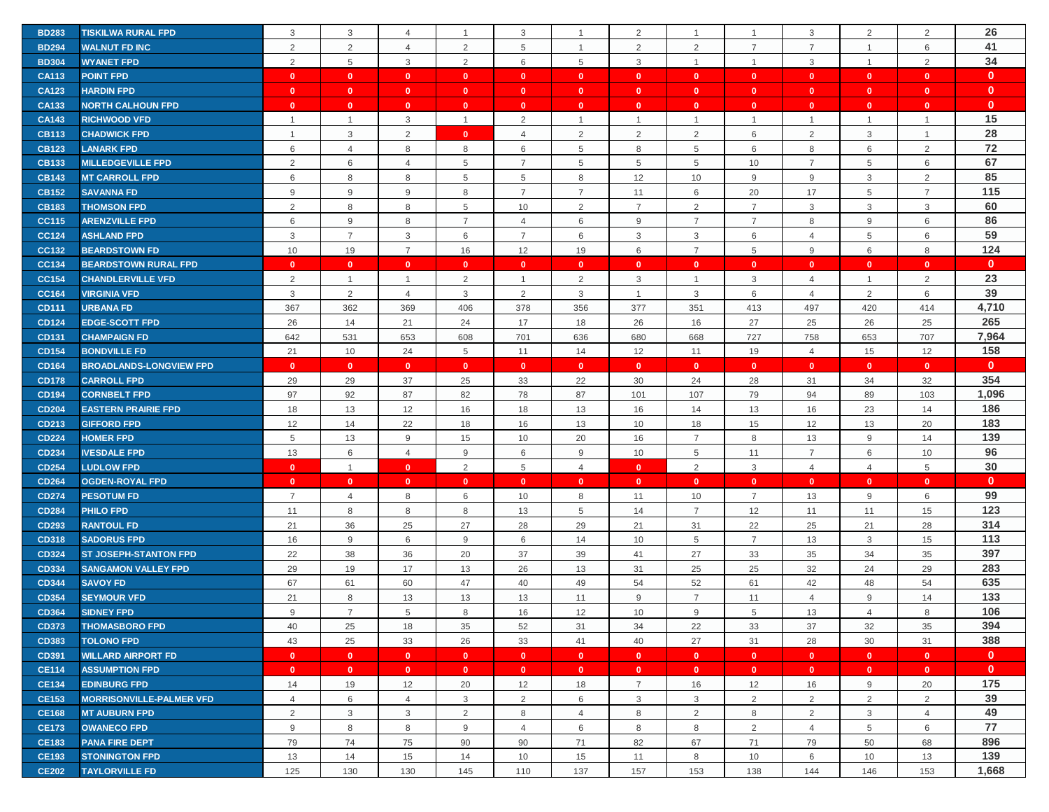| <b>BD283</b> | <b>TISKILWA RURAL FPD</b>       | 3              | 3              | $\overline{4}$ | -1             | 3              | $\overline{1}$ | 2              |                           | $\overline{1}$ | 3              | 2              | $\overline{2}$            | 26           |
|--------------|---------------------------------|----------------|----------------|----------------|----------------|----------------|----------------|----------------|---------------------------|----------------|----------------|----------------|---------------------------|--------------|
| <b>BD294</b> | <b>WALNUT FD INC</b>            | 2              | $\overline{2}$ | 4              | 2              | 5              | $\overline{1}$ | 2              | 2                         | $\overline{7}$ | $\overline{7}$ | $\mathbf{1}$   | 6                         | 41           |
| <b>BD304</b> | <b>WYANET FPD</b>               | 2              | 5              | 3              | 2              | 6              | 5              | 3              | 1                         | $\mathbf{1}$   | $\mathbf{3}$   | $\mathbf{1}$   | 2                         | 34           |
| <b>CA113</b> | <b>POINT FPD</b>                | $\mathbf{0}$   | $\mathbf{0}$   | $\mathbf{0}$   | $\mathbf{0}$   | $\mathbf{0}$   | $\mathbf{0}$   | $\mathbf{0}$   | $\mathbf{0}$              | $\mathbf{0}$   | $\bullet$      | $\mathbf{0}$   | $\mathbf{0}$              | $\mathbf{0}$ |
| <b>CA123</b> | <b>HARDIN FPD</b>               | $\mathbf{0}$   | $\mathbf{0}$   | $\bullet$      | $\mathbf{0}$   | $\mathbf{0}$   | $\mathbf{0}$   | $\mathbf{0}$   | $\mathbf{0}$              | $\mathbf{0}$   | $\mathbf{0}$   | $\mathbf{0}$   | $\mathbf{0}$              | $\mathbf{0}$ |
| CA133        | <b>NORTH CALHOUN FPD</b>        | $\mathbf{0}$   | $\mathbf{0}$   | $\bullet$      | $\mathbf{0}$   | $\mathbf{0}$   | $\mathbf{0}$   | $\mathbf{0}$   | $\mathbf{0}$              | $\mathbf{0}$   | $\mathbf{0}$   | $\mathbf{0}$   | $\mathbf{0}$              | $\mathbf{0}$ |
| <b>CA143</b> | <b>RICHWOOD VFD</b>             | $\overline{1}$ | $\mathbf{1}$   | 3              | $\mathbf{1}$   | 2              | $\overline{1}$ | $\overline{1}$ | $\mathbf{1}$              | $\mathbf{1}$   | $\mathbf{1}$   | $\mathbf{1}$   | $\mathbf{1}$              | 15           |
| <b>CB113</b> | <b>CHADWICK FPD</b>             | $\overline{1}$ | 3              | $\overline{2}$ | $\mathbf{0}$   | $\overline{4}$ | 2              | 2              | 2                         | 6              | 2              | 3              | $\mathbf{1}$              | 28           |
| <b>CB123</b> | <b>LANARK FPD</b>               | 6              | $\overline{4}$ | 8              | 8              | 6              | 5              | 8              | 5                         | 6              | 8              | 6              | 2                         | 72           |
| <b>CB133</b> | <b>MILLEDGEVILLE FPD</b>        | 2              | 6              | $\overline{4}$ | 5              | $\overline{7}$ | 5              | 5              | 5                         | 10             | $\overline{7}$ | 5              | 6                         | 67           |
| <b>CB143</b> | <b>MT CARROLL FPD</b>           | 6              | 8              | 8              | 5              | 5              | 8              | 12             | 10                        | 9              | 9              | 3              | $\overline{2}$            | 85           |
| <b>CB152</b> | <b>SAVANNA FD</b>               | 9              | 9              | 9              | 8              | $\overline{7}$ | $\overline{7}$ | 11             | 6                         | 20             | 17             | 5              | $\overline{7}$            | 115          |
| <b>CB183</b> | <b>THOMSON FPD</b>              | 2              | 8              | 8              | 5              | 10             | $\overline{2}$ | $\overline{7}$ | $\overline{2}$            | $\overline{7}$ | 3              | 3              | $\ensuremath{\mathsf{3}}$ | 60           |
| <b>CC115</b> | <b>ARENZVILLE FPD</b>           | 6              | 9              | 8              | $\overline{7}$ | $\overline{4}$ | 6              | 9              | $\overline{7}$            | $\overline{7}$ | 8              | 9              | 6                         | 86           |
| <b>CC124</b> | <b>ASHLAND FPD</b>              | 3              | $\overline{7}$ | $\mathbf{3}$   | 6              | $\overline{7}$ | 6              | 3              | $\ensuremath{\mathsf{3}}$ | 6              | $\overline{4}$ | 5              | 6                         | 59           |
| CC132        | <b>BEARDSTOWN FD</b>            | 10             | 19             | $\overline{7}$ | 16             | 12             | 19             | 6              | $\overline{7}$            | 5              | 9              | 6              | 8                         | 124          |
| CC134        | <b>BEARDSTOWN RURAL FPD</b>     | $\mathbf{0}$   | $\mathbf{0}$   | $\mathbf{0}$   | $\mathbf{0}$   | $\mathbf{0}$   | $\mathbf{0}$   | $\mathbf{0}$   | $\mathbf{0}$              | $\mathbf{0}$   | $\mathbf{0}$   | $\mathbf{0}$   | $\mathbf{0}$              | $\mathbf{0}$ |
| <b>CC154</b> | <b>CHANDLERVILLE VFD</b>        | 2              | $\mathbf{1}$   | $\overline{1}$ | 2              | $\mathbf{1}$   | 2              | 3              | $\mathbf{1}$              | 3              | $\overline{4}$ | $\mathbf{1}$   | $\overline{2}$            | 23           |
| <b>CC164</b> | <b>VIRGINIA VFD</b>             | 3              | 2              | $\overline{4}$ | 3              | 2              | 3              | $\overline{1}$ | 3                         | 6              | $\overline{4}$ | 2              | 6                         | 39           |
| <b>CD111</b> | <b>URBANA FD</b>                | 367            | 362            | 369            | 406            | 378            | 356            | 377            | 351                       | 413            | 497            | 420            | 414                       | 4,710        |
| <b>CD124</b> | <b>EDGE-SCOTT FPD</b>           | 26             | 14             | 21             | 24             | 17             | 18             | 26             | 16                        | 27             | 25             | 26             | 25                        | 265          |
| <b>CD131</b> | <b>CHAMPAIGN FD</b>             | 642            | 531            | 653            | 608            | 701            | 636            | 680            | 668                       | 727            | 758            | 653            | 707                       | 7,964        |
| <b>CD154</b> | <b>BONDVILLE FD</b>             | 21             | 10             | 24             | 5              | 11             | 14             | 12             | 11                        | 19             | $\overline{4}$ | 15             | 12                        | 158          |
| <b>CD164</b> | <b>BROADLANDS-LONGVIEW FPD</b>  | $\mathbf{0}$   | $\mathbf{0}$   | $\mathbf{0}$   | $\mathbf{0}$   | $\mathbf{0}$   | $\mathbf{0}$   | $\mathbf{0}$   | $\mathbf{0}$              | $\mathbf{0}$   | $\mathbf{0}$   | $\mathbf{0}$   | $\mathbf{0}$              | $\mathbf{0}$ |
| <b>CD178</b> | <b>CARROLL FPD</b>              | 29             | 29             | 37             | 25             | 33             | 22             | 30             | 24                        | 28             | 31             | 34             | 32                        | 354          |
| <b>CD194</b> | <b>CORNBELT FPD</b>             | 97             | 92             | 87             | 82             | 78             | 87             | 101            | 107                       | 79             | 94             | 89             | 103                       | 1,096        |
| <b>CD204</b> | <b>EASTERN PRAIRIE FPD</b>      | 18             | 13             | 12             | 16             | 18             | 13             | 16             | 14                        | 13             | 16             | 23             | 14                        | 186          |
| CD213        | <b>GIFFORD FPD</b>              | 12             | 14             | 22             | 18             | 16             | 13             | 10             | 18                        | 15             | 12             | 13             | 20                        | 183          |
| <b>CD224</b> | <b>HOMER FPD</b>                | 5              | 13             | 9              | 15             | 10             | 20             | 16             | $\overline{7}$            | 8              | 13             | 9              | 14                        | 139          |
| CD234        | <b>IVESDALE FPD</b>             | 13             | 6              | 4              | 9              | 6              | 9              | 10             | 5                         | 11             | $\overline{7}$ | 6              | 10                        | 96           |
| <b>CD254</b> | <b>LUDLOW FPD</b>               | $\mathbf{0}$   | $\mathbf{1}$   | $\bullet$      | 2              | 5              | $\overline{4}$ | $\mathbf{0}$   | 2                         | 3              | $\overline{4}$ | $\overline{4}$ | 5                         | 30           |
| <b>CD264</b> | <b>OGDEN-ROYAL FPD</b>          | $\mathbf{0}$   | $\mathbf{0}$   | $\mathbf{0}$   | $\mathbf{0}$   | $\mathbf{0}$   | $\mathbf{0}$   | $\mathbf{0}$   | $\mathbf{0}$              | $\mathbf{0}$   | $\mathbf{0}$   | $\mathbf{0}$   | $\mathbf{0}$              | $\mathbf{0}$ |
| <b>CD274</b> | <b>PESOTUM FD</b>               | $\overline{7}$ | $\overline{4}$ | 8              | 6              | 10             | 8              | 11             | 10                        | $\overline{7}$ | 13             | 9              | $\,6\,$                   | 99           |
| <b>CD284</b> | <b>PHILO FPD</b>                | 11             | 8              | 8              | 8              | 13             | 5              | 14             | $\overline{7}$            | 12             | 11             | 11             | 15                        | 123          |
| <b>CD293</b> | <b>RANTOUL FD</b>               | 21             | 36             | 25             | 27             | 28             | 29             | 21             | 31                        | 22             | 25             | 21             | 28                        | 314          |
| <b>CD318</b> | <b>SADORUS FPD</b>              | 16             | $9\,$          | 6              | 9              | 6              | 14             | 10             | $\,$ 5 $\,$               | $\overline{7}$ | 13             | 3              | 15                        | 113          |
| <b>CD324</b> | <b>ST JOSEPH-STANTON FPD</b>    | 22             | 38             | 36             | 20             | 37             | 39             | 41             | 27                        | 33             | 35             | 34             | 35                        | 397          |
| CD334        | <b>SANGAMON VALLEY FPD</b>      | 29             | 19             | 17             | 13             | 26             | 13             | 31             | 25                        | 25             | 32             | 24             | 29                        | 283          |
| <b>CD344</b> | <b>SAVOY FD</b>                 | 67             | 61             | 60             | 47             | 40             | 49             | 54             | 52                        | 61             | 42             | 48             | 54                        | 635          |
| <b>CD354</b> | <b>SEYMOUR VFD</b>              | 21             | 8              | 13             | 13             | 13             | 11             | 9              | $\overline{7}$            | 11             | $\overline{4}$ | 9              | 14                        | 133          |
| <b>CD364</b> | <b>SIDNEY FPD</b>               | 9              | $\overline{7}$ | 5              | 8              | 16             | 12             | 10             | 9                         | 5              | 13             | $\overline{4}$ | 8                         | 106          |
| <b>CD373</b> | <b>THOMASBORO FPD</b>           | 40             | 25             | 18             | 35             | 52             | 31             | 34             | 22                        | 33             | 37             | 32             | 35                        | 394          |
| <b>CD383</b> | <b>TOLONO FPD</b>               | 43             | 25             | 33             | 26             | 33             | 41             | 40             | 27                        | 31             | 28             | 30             | 31                        | 388          |
| CD391        | <b>WILLARD AIRPORT FD</b>       | $\mathbf{0}$   | $\mathbf{0}$   | $\bullet$      | $\mathbf{0}$   | $\mathbf{0}$   | $\mathbf{0}$   | $\mathbf{0}$   | $\mathbf{0}$              | $\mathbf{0}$   | $\mathbf{0}$   | $\mathbf{0}$   | $\mathbf{0}$              | $\mathbf{0}$ |
| <b>CE114</b> | <b>ASSUMPTION FPD</b>           | $\mathbf{0}$   | $\bullet$      | $\bullet$      | $\mathbf{0}$   | $\mathbf{0}$   | $\mathbf{0}$   | $\mathbf{0}$   | $\mathbf{0}$              | $\overline{0}$ | $\bullet$      | $\mathbf{0}$   | $\mathbf{0}$              | $\mathbf{0}$ |
| <b>CE134</b> | <b>EDINBURG FPD</b>             | 14             | 19             | 12             | 20             | 12             | 18             | $\overline{7}$ | 16                        | 12             | 16             | 9              | 20                        | 175          |
| <b>CE153</b> | <b>MORRISONVILLE-PALMER VFD</b> | 4              | 6              | $\overline{4}$ | 3              | 2              | 6              | 3              | 3                         | $\overline{2}$ | $\overline{2}$ | $\overline{2}$ | $\overline{2}$            | 39           |
| <b>CE168</b> | <b>MT AUBURN FPD</b>            | 2              | 3              | $\mathbf{3}$   | 2              | 8              | $\overline{4}$ | 8              | 2                         | 8              | $\overline{2}$ | 3              | $\overline{4}$            | 49           |
| <b>CE173</b> | <b>OWANECO FPD</b>              | 9              | 8              | 8              | 9              | $\overline{4}$ | 6              | 8              | 8                         | 2              | $\overline{4}$ | 5              | 6                         | 77           |
| <b>CE183</b> | <b>PANA FIRE DEPT</b>           | 79             | 74             | 75             | 90             | 90             | 71             | 82             | 67                        | 71             | 79             | 50             | 68                        | 896          |
| <b>CE193</b> | <b>STONINGTON FPD</b>           | 13             | 14             | 15             | 14             | 10             | 15             | 11             | 8                         | 10             | 6              | 10             | 13                        | 139          |
| <b>CE202</b> | <b>TAYLORVILLE FD</b>           | 125            | 130            | 130            | 145            | 110            | 137            | 157            | 153                       | 138            | 144            | 146            | 153                       | 1,668        |
|              |                                 |                |                |                |                |                |                |                |                           |                |                |                |                           |              |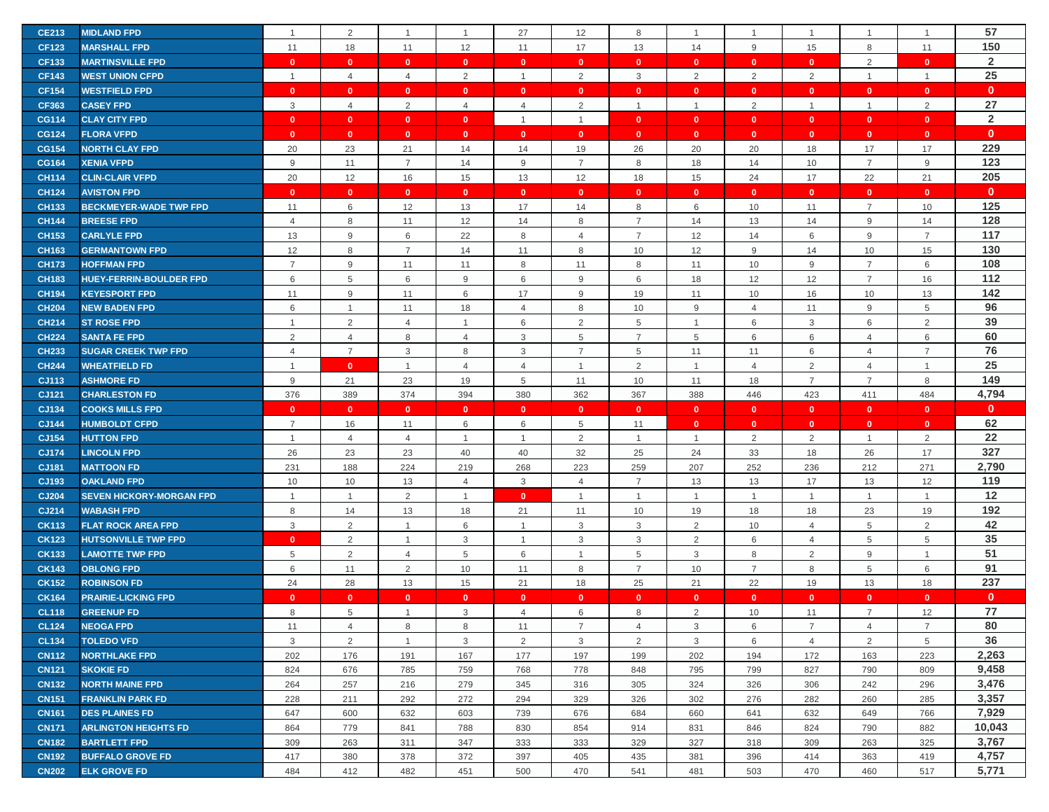| <b>CE213</b>          | <b>MIDLAND FPD</b>                             |                | $\overline{2}$       | $\overline{1}$          | $\overline{1}$    | 27                  | 12                      | 8                    |                              | $\overline{1}$               | $\mathbf{1}$                 | $\mathbf{1}$                 | $\overline{1}$               | 57             |
|-----------------------|------------------------------------------------|----------------|----------------------|-------------------------|-------------------|---------------------|-------------------------|----------------------|------------------------------|------------------------------|------------------------------|------------------------------|------------------------------|----------------|
| <b>CF123</b>          | <b>MARSHALL FPD</b>                            | 11             | 18                   | 11                      | 12                | 11                  | 17                      | 13                   | 14                           | 9                            | 15                           | 8                            | 11                           | 150            |
| <b>CF133</b>          | <b>MARTINSVILLE FPD</b>                        | $\mathbf{0}$   | $\mathbf{0}$         | $\mathbf{0}$            | $\mathbf{0}$      | $\mathbf{0}$        | $\mathbf{0}$            | $\mathbf{0}$         | $\mathbf{0}$                 | $\mathbf{0}$                 | $\overline{0}$               | 2                            | $\mathbf{0}$                 | $\overline{2}$ |
| <b>CF143</b>          | <b>WEST UNION CFPD</b>                         | $\overline{1}$ | $\overline{4}$       | $\overline{4}$          | 2                 | $\overline{1}$      | 2                       | $\mathbf{3}$         | 2                            | $\overline{2}$               | 2                            | $\mathbf{1}$                 | $\overline{1}$               | 25             |
| <b>CF154</b>          | <b>WESTFIELD FPD</b>                           | $\mathbf{0}$   | $\mathbf{0}$         | $\mathbf{0}$            | $\mathbf{0}$      | $\mathbf{0}$        | $\mathbf{0}$            | $\mathbf{0}$         | $\mathbf{0}$                 | $\mathbf{0}$                 | $\mathbf{0}$                 | $\mathbf{0}$                 | $\mathbf{0}$                 | $\mathbf{0}$   |
| <b>CF363</b>          | <b>CASEY FPD</b>                               | 3              | $\overline{4}$       | 2                       | $\overline{4}$    | 4                   | 2                       | $\overline{1}$       |                              | $\overline{2}$               | $\mathbf{1}$                 | $\mathbf{1}$                 | $\overline{2}$               | 27             |
| <b>CG114</b>          | <b>CLAY CITY FPD</b>                           | $\mathbf{0}$   | $\mathbf{0}$         | $\mathbf{0}$            | $\mathbf{0}$      | $\overline{1}$      | $\overline{1}$          | $\mathbf{0}$         | $\mathbf{0}$                 | $\mathbf{0}$                 | $\mathbf{0}$                 | $\mathbf{0}$                 | $\mathbf{0}$                 | $\overline{2}$ |
| <b>CG124</b>          | <b>FLORA VFPD</b>                              | $\mathbf{0}$   | $\mathbf{0}$         | $\mathbf{0}$            | $\mathbf{0}$      | $\mathbf{0}$        | $\mathbf{0}$            | $\mathbf{0}$         | $\mathbf{0}$                 | $\mathbf{0}$                 | $\mathbf{0}$                 | $\mathbf{0}$                 | $\mathbf{0}$                 | $\mathbf{0}$   |
| <b>CG154</b>          | <b>NORTH CLAY FPD</b>                          | 20             | 23                   | 21                      | 14                | 14                  | 19                      | 26                   | 20                           | 20                           | 18                           | 17                           | 17                           | 229            |
| <b>CG164</b>          | <b>XENIA VFPD</b>                              | $9$            | 11                   | $\overline{7}$          | 14                | 9                   | $\overline{7}$          | 8                    | 18                           | 14                           | 10                           | $\overline{7}$               | $9\,$                        | 123            |
| <b>CH114</b>          | <b>CLIN-CLAIR VFPD</b>                         | 20             | 12                   | 16                      | 15                | 13                  | 12                      | 18                   | 15                           | 24                           | 17                           | 22                           | 21                           | 205            |
| <b>CH124</b>          | <b>AVISTON FPD</b>                             | $\mathbf{0}$   | $\mathbf{0}$         | $\mathbf{0}$            | $\mathbf{0}$      | $\mathbf{0}$        | $\mathbf{0}$            | $\mathbf{0}$         | $\mathbf{0}$                 | $\mathbf{0}$                 | $\mathbf{0}$                 | $\mathbf{0}$                 | $\mathbf{0}$                 | $\mathbf{0}$   |
| <b>CH133</b>          | <b>BECKMEYER-WADE TWP FPD</b>                  | 11             | 6                    | 12                      | 13                | 17                  | 14                      | 8                    | 6                            | 10                           | 11                           | $\overline{7}$               | 10                           | 125            |
| <b>CH144</b>          | <b>BREESE FPD</b>                              | $\overline{4}$ | 8                    | 11                      | 12                | 14                  | 8                       | $\overline{7}$       | 14                           | 13                           | 14                           | 9                            | 14                           | 128            |
| <b>CH153</b>          | <b>CARLYLE FPD</b>                             | 13             | 9                    | 6                       | 22                | 8                   | $\overline{4}$          | $\overline{7}$       | 12                           | 14                           | 6                            | 9                            | $\overline{7}$               | 117            |
| <b>CH163</b>          | <b>GERMANTOWN FPD</b>                          | 12             | 8                    | $\overline{7}$          | 14                | 11                  | 8                       | 10                   | 12                           | $9\,$                        | 14                           | 10                           | 15                           | 130            |
| <b>CH173</b>          | <b>HOFFMAN FPD</b>                             | $\overline{7}$ | 9                    | 11                      | 11                | 8                   | 11                      | 8                    | 11                           | 10                           | 9                            | $\overline{7}$               | 6                            | 108            |
| <b>CH183</b>          | <b>HUEY-FERRIN-BOULDER FPD</b>                 | 6              | $5\phantom{.0}$      | 6                       | 9                 | 6                   | 9                       | 6                    | 18                           | 12                           | 12                           | $\overline{7}$               | 16                           | 112            |
| <b>CH194</b>          | <b>KEYESPORT FPD</b>                           | 11             | 9                    | 11                      | 6                 | 17                  | 9                       | 19                   | 11                           | 10                           | 16                           | 10                           | 13                           | 142            |
| <b>CH204</b>          | <b>NEW BADEN FPD</b>                           | 6              | $\mathbf{1}$         | 11                      | 18                | $\overline{4}$      | 8                       | 10                   | 9                            | $\overline{4}$               | 11                           | 9                            | 5                            | 96             |
| <b>CH214</b>          | <b>ST ROSE FPD</b>                             | $\overline{1}$ | 2                    | $\overline{4}$          | $\mathbf{1}$      | 6                   | 2                       | 5                    | $\mathbf{1}$                 | 6                            | 3                            | 6                            | $\sqrt{2}$                   | 39             |
| <b>CH224</b>          | <b>SANTA FE FPD</b>                            | $\overline{2}$ | $\overline{4}$       | 8                       | $\overline{4}$    | 3                   | 5                       | $\overline{7}$       | 5                            | 6                            | 6                            | $\overline{4}$               | 6                            | 60             |
| <b>CH233</b>          | <b>SUGAR CREEK TWP FPD</b>                     | $\overline{4}$ | $\overline{7}$       | 3                       | 8                 | 3                   | $\overline{7}$          | 5                    | 11                           | 11                           | 6                            | $\overline{4}$               | $\overline{7}$               | 76             |
| <b>CH244</b>          | <b>WHEATFIELD FD</b>                           | $\overline{1}$ | $\mathbf{0}$         | $\mathbf{1}$            | $\overline{4}$    | $\overline{4}$      | $\overline{1}$          | 2                    | $\mathbf{1}$                 | $\overline{4}$               | 2                            | $\overline{4}$               | $\mathbf{1}$                 | 25             |
| CJ113                 | <b>ASHMORE FD</b>                              | 9              | 21                   | 23                      | 19                | 5                   | 11                      | 10                   | 11                           | 18                           | $\overline{7}$               | $\overline{7}$               | 8                            | 149            |
| CJ121                 | <b>CHARLESTON FD</b>                           | 376            | 389                  | 374                     | 394               | 380                 | 362                     | 367                  | 388                          | 446                          | 423                          | 411                          | 484                          | 4,794          |
|                       |                                                |                |                      |                         |                   |                     |                         |                      |                              |                              |                              |                              |                              |                |
|                       |                                                | $\mathbf{0}$   |                      |                         | $\mathbf{0}$      | $\mathbf{0}$        |                         | $\mathbf{0}$         |                              |                              |                              |                              |                              | $\mathbf{0}$   |
| CJ134                 | <b>COOKS MILLS FPD</b><br><b>HUMBOLDT CFPD</b> | $\overline{7}$ | $\mathbf{0}$         | $\overline{\mathbf{0}}$ |                   |                     | $\overline{\mathbf{0}}$ |                      | $\mathbf{0}$<br>$\mathbf{0}$ | $\mathbf{0}$<br>$\mathbf{0}$ | $\mathbf{0}$<br>$\mathbf{0}$ | $\mathbf{0}$<br>$\mathbf{0}$ | $\mathbf{0}$<br>$\mathbf{0}$ |                |
| CJ144                 | <b>HUTTON FPD</b>                              | $\overline{1}$ | 16                   | 11                      | 6<br>$\mathbf{1}$ | 6<br>$\overline{1}$ | 5                       | 11<br>$\overline{1}$ | $\mathbf{1}$                 |                              |                              | $\mathbf{1}$                 |                              | 62             |
| CJ154                 | <b>LINCOLN FPD</b>                             |                | $\overline{4}$       | $\overline{4}$          | 40                | 40                  | $\overline{2}$          |                      |                              | $\overline{2}$               | 2                            |                              | $\overline{2}$<br>17         | 22<br>327      |
| <b>CJ174</b><br>CJ181 | <b>MATTOON FD</b>                              | 26<br>231      | 23                   | 23<br>224               | 219               | 268                 | 32<br>223               | 25<br>259            | 24<br>207                    | 33<br>252                    | 18<br>236                    | 26<br>212                    | 271                          |                |
| CJ193                 | <b>OAKLAND FPD</b>                             | 10             | 188                  |                         | $\overline{4}$    | 3                   | $\overline{4}$          | $\overline{7}$       |                              |                              | 17                           |                              | 12                           | 2,790<br>119   |
| <b>CJ204</b>          | <b>SEVEN HICKORY-MORGAN FPD</b>                | $\overline{1}$ | 10<br>$\overline{1}$ | 13                      | $\overline{1}$    | $\mathbf{0}$        | $\overline{1}$          | -1                   | 13<br>$\mathbf{1}$           | 13<br>$\mathbf{1}$           | $\overline{1}$               | 13<br>$\mathbf{1}$           | $\overline{1}$               |                |
| CJ214                 | <b>WABASH FPD</b>                              | 8              |                      | $\overline{2}$          |                   | 21                  | 11                      |                      |                              |                              |                              |                              |                              | 12<br>192      |
| <b>CK113</b>          | <b>FLAT ROCK AREA FPD</b>                      | 3              | 14<br>$\overline{2}$ | 13<br>$\mathbf{1}$      | 18<br>6           | $\mathbf{1}$        | 3                       | 10<br>3              | 19                           | 18<br>10                     | 18<br>$\overline{4}$         | 23<br>5                      | 19<br>$\overline{2}$         |                |
| <b>CK123</b>          | <b>HUTSONVILLE TWP FPD</b>                     | $\mathbf{0}$   | 2                    | 1                       | 3                 | $\overline{1}$      | 3                       | 3                    | $\overline{2}$<br>2          | 6                            | $\overline{4}$               | 5                            | 5                            | 42<br>35       |
| <b>CK133</b>          | <b>LAMOTTE TWP FPD</b>                         | 5              | $\overline{2}$       | $\overline{4}$          | 5                 | 6                   | $\overline{1}$          | 5                    | 3                            | 8                            | 2                            | 9                            | $\overline{1}$               | 51             |
| <b>CK143</b>          | <b>OBLONG FPD</b>                              | 6              | 11                   | 2                       | 10                | 11                  | 8                       | $\overline{7}$       | 10                           | $\overline{7}$               | 8                            | 5                            | 6                            | 91             |
| <b>CK152</b>          | <b>ROBINSON FD</b>                             | 24             | 28                   | 13                      | 15                | 21                  | 18                      | 25                   | 21                           | 22                           | 19                           | 13                           | 18                           | 237            |
| <b>CK164</b>          | <b>PRAIRIE-LICKING FPD</b>                     | $\mathbf{0}$   | $\mathbf{0}$         | $\mathbf{0}$            | $\mathbf{0}$      | $\mathbf{0}$        | $\mathbf{0}$            | $\mathbf{0}$         | $\mathbf{0}$                 | $\mathbf{0}$                 | $\mathbf{0}$                 | $\mathbf{0}$                 | $\mathbf{0}$                 | $\mathbf{0}$   |
| <b>CL118</b>          | <b>GREENUP FD</b>                              | 8              | 5                    | $\mathbf{1}$            | 3                 | $\overline{4}$      | 6                       | 8                    | 2                            | 10                           | 11                           | $\overline{7}$               | 12                           | 77             |
| <b>CL124</b>          | <b>NEOGA FPD</b>                               | 11             | 4                    | 8                       | 8                 | 11                  | $\overline{7}$          | $\overline{4}$       | 3                            | 6                            | $\overline{7}$               | $\overline{4}$               | $\overline{7}$               | 80             |
| <b>CL134</b>          | <b>TOLEDO VFD</b>                              | $\mathbf{3}$   | 2                    | $\overline{1}$          | 3                 | $\overline{2}$      | $\mathbf{3}$            | $\overline{2}$       | 3                            | 6                            | $\overline{4}$               | 2                            | 5                            | 36             |
| <b>CN112</b>          | <b>NORTHLAKE FPD</b>                           | 202            | 176                  | 191                     | 167               | 177                 | 197                     | 199                  | 202                          | 194                          | 172                          | 163                          | 223                          | 2,263          |
| <b>CN121</b>          | <b>SKOKIE FD</b>                               | 824            | 676                  | 785                     | 759               | 768                 | 778                     | 848                  | 795                          | 799                          | 827                          | 790                          | 809                          | 9,458          |
| <b>CN132</b>          | <b>NORTH MAINE FPD</b>                         | 264            | 257                  | 216                     | 279               | 345                 | 316                     | 305                  | 324                          | 326                          | 306                          | 242                          | 296                          | 3,476          |
| <b>CN151</b>          | <b>FRANKLIN PARK FD</b>                        | 228            | 211                  | 292                     | 272               | 294                 | 329                     | 326                  | 302                          | 276                          | 282                          | 260                          | 285                          | 3,357          |
| <b>CN161</b>          | <b>DES PLAINES FD</b>                          | 647            | 600                  | 632                     | 603               | 739                 | 676                     | 684                  | 660                          | 641                          | 632                          | 649                          | 766                          | 7,929          |
| <b>CN171</b>          | <b>ARLINGTON HEIGHTS FD</b>                    | 864            | 779                  | 841                     | 788               | 830                 | 854                     | 914                  | 831                          | 846                          | 824                          | 790                          | 882                          | 10,043         |
| <b>CN182</b>          | <b>BARTLETT FPD</b>                            | 309            | 263                  | 311                     | 347               | 333                 | 333                     | 329                  | 327                          | 318                          | 309                          | 263                          | 325                          | 3,767          |
| <b>CN192</b>          | <b>BUFFALO GROVE FD</b>                        | 417            | 380                  | 378                     | 372               | 397                 | 405                     | 435                  | 381                          | 396                          | 414                          | 363                          | 419                          | 4,757          |
| <b>CN202</b>          | <b>ELK GROVE FD</b>                            | 484            | 412                  | 482                     | 451               | 500                 | 470                     | 541                  | 481                          | 503                          | 470                          | 460                          | 517                          | 5,771          |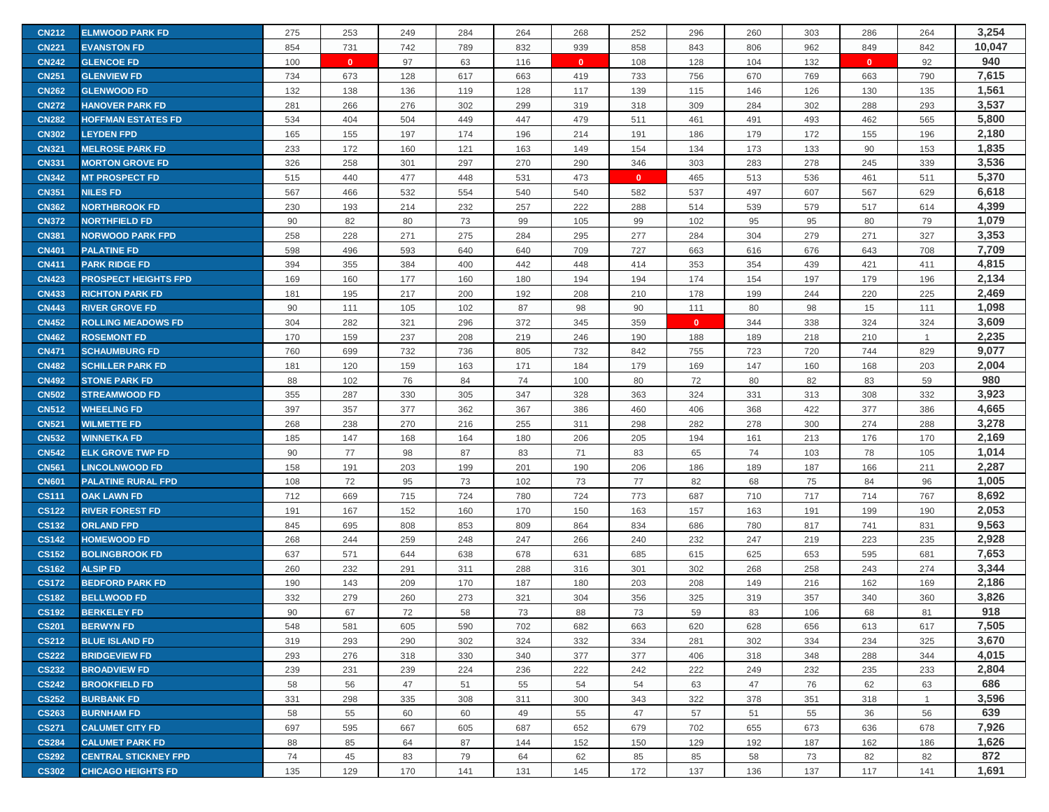| <b>CN212</b> | <b>ELMWOOD PARK FD</b>      | 275 | 253          | 249 | 284 | 264 | 268          | 252          | 296          | 260 | 303 | 286          | 264            | 3,254  |
|--------------|-----------------------------|-----|--------------|-----|-----|-----|--------------|--------------|--------------|-----|-----|--------------|----------------|--------|
| <b>CN221</b> | <b>EVANSTON FD</b>          | 854 | 731          | 742 | 789 | 832 | 939          | 858          | 843          | 806 | 962 | 849          | 842            | 10,047 |
| <b>CN242</b> | <b>GLENCOE FD</b>           | 100 | $\mathbf{0}$ | 97  | 63  | 116 | $\mathbf{0}$ | 108          | 128          | 104 | 132 | $\mathbf{0}$ | 92             | 940    |
| <b>CN251</b> | <b>GLENVIEW FD</b>          | 734 | 673          | 128 | 617 | 663 | 419          | 733          | 756          | 670 | 769 | 663          | 790            | 7,615  |
| <b>CN262</b> | <b>GLENWOOD FD</b>          | 132 | 138          | 136 | 119 | 128 | 117          | 139          | 115          | 146 | 126 | 130          | 135            | 1,561  |
| <b>CN272</b> | <b>HANOVER PARK FD</b>      | 281 | 266          | 276 | 302 | 299 | 319          | 318          | 309          | 284 | 302 | 288          | 293            | 3,537  |
| <b>CN282</b> | <b>HOFFMAN ESTATES FD</b>   | 534 | 404          | 504 | 449 | 447 | 479          | 511          | 461          | 491 | 493 | 462          | 565            | 5,800  |
| <b>CN302</b> | <b>LEYDEN FPD</b>           | 165 | 155          | 197 | 174 | 196 | 214          | 191          | 186          | 179 | 172 | 155          | 196            | 2,180  |
| <b>CN321</b> | <b>MELROSE PARK FD</b>      | 233 | 172          | 160 | 121 | 163 | 149          | 154          | 134          | 173 | 133 | 90           | 153            | 1,835  |
| <b>CN331</b> | <b>MORTON GROVE FD</b>      | 326 | 258          | 301 | 297 | 270 | 290          | 346          | 303          | 283 | 278 | 245          | 339            | 3,536  |
| <b>CN342</b> | <b>MT PROSPECT FD</b>       | 515 | 440          | 477 | 448 | 531 | 473          | $\mathbf{0}$ | 465          | 513 | 536 | 461          | 511            | 5,370  |
| <b>CN351</b> | <b>NILES FD</b>             | 567 | 466          | 532 | 554 | 540 | 540          | 582          | 537          | 497 | 607 | 567          | 629            | 6,618  |
| <b>CN362</b> | <b>NORTHBROOK FD</b>        | 230 | 193          | 214 | 232 | 257 | 222          | 288          | 514          | 539 | 579 | 517          | 614            | 4,399  |
| <b>CN372</b> | <b>NORTHFIELD FD</b>        | 90  | 82           | 80  | 73  | 99  | 105          | 99           | 102          | 95  | 95  | 80           | 79             | 1,079  |
| <b>CN381</b> | <b>NORWOOD PARK FPD</b>     | 258 | 228          | 271 | 275 | 284 | 295          | 277          | 284          | 304 | 279 | 271          | 327            | 3,353  |
| <b>CN401</b> | <b>PALATINE FD</b>          | 598 | 496          | 593 | 640 | 640 | 709          | 727          | 663          | 616 | 676 | 643          | 708            | 7,709  |
| <b>CN411</b> | <b>PARK RIDGE FD</b>        | 394 | 355          | 384 | 400 | 442 | 448          | 414          | 353          | 354 | 439 | 421          | 411            | 4,815  |
| <b>CN423</b> | <b>PROSPECT HEIGHTS FPD</b> | 169 | 160          | 177 | 160 | 180 | 194          | 194          | 174          | 154 | 197 | 179          | 196            | 2,134  |
| <b>CN433</b> | <b>RICHTON PARK FD</b>      | 181 | 195          | 217 | 200 | 192 | 208          | 210          | 178          | 199 | 244 | 220          | 225            | 2,469  |
| <b>CN443</b> | <b>RIVER GROVE FD</b>       | 90  | 111          | 105 | 102 | 87  | 98           | 90           | 111          | 80  | 98  | 15           | 111            | 1,098  |
| <b>CN452</b> | <b>ROLLING MEADOWS FD</b>   | 304 | 282          | 321 | 296 | 372 | 345          | 359          | $\mathbf{0}$ | 344 | 338 | 324          | 324            | 3,609  |
| <b>CN462</b> | <b>ROSEMONT FD</b>          | 170 | 159          | 237 | 208 | 219 | 246          | 190          | 188          | 189 | 218 | 210          | $\overline{1}$ | 2,235  |
| <b>CN471</b> | <b>SCHAUMBURG FD</b>        | 760 | 699          | 732 | 736 | 805 | 732          | 842          | 755          | 723 | 720 | 744          | 829            | 9,077  |
| <b>CN482</b> | <b>SCHILLER PARK FD</b>     | 181 | 120          | 159 | 163 | 171 | 184          | 179          | 169          | 147 | 160 | 168          | 203            | 2,004  |
| <b>CN492</b> | <b>STONE PARK FD</b>        | 88  | 102          | 76  | 84  | 74  | 100          | 80           | 72           | 80  | 82  | 83           | 59             | 980    |
| <b>CN502</b> | <b>STREAMWOOD FD</b>        | 355 | 287          | 330 | 305 | 347 | 328          | 363          | 324          | 331 | 313 | 308          | 332            | 3,923  |
| <b>CN512</b> | <b>WHEELING FD</b>          | 397 | 357          | 377 | 362 | 367 | 386          | 460          | 406          | 368 | 422 | 377          | 386            | 4,665  |
| <b>CN521</b> | <b>WILMETTE FD</b>          | 268 | 238          | 270 | 216 | 255 | 311          | 298          | 282          | 278 | 300 | 274          | 288            | 3,278  |
| <b>CN532</b> | <b>WINNETKA FD</b>          | 185 | 147          | 168 | 164 | 180 | 206          | 205          | 194          | 161 | 213 | 176          | 170            | 2,169  |
| <b>CN542</b> | <b>ELK GROVE TWP FD</b>     | 90  | 77           | 98  | 87  | 83  | 71           | 83           | 65           | 74  | 103 | 78           | 105            | 1,014  |
| <b>CN561</b> | <b>LINCOLNWOOD FD</b>       | 158 | 191          | 203 | 199 | 201 | 190          | 206          | 186          | 189 | 187 | 166          | 211            | 2,287  |
| <b>CN601</b> | <b>PALATINE RURAL FPD</b>   | 108 | 72           | 95  | 73  | 102 | 73           | 77           | 82           | 68  | 75  | 84           | 96             | 1,005  |
| <b>CS111</b> | <b>OAK LAWN FD</b>          | 712 | 669          | 715 | 724 | 780 | 724          | 773          | 687          | 710 | 717 | 714          | 767            | 8,692  |
| <b>CS122</b> | <b>RIVER FOREST FD</b>      | 191 | 167          | 152 | 160 | 170 | 150          | 163          | 157          | 163 | 191 | 199          | 190            | 2,053  |
| <b>CS132</b> | <b>ORLAND FPD</b>           | 845 | 695          | 808 | 853 | 809 | 864          | 834          | 686          | 780 | 817 | 741          | 831            | 9,563  |
| <b>CS142</b> | <b>HOMEWOOD FD</b>          | 268 | 244          | 259 | 248 | 247 | 266          | 240          | 232          | 247 | 219 | 223          | 235            | 2,928  |
| <b>CS152</b> | <b>BOLINGBROOK FD</b>       | 637 | 571          | 644 | 638 | 678 | 631          | 685          | 615          | 625 | 653 | 595          | 681            | 7,653  |
| <b>CS162</b> | <b>ALSIP FD</b>             | 260 | 232          | 291 | 311 | 288 | 316          | 301          | 302          | 268 | 258 | 243          | 274            | 3,344  |
| <b>CS172</b> | <b>BEDFORD PARK FD</b>      | 190 | 143          | 209 | 170 | 187 | 180          | 203          | 208          | 149 | 216 | 162          | 169            | 2,186  |
| <b>CS182</b> | <b>BELLWOOD FD</b>          | 332 | 279          | 260 | 273 | 321 | 304          | 356          | 325          | 319 | 357 | 340          | 360            | 3,826  |
| <b>CS192</b> | <b>BERKELEY FD</b>          | 90  | 67           | 72  | 58  | 73  | 88           | 73           | 59           | 83  | 106 | 68           | 81             | 918    |
| <b>CS201</b> | <b>BERWYN FD</b>            | 548 | 581          | 605 | 590 | 702 | 682          | 663          | 620          | 628 | 656 | 613          | 617            | 7,505  |
| <b>CS212</b> | <b>BLUE ISLAND FD</b>       | 319 | 293          | 290 | 302 | 324 | 332          | 334          | 281          | 302 | 334 | 234          | 325            | 3,670  |
| <b>CS222</b> | <b>BRIDGEVIEW FD</b>        | 293 | 276          | 318 | 330 | 340 | 377          | 377          | 406          | 318 | 348 | 288          | 344            | 4,015  |
| <b>CS232</b> | <b>BROADVIEW FD</b>         | 239 | 231          | 239 | 224 | 236 | 222          | 242          | 222          | 249 | 232 | 235          | 233            | 2,804  |
| <b>CS242</b> | <b>BROOKFIELD FD</b>        | 58  | 56           | 47  | 51  | 55  | 54           | 54           | 63           | 47  | 76  | 62           | 63             | 686    |
| <b>CS252</b> | <b>BURBANK FD</b>           | 331 | 298          | 335 | 308 | 311 | 300          | 343          | 322          | 378 | 351 | 318          | $\overline{1}$ | 3,596  |
| <b>CS263</b> | <b>BURNHAM FD</b>           | 58  | 55           | 60  | 60  | 49  | 55           | 47           | 57           | 51  | 55  | 36           | 56             | 639    |
| <b>CS271</b> | <b>CALUMET CITY FD</b>      | 697 | 595          | 667 | 605 | 687 | 652          | 679          | 702          | 655 | 673 | 636          | 678            | 7,926  |
| <b>CS284</b> | <b>CALUMET PARK FD</b>      | 88  | 85           | 64  | 87  | 144 | 152          | 150          | 129          | 192 | 187 | 162          | 186            | 1,626  |
| <b>CS292</b> | <b>CENTRAL STICKNEY FPD</b> | 74  | 45           | 83  | 79  | 64  | 62           | 85           | 85           | 58  | 73  | 82           | 82             | 872    |
| <b>CS302</b> | <b>CHICAGO HEIGHTS FD</b>   | 135 | 129          | 170 | 141 | 131 | 145          | 172          | 137          | 136 | 137 | 117          | 141            | 1,691  |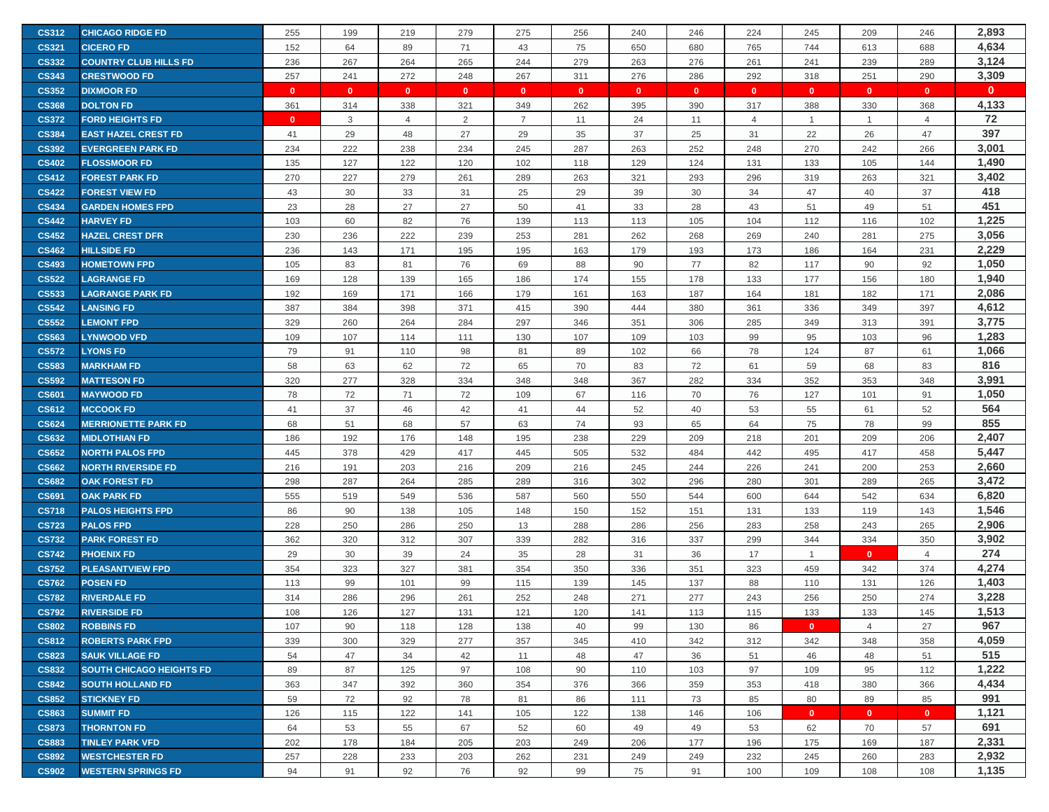| <b>CS312</b> | <b>CHICAGO RIDGE FD</b>         | 255          | 199          | 219            | 279          | 275            | 256          | 240          | 246          | 224            | 245            | 209          | 246            | 2,893        |
|--------------|---------------------------------|--------------|--------------|----------------|--------------|----------------|--------------|--------------|--------------|----------------|----------------|--------------|----------------|--------------|
| <b>CS321</b> | <b>CICERO FD</b>                | 152          | 64           | 89             | 71           | 43             | 75           | 650          | 680          | 765            | 744            | 613          | 688            | 4,634        |
| <b>CS332</b> | <b>COUNTRY CLUB HILLS FD</b>    | 236          | 267          | 264            | 265          | 244            | 279          | 263          | 276          | 261            | 241            | 239          | 289            | 3,124        |
| <b>CS343</b> | <b>CRESTWOOD FD</b>             | 257          | 241          | 272            | 248          | 267            | 311          | 276          | 286          | 292            | 318            | 251          | 290            | 3,309        |
| <b>CS352</b> | <b>DIXMOOR FD</b>               | $\mathbf{0}$ | $\mathbf{0}$ | $\mathbf{0}$   | $\mathbf{0}$ | $\mathbf{0}$   | $\mathbf{0}$ | $\mathbf{0}$ | $\mathbf{0}$ | $\mathbf{0}$   | $\mathbf{0}$   | $\mathbf{0}$ | $\mathbf{0}$   | $\mathbf{0}$ |
| <b>CS368</b> | <b>DOLTON FD</b>                | 361          | 314          | 338            | 321          | 349            | 262          | 395          | 390          | 317            | 388            | 330          | 368            | 4,133        |
| <b>CS372</b> | <b>FORD HEIGHTS FD</b>          | $\Omega$     | 3            | $\overline{4}$ | 2            | $\overline{7}$ | 11           | 24           | 11           | $\overline{4}$ | $\overline{1}$ | $\mathbf{1}$ | $\overline{4}$ | 72           |
| <b>CS384</b> | <b>EAST HAZEL CREST FD</b>      | 41           | 29           | 48             | 27           | 29             | 35           | 37           | 25           | 31             | 22             | 26           | 47             | 397          |
| <b>CS392</b> | <b>EVERGREEN PARK FD</b>        | 234          | 222          | 238            | 234          | 245            | 287          | 263          | 252          | 248            | 270            | 242          | 266            | 3,001        |
| <b>CS402</b> | <b>FLOSSMOOR FD</b>             | 135          | 127          | 122            | 120          | 102            | 118          | 129          | 124          | 131            | 133            | 105          | 144            | 1,490        |
| <b>CS412</b> | <b>FOREST PARK FD</b>           | 270          | 227          | 279            | 261          | 289            | 263          | 321          | 293          | 296            | 319            | 263          | 321            | 3,402        |
| <b>CS422</b> | <b>FOREST VIEW FD</b>           | 43           | 30           |                | 31           |                |              | 39           | 30           | 34             | 47             | 40           | 37             | 418          |
| <b>CS434</b> | <b>GARDEN HOMES FPD</b>         | 23           | 28           | 33<br>27       | 27           | 25<br>50       | 29<br>41     | 33           | 28           | 43             | 51             | 49           | 51             | 451          |
| <b>CS442</b> | <b>HARVEY FD</b>                | 103          | 60           | 82             | 76           | 139            | 113          | 113          | 105          | 104            | 112            | 116          | 102            | 1,225        |
| <b>CS452</b> | <b>HAZEL CREST DFR</b>          | 230          | 236          | 222            |              | 253            | 281          | 262          |              | 269            |                | 281          | 275            | 3,056        |
|              |                                 | 236          |              |                | 239          |                |              | 179          | 268          |                | 240            |              |                | 2,229        |
| <b>CS462</b> | <b>HILLSIDE FD</b>              |              | 143          | 171            | 195          | 195            | 163          | 90           | 193          | 173            | 186            | 164          | 231<br>92      | 1,050        |
| <b>CS493</b> | <b>HOMETOWN FPD</b>             | 105          | 83           | 81             | 76           | 69             | 88           |              | 77           | 82             | 117            | 90           |                | 1,940        |
| <b>CS522</b> | <b>LAGRANGE FD</b>              | 169          | 128          | 139            | 165          | 186            | 174          | 155          | 178          | 133            | 177            | 156          | 180            |              |
| <b>CS533</b> | <b>LAGRANGE PARK FD</b>         | 192          | 169          | 171            | 166          | 179            | 161          | 163          | 187          | 164            | 181            | 182          | 171            | 2,086        |
| <b>CS542</b> | <b>LANSING FD</b>               | 387          | 384          | 398            | 371          | 415            | 390          | 444          | 380          | 361            | 336            | 349          | 397            | 4,612        |
| <b>CS552</b> | <b>LEMONT FPD</b>               | 329          | 260          | 264            | 284          | 297            | 346          | 351          | 306          | 285            | 349            | 313          | 391            | 3,775        |
| <b>CS563</b> | <b>LYNWOOD VFD</b>              | 109          | 107          | 114            | 111          | 130            | 107          | 109          | 103          | 99             | 95             | 103          | 96             | 1,283        |
| <b>CS572</b> | <b>LYONS FD</b>                 | 79           | 91           | 110            | 98           | 81             | 89           | 102          | 66           | 78             | 124            | 87           | 61             | 1,066        |
| <b>CS583</b> | <b>MARKHAM FD</b>               | 58           | 63           | 62             | 72           | 65             | 70           | 83           | 72           | 61             | 59             | 68           | 83             | 816          |
| <b>CS592</b> | <b>MATTESON FD</b>              | 320          | 277          | 328            | 334          | 348            | 348          | 367          | 282          | 334            | 352            | 353          | 348            | 3,991        |
| <b>CS601</b> | <b>MAYWOOD FD</b>               | 78           | 72           | 71             | 72           | 109            | 67           | 116          | 70           | 76             | 127            | 101          | 91             | 1,050        |
| <b>CS612</b> | <b>MCCOOK FD</b>                | 41           | 37           | 46             | 42           | 41             | 44           | 52           | 40           | 53             | 55             | 61           | 52             | 564          |
| <b>CS624</b> | <b>MERRIONETTE PARK FD</b>      | 68           | 51           | 68             | 57           | 63             | 74           | 93           | 65           | 64             | 75             | 78           | 99             | 855          |
| <b>CS632</b> | <b>MIDLOTHIAN FD</b>            | 186          | 192          | 176            | 148          | 195            | 238          | 229          | 209          | 218            | 201            | 209          | 206            | 2,407        |
| <b>CS652</b> | <b>NORTH PALOS FPD</b>          | 445          | 378          | 429            | 417          | 445            | 505          | 532          | 484          | 442            | 495            | 417          | 458            | 5,447        |
| <b>CS662</b> | <b>NORTH RIVERSIDE FD</b>       | 216          | 191          | 203            | 216          | 209            | 216          | 245          | 244          | 226            | 241            | 200          | 253            | 2,660        |
| <b>CS682</b> | <b>OAK FOREST FD</b>            | 298          | 287          | 264            | 285          | 289            | 316          | 302          | 296          | 280            | 301            | 289          | 265            | 3,472        |
| <b>CS691</b> | <b>OAK PARK FD</b>              | 555          | 519          | 549            | 536          | 587            | 560          | 550          | 544          | 600            | 644            | 542          | 634            | 6,820        |
| <b>CS718</b> | <b>PALOS HEIGHTS FPD</b>        | 86           | 90           | 138            | 105          | 148            | 150          | 152          | 151          | 131            | 133            | 119          | 143            | 1,546        |
| <b>CS723</b> | <b>PALOS FPD</b>                | 228          | 250          | 286            | 250          | 13             | 288          | 286          | 256          | 283            | 258            | 243          | 265            | 2,906        |
| <b>CS732</b> | <b>PARK FOREST FD</b>           | 362          | 320          | 312            | 307          | 339            | 282          | 316          | 337          | 299            | 344            | 334          | 350            | 3,902        |
| <b>CS742</b> | <b>PHOENIX FD</b>               | 29           | 30           | 39             | 24           | 35             | 28           | 31           | 36           | 17             | $\overline{1}$ | $\mathbf{0}$ | $\overline{4}$ | 274          |
| <b>CS752</b> | <b>PLEASANTVIEW FPD</b>         | 354          | 323          | 327            | 381          | 354            | 350          | 336          | 351          | 323            | 459            | 342          | 374            | 4,274        |
| <b>CS762</b> | <b>POSEN FD</b>                 | 113          | 99           | 101            | 99           | 115            | 139          | 145          | 137          | 88             | 110            | 131          | 126            | 1,403        |
| <b>CS782</b> | <b>RIVERDALE FD</b>             | 314          | 286          | 296            | 261          | 252            | 248          | 271          | 277          | 243            | 256            | 250          | 274            | 3,228        |
| <b>CS792</b> | <b>RIVERSIDE FD</b>             | 108          | 126          | 127            | 131          | 121            | 120          | 141          | 113          | 115            | 133            | 133          | 145            | 1,513        |
| <b>CS802</b> | <b>ROBBINS FD</b>               | 107          | 90           | 118            | 128          | 138            | 40           | 99           | 130          | 86             | $\mathbf{0}$   | 4            | 27             | 967          |
| <b>CS812</b> | <b>ROBERTS PARK FPD</b>         | 339          | 300          | 329            | 277          | 357            | 345          | 410          | 342          | 312            | 342            | 348          | 358            | 4,059        |
| <b>CS823</b> | <b>SAUK VILLAGE FD</b>          | 54           | 47           | 34             | 42           | 11             | 48           | 47           | 36           | 51             | 46             | 48           | 51             | 515          |
| <b>CS832</b> | <b>SOUTH CHICAGO HEIGHTS FD</b> | 89           | 87           | 125            | 97           | 108            | 90           | 110          | 103          | 97             | 109            | 95           | 112            | 1,222        |
| <b>CS842</b> | <b>SOUTH HOLLAND FD</b>         | 363          | 347          | 392            | 360          | 354            | 376          | 366          | 359          | 353            | 418            | 380          | 366            | 4,434        |
| <b>CS852</b> | <b>STICKNEY FD</b>              | 59           | 72           | 92             | 78           | 81             | 86           | 111          | 73           | 85             | 80             | 89           | 85             | 991          |
| <b>CS863</b> | <b>SUMMIT FD</b>                | 126          | 115          | 122            | 141          | 105            | 122          | 138          | 146          | 106            | $\mathbf{0}$   | $\mathbf{0}$ | $\mathbf{0}$   | 1,121        |
| <b>CS873</b> | <b>THORNTON FD</b>              | 64           | 53           | 55             | 67           | 52             | 60           | 49           | 49           | 53             | 62             | 70           | 57             | 691          |
| <b>CS883</b> | <b>TINLEY PARK VFD</b>          | 202          | 178          | 184            | 205          | 203            | 249          | 206          | 177          | 196            | 175            | 169          | 187            | 2,331        |
| <b>CS892</b> | <b>WESTCHESTER FD</b>           | 257          | 228          | 233            | 203          | 262            | 231          | 249          | 249          | 232            | 245            | 260          | 283            | 2,932        |
| <b>CS902</b> | <b>WESTERN SPRINGS FD</b>       | 94           | 91           | 92             | 76           | 92             | 99           | 75           | 91           | 100            | 109            | 108          | 108            | 1,135        |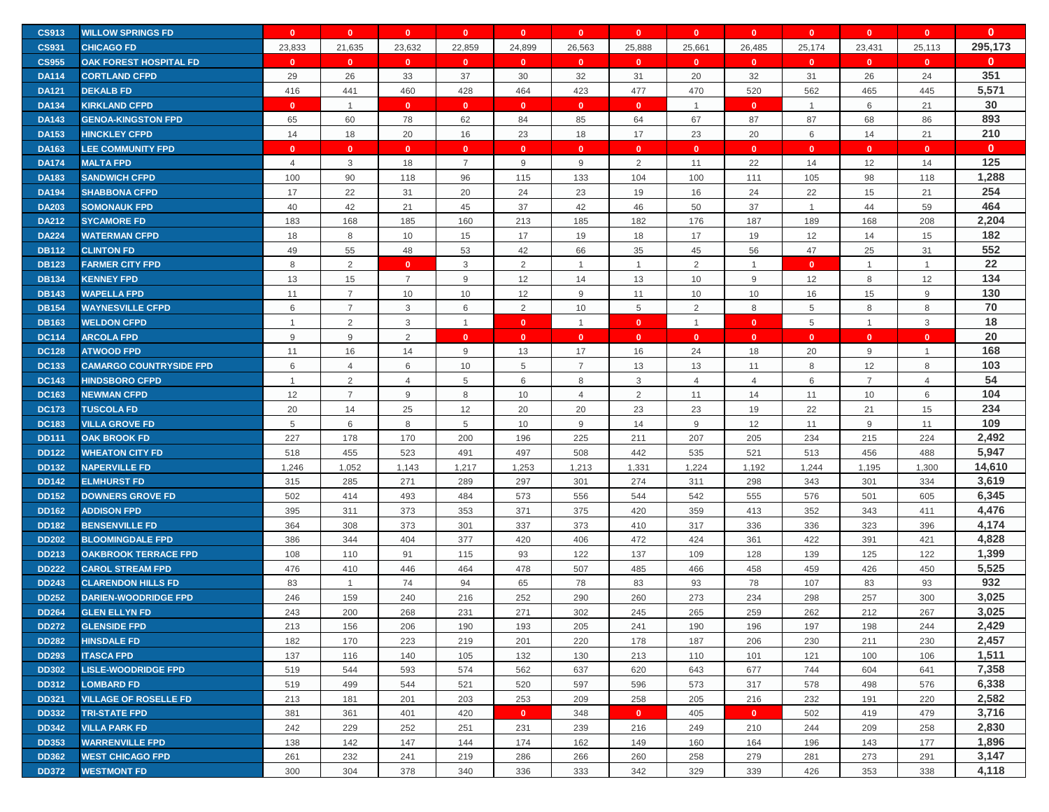| <b>CS913</b> | <b>WILLOW SPRINGS FD</b>       | $\mathbf{0}$   | $\mathbf{0}$   | $\mathbf{0}$   | $\mathbf{0}$   | $\mathbf{0}$ | $\mathbf{0}$   | $\mathbf{0}$   | $\mathbf{0}$   | $\mathbf{0}$   | $\mathbf{0}$   | $\mathbf{0}$   | $\mathbf{0}$   | $\mathbf{0}$ |
|--------------|--------------------------------|----------------|----------------|----------------|----------------|--------------|----------------|----------------|----------------|----------------|----------------|----------------|----------------|--------------|
| <b>CS931</b> | <b>CHICAGO FD</b>              | 23,833         | 21,635         | 23,632         | 22,859         | 24,899       | 26,563         | 25,888         | 25,661         | 26,485         | 25,174         | 23,431         | 25,113         | 295,173      |
| <b>CS955</b> | <b>OAK FOREST HOSPITAL FD</b>  | $\mathbf{0}$   | $\mathbf{0}$   | $\mathbf{0}$   | $\mathbf{0}$   | $\mathbf{0}$ | $\mathbf{0}$   | $\mathbf{0}$   | $\mathbf{0}$   | $\mathbf{0}$   | $\mathbf{0}$   | $\mathbf{0}$   | $\mathbf{0}$   | $\bf{0}$     |
| <b>DA114</b> | <b>CORTLAND CFPD</b>           | 29             | 26             | 33             | 37             | 30           | 32             | 31             | 20             | 32             | 31             | 26             | 24             | 351          |
| <b>DA121</b> | <b>DEKALB FD</b>               | 416            | 441            | 460            | 428            | 464          | 423            | 477            | 470            | 520            | 562            | 465            | 445            | 5,571        |
| <b>DA134</b> | <b>KIRKLAND CFPD</b>           | $\Omega$       | $\overline{1}$ | $\mathbf{0}$   | $\mathbf{0}$   | $\mathbf{0}$ | $\mathbf{0}$   | $\mathbf{0}$   | $\mathbf{1}$   | $\mathbf{0}$   | $\mathbf{1}$   | 6              | 21             | 30           |
| <b>DA143</b> | <b>GENOA-KINGSTON FPD</b>      | 65             | 60             | 78             | 62             | 84           | 85             | 64             | 67             | 87             | 87             | 68             | 86             | 893          |
| <b>DA153</b> | <b>HINCKLEY CFPD</b>           | 14             | 18             | 20             | 16             | 23           | 18             | 17             | 23             | 20             | 6              | 14             | 21             | 210          |
| <b>DA163</b> | <b>LEE COMMUNITY FPD</b>       | $\Omega$       | $\mathbf{0}$   | $\overline{0}$ | $\mathbf{0}$   | $\mathbf{0}$ | $\mathbf{0}$   | $\mathbf{0}$   | $\mathbf{0}$   | $\mathbf{0}$   | $\mathbf{0}$   | $\mathbf{0}$   | $\mathbf{0}$   | $\mathbf{0}$ |
| <b>DA174</b> | <b>MALTA FPD</b>               | $\overline{4}$ | 3              | 18             | $\overline{7}$ | 9            | 9              | $\overline{2}$ | 11             | 22             | 14             | 12             | 14             | 125          |
| <b>DA183</b> | <b>SANDWICH CFPD</b>           | 100            | 90             | 118            | 96             | 115          | 133            | 104            | 100            | 111            | 105            | 98             | 118            | 1,288        |
| <b>DA194</b> | <b>SHABBONA CFPD</b>           | 17             | 22             | 31             | 20             | 24           | 23             | 19             | 16             | 24             | 22             | 15             | 21             | 254          |
| <b>DA203</b> | <b>SOMONAUK FPD</b>            | 40             | 42             | 21             | 45             | 37           | 42             | 46             | 50             | 37             | $\overline{1}$ | 44             | 59             | 464          |
| <b>DA212</b> | <b>SYCAMORE FD</b>             | 183            | 168            | 185            | 160            | 213          | 185            | 182            | 176            | 187            | 189            | 168            | 208            | 2,204        |
| <b>DA224</b> | <b>WATERMAN CFPD</b>           | 18             | 8              | 10             | 15             | 17           | 19             | 18             | 17             | 19             | 12             | 14             | 15             | 182          |
| <b>DB112</b> | <b>CLINTON FD</b>              | 49             | 55             | 48             | 53             | 42           | 66             | 35             | 45             | 56             | 47             | 25             | 31             | 552          |
| <b>DB123</b> | <b>FARMER CITY FPD</b>         | 8              | $\overline{2}$ | $\mathbf{0}$   | 3              | 2            | $\overline{1}$ | $\mathbf{1}$   | $\overline{2}$ | $\overline{1}$ | $\mathbf{0}$   | $\mathbf{1}$   | $\overline{1}$ | 22           |
| <b>DB134</b> | <b>KENNEY FPD</b>              | 13             | 15             | $\overline{7}$ | 9              | 12           | 14             | 13             | 10             | 9              | 12             | 8              | 12             | 134          |
| <b>DB143</b> | <b>WAPELLA FPD</b>             | 11             | $\overline{7}$ | 10             | 10             | 12           | 9              | 11             | 10             | 10             | 16             | 15             | $9\,$          | 130          |
| <b>DB154</b> | <b>WAYNESVILLE CFPD</b>        | 6              | $\overline{7}$ | 3              | 6              | 2            | 10             | 5              | 2              | 8              | 5              | 8              | 8              | 70           |
| <b>DB163</b> | <b>WELDON CFPD</b>             | $\overline{1}$ | $\overline{2}$ | 3              | $\mathbf{1}$   | $\mathbf{0}$ | $\overline{1}$ | $\mathbf{0}$   | $\mathbf{1}$   | $\mathbf{0}$   | 5              | $\mathbf{1}$   | 3              | 18           |
| <b>DC114</b> | <b>ARCOLA FPD</b>              | 9              | 9              | $\overline{2}$ | $\mathbf{0}$   | $\mathbf{0}$ | $\mathbf{0}$   | $\mathbf{0}$   | $\mathbf{0}$   | $\mathbf{0}$   | $\mathbf{0}$   | $\mathbf{0}$   | $\mathbf{0}$   | 20           |
| <b>DC128</b> | <b>ATWOOD FPD</b>              | 11             | 16             | 14             | 9              | 13           | 17             | 16             | 24             | 18             | 20             | 9              | $\overline{1}$ | 168          |
| <b>DC133</b> | <b>CAMARGO COUNTRYSIDE FPD</b> | 6              | $\overline{4}$ | 6              | 10             | 5            | $\overline{7}$ | 13             | 13             | 11             | 8              | 12             | 8              | 103          |
| <b>DC143</b> | <b>HINDSBORO CFPD</b>          | $\overline{1}$ | 2              | $\overline{4}$ | 5              | 6            | 8              | 3              | $\overline{4}$ | $\overline{4}$ | 6              | $\overline{7}$ | $\overline{4}$ | 54           |
| <b>DC163</b> | <b>NEWMAN CFPD</b>             | 12             | $\overline{7}$ | 9              | 8              | 10           | $\overline{4}$ | $\overline{2}$ | 11             | 14             | 11             | 10             | 6              | 104          |
| <b>DC173</b> | <b>TUSCOLA FD</b>              | 20             | 14             | 25             | 12             | 20           | 20             | 23             | 23             | 19             | 22             | 21             | 15             | 234          |
| <b>DC183</b> | <b>VILLA GROVE FD</b>          | 5              | 6              | 8              | 5              | 10           | 9              | 14             | 9              | 12             | 11             | 9              | 11             | 109          |
| <b>DD111</b> | <b>OAK BROOK FD</b>            | 227            | 178            | 170            | 200            | 196          | 225            | 211            | 207            | 205            | 234            | 215            | 224            | 2,492        |
| <b>DD122</b> | <b>WHEATON CITY FD</b>         | 518            | 455            | 523            | 491            | 497          | 508            | 442            | 535            | 521            | 513            | 456            | 488            | 5,947        |
| <b>DD132</b> | <b>NAPERVILLE FD</b>           | 1,246          | 1,052          | 1,143          | 1,217          | 1,253        | 1,213          | 1,331          | 1,224          | 1,192          | 1,244          | 1,195          | 1,300          | 14,610       |
| <b>DD142</b> | <b>ELMHURST FD</b>             | 315            | 285            | 271            | 289            | 297          | 301            | 274            | 311            | 298            | 343            | 301            | 334            | 3,619        |
| <b>DD152</b> | <b>DOWNERS GROVE FD</b>        | 502            | 414            | 493            | 484            | 573          | 556            | 544            | 542            | 555            | 576            | 501            | 605            | 6,345        |
| <b>DD162</b> | <b>ADDISON FPD</b>             | 395            | 311            | 373            | 353            | 371          | 375            | 420            | 359            | 413            | 352            | 343            | 411            | 4,476        |
| <b>DD182</b> | <b>BENSENVILLE FD</b>          | 364            | 308            | 373            | 301            | 337          | 373            | 410            | 317            | 336            | 336            | 323            | 396            | 4,174        |
| <b>DD202</b> | <b>BLOOMINGDALE FPD</b>        | 386            | 344            | 404            | 377            | 420          | 406            | 472            | 424            | 361            | 422            | 391            | 421            | 4,828        |
| <b>DD213</b> | <b>OAKBROOK TERRACE FPD</b>    | 108            | 110            | 91             | 115            | 93           | 122            | 137            | 109            | 128            | 139            | 125            | 122            | 1,399        |
| <b>DD222</b> | <b>CAROL STREAM FPD</b>        | 476            | 410            | 446            | 464            | 478          | 507            | 485            | 466            | 458            | 459            | 426            | 450            | 5,525        |
| <b>DD243</b> | <b>CLARENDON HILLS FD</b>      | 83             | $\overline{1}$ | 74             | 94             | 65           | 78             | 83             | 93             | 78             | 107            | 83             | 93             | 932          |
| <b>DD252</b> | <b>DARIEN-WOODRIDGE FPD</b>    | 246            | 159            | 240            | 216            | 252          | 290            | 260            | 273            | 234            | 298            | 257            | 300            | 3,025        |
| <b>DD264</b> | <b>GLEN ELLYN FD</b>           | 243            | 200            | 268            | 231            | 271          | 302            | 245            | 265            | 259            | 262            | 212            | 267            | 3,025        |
| <b>DD272</b> | <b>GLENSIDE FPD</b>            | 213            | 156            | 206            | 190            | 193          | 205            | 241            | 190            | 196            | 197            | 198            | 244            | 2,429        |
| <b>DD282</b> | <b>HINSDALE FD</b>             | 182            | 170            | 223            | 219            | 201          | 220            | 178            | 187            | 206            | 230            | 211            | 230            | 2,457        |
| <b>DD293</b> | <b>ITASCA FPD</b>              | 137            | 116            | 140            | 105            | 132          | 130            | 213            | 110            | 101            | 121            | 100            | 106            | 1,511        |
| <b>DD302</b> | <b>LISLE-WOODRIDGE FPD</b>     | 519            | 544            | 593            | 574            | 562          | 637            | 620            | 643            | 677            | 744            | 604            | 641            | 7,358        |
| <b>DD312</b> | <b>LOMBARD FD</b>              | 519            | 499            | 544            | 521            | 520          | 597            | 596            | 573            | 317            | 578            | 498            | 576            | 6,338        |
| <b>DD321</b> | <b>VILLAGE OF ROSELLE FD</b>   | 213            | 181            | 201            | 203            | 253          | 209            | 258            | 205            | 216            | 232            | 191            | 220            | 2,582        |
| <b>DD332</b> | <b>TRI-STATE FPD</b>           | 381            | 361            | 401            | 420            | $\mathbf{0}$ | 348            | $\mathbf{0}$   | 405            | $\mathbf{0}$   | 502            | 419            | 479            | 3,716        |
| <b>DD342</b> | <b>VILLA PARK FD</b>           | 242            | 229            | 252            | 251            | 231          | 239            | 216            | 249            | 210            | 244            | 209            | 258            | 2,830        |
| <b>DD353</b> | <b>WARRENVILLE FPD</b>         | 138            | 142            | 147            | 144            | 174          | 162            | 149            | 160            | 164            | 196            | 143            | 177            | 1,896        |
| <b>DD362</b> | <b>WEST CHICAGO FPD</b>        | 261            | 232            | 241            | 219            | 286          | 266            | 260            | 258            | 279            | 281            | 273            | 291            | 3,147        |
| <b>DD372</b> | <b>WESTMONT FD</b>             | 300            | 304            | 378            | 340            | 336          | 333            | 342            | 329            | 339            | 426            | 353            | 338            | 4,118        |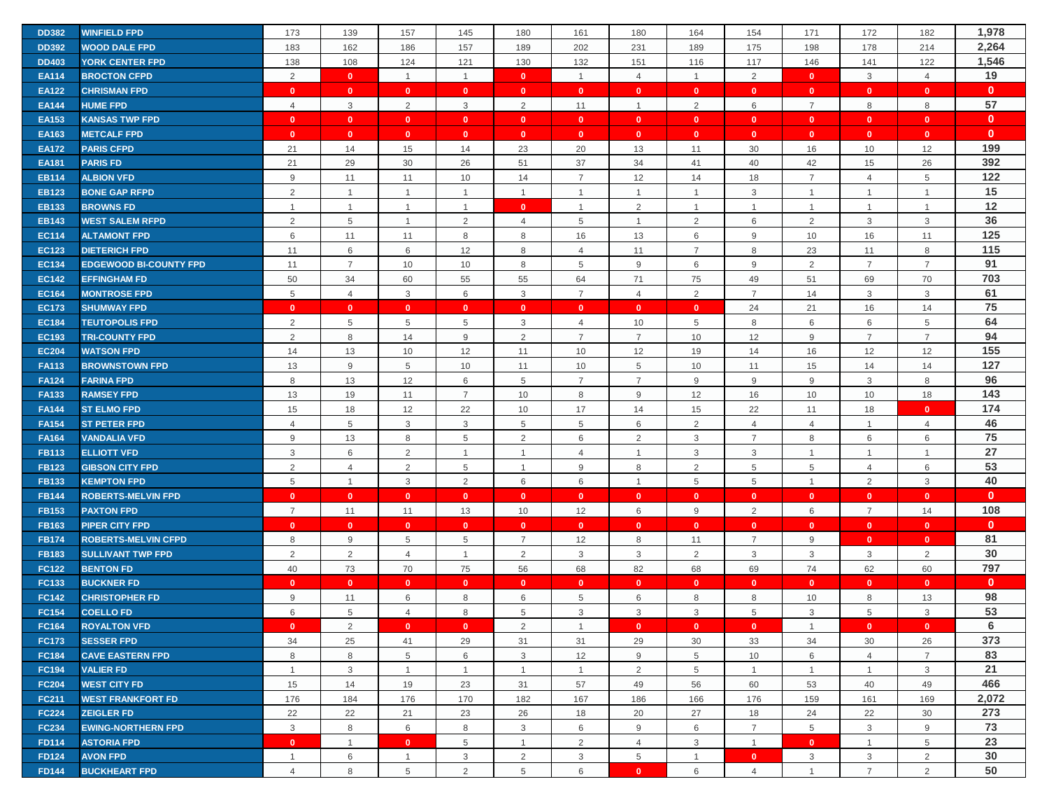| <b>DD382</b> | <b>WINFIELD FPD</b>           | 173            | 139            | 157            | 145            | 180            | 161            | 180                     | 164            | 154            | 171            | 172            | 182            | 1,978        |
|--------------|-------------------------------|----------------|----------------|----------------|----------------|----------------|----------------|-------------------------|----------------|----------------|----------------|----------------|----------------|--------------|
| <b>DD392</b> | <b>WOOD DALE FPD</b>          | 183            | 162            | 186            | 157            | 189            | 202            | 231                     | 189            | 175            | 198            | 178            | 214            | 2,264        |
| <b>DD403</b> | <b>YORK CENTER FPD</b>        | 138            | 108            | 124            | 121            | 130            | 132            | 151                     | 116            | 117            | 146            | 141            | 122            | 1,546        |
| <b>EA114</b> | <b>BROCTON CFPD</b>           | 2              | $\mathbf{0}$   | $\mathbf{1}$   | $\overline{1}$ | $\mathbf{0}$   | $\overline{1}$ | $\overline{4}$          | $\mathbf{1}$   | $\overline{2}$ | $\mathbf{0}$   | 3              | $\overline{4}$ | 19           |
| <b>EA122</b> | <b>CHRISMAN FPD</b>           | $\mathbf{0}$   | $\mathbf{0}$   | $\mathbf{0}$   | $\mathbf{0}$   | $\mathbf{0}$   | $\mathbf{0}$   | $\mathbf{0}$            | $\mathbf{0}$   | $\mathbf{0}$   | $\mathbf{0}$   | $\mathbf{0}$   | $\mathbf{0}$   | $\mathbf{0}$ |
| <b>EA144</b> | <b>HUME FPD</b>               | $\overline{4}$ | $\mathbf{3}$   | 2              | 3              | 2              | 11             | $\overline{1}$          | 2              | 6              | $\overline{7}$ | 8              | 8              | 57           |
| <b>EA153</b> | <b>KANSAS TWP FPD</b>         | $\mathbf{0}$   | $\mathbf{0}$   | $\mathbf{0}$   | $\mathbf{0}$   | $\mathbf{0}$   | $\mathbf{0}$   | $\mathbf{0}$            | $\mathbf{0}$   | $\mathbf{0}$   | $\mathbf{0}$   | $\mathbf{0}$   | $\mathbf{0}$   | $\mathbf{0}$ |
| EA163        | <b>METCALF FPD</b>            | $\mathbf{0}$   | $\mathbf{0}$   | $\mathbf{0}$   | $\mathbf{0}$   | $\mathbf{0}$   | $\mathbf{0}$   | $\mathbf{0}$            | $\mathbf{0}$   | $\mathbf{0}$   | $\mathbf{0}$   | $\mathbf{0}$   | $\mathbf{0}$   | $\mathbf{0}$ |
| <b>EA172</b> | <b>PARIS CFPD</b>             | 21             | 14             | 15             | 14             | 23             | 20             | 13                      | 11             | 30             | 16             | 10             | 12             | 199          |
| <b>EA181</b> | <b>PARIS FD</b>               | 21             | 29             | 30             | 26             | 51             | 37             | 34                      | 41             | 40             | 42             | 15             | 26             | 392          |
| <b>EB114</b> | <b>ALBION VFD</b>             | 9              | 11             | 11             | 10             | 14             | $\overline{7}$ | 12                      | 14             | 18             | $\overline{7}$ | $\overline{4}$ | 5              | 122          |
| <b>EB123</b> | <b>BONE GAP RFPD</b>          | $\overline{2}$ | $\overline{1}$ | $\overline{1}$ | $\overline{1}$ | $\mathbf{1}$   | $\overline{1}$ |                         | $\mathbf{1}$   | 3              | $\overline{1}$ | $\overline{1}$ | $\overline{1}$ | 15           |
| <b>EB133</b> | <b>BROWNS FD</b>              | $\overline{1}$ | $\mathbf{1}$   | $\overline{1}$ | $\overline{1}$ | $\mathbf{0}$   | $\overline{1}$ | 2                       | $\mathbf{1}$   | $\mathbf{1}$   | $\overline{1}$ | $\mathbf{1}$   | $\overline{1}$ | 12           |
| <b>EB143</b> | <b>WEST SALEM RFPD</b>        | 2              | 5              | $\overline{1}$ | 2              | $\overline{4}$ | 5              | $\mathbf{1}$            | 2              | 6              | 2              | 3              | 3              | 36           |
| <b>EC114</b> | <b>ALTAMONT FPD</b>           | 6              | 11             | 11             | 8              | 8              | 16             | 13                      | 6              | $9\,$          | 10             | 16             | 11             | 125          |
| <b>EC123</b> | <b>DIETERICH FPD</b>          | 11             | $\,6\,$        | 6              | 12             | 8              | $\overline{4}$ | 11                      | $\overline{7}$ | $\,8\,$        | 23             | 11             | 8              | 115          |
| <b>EC134</b> | <b>EDGEWOOD BI-COUNTY FPD</b> | 11             | $\overline{7}$ | 10             | 10             | 8              | 5              | $9\,$                   | 6              | $9\,$          | 2              | $\overline{7}$ | $\overline{7}$ | 91           |
| <b>EC142</b> | <b>EFFINGHAM FD</b>           | 50             | 34             | 60             | 55             | 55             | 64             | 71                      | 75             | 49             | 51             | 69             | 70             | 703          |
| <b>EC164</b> | <b>MONTROSE FPD</b>           | 5              | $\overline{4}$ | 3              | 6              | 3              | $\overline{7}$ | $\overline{4}$          | 2              | $\overline{7}$ | 14             | 3              | 3              | 61           |
| <b>EC173</b> | <b>SHUMWAY FPD</b>            | $\mathbf{0}$   | $\mathbf{0}$   | $\mathbf{0}$   | $\mathbf{0}$   | $\mathbf{0}$   | $\mathbf{0}$   | $\mathbf{0}$            | $\mathbf{0}$   | 24             | 21             | 16             | 14             | 75           |
| <b>EC184</b> | <b>TEUTOPOLIS FPD</b>         | 2              | 5              | 5              | 5              | 3              | $\overline{4}$ | 10                      | 5              | 8              | 6              | 6              | 5              | 64           |
| <b>EC193</b> | <b>TRI-COUNTY FPD</b>         | 2              | 8              | 14             | 9              | 2              | $\overline{7}$ | $\overline{7}$          | 10             | 12             | 9              | $\overline{7}$ | $\overline{7}$ | 94           |
| <b>EC204</b> | <b>WATSON FPD</b>             | 14             | 13             | 10             | 12             | 11             | 10             | 12                      | 19             | 14             | 16             | 12             | 12             | 155          |
| <b>FA113</b> | <b>BROWNSTOWN FPD</b>         | 13             | $9\,$          | 5              | 10             | 11             | 10             | 5                       | 10             | 11             | 15             | 14             | 14             | 127          |
| <b>FA124</b> | <b>FARINA FPD</b>             | 8              | 13             | 12             | 6              | 5              | $\overline{7}$ | $\overline{7}$          | 9              | 9              | 9              | 3              | 8              | 96           |
| <b>FA133</b> | <b>RAMSEY FPD</b>             | 13             | 19             | 11             | $\overline{7}$ | 10             | 8              | 9                       | 12             | 16             | 10             | 10             | 18             | 143          |
| <b>FA144</b> | <b>ST ELMO FPD</b>            | 15             | 18             | 12             | 22             | 10             | 17             | 14                      | 15             | 22             | 11             | 18             | $\mathbf{0}$   | 174          |
| <b>FA154</b> | <b>ST PETER FPD</b>           | $\overline{4}$ | 5              | $\mathbf{3}$   | 3              | 5              | 5              | 6                       | 2              | $\overline{4}$ | $\overline{4}$ | $\mathbf{1}$   | $\overline{4}$ | 46           |
| <b>FA164</b> | <b>VANDALIA VFD</b>           | 9              | 13             | 8              | 5              | 2              | 6              | $\overline{2}$          | 3              | $\overline{7}$ | 8              | 6              | 6              | 75           |
| <b>FB113</b> | <b>ELLIOTT VFD</b>            | 3              | $\,6$          | 2              | $\mathbf 1$    | $\mathbf{1}$   | $\overline{4}$ | 1                       | 3              | 3              | $\overline{1}$ | $\mathbf{1}$   | $\overline{1}$ | 27           |
| <b>FB123</b> | <b>GIBSON CITY FPD</b>        | 2              | $\overline{4}$ | 2              | 5              | $\mathbf{1}$   | 9              | 8                       | 2              | 5              | 5              | 4              | 6              | 53           |
| <b>FB133</b> | <b>KEMPTON FPD</b>            | 5              | $\mathbf{1}$   | $\mathbf{3}$   | 2              | 6              | 6              | $\overline{1}$          | 5              | $\,$ 5 $\,$    | $\overline{1}$ | $\overline{2}$ | 3              | 40           |
| <b>FB144</b> | <b>ROBERTS-MELVIN FPD</b>     | $\mathbf{0}$   | $\mathbf{0}$   | $\mathbf{0}$   | $\mathbf{0}$   | $\mathbf{0}$   | $\mathbf{0}$   | $\mathbf{0}$            | $\mathbf{0}$   | $\mathbf{0}$   | $\mathbf{0}$   | $\mathbf{0}$   | $\mathbf{0}$   | $\mathbf{0}$ |
| <b>FB153</b> | <b>PAXTON FPD</b>             | $\overline{7}$ | 11             | 11             | 13             | 10             | 12             | 6                       | 9              | $\overline{2}$ | 6              | $\overline{7}$ | 14             | 108          |
| <b>FB163</b> | <b>PIPER CITY FPD</b>         | $\mathbf{0}$   | $\mathbf{0}$   | $\mathbf{0}$   | $\mathbf{0}$   | $\mathbf{0}$   | $\mathbf{0}$   | $\mathbf{0}$            | $\mathbf{0}$   | $\mathbf{0}$   | $\mathbf{0}$   | $\mathbf{0}$   | $\mathbf{0}$   | $\mathbf{0}$ |
| <b>FB174</b> | <b>ROBERTS-MELVIN CFPD</b>    | 8              | $9\,$          | 5              | 5              | $\overline{7}$ | 12             | 8                       | 11             | $\overline{7}$ | 9              | $\mathbf{0}$   | $\mathbf{0}$   | 81           |
| <b>FB183</b> | <b>SULLIVANT TWP FPD</b>      | 2              | $\overline{2}$ | $\overline{4}$ | $\overline{1}$ | 2              | $\mathbf{3}$   | 3                       | $\overline{2}$ | $\mathbf{3}$   | $\mathbf{3}$   | 3              | $\overline{2}$ | 30           |
| <b>FC122</b> | <b>BENTON FD</b>              | 40             | 73             | 70             | 75             | 56             | 68             | 82                      | 68             | 69             | 74             | 62             | 60             | 797          |
| FC133        | <b>BUCKNER FD</b>             | $\mathbf{0}$   | $\mathbf{0}$   | $\mathbf{0}$   | $\mathbf{0}$   | $\mathbf{0}$   | $\mathbf{0}$   | $\mathbf{0}$            | $\mathbf{0}$   | $\mathbf{0}$   | $\mathbf{0}$   | $\mathbf{0}$   | $\mathbf{0}$   | $\mathbf{0}$ |
| <b>FC142</b> | <b>CHRISTOPHER FD</b>         | 9              | 11             | 6              | 8              | 6              | 5              | 6                       | 8              | 8              | 10             | 8              | 13             | 98           |
| <b>FC154</b> | <b>COELLO FD</b>              | 6              | 5              | $\overline{4}$ | 8              | 5              | 3              | 3                       | 3              | 5              | 3              | 5              | 3              | 53           |
| <b>FC164</b> | <b>ROYALTON VFD</b>           | $\mathbf{0}$   | 2              | $\mathbf{0}$   | $\bullet$      | 2              | $\overline{1}$ | $\overline{\mathbf{0}}$ | $\mathbf{0}$   | $\mathbf{0}$   | $\overline{1}$ | $\mathbf{0}$   | $\mathbf{0}$   | 6            |
| <b>FC173</b> | <b>SESSER FPD</b>             | 34             | 25             | 41             | 29             | 31             | 31             | 29                      | 30             | 33             | 34             | 30             | 26             | 373          |
| <b>FC184</b> | <b>CAVE EASTERN FPD</b>       | 8              | 8              | 5              | 6              | 3              | 12             | 9                       | 5              | 10             | 6              | $\overline{4}$ | $\overline{7}$ | 83           |
| <b>FC194</b> | <b>VALIER FD</b>              | $\mathbf{1}$   | 3              | $\mathbf{1}$   | $\mathbf{1}$   | $\mathbf{1}$   | $\overline{1}$ | $\overline{2}$          | 5              | $\overline{1}$ | $\overline{1}$ | $\mathbf{1}$   | 3              | 21           |
| <b>FC204</b> | <b>WEST CITY FD</b>           | 15             | 14             | 19             | 23             | 31             | 57             | 49                      | 56             | 60             | 53             | 40             | 49             | 466          |
| <b>FC211</b> | <b>WEST FRANKFORT FD</b>      | 176            | 184            | 176            | 170            | 182            | 167            | 186                     | 166            | 176            | 159            | 161            | 169            | 2,072        |
| <b>FC224</b> | <b>ZEIGLER FD</b>             | 22             | 22             | 21             | 23             | 26             | 18             | 20                      | 27             | 18             | 24             | 22             | 30             | 273          |
| <b>FC234</b> | <b>EWING-NORTHERN FPD</b>     | $\mathbf{3}$   | 8              | 6              | 8              | 3              | 6              | 9                       | 6              | $\overline{7}$ | 5              | 3              | 9              | 73           |
| <b>FD114</b> | <b>ASTORIA FPD</b>            | $\mathbf{0}$   | $\mathbf{1}$   | $\mathbf{0}$   | 5              | $\mathbf{1}$   | $\overline{2}$ | 4                       | 3              | $\mathbf{1}$   | $\mathbf{0}$   | $\mathbf{1}$   | 5              | 23           |
| <b>FD124</b> | <b>AVON FPD</b>               | $\overline{1}$ | 6              | $\overline{1}$ | 3              | 2              | 3              | 5                       | $\mathbf{1}$   | $\mathbf{0}$   | 3              | 3              | $\overline{2}$ | 30           |
| <b>FD144</b> | <b>BUCKHEART FPD</b>          | 4              | 8              | 5              | 2              | 5              | 6              | $\mathbf{0}$            | 6              | $\overline{4}$ | $\overline{1}$ | $\overline{7}$ | 2              | 50           |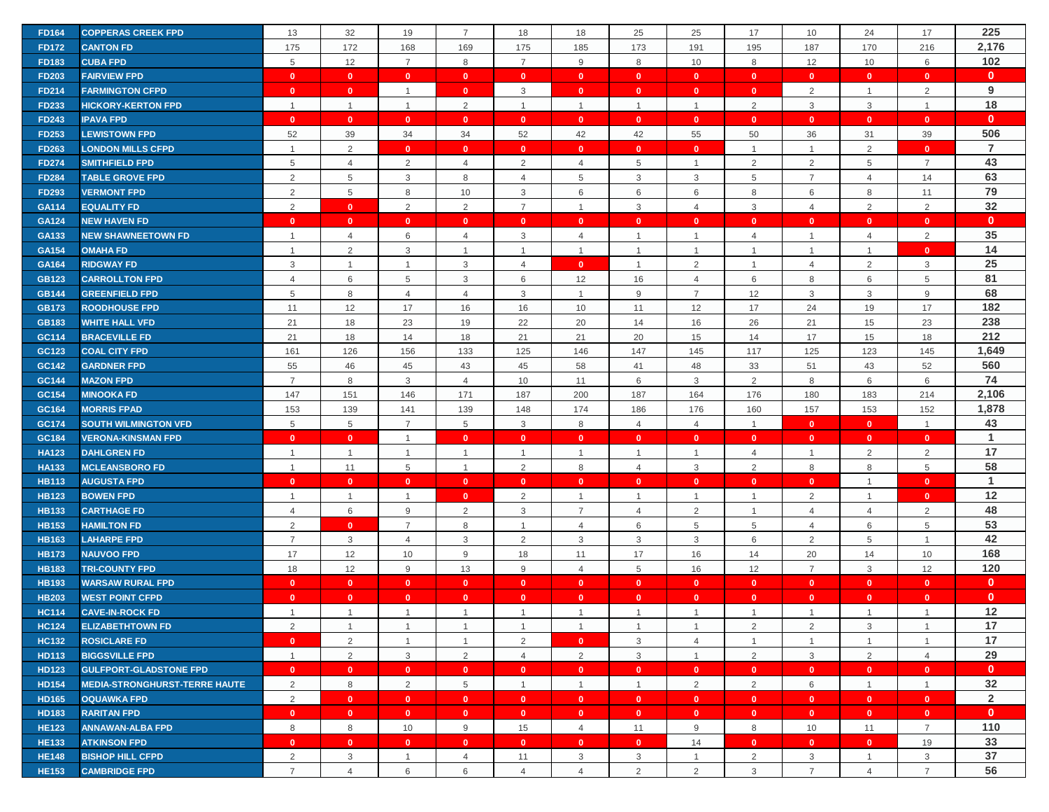| <b>FD164</b> | <b>COPPERAS CREEK FPD</b>            | 13             | 32             | 19             | $\overline{7}$ | 18             | 18             | 25                      | 25             | 17             | 10             | 24                      | 17             | 225            |
|--------------|--------------------------------------|----------------|----------------|----------------|----------------|----------------|----------------|-------------------------|----------------|----------------|----------------|-------------------------|----------------|----------------|
| <b>FD172</b> | <b>CANTON FD</b>                     | 175            | 172            | 168            | 169            | 175            | 185            | 173                     | 191            | 195            | 187            | 170                     | 216            | 2,176          |
| <b>FD183</b> | <b>CUBA FPD</b>                      | 5              | 12             | $\overline{7}$ | 8              | $\overline{7}$ | 9              | 8                       | 10             | 8              | 12             | 10                      | 6              | 102            |
| <b>FD203</b> | <b>FAIRVIEW FPD</b>                  | $\mathbf{0}$   | $\mathbf{0}$   | $\mathbf{0}$   | $\mathbf{0}$   | $\mathbf{0}$   | $\mathbf{0}$   | $\mathbf{0}$            | $\mathbf{0}$   | $\mathbf{0}$   | $\mathbf{0}$   | $\mathbf{0}$            | $\mathbf{0}$   | $\mathbf{0}$   |
| <b>FD214</b> | <b>FARMINGTON CFPD</b>               | $\mathbf{0}$   | $\mathbf{0}$   | $\overline{1}$ | $\mathbf{0}$   | 3              | $\mathbf{0}$   | $\mathbf{0}$            | $\mathbf{0}$   | $\mathbf{0}$   | 2              | $\mathbf{1}$            | $\overline{2}$ | 9              |
| <b>FD233</b> | <b>HICKORY-KERTON FPD</b>            | $\overline{1}$ | $\overline{1}$ | $\overline{1}$ | 2              | $\mathbf{1}$   | $\overline{1}$ | $\overline{1}$          | $\mathbf{1}$   | $\overline{2}$ | 3              | 3                       | $\overline{1}$ | 18             |
| <b>FD243</b> | <b>IPAVA FPD</b>                     | $\mathbf{0}$   | $\mathbf{0}$   | $\mathbf{0}$   | $\mathbf{0}$   | $\mathbf{0}$   | $\mathbf{0}$   | $\mathbf{0}$            | $\mathbf{0}$   | $\mathbf{0}$   | $\mathbf{0}$   | $\mathbf{0}$            | $\mathbf{0}$   | $\mathbf{0}$   |
| FD253        | <b>LEWISTOWN FPD</b>                 | 52             | 39             | 34             | 34             | 52             | 42             | 42                      | 55             | 50             | 36             | 31                      | 39             | 506            |
| <b>FD263</b> | <b>LONDON MILLS CFPD</b>             | $\overline{1}$ | $\overline{2}$ | $\mathbf{0}$   | $\mathbf{0}$   | $\mathbf{0}$   | $\mathbf{0}$   | $\mathbf{0}$            | $\mathbf{0}$   | $\mathbf{1}$   |                | $\overline{2}$          | $\mathbf{0}$   | $\overline{7}$ |
| <b>FD274</b> | <b>SMITHFIELD FPD</b>                | 5              | $\overline{4}$ | 2              | 4              | 2              | $\overline{4}$ | 5                       | $\mathbf{1}$   | $\overline{2}$ | 2              | 5                       | $\overline{7}$ | 43             |
| <b>FD284</b> | <b>TABLE GROVE FPD</b>               | 2              | 5              | 3              | 8              | $\overline{4}$ | 5              | 3                       | 3              | 5              | $\overline{7}$ | $\overline{4}$          | 14             | 63             |
| <b>FD293</b> | <b>VERMONT FPD</b>                   | 2              | $\,$ 5 $\,$    | 8              | 10             | 3              | 6              | 6                       | 6              | 8              | 6              | 8                       | 11             | 79             |
| GA114        | <b>EQUALITY FD</b>                   | 2              | $\mathbf{0}$   | 2              | 2              | $\overline{7}$ | $\overline{1}$ | 3                       | $\overline{4}$ | 3              | $\overline{4}$ | 2                       | 2              | 32             |
| <b>GA124</b> | <b>NEW HAVEN FD</b>                  | $\mathbf{0}$   | $\mathbf{0}$   | $\mathbf{0}$   | $\mathbf{0}$   | $\mathbf{0}$   | $\mathbf{0}$   | $\mathbf{0}$            | $\mathbf{0}$   | $\mathbf{0}$   | $\mathbf{0}$   | $\mathbf{0}$            | $\mathbf{0}$   | $\mathbf{0}$   |
| GA133        | <b>NEW SHAWNEETOWN FD</b>            | $\overline{1}$ | $\overline{4}$ | 6              | $\overline{4}$ | 3              | $\overline{4}$ | $\overline{1}$          | $\mathbf{1}$   | $\overline{4}$ | $\overline{1}$ | $\overline{4}$          | $\overline{2}$ | 35             |
| GA154        | <b>OMAHA FD</b>                      | $\overline{1}$ | $\overline{2}$ | $\mathbf{3}$   | $\mathbf{1}$   | $\mathbf{1}$   | $\overline{1}$ | $\overline{1}$          | $\mathbf{1}$   | $\overline{1}$ | $\overline{1}$ | $\mathbf{1}$            | $\mathbf{0}$   | 14             |
| GA164        | <b>RIDGWAY FD</b>                    | 3              | $\mathbf{1}$   | $\overline{1}$ | 3              | $\overline{4}$ | $\mathbf{0}$   | $\overline{1}$          | 2              | $\mathbf{1}$   | $\overline{4}$ | $\overline{2}$          | 3              | 25             |
| <b>GB123</b> | <b>CARROLLTON FPD</b>                | $\overline{4}$ | $\,6$          | 5              | 3              | 6              | 12             | 16                      | $\overline{4}$ | 6              | 8              | 6                       | 5              | 81             |
| <b>GB144</b> | <b>GREENFIELD FPD</b>                | 5              | 8              | $\overline{4}$ | $\overline{4}$ | 3              | $\overline{1}$ | 9                       | $\overline{7}$ | 12             | $\mathbf{3}$   | 3                       | 9              | 68             |
| <b>GB173</b> | <b>ROODHOUSE FPD</b>                 | 11             | 12             | 17             | 16             | 16             | 10             | 11                      | 12             | 17             | 24             | 19                      | 17             | 182            |
| <b>GB183</b> | <b>WHITE HALL VFD</b>                | 21             | 18             | 23             | 19             | 22             | 20             | 14                      | 16             | 26             | 21             | 15                      | 23             | 238            |
| GC114        | <b>BRACEVILLE FD</b>                 | 21             | 18             | 14             | 18             | 21             | 21             | 20                      | 15             | 14             | 17             | 15                      | 18             | 212            |
| GC123        | <b>COAL CITY FPD</b>                 | 161            | 126            | 156            | 133            | 125            | 146            | 147                     | 145            | 117            | 125            | 123                     | 145            | 1,649          |
| GC142        | <b>GARDNER FPD</b>                   | 55             | 46             | 45             | 43             | 45             | 58             | 41                      | 48             | 33             | 51             | 43                      | 52             | 560            |
| GC144        | <b>MAZON FPD</b>                     | $\overline{7}$ | 8              | 3              | $\overline{4}$ | 10             | 11             | 6                       | 3              | $\overline{2}$ | 8              | 6                       | 6              | 74             |
| GC154        | <b>MINOOKA FD</b>                    | 147            | 151            | 146            | 171            | 187            | 200            | 187                     | 164            | 176            | 180            | 183                     | 214            | 2,106          |
| GC164        | <b>MORRIS FPAD</b>                   | 153            | 139            | 141            | 139            | 148            | 174            | 186                     | 176            | 160            | 157            | 153                     | 152            | 1,878          |
| GC174        | <b>SOUTH WILMINGTON VFD</b>          | 5              | 5              | $\overline{7}$ | 5              | 3              | 8              | $\overline{4}$          | $\overline{4}$ | $\mathbf{1}$   | $\mathbf{0}$   | $\bullet$               | $\mathbf{1}$   | 43             |
| GC184        | <b>VERONA-KINSMAN FPD</b>            | $\mathbf{0}$   | $\mathbf{0}$   | $\overline{1}$ | $\mathbf{0}$   | $\mathbf{0}$   | $\mathbf{0}$   | $\mathbf{0}$            | $\mathbf{0}$   | $\mathbf{0}$   | $\mathbf{0}$   | $\mathbf{0}$            | $\mathbf{0}$   | 1              |
| <b>HA123</b> | <b>DAHLGREN FD</b>                   | $\overline{1}$ | $\mathbf{1}$   | $\overline{1}$ | $\overline{1}$ | $\mathbf{1}$   | $\overline{1}$ | $\mathbf 1$             | $\mathbf{1}$   | 4              | $\overline{1}$ | $\overline{2}$          | $\overline{2}$ | 17             |
| <b>HA133</b> | <b>MCLEANSBORO FD</b>                | $\overline{1}$ | 11             | 5              | $\overline{1}$ | 2              | 8              | $\overline{4}$          | 3              | $\overline{2}$ | 8              | 8                       | 5              | 58             |
| <b>HB113</b> | <b>AUGUSTA FPD</b>                   | $\mathbf{0}$   | $\mathbf{0}$   | $\mathbf{0}$   | $\mathbf{0}$   | $\mathbf{0}$   | $\mathbf{0}$   | $\overline{\mathbf{0}}$ | $\mathbf{0}$   | $\mathbf{0}$   | $\mathbf{0}$   | $\mathbf{1}$            | $\mathbf{0}$   | $\mathbf{1}$   |
| <b>HB123</b> | <b>BOWEN FPD</b>                     | $\overline{1}$ | $\mathbf{1}$   | $\overline{1}$ | $\mathbf{0}$   | 2              | $\overline{1}$ | $\overline{1}$          | 1              | $\overline{1}$ | 2              | $\mathbf{1}$            | $\mathbf{0}$   | 12             |
| <b>HB133</b> | <b>CARTHAGE FD</b>                   | 4              | 6              | 9              | 2              | 3              | $\overline{7}$ | $\overline{4}$          | 2              | $\mathbf{1}$   | $\overline{4}$ | 4                       | $\overline{2}$ | 48             |
| <b>HB153</b> | <b>HAMILTON FD</b>                   | $\overline{2}$ | $\mathbf{0}$   | $\overline{7}$ | 8              | $\mathbf{1}$   | $\overline{4}$ | 6                       | 5              | $\,$ 5 $\,$    | $\overline{4}$ | 6                       | 5              | 53             |
| <b>HB163</b> | <b>LAHARPE FPD</b>                   | $\overline{7}$ | 3              | $\overline{4}$ | 3              | 2              | 3              | 3                       | 3              | 6              | 2              | 5                       | $\overline{1}$ | 42             |
| <b>HB173</b> | <b>NAUVOO FPD</b>                    | 17             | 12             | 10             | 9              | 18             | 11             | 17                      | 16             | 14             | 20             | 14                      | 10             | 168            |
| <b>HB183</b> | <b>TRI-COUNTY FPD</b>                | 18             | 12             | 9              | 13             | 9              | $\overline{4}$ | $5\phantom{.0}$         | 16             | 12             | $\overline{7}$ | 3                       | 12             | 120            |
| <b>HB193</b> | <b>WARSAW RURAL FPD</b>              | $\mathbf{0}$   | $\mathbf{0}$   | $\mathbf{0}$   | $\mathbf{0}$   | $\mathbf{0}$   | $\mathbf{0}$   | $\mathbf{0}$            | $\mathbf{0}$   | $\mathbf{0}$   | $\mathbf{0}$   | $\mathbf{0}$            | $\mathbf{0}$   | $\mathbf{0}$   |
| <b>HB203</b> | <b>WEST POINT CFPD</b>               | $\mathbf{0}$   | $\mathbf{0}$   | $\mathbf{0}$   | $\mathbf{0}$   | $\mathbf{0}$   | $\mathbf{0}$   | $\mathbf{0}$            | $\mathbf{0}$   | $\mathbf{0}$   | $\mathbf{0}$   | $\mathbf{0}$            | $\mathbf{0}$   | $\mathbf{0}$   |
| <b>HC114</b> | <b>CAVE-IN-ROCK FD</b>               | $\overline{1}$ | $\overline{1}$ | $\mathbf 1$    | $\overline{1}$ | $\mathbf{1}$   | $\overline{1}$ | $\overline{1}$          | $\mathbf{1}$   | $\overline{1}$ | $\overline{1}$ | $\overline{1}$          | $\overline{1}$ | 12             |
| <b>HC124</b> | <b>ELIZABETHTOWN FD</b>              | 2              | $\mathbf{1}$   | $\mathbf{1}$   | $\mathbf{1}$   | $\mathbf{1}$   | $\overline{1}$ | $\overline{1}$          | $\mathbf{1}$   | 2              | 2              | 3                       | $\overline{1}$ | 17             |
| <b>HC132</b> | <b>ROSICLARE FD</b>                  | $\mathbf{0}$   | $\overline{2}$ | $\mathbf{1}$   | $\overline{1}$ | 2              | $\mathbf{0}$   | $\mathbf{3}$            | $\overline{4}$ | $\overline{1}$ | $\overline{1}$ | $\mathbf{1}$            | $\mathbf{1}$   | 17             |
| HD113        | <b>BIGGSVILLE FPD</b>                | $\overline{1}$ | $\overline{2}$ | $\mathbf{3}$   | 2              | $\overline{4}$ | 2              | $\mathbf{3}$            | $\mathbf{1}$   | $\overline{2}$ | $\mathbf{3}$   | $\overline{2}$          | $\overline{4}$ | 29             |
| <b>HD123</b> | <b>GULFPORT-GLADSTONE FPD</b>        | $\mathbf{0}$   | $\mathbf{0}$   | $\mathbf{0}$   | $\overline{0}$ | $\mathbf{0}$   | $\mathbf{0}$   | $\mathbf{0}$            | $\mathbf{0}$   | $\mathbf{0}$   | $\mathbf{0}$   | $\bullet$               | $\mathbf{0}$   | $\mathbf{0}$   |
| <b>HD154</b> | <b>MEDIA-STRONGHURST-TERRE HAUTE</b> | $\overline{2}$ | 8              | 2              | 5              | $\mathbf{1}$   | $\overline{1}$ | $\overline{1}$          | $\overline{2}$ | 2              | 6              | $\overline{1}$          | $\mathbf{1}$   | 32             |
| <b>HD165</b> | <b>OQUAWKA FPD</b>                   | 2              | $\mathbf{0}$   | $\mathbf{0}$   | $\overline{0}$ | $\mathbf{0}$   | $\mathbf{0}$   | $\overline{0}$          | $\mathbf{0}$   | $\mathbf{0}$   | $\mathbf{0}$   | $\overline{\mathbf{0}}$ | $\overline{0}$ | $\overline{2}$ |
| HD183        | <b>RARITAN FPD</b>                   | $\mathbf{0}$   | $\mathbf{0}$   | $\mathbf{0}$   | $\bullet$      | $\mathbf{0}$   | $\mathbf{0}$   | $\mathbf{0}$            | $\mathbf{0}$   | $\mathbf{0}$   | $\bullet$      | $\bullet$               | $\mathbf{0}$   | $\mathbf{0}$   |
| <b>HE123</b> | <b>ANNAWAN-ALBA FPD</b>              | 8              | 8              | 10             | 9              | 15             | $\overline{4}$ | 11                      | 9              | 8              | 10             | 11                      | $\overline{7}$ | 110            |
| <b>HE133</b> | <b>ATKINSON FPD</b>                  | $\mathbf{0}$   | $\mathbf{0}$   | $\mathbf{0}$   | $\mathbf{0}$   | $\mathbf{0}$   | $\mathbf{0}$   | $\mathbf{0}$            | 14             | $\mathbf{0}$   | $\mathbf{0}$   | $\mathbf{0}$            | 19             | 33             |
| <b>HE148</b> | <b>BISHOP HILL CFPD</b>              | 2              | $\mathbf{3}$   | $\overline{1}$ | 4              | 11             | $\mathbf{3}$   | 3                       | $\mathbf{1}$   | $\overline{2}$ | $\mathbf{3}$   | $\mathbf{1}$            | 3              | 37             |
| <b>HE153</b> | <b>CAMBRIDGE FPD</b>                 | $\overline{7}$ | $\overline{4}$ | 6              | 6              | $\overline{4}$ | $\overline{4}$ | 2                       | $\overline{2}$ | 3              | $\overline{7}$ | $\overline{4}$          | $\overline{7}$ | 56             |
|              |                                      |                |                |                |                |                |                |                         |                |                |                |                         |                |                |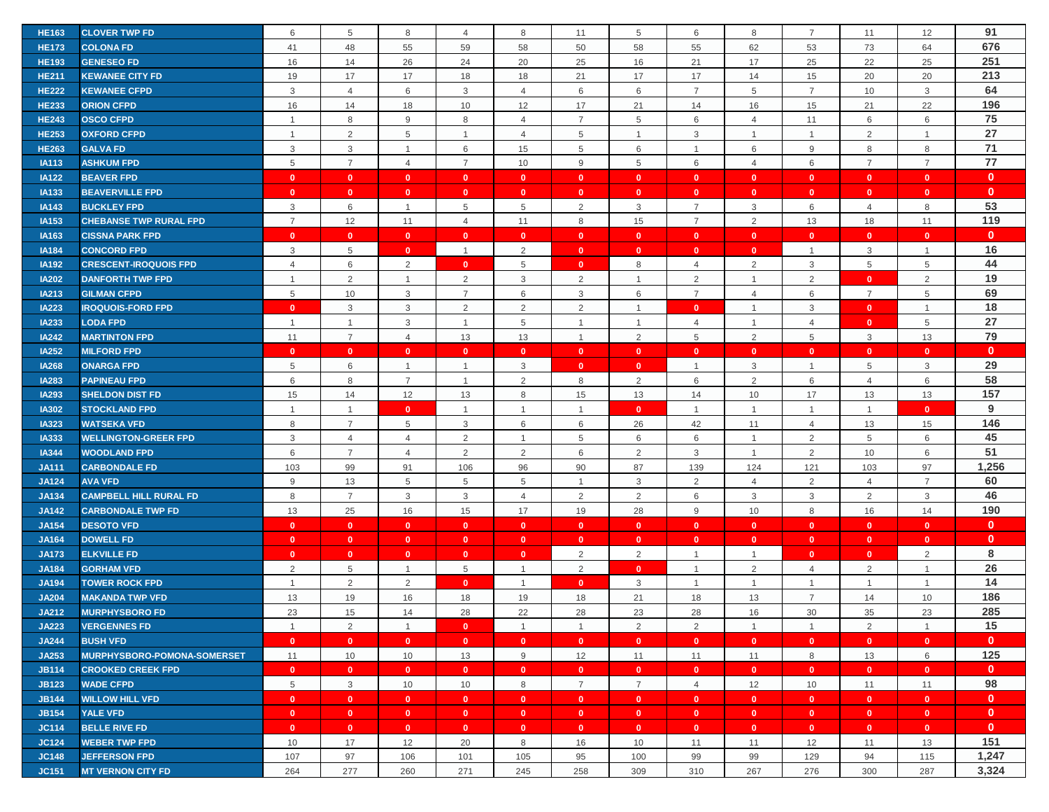| 91<br><b>HE163</b><br><b>CLOVER TWP FD</b><br>5<br>8<br>8<br>8<br>12<br>6<br>$\overline{4}$<br>11<br>5<br>6<br>7<br>11<br>676<br>48<br>62<br><b>HE173</b><br><b>COLONA FD</b><br>41<br>55<br>59<br>58<br>50<br>58<br>55<br>53<br>73<br>64<br>251<br>16<br>26<br>21<br>17<br>25<br><b>HE193</b><br><b>GENESEO FD</b><br>14<br>24<br>20<br>25<br>16<br>22<br>25<br>213<br>19<br>17<br>17<br>18<br>17<br>17<br>14<br>15<br>20<br>20<br><b>HE211</b><br>18<br>21<br><b>KEWANEE CITY FD</b><br>64<br><b>HE222</b><br>3<br>$\overline{4}$<br>6<br>3<br>6<br>6<br>$\overline{7}$<br>$5\phantom{.0}$<br>$\overline{7}$<br>3<br><b>KEWANEE CFPD</b><br>$\overline{4}$<br>10<br>196<br><b>HE233</b><br>16<br>18<br>12<br>17<br>21<br>14<br>16<br>22<br><b>ORION CFPD</b><br>14<br>10<br>15<br>21<br>75<br>8<br>9<br>8<br>$\overline{7}$<br>5<br>6<br>6<br>6<br><b>HE243</b><br><b>OSCO CFPD</b><br>$\overline{4}$<br>$\overline{4}$<br>11<br>$\overline{1}$<br>27<br><b>HE253</b><br><b>OXFORD CFPD</b><br>2<br>5<br>5<br>3<br>$\overline{2}$<br>$\mathbf{1}$<br>$\overline{1}$<br>4<br>$\overline{1}$<br>$\overline{1}$<br>$\overline{1}$<br>$\mathbf{1}$<br>71<br>3<br>3<br>6<br>5<br>6<br>9<br>8<br>8<br><b>HE263</b><br><b>GALVA FD</b><br>$\overline{1}$<br>15<br>6<br>$\mathbf{1}$<br>${\bf 77}$<br>$\overline{7}$<br>$\overline{7}$<br>6<br>$\overline{7}$<br>$\overline{7}$<br>5<br>$\overline{4}$<br>10<br>9<br>5<br>6<br><b>IA113</b><br><b>ASHKUM FPD</b><br>$\overline{4}$<br>$\mathbf{0}$<br>$\mathbf{0}$<br>$\mathbf{0}$<br>$\bullet$<br>$\mathbf{0}$<br><b>IA122</b><br><b>BEAVER FPD</b><br>$\mathbf{0}$<br>$\mathbf{0}$<br>$\mathbf{0}$<br>$\mathbf{0}$<br>$\mathbf{0}$<br>$\mathbf{0}$<br>$\mathbf{0}$<br>$\mathbf{0}$<br>$\mathbf{0}$<br><b>IA133</b><br><b>BEAVERVILLE FPD</b><br>$\mathbf{0}$<br>$\mathbf{0}$<br>$\mathbf{0}$<br>$\bullet$<br>$\mathbf{0}$<br>$\mathbf{0}$<br>$\mathbf{0}$<br>$\mathbf{0}$<br>$\mathbf{0}$<br>$\bullet$<br>$\mathbf{0}$<br>$\mathbf{0}$<br>53<br>3<br>6<br>2<br>$\overline{7}$<br>3<br>6<br>8<br><b>IA143</b><br><b>BUCKLEY FPD</b><br>$\overline{1}$<br>5<br>5<br>3<br>$\overline{4}$<br>119<br>$\overline{7}$<br>8<br>2<br>IA153<br><b>CHEBANSE TWP RURAL FPD</b><br>12<br>11<br>11<br>$\overline{7}$<br>13<br>18<br>11<br>$\overline{4}$<br>15<br>$\mathbf{0}$<br>IA163<br><b>CISSNA PARK FPD</b><br>$\mathbf{0}$<br>$\mathbf{0}$<br>$\mathbf{0}$<br>$\mathbf{0}$<br>$\mathbf{0}$<br>$\mathbf{0}$<br>$\mathbf{0}$<br>$\mathbf{0}$<br>$\mathbf{0}$<br>$\mathbf{0}$<br>$\mathbf{0}$<br>$\mathbf{0}$<br>16<br>3<br><b>IA184</b><br><b>CONCORD FPD</b><br>5<br>$\overline{0}$<br>$\mathbf{1}$<br>2<br>$\mathbf{0}$<br>$\mathbf{0}$<br>$\mathbf{0}$<br>$\mathbf{0}$<br>$\overline{1}$<br>3<br>$\mathbf{1}$<br>44<br>6<br>2<br>5<br>$\overline{2}$<br>$\mathbf{3}$<br>5<br>5<br><b>IA192</b><br><b>CRESCENT-IROQUOIS FPD</b><br>$\overline{4}$<br>$\mathbf{0}$<br>$\mathbf{0}$<br>8<br>$\overline{4}$<br>19<br><b>IA202</b><br>2<br>2<br>2<br>$\overline{2}$<br>$\overline{2}$<br>$\overline{2}$<br><b>DANFORTH TWP FPD</b><br>3<br>$\overline{1}$<br>$\mathbf{1}$<br>$\mathbf{0}$<br>$\overline{1}$<br>-1<br>69<br>5<br>10<br>3<br>6<br>3<br>$\overline{7}$<br>6<br><b>IA213</b><br><b>GILMAN CFPD</b><br>$\overline{7}$<br>6<br>$\overline{4}$<br>$\overline{7}$<br>5<br>18<br>3<br>3<br>2<br>2<br>2<br>$\mathbf{3}$<br><b>IA223</b><br><b>IROQUOIS-FORD FPD</b><br>$\mathbf{0}$<br>$\mathbf{0}$<br>$\mathbf{0}$<br>$\overline{1}$<br>$\overline{1}$<br>$\mathbf{1}$<br>27<br>3<br>5<br>5<br>IA233<br><b>LODA FPD</b><br>$\overline{4}$<br>$\overline{4}$<br>1<br>$\overline{1}$<br>$\overline{1}$<br>$\overline{1}$<br>$\mathbf{0}$<br>$\overline{1}$<br>1<br>79<br>$\overline{7}$<br>5<br>$\overline{2}$<br>5<br><b>IA242</b><br><b>MARTINTON FPD</b><br>11<br>$\overline{4}$<br>13<br>13<br>$\overline{1}$<br>2<br>3<br>13<br>$\mathbf{0}$<br><b>IA252</b><br><b>MILFORD FPD</b><br>$\mathbf{0}$<br>$\mathbf{0}$<br>$\mathbf{0}$<br>$\mathbf{0}$<br>$\mathbf{0}$<br>$\mathbf{0}$<br>$\mathbf{0}$<br>$\mathbf{0}$<br>$\mathbf{0}$<br>$\mathbf{0}$<br>$\mathbf{0}$<br>$\mathbf{0}$<br>29<br>6<br>3<br>3<br>3<br><b>IA268</b><br>5<br>$\overline{1}$<br>5<br><b>ONARGA FPD</b><br>$\mathbf{0}$<br>$\mathbf{1}$<br>$\overline{1}$<br>$\overline{1}$<br>$\mathbf{0}$<br>58<br>$\overline{7}$<br>$\overline{2}$<br><b>IA283</b><br>6<br>8<br>2<br>8<br>6<br>6<br>6<br><b>PAPINEAU FPD</b><br>$\overline{1}$<br>2<br>$\overline{4}$<br>157<br>15<br>12<br>13<br>8<br>13<br>14<br>10<br>17<br>13<br><b>IA293</b><br><b>SHELDON DIST FD</b><br>14<br>15<br>13<br>9<br>$\mathbf{0}$<br>$\mathbf{0}$<br><b>IA302</b><br><b>STOCKLAND FPD</b><br>$\overline{1}$<br>$\mathbf{1}$<br>$\mathbf{1}$<br>$\overline{1}$<br>$\mathbf{0}$<br>$\mathbf{1}$<br>$\overline{1}$<br>$\mathbf{1}$<br>$\overline{1}$<br>$\mathbf{1}$<br>146<br>$\overline{7}$<br>8<br>5<br>6<br>6<br>26<br>42<br>11<br>15<br><b>IA323</b><br>3<br>$\overline{4}$<br>13<br><b>WATSEKA VFD</b><br>45<br><b>IA333</b><br><b>WELLINGTON-GREER FPD</b><br>3<br>$\overline{4}$<br>$\overline{4}$<br>2<br>5<br>6<br>2<br>5<br>6<br>$\mathbf{1}$<br>6<br>$\overline{1}$<br>51<br>6<br>$\overline{7}$<br>2<br>2<br>2<br>3<br>2<br><b>IA344</b><br><b>WOODLAND FPD</b><br>$\overline{4}$<br>6<br>$\mathbf{1}$<br>10<br>6<br>1,256<br>87<br>139<br>121<br>97<br><b>JA111</b><br><b>CARBONDALE FD</b><br>103<br>99<br>91<br>106<br>96<br>90<br>124<br>103<br>60<br>$9\,$<br>5<br>5<br>3<br>2<br>2<br>$\overline{7}$<br><b>JA124</b><br><b>AVA VFD</b><br>13<br>5<br>$\overline{4}$<br>$\overline{1}$<br>$\overline{4}$<br>46<br>$\overline{7}$<br>$\mathbf{3}$<br>2<br>$\mathbf{3}$<br>8<br>3<br>$\overline{4}$<br>$\overline{2}$<br>6<br>$\mathbf{3}$<br>$\overline{2}$<br>3<br><b>JA134</b><br><b>CAMPBELL HILL RURAL FD</b><br>190<br>13<br>25<br>16<br>17<br>19<br>28<br>9<br>10<br>8<br>14<br><b>JA142</b><br><b>CARBONDALE TWP FD</b><br>15<br>16<br>$\mathbf{0}$<br><b>JA154</b><br><b>DESOTO VFD</b><br>$\mathbf{0}$<br>$\mathbf{0}$<br>$\bullet$<br>$\mathbf{0}$<br>$\mathbf{0}$<br>$\mathbf{0}$<br>$\mathbf{0}$<br>$\mathbf{0}$<br>$\mathbf{0}$<br>$\mathbf{0}$<br>$\mathbf{0}$<br>$\mathbf{0}$<br>$\mathbf{0}$<br><b>JA164</b><br><b>DOWELL FD</b><br>$\mathbf{0}$<br>$\mathbf{0}$<br>$\mathbf{0}$<br>$\mathbf{0}$<br>$\mathbf{0}$<br>$\mathbf{0}$<br>$\mathbf{0}$<br>$\mathbf{0}$<br>$\mathbf{0}$<br>$\mathbf{0}$<br>$\mathbf{0}$<br>$\mathbf{0}$<br>8<br><b>JA173</b><br><b>ELKVILLE FD</b><br>$\mathbf{0}$<br>$\mathbf{0}$<br>2<br>2<br>2<br>$\mathbf{0}$<br>$\mathbf{0}$<br>$\mathbf{0}$<br>$\overline{1}$<br>$\mathbf{0}$<br>$\mathbf{0}$<br>$\overline{1}$<br>26<br>2<br>5<br>5<br>2<br>$\overline{2}$<br>$\overline{2}$<br>$\mathbf{1}$<br><b>JA184</b><br>$\overline{1}$<br>$\mathbf{0}$<br>$\overline{4}$<br><b>GORHAM VFD</b><br>$\mathbf{1}$<br>$\mathbf{1}$<br>14<br>2<br>2<br>$\overline{0}$<br><b>JA194</b><br>3<br><b>TOWER ROCK FPD</b><br>$\mathbf{0}$<br>$\overline{1}$<br>$\mathbf{1}$<br>$\mathbf{1}$<br>$\overline{1}$<br>$\mathbf{1}$<br>$\mathbf{1}$<br>$\overline{1}$<br>186<br>13<br>19<br>16<br>21<br>18<br>13<br><b>JA204</b><br><b>MAKANDA TWP VFD</b><br>18<br>19<br>18<br>$\overline{7}$<br>14<br>10<br>285<br><b>MURPHYSBORO FD</b><br>23<br>15<br>14<br>28<br>22<br>28<br>23<br>28<br>16<br>30<br>35<br>23<br><b>JA212</b><br>15<br>2<br>2<br><b>JA223</b><br><b>VERGENNES FD</b><br>2<br>2<br>$\overline{1}$<br>$\overline{1}$<br>$\mathbf{0}$<br>$\overline{1}$<br>$\overline{1}$<br>$\overline{1}$<br>$\overline{1}$<br>$\mathbf{1}$<br>$\mathbf{0}$<br><b>JA244</b><br><b>BUSH VFD</b><br>$\mathbf{0}$<br>$\mathbf{0}$<br>$\overline{\mathbf{0}}$<br>$\bullet$<br>$\bullet$<br>$\mathbf{0}$<br>$\mathbf{0}$<br>$\mathbf{0}$<br>$\bullet$<br>$\bullet$<br>$\mathbf{0}$<br>$\overline{0}$<br>125<br>8<br>JA253<br>MURPHYSBORO-POMONA-SOMERSET<br>11<br>10<br>10<br>13<br>9<br>12<br>11<br>11<br>11<br>13<br>6<br>$\mathbf{0}$<br><b>JB114</b><br><b>CROOKED CREEK FPD</b><br>$\mathbf{0}$<br>$\mathbf{0}$<br>$\overline{0}$<br>$\mathbf{0}$<br>$\mathbf{0}$<br>$\mathbf{0}$<br>$\mathbf{0}$<br>$\mathbf{0}$<br>$\mathbf{0}$<br>$\mathbf{0}$<br>$\mathbf{0}$<br>$\mathbf{0}$<br>98<br>$\,$ 5 $\,$<br>$\mathbf{3}$<br>$\overline{7}$<br>8<br>$\overline{7}$<br>12<br><b>JB123</b><br><b>WADE CFPD</b><br>10<br>10<br>$\overline{4}$<br>10<br>11<br>11<br>$\mathbf{0}$<br><b>JB144</b><br><b>WILLOW HILL VFD</b><br>$\mathbf{0}$<br>$\mathbf{0}$<br>$\mathbf{0}$<br>$\mathbf{0}$<br>$\mathbf{0}$<br>$\mathbf{0}$<br>$\mathbf{0}$<br>$\mathbf{0}$<br>$\mathbf{0}$<br>$\mathbf{0}$<br>$\mathbf{0}$<br>$\mathbf{0}$<br>$\mathbf{0}$<br><b>JB154</b><br><b>YALE VFD</b><br>$\mathbf{0}$<br>$\mathbf{0}$<br>$\mathbf{0}$<br>$\mathbf{0}$<br>$\mathbf{0}$<br>$\mathbf{0}$<br>$\mathbf{0}$<br>$\mathbf{0}$<br>$\mathbf{0}$<br>$\bullet$<br>$\mathbf{0}$<br>$\mathbf{0}$<br>$\mathbf{0}$<br><b>JC114</b><br><b>BELLE RIVE FD</b><br>$\mathbf{0}$<br>$\mathbf{0}$<br>$\mathbf{0}$<br>$\mathbf{0}$<br>$\mathbf{0}$<br>$\mathbf{0}$<br>$\mathbf{0}$<br>$\mathbf{0}$<br>$\mathbf{0}$<br>$\mathbf{0}$<br>$\mathbf{0}$<br>$\mathbf{0}$<br>151<br><b>JC124</b><br><b>WEBER TWP FPD</b><br>10<br>17<br>12<br>20<br>8<br>16<br>10<br>11<br>12<br>13<br>11<br>11<br>1,247<br>107<br>97<br>106<br>101<br>105<br>95<br>99<br>99<br>129<br>94<br>115<br><b>JC148</b><br><b>JEFFERSON FPD</b><br>100<br>3,324<br>277<br>260<br>271<br>258<br>309<br>267<br>276<br>300<br>287<br><b>JC151</b><br><b>MT VERNON CITY FD</b><br>264<br>245<br>310 |  |  |  |  |  |  |  |  |
|---------------------------------------------------------------------------------------------------------------------------------------------------------------------------------------------------------------------------------------------------------------------------------------------------------------------------------------------------------------------------------------------------------------------------------------------------------------------------------------------------------------------------------------------------------------------------------------------------------------------------------------------------------------------------------------------------------------------------------------------------------------------------------------------------------------------------------------------------------------------------------------------------------------------------------------------------------------------------------------------------------------------------------------------------------------------------------------------------------------------------------------------------------------------------------------------------------------------------------------------------------------------------------------------------------------------------------------------------------------------------------------------------------------------------------------------------------------------------------------------------------------------------------------------------------------------------------------------------------------------------------------------------------------------------------------------------------------------------------------------------------------------------------------------------------------------------------------------------------------------------------------------------------------------------------------------------------------------------------------------------------------------------------------------------------------------------------------------------------------------------------------------------------------------------------------------------------------------------------------------------------------------------------------------------------------------------------------------------------------------------------------------------------------------------------------------------------------------------------------------------------------------------------------------------------------------------------------------------------------------------------------------------------------------------------------------------------------------------------------------------------------------------------------------------------------------------------------------------------------------------------------------------------------------------------------------------------------------------------------------------------------------------------------------------------------------------------------------------------------------------------------------------------------------------------------------------------------------------------------------------------------------------------------------------------------------------------------------------------------------------------------------------------------------------------------------------------------------------------------------------------------------------------------------------------------------------------------------------------------------------------------------------------------------------------------------------------------------------------------------------------------------------------------------------------------------------------------------------------------------------------------------------------------------------------------------------------------------------------------------------------------------------------------------------------------------------------------------------------------------------------------------------------------------------------------------------------------------------------------------------------------------------------------------------------------------------------------------------------------------------------------------------------------------------------------------------------------------------------------------------------------------------------------------------------------------------------------------------------------------------------------------------------------------------------------------------------------------------------------------------------------------------------------------------------------------------------------------------------------------------------------------------------------------------------------------------------------------------------------------------------------------------------------------------------------------------------------------------------------------------------------------------------------------------------------------------------------------------------------------------------------------------------------------------------------------------------------------------------------------------------------------------------------------------------------------------------------------------------------------------------------------------------------------------------------------------------------------------------------------------------------------------------------------------------------------------------------------------------------------------------------------------------------------------------------------------------------------------------------------------------------------------------------------------------------------------------------------------------------------------------------------------------------------------------------------------------------------------------------------------------------------------------------------------------------------------------------------------------------------------------------------------------------------------------------------------------------------------------------------------------------------------------------------------------------------------------------------------------------------------------------------------------------------------------------------------------------------------------------------------------------------------------------------------------------------------------------------------------------------------------------------------------------------------------------------------------------------------------------------------------------------------------------------------------------------------------------------------------------------------------------------------------------------------------------------------------------------------------------------------------------------------------------------------------------------------------------------------------------------------------------------------------------------------------------------------------------------------------------------------------------------------------------------------------------------------------------------------------------------------------------------------------------------------------------------------------------------------------------------------------------------------------------------------------------------------------------------------------------------------------------------------------------------------------------------------------------------------------------------------------------------------------------------------------------------------------------------------------------------------------------------------------------------------------------------------------------------------------------------------------------------------------------------------------------------------------------------------------------------------------------------------------------------------------------------------------------------------------------------------------------------------------------------------------------------------------------------------------------------------------------------------------------------------------------------------------------------------------------------------------------------------------------------------------------------------------------------------------------------------------------------------------------------------------------------------------------------------------------------------------------------------------------------------------------------------------------------------------------------------------------------------------------------------------------------------------------------------------------------------------------------------------------------------------------------------------------------------------------------------------------------------------------------------------------------------------------------------------------------------------------------------------------------------------------------------------------------------------------------------------------------------------------------------------|--|--|--|--|--|--|--|--|
|                                                                                                                                                                                                                                                                                                                                                                                                                                                                                                                                                                                                                                                                                                                                                                                                                                                                                                                                                                                                                                                                                                                                                                                                                                                                                                                                                                                                                                                                                                                                                                                                                                                                                                                                                                                                                                                                                                                                                                                                                                                                                                                                                                                                                                                                                                                                                                                                                                                                                                                                                                                                                                                                                                                                                                                                                                                                                                                                                                                                                                                                                                                                                                                                                                                                                                                                                                                                                                                                                                                                                                                                                                                                                                                                                                                                                                                                                                                                                                                                                                                                                                                                                                                                                                                                                                                                                                                                                                                                                                                                                                                                                                                                                                                                                                                                                                                                                                                                                                                                                                                                                                                                                                                                                                                                                                                                                                                                                                                                                                                                                                                                                                                                                                                                                                                                                                                                                                                                                                                                                                                                                                                                                                                                                                                                                                                                                                                                                                                                                                                                                                                                                                                                                                                                                                                                                                                                                                                                                                                                                                                                                                                                                                                                                                                                                                                                                                                                                                                                                                                                                                                                                                                                                                                                                                                                                                                                                                                                                                                                                                                                                                                                                                                                                                                                                                                                                                                                                                                                                                                                                                                                                                                                                                                                                                                                                                                                                                                                                                                                                                                                                                                                                                                                                                                                                                                                                                                                                                                                                                                                                         |  |  |  |  |  |  |  |  |
|                                                                                                                                                                                                                                                                                                                                                                                                                                                                                                                                                                                                                                                                                                                                                                                                                                                                                                                                                                                                                                                                                                                                                                                                                                                                                                                                                                                                                                                                                                                                                                                                                                                                                                                                                                                                                                                                                                                                                                                                                                                                                                                                                                                                                                                                                                                                                                                                                                                                                                                                                                                                                                                                                                                                                                                                                                                                                                                                                                                                                                                                                                                                                                                                                                                                                                                                                                                                                                                                                                                                                                                                                                                                                                                                                                                                                                                                                                                                                                                                                                                                                                                                                                                                                                                                                                                                                                                                                                                                                                                                                                                                                                                                                                                                                                                                                                                                                                                                                                                                                                                                                                                                                                                                                                                                                                                                                                                                                                                                                                                                                                                                                                                                                                                                                                                                                                                                                                                                                                                                                                                                                                                                                                                                                                                                                                                                                                                                                                                                                                                                                                                                                                                                                                                                                                                                                                                                                                                                                                                                                                                                                                                                                                                                                                                                                                                                                                                                                                                                                                                                                                                                                                                                                                                                                                                                                                                                                                                                                                                                                                                                                                                                                                                                                                                                                                                                                                                                                                                                                                                                                                                                                                                                                                                                                                                                                                                                                                                                                                                                                                                                                                                                                                                                                                                                                                                                                                                                                                                                                                                                                         |  |  |  |  |  |  |  |  |
|                                                                                                                                                                                                                                                                                                                                                                                                                                                                                                                                                                                                                                                                                                                                                                                                                                                                                                                                                                                                                                                                                                                                                                                                                                                                                                                                                                                                                                                                                                                                                                                                                                                                                                                                                                                                                                                                                                                                                                                                                                                                                                                                                                                                                                                                                                                                                                                                                                                                                                                                                                                                                                                                                                                                                                                                                                                                                                                                                                                                                                                                                                                                                                                                                                                                                                                                                                                                                                                                                                                                                                                                                                                                                                                                                                                                                                                                                                                                                                                                                                                                                                                                                                                                                                                                                                                                                                                                                                                                                                                                                                                                                                                                                                                                                                                                                                                                                                                                                                                                                                                                                                                                                                                                                                                                                                                                                                                                                                                                                                                                                                                                                                                                                                                                                                                                                                                                                                                                                                                                                                                                                                                                                                                                                                                                                                                                                                                                                                                                                                                                                                                                                                                                                                                                                                                                                                                                                                                                                                                                                                                                                                                                                                                                                                                                                                                                                                                                                                                                                                                                                                                                                                                                                                                                                                                                                                                                                                                                                                                                                                                                                                                                                                                                                                                                                                                                                                                                                                                                                                                                                                                                                                                                                                                                                                                                                                                                                                                                                                                                                                                                                                                                                                                                                                                                                                                                                                                                                                                                                                                                                         |  |  |  |  |  |  |  |  |
|                                                                                                                                                                                                                                                                                                                                                                                                                                                                                                                                                                                                                                                                                                                                                                                                                                                                                                                                                                                                                                                                                                                                                                                                                                                                                                                                                                                                                                                                                                                                                                                                                                                                                                                                                                                                                                                                                                                                                                                                                                                                                                                                                                                                                                                                                                                                                                                                                                                                                                                                                                                                                                                                                                                                                                                                                                                                                                                                                                                                                                                                                                                                                                                                                                                                                                                                                                                                                                                                                                                                                                                                                                                                                                                                                                                                                                                                                                                                                                                                                                                                                                                                                                                                                                                                                                                                                                                                                                                                                                                                                                                                                                                                                                                                                                                                                                                                                                                                                                                                                                                                                                                                                                                                                                                                                                                                                                                                                                                                                                                                                                                                                                                                                                                                                                                                                                                                                                                                                                                                                                                                                                                                                                                                                                                                                                                                                                                                                                                                                                                                                                                                                                                                                                                                                                                                                                                                                                                                                                                                                                                                                                                                                                                                                                                                                                                                                                                                                                                                                                                                                                                                                                                                                                                                                                                                                                                                                                                                                                                                                                                                                                                                                                                                                                                                                                                                                                                                                                                                                                                                                                                                                                                                                                                                                                                                                                                                                                                                                                                                                                                                                                                                                                                                                                                                                                                                                                                                                                                                                                                                                         |  |  |  |  |  |  |  |  |
|                                                                                                                                                                                                                                                                                                                                                                                                                                                                                                                                                                                                                                                                                                                                                                                                                                                                                                                                                                                                                                                                                                                                                                                                                                                                                                                                                                                                                                                                                                                                                                                                                                                                                                                                                                                                                                                                                                                                                                                                                                                                                                                                                                                                                                                                                                                                                                                                                                                                                                                                                                                                                                                                                                                                                                                                                                                                                                                                                                                                                                                                                                                                                                                                                                                                                                                                                                                                                                                                                                                                                                                                                                                                                                                                                                                                                                                                                                                                                                                                                                                                                                                                                                                                                                                                                                                                                                                                                                                                                                                                                                                                                                                                                                                                                                                                                                                                                                                                                                                                                                                                                                                                                                                                                                                                                                                                                                                                                                                                                                                                                                                                                                                                                                                                                                                                                                                                                                                                                                                                                                                                                                                                                                                                                                                                                                                                                                                                                                                                                                                                                                                                                                                                                                                                                                                                                                                                                                                                                                                                                                                                                                                                                                                                                                                                                                                                                                                                                                                                                                                                                                                                                                                                                                                                                                                                                                                                                                                                                                                                                                                                                                                                                                                                                                                                                                                                                                                                                                                                                                                                                                                                                                                                                                                                                                                                                                                                                                                                                                                                                                                                                                                                                                                                                                                                                                                                                                                                                                                                                                                                                         |  |  |  |  |  |  |  |  |
|                                                                                                                                                                                                                                                                                                                                                                                                                                                                                                                                                                                                                                                                                                                                                                                                                                                                                                                                                                                                                                                                                                                                                                                                                                                                                                                                                                                                                                                                                                                                                                                                                                                                                                                                                                                                                                                                                                                                                                                                                                                                                                                                                                                                                                                                                                                                                                                                                                                                                                                                                                                                                                                                                                                                                                                                                                                                                                                                                                                                                                                                                                                                                                                                                                                                                                                                                                                                                                                                                                                                                                                                                                                                                                                                                                                                                                                                                                                                                                                                                                                                                                                                                                                                                                                                                                                                                                                                                                                                                                                                                                                                                                                                                                                                                                                                                                                                                                                                                                                                                                                                                                                                                                                                                                                                                                                                                                                                                                                                                                                                                                                                                                                                                                                                                                                                                                                                                                                                                                                                                                                                                                                                                                                                                                                                                                                                                                                                                                                                                                                                                                                                                                                                                                                                                                                                                                                                                                                                                                                                                                                                                                                                                                                                                                                                                                                                                                                                                                                                                                                                                                                                                                                                                                                                                                                                                                                                                                                                                                                                                                                                                                                                                                                                                                                                                                                                                                                                                                                                                                                                                                                                                                                                                                                                                                                                                                                                                                                                                                                                                                                                                                                                                                                                                                                                                                                                                                                                                                                                                                                                                         |  |  |  |  |  |  |  |  |
|                                                                                                                                                                                                                                                                                                                                                                                                                                                                                                                                                                                                                                                                                                                                                                                                                                                                                                                                                                                                                                                                                                                                                                                                                                                                                                                                                                                                                                                                                                                                                                                                                                                                                                                                                                                                                                                                                                                                                                                                                                                                                                                                                                                                                                                                                                                                                                                                                                                                                                                                                                                                                                                                                                                                                                                                                                                                                                                                                                                                                                                                                                                                                                                                                                                                                                                                                                                                                                                                                                                                                                                                                                                                                                                                                                                                                                                                                                                                                                                                                                                                                                                                                                                                                                                                                                                                                                                                                                                                                                                                                                                                                                                                                                                                                                                                                                                                                                                                                                                                                                                                                                                                                                                                                                                                                                                                                                                                                                                                                                                                                                                                                                                                                                                                                                                                                                                                                                                                                                                                                                                                                                                                                                                                                                                                                                                                                                                                                                                                                                                                                                                                                                                                                                                                                                                                                                                                                                                                                                                                                                                                                                                                                                                                                                                                                                                                                                                                                                                                                                                                                                                                                                                                                                                                                                                                                                                                                                                                                                                                                                                                                                                                                                                                                                                                                                                                                                                                                                                                                                                                                                                                                                                                                                                                                                                                                                                                                                                                                                                                                                                                                                                                                                                                                                                                                                                                                                                                                                                                                                                                                         |  |  |  |  |  |  |  |  |
|                                                                                                                                                                                                                                                                                                                                                                                                                                                                                                                                                                                                                                                                                                                                                                                                                                                                                                                                                                                                                                                                                                                                                                                                                                                                                                                                                                                                                                                                                                                                                                                                                                                                                                                                                                                                                                                                                                                                                                                                                                                                                                                                                                                                                                                                                                                                                                                                                                                                                                                                                                                                                                                                                                                                                                                                                                                                                                                                                                                                                                                                                                                                                                                                                                                                                                                                                                                                                                                                                                                                                                                                                                                                                                                                                                                                                                                                                                                                                                                                                                                                                                                                                                                                                                                                                                                                                                                                                                                                                                                                                                                                                                                                                                                                                                                                                                                                                                                                                                                                                                                                                                                                                                                                                                                                                                                                                                                                                                                                                                                                                                                                                                                                                                                                                                                                                                                                                                                                                                                                                                                                                                                                                                                                                                                                                                                                                                                                                                                                                                                                                                                                                                                                                                                                                                                                                                                                                                                                                                                                                                                                                                                                                                                                                                                                                                                                                                                                                                                                                                                                                                                                                                                                                                                                                                                                                                                                                                                                                                                                                                                                                                                                                                                                                                                                                                                                                                                                                                                                                                                                                                                                                                                                                                                                                                                                                                                                                                                                                                                                                                                                                                                                                                                                                                                                                                                                                                                                                                                                                                                                                         |  |  |  |  |  |  |  |  |
|                                                                                                                                                                                                                                                                                                                                                                                                                                                                                                                                                                                                                                                                                                                                                                                                                                                                                                                                                                                                                                                                                                                                                                                                                                                                                                                                                                                                                                                                                                                                                                                                                                                                                                                                                                                                                                                                                                                                                                                                                                                                                                                                                                                                                                                                                                                                                                                                                                                                                                                                                                                                                                                                                                                                                                                                                                                                                                                                                                                                                                                                                                                                                                                                                                                                                                                                                                                                                                                                                                                                                                                                                                                                                                                                                                                                                                                                                                                                                                                                                                                                                                                                                                                                                                                                                                                                                                                                                                                                                                                                                                                                                                                                                                                                                                                                                                                                                                                                                                                                                                                                                                                                                                                                                                                                                                                                                                                                                                                                                                                                                                                                                                                                                                                                                                                                                                                                                                                                                                                                                                                                                                                                                                                                                                                                                                                                                                                                                                                                                                                                                                                                                                                                                                                                                                                                                                                                                                                                                                                                                                                                                                                                                                                                                                                                                                                                                                                                                                                                                                                                                                                                                                                                                                                                                                                                                                                                                                                                                                                                                                                                                                                                                                                                                                                                                                                                                                                                                                                                                                                                                                                                                                                                                                                                                                                                                                                                                                                                                                                                                                                                                                                                                                                                                                                                                                                                                                                                                                                                                                                                                         |  |  |  |  |  |  |  |  |
|                                                                                                                                                                                                                                                                                                                                                                                                                                                                                                                                                                                                                                                                                                                                                                                                                                                                                                                                                                                                                                                                                                                                                                                                                                                                                                                                                                                                                                                                                                                                                                                                                                                                                                                                                                                                                                                                                                                                                                                                                                                                                                                                                                                                                                                                                                                                                                                                                                                                                                                                                                                                                                                                                                                                                                                                                                                                                                                                                                                                                                                                                                                                                                                                                                                                                                                                                                                                                                                                                                                                                                                                                                                                                                                                                                                                                                                                                                                                                                                                                                                                                                                                                                                                                                                                                                                                                                                                                                                                                                                                                                                                                                                                                                                                                                                                                                                                                                                                                                                                                                                                                                                                                                                                                                                                                                                                                                                                                                                                                                                                                                                                                                                                                                                                                                                                                                                                                                                                                                                                                                                                                                                                                                                                                                                                                                                                                                                                                                                                                                                                                                                                                                                                                                                                                                                                                                                                                                                                                                                                                                                                                                                                                                                                                                                                                                                                                                                                                                                                                                                                                                                                                                                                                                                                                                                                                                                                                                                                                                                                                                                                                                                                                                                                                                                                                                                                                                                                                                                                                                                                                                                                                                                                                                                                                                                                                                                                                                                                                                                                                                                                                                                                                                                                                                                                                                                                                                                                                                                                                                                                                         |  |  |  |  |  |  |  |  |
|                                                                                                                                                                                                                                                                                                                                                                                                                                                                                                                                                                                                                                                                                                                                                                                                                                                                                                                                                                                                                                                                                                                                                                                                                                                                                                                                                                                                                                                                                                                                                                                                                                                                                                                                                                                                                                                                                                                                                                                                                                                                                                                                                                                                                                                                                                                                                                                                                                                                                                                                                                                                                                                                                                                                                                                                                                                                                                                                                                                                                                                                                                                                                                                                                                                                                                                                                                                                                                                                                                                                                                                                                                                                                                                                                                                                                                                                                                                                                                                                                                                                                                                                                                                                                                                                                                                                                                                                                                                                                                                                                                                                                                                                                                                                                                                                                                                                                                                                                                                                                                                                                                                                                                                                                                                                                                                                                                                                                                                                                                                                                                                                                                                                                                                                                                                                                                                                                                                                                                                                                                                                                                                                                                                                                                                                                                                                                                                                                                                                                                                                                                                                                                                                                                                                                                                                                                                                                                                                                                                                                                                                                                                                                                                                                                                                                                                                                                                                                                                                                                                                                                                                                                                                                                                                                                                                                                                                                                                                                                                                                                                                                                                                                                                                                                                                                                                                                                                                                                                                                                                                                                                                                                                                                                                                                                                                                                                                                                                                                                                                                                                                                                                                                                                                                                                                                                                                                                                                                                                                                                                                                         |  |  |  |  |  |  |  |  |
|                                                                                                                                                                                                                                                                                                                                                                                                                                                                                                                                                                                                                                                                                                                                                                                                                                                                                                                                                                                                                                                                                                                                                                                                                                                                                                                                                                                                                                                                                                                                                                                                                                                                                                                                                                                                                                                                                                                                                                                                                                                                                                                                                                                                                                                                                                                                                                                                                                                                                                                                                                                                                                                                                                                                                                                                                                                                                                                                                                                                                                                                                                                                                                                                                                                                                                                                                                                                                                                                                                                                                                                                                                                                                                                                                                                                                                                                                                                                                                                                                                                                                                                                                                                                                                                                                                                                                                                                                                                                                                                                                                                                                                                                                                                                                                                                                                                                                                                                                                                                                                                                                                                                                                                                                                                                                                                                                                                                                                                                                                                                                                                                                                                                                                                                                                                                                                                                                                                                                                                                                                                                                                                                                                                                                                                                                                                                                                                                                                                                                                                                                                                                                                                                                                                                                                                                                                                                                                                                                                                                                                                                                                                                                                                                                                                                                                                                                                                                                                                                                                                                                                                                                                                                                                                                                                                                                                                                                                                                                                                                                                                                                                                                                                                                                                                                                                                                                                                                                                                                                                                                                                                                                                                                                                                                                                                                                                                                                                                                                                                                                                                                                                                                                                                                                                                                                                                                                                                                                                                                                                                                                         |  |  |  |  |  |  |  |  |
|                                                                                                                                                                                                                                                                                                                                                                                                                                                                                                                                                                                                                                                                                                                                                                                                                                                                                                                                                                                                                                                                                                                                                                                                                                                                                                                                                                                                                                                                                                                                                                                                                                                                                                                                                                                                                                                                                                                                                                                                                                                                                                                                                                                                                                                                                                                                                                                                                                                                                                                                                                                                                                                                                                                                                                                                                                                                                                                                                                                                                                                                                                                                                                                                                                                                                                                                                                                                                                                                                                                                                                                                                                                                                                                                                                                                                                                                                                                                                                                                                                                                                                                                                                                                                                                                                                                                                                                                                                                                                                                                                                                                                                                                                                                                                                                                                                                                                                                                                                                                                                                                                                                                                                                                                                                                                                                                                                                                                                                                                                                                                                                                                                                                                                                                                                                                                                                                                                                                                                                                                                                                                                                                                                                                                                                                                                                                                                                                                                                                                                                                                                                                                                                                                                                                                                                                                                                                                                                                                                                                                                                                                                                                                                                                                                                                                                                                                                                                                                                                                                                                                                                                                                                                                                                                                                                                                                                                                                                                                                                                                                                                                                                                                                                                                                                                                                                                                                                                                                                                                                                                                                                                                                                                                                                                                                                                                                                                                                                                                                                                                                                                                                                                                                                                                                                                                                                                                                                                                                                                                                                                                         |  |  |  |  |  |  |  |  |
|                                                                                                                                                                                                                                                                                                                                                                                                                                                                                                                                                                                                                                                                                                                                                                                                                                                                                                                                                                                                                                                                                                                                                                                                                                                                                                                                                                                                                                                                                                                                                                                                                                                                                                                                                                                                                                                                                                                                                                                                                                                                                                                                                                                                                                                                                                                                                                                                                                                                                                                                                                                                                                                                                                                                                                                                                                                                                                                                                                                                                                                                                                                                                                                                                                                                                                                                                                                                                                                                                                                                                                                                                                                                                                                                                                                                                                                                                                                                                                                                                                                                                                                                                                                                                                                                                                                                                                                                                                                                                                                                                                                                                                                                                                                                                                                                                                                                                                                                                                                                                                                                                                                                                                                                                                                                                                                                                                                                                                                                                                                                                                                                                                                                                                                                                                                                                                                                                                                                                                                                                                                                                                                                                                                                                                                                                                                                                                                                                                                                                                                                                                                                                                                                                                                                                                                                                                                                                                                                                                                                                                                                                                                                                                                                                                                                                                                                                                                                                                                                                                                                                                                                                                                                                                                                                                                                                                                                                                                                                                                                                                                                                                                                                                                                                                                                                                                                                                                                                                                                                                                                                                                                                                                                                                                                                                                                                                                                                                                                                                                                                                                                                                                                                                                                                                                                                                                                                                                                                                                                                                                                                         |  |  |  |  |  |  |  |  |
|                                                                                                                                                                                                                                                                                                                                                                                                                                                                                                                                                                                                                                                                                                                                                                                                                                                                                                                                                                                                                                                                                                                                                                                                                                                                                                                                                                                                                                                                                                                                                                                                                                                                                                                                                                                                                                                                                                                                                                                                                                                                                                                                                                                                                                                                                                                                                                                                                                                                                                                                                                                                                                                                                                                                                                                                                                                                                                                                                                                                                                                                                                                                                                                                                                                                                                                                                                                                                                                                                                                                                                                                                                                                                                                                                                                                                                                                                                                                                                                                                                                                                                                                                                                                                                                                                                                                                                                                                                                                                                                                                                                                                                                                                                                                                                                                                                                                                                                                                                                                                                                                                                                                                                                                                                                                                                                                                                                                                                                                                                                                                                                                                                                                                                                                                                                                                                                                                                                                                                                                                                                                                                                                                                                                                                                                                                                                                                                                                                                                                                                                                                                                                                                                                                                                                                                                                                                                                                                                                                                                                                                                                                                                                                                                                                                                                                                                                                                                                                                                                                                                                                                                                                                                                                                                                                                                                                                                                                                                                                                                                                                                                                                                                                                                                                                                                                                                                                                                                                                                                                                                                                                                                                                                                                                                                                                                                                                                                                                                                                                                                                                                                                                                                                                                                                                                                                                                                                                                                                                                                                                                                         |  |  |  |  |  |  |  |  |
|                                                                                                                                                                                                                                                                                                                                                                                                                                                                                                                                                                                                                                                                                                                                                                                                                                                                                                                                                                                                                                                                                                                                                                                                                                                                                                                                                                                                                                                                                                                                                                                                                                                                                                                                                                                                                                                                                                                                                                                                                                                                                                                                                                                                                                                                                                                                                                                                                                                                                                                                                                                                                                                                                                                                                                                                                                                                                                                                                                                                                                                                                                                                                                                                                                                                                                                                                                                                                                                                                                                                                                                                                                                                                                                                                                                                                                                                                                                                                                                                                                                                                                                                                                                                                                                                                                                                                                                                                                                                                                                                                                                                                                                                                                                                                                                                                                                                                                                                                                                                                                                                                                                                                                                                                                                                                                                                                                                                                                                                                                                                                                                                                                                                                                                                                                                                                                                                                                                                                                                                                                                                                                                                                                                                                                                                                                                                                                                                                                                                                                                                                                                                                                                                                                                                                                                                                                                                                                                                                                                                                                                                                                                                                                                                                                                                                                                                                                                                                                                                                                                                                                                                                                                                                                                                                                                                                                                                                                                                                                                                                                                                                                                                                                                                                                                                                                                                                                                                                                                                                                                                                                                                                                                                                                                                                                                                                                                                                                                                                                                                                                                                                                                                                                                                                                                                                                                                                                                                                                                                                                                                                         |  |  |  |  |  |  |  |  |
|                                                                                                                                                                                                                                                                                                                                                                                                                                                                                                                                                                                                                                                                                                                                                                                                                                                                                                                                                                                                                                                                                                                                                                                                                                                                                                                                                                                                                                                                                                                                                                                                                                                                                                                                                                                                                                                                                                                                                                                                                                                                                                                                                                                                                                                                                                                                                                                                                                                                                                                                                                                                                                                                                                                                                                                                                                                                                                                                                                                                                                                                                                                                                                                                                                                                                                                                                                                                                                                                                                                                                                                                                                                                                                                                                                                                                                                                                                                                                                                                                                                                                                                                                                                                                                                                                                                                                                                                                                                                                                                                                                                                                                                                                                                                                                                                                                                                                                                                                                                                                                                                                                                                                                                                                                                                                                                                                                                                                                                                                                                                                                                                                                                                                                                                                                                                                                                                                                                                                                                                                                                                                                                                                                                                                                                                                                                                                                                                                                                                                                                                                                                                                                                                                                                                                                                                                                                                                                                                                                                                                                                                                                                                                                                                                                                                                                                                                                                                                                                                                                                                                                                                                                                                                                                                                                                                                                                                                                                                                                                                                                                                                                                                                                                                                                                                                                                                                                                                                                                                                                                                                                                                                                                                                                                                                                                                                                                                                                                                                                                                                                                                                                                                                                                                                                                                                                                                                                                                                                                                                                                                                         |  |  |  |  |  |  |  |  |
|                                                                                                                                                                                                                                                                                                                                                                                                                                                                                                                                                                                                                                                                                                                                                                                                                                                                                                                                                                                                                                                                                                                                                                                                                                                                                                                                                                                                                                                                                                                                                                                                                                                                                                                                                                                                                                                                                                                                                                                                                                                                                                                                                                                                                                                                                                                                                                                                                                                                                                                                                                                                                                                                                                                                                                                                                                                                                                                                                                                                                                                                                                                                                                                                                                                                                                                                                                                                                                                                                                                                                                                                                                                                                                                                                                                                                                                                                                                                                                                                                                                                                                                                                                                                                                                                                                                                                                                                                                                                                                                                                                                                                                                                                                                                                                                                                                                                                                                                                                                                                                                                                                                                                                                                                                                                                                                                                                                                                                                                                                                                                                                                                                                                                                                                                                                                                                                                                                                                                                                                                                                                                                                                                                                                                                                                                                                                                                                                                                                                                                                                                                                                                                                                                                                                                                                                                                                                                                                                                                                                                                                                                                                                                                                                                                                                                                                                                                                                                                                                                                                                                                                                                                                                                                                                                                                                                                                                                                                                                                                                                                                                                                                                                                                                                                                                                                                                                                                                                                                                                                                                                                                                                                                                                                                                                                                                                                                                                                                                                                                                                                                                                                                                                                                                                                                                                                                                                                                                                                                                                                                                                         |  |  |  |  |  |  |  |  |
|                                                                                                                                                                                                                                                                                                                                                                                                                                                                                                                                                                                                                                                                                                                                                                                                                                                                                                                                                                                                                                                                                                                                                                                                                                                                                                                                                                                                                                                                                                                                                                                                                                                                                                                                                                                                                                                                                                                                                                                                                                                                                                                                                                                                                                                                                                                                                                                                                                                                                                                                                                                                                                                                                                                                                                                                                                                                                                                                                                                                                                                                                                                                                                                                                                                                                                                                                                                                                                                                                                                                                                                                                                                                                                                                                                                                                                                                                                                                                                                                                                                                                                                                                                                                                                                                                                                                                                                                                                                                                                                                                                                                                                                                                                                                                                                                                                                                                                                                                                                                                                                                                                                                                                                                                                                                                                                                                                                                                                                                                                                                                                                                                                                                                                                                                                                                                                                                                                                                                                                                                                                                                                                                                                                                                                                                                                                                                                                                                                                                                                                                                                                                                                                                                                                                                                                                                                                                                                                                                                                                                                                                                                                                                                                                                                                                                                                                                                                                                                                                                                                                                                                                                                                                                                                                                                                                                                                                                                                                                                                                                                                                                                                                                                                                                                                                                                                                                                                                                                                                                                                                                                                                                                                                                                                                                                                                                                                                                                                                                                                                                                                                                                                                                                                                                                                                                                                                                                                                                                                                                                                                                         |  |  |  |  |  |  |  |  |
|                                                                                                                                                                                                                                                                                                                                                                                                                                                                                                                                                                                                                                                                                                                                                                                                                                                                                                                                                                                                                                                                                                                                                                                                                                                                                                                                                                                                                                                                                                                                                                                                                                                                                                                                                                                                                                                                                                                                                                                                                                                                                                                                                                                                                                                                                                                                                                                                                                                                                                                                                                                                                                                                                                                                                                                                                                                                                                                                                                                                                                                                                                                                                                                                                                                                                                                                                                                                                                                                                                                                                                                                                                                                                                                                                                                                                                                                                                                                                                                                                                                                                                                                                                                                                                                                                                                                                                                                                                                                                                                                                                                                                                                                                                                                                                                                                                                                                                                                                                                                                                                                                                                                                                                                                                                                                                                                                                                                                                                                                                                                                                                                                                                                                                                                                                                                                                                                                                                                                                                                                                                                                                                                                                                                                                                                                                                                                                                                                                                                                                                                                                                                                                                                                                                                                                                                                                                                                                                                                                                                                                                                                                                                                                                                                                                                                                                                                                                                                                                                                                                                                                                                                                                                                                                                                                                                                                                                                                                                                                                                                                                                                                                                                                                                                                                                                                                                                                                                                                                                                                                                                                                                                                                                                                                                                                                                                                                                                                                                                                                                                                                                                                                                                                                                                                                                                                                                                                                                                                                                                                                                                         |  |  |  |  |  |  |  |  |
|                                                                                                                                                                                                                                                                                                                                                                                                                                                                                                                                                                                                                                                                                                                                                                                                                                                                                                                                                                                                                                                                                                                                                                                                                                                                                                                                                                                                                                                                                                                                                                                                                                                                                                                                                                                                                                                                                                                                                                                                                                                                                                                                                                                                                                                                                                                                                                                                                                                                                                                                                                                                                                                                                                                                                                                                                                                                                                                                                                                                                                                                                                                                                                                                                                                                                                                                                                                                                                                                                                                                                                                                                                                                                                                                                                                                                                                                                                                                                                                                                                                                                                                                                                                                                                                                                                                                                                                                                                                                                                                                                                                                                                                                                                                                                                                                                                                                                                                                                                                                                                                                                                                                                                                                                                                                                                                                                                                                                                                                                                                                                                                                                                                                                                                                                                                                                                                                                                                                                                                                                                                                                                                                                                                                                                                                                                                                                                                                                                                                                                                                                                                                                                                                                                                                                                                                                                                                                                                                                                                                                                                                                                                                                                                                                                                                                                                                                                                                                                                                                                                                                                                                                                                                                                                                                                                                                                                                                                                                                                                                                                                                                                                                                                                                                                                                                                                                                                                                                                                                                                                                                                                                                                                                                                                                                                                                                                                                                                                                                                                                                                                                                                                                                                                                                                                                                                                                                                                                                                                                                                                                                         |  |  |  |  |  |  |  |  |
|                                                                                                                                                                                                                                                                                                                                                                                                                                                                                                                                                                                                                                                                                                                                                                                                                                                                                                                                                                                                                                                                                                                                                                                                                                                                                                                                                                                                                                                                                                                                                                                                                                                                                                                                                                                                                                                                                                                                                                                                                                                                                                                                                                                                                                                                                                                                                                                                                                                                                                                                                                                                                                                                                                                                                                                                                                                                                                                                                                                                                                                                                                                                                                                                                                                                                                                                                                                                                                                                                                                                                                                                                                                                                                                                                                                                                                                                                                                                                                                                                                                                                                                                                                                                                                                                                                                                                                                                                                                                                                                                                                                                                                                                                                                                                                                                                                                                                                                                                                                                                                                                                                                                                                                                                                                                                                                                                                                                                                                                                                                                                                                                                                                                                                                                                                                                                                                                                                                                                                                                                                                                                                                                                                                                                                                                                                                                                                                                                                                                                                                                                                                                                                                                                                                                                                                                                                                                                                                                                                                                                                                                                                                                                                                                                                                                                                                                                                                                                                                                                                                                                                                                                                                                                                                                                                                                                                                                                                                                                                                                                                                                                                                                                                                                                                                                                                                                                                                                                                                                                                                                                                                                                                                                                                                                                                                                                                                                                                                                                                                                                                                                                                                                                                                                                                                                                                                                                                                                                                                                                                                                                         |  |  |  |  |  |  |  |  |
|                                                                                                                                                                                                                                                                                                                                                                                                                                                                                                                                                                                                                                                                                                                                                                                                                                                                                                                                                                                                                                                                                                                                                                                                                                                                                                                                                                                                                                                                                                                                                                                                                                                                                                                                                                                                                                                                                                                                                                                                                                                                                                                                                                                                                                                                                                                                                                                                                                                                                                                                                                                                                                                                                                                                                                                                                                                                                                                                                                                                                                                                                                                                                                                                                                                                                                                                                                                                                                                                                                                                                                                                                                                                                                                                                                                                                                                                                                                                                                                                                                                                                                                                                                                                                                                                                                                                                                                                                                                                                                                                                                                                                                                                                                                                                                                                                                                                                                                                                                                                                                                                                                                                                                                                                                                                                                                                                                                                                                                                                                                                                                                                                                                                                                                                                                                                                                                                                                                                                                                                                                                                                                                                                                                                                                                                                                                                                                                                                                                                                                                                                                                                                                                                                                                                                                                                                                                                                                                                                                                                                                                                                                                                                                                                                                                                                                                                                                                                                                                                                                                                                                                                                                                                                                                                                                                                                                                                                                                                                                                                                                                                                                                                                                                                                                                                                                                                                                                                                                                                                                                                                                                                                                                                                                                                                                                                                                                                                                                                                                                                                                                                                                                                                                                                                                                                                                                                                                                                                                                                                                                                                         |  |  |  |  |  |  |  |  |
|                                                                                                                                                                                                                                                                                                                                                                                                                                                                                                                                                                                                                                                                                                                                                                                                                                                                                                                                                                                                                                                                                                                                                                                                                                                                                                                                                                                                                                                                                                                                                                                                                                                                                                                                                                                                                                                                                                                                                                                                                                                                                                                                                                                                                                                                                                                                                                                                                                                                                                                                                                                                                                                                                                                                                                                                                                                                                                                                                                                                                                                                                                                                                                                                                                                                                                                                                                                                                                                                                                                                                                                                                                                                                                                                                                                                                                                                                                                                                                                                                                                                                                                                                                                                                                                                                                                                                                                                                                                                                                                                                                                                                                                                                                                                                                                                                                                                                                                                                                                                                                                                                                                                                                                                                                                                                                                                                                                                                                                                                                                                                                                                                                                                                                                                                                                                                                                                                                                                                                                                                                                                                                                                                                                                                                                                                                                                                                                                                                                                                                                                                                                                                                                                                                                                                                                                                                                                                                                                                                                                                                                                                                                                                                                                                                                                                                                                                                                                                                                                                                                                                                                                                                                                                                                                                                                                                                                                                                                                                                                                                                                                                                                                                                                                                                                                                                                                                                                                                                                                                                                                                                                                                                                                                                                                                                                                                                                                                                                                                                                                                                                                                                                                                                                                                                                                                                                                                                                                                                                                                                                                                         |  |  |  |  |  |  |  |  |
|                                                                                                                                                                                                                                                                                                                                                                                                                                                                                                                                                                                                                                                                                                                                                                                                                                                                                                                                                                                                                                                                                                                                                                                                                                                                                                                                                                                                                                                                                                                                                                                                                                                                                                                                                                                                                                                                                                                                                                                                                                                                                                                                                                                                                                                                                                                                                                                                                                                                                                                                                                                                                                                                                                                                                                                                                                                                                                                                                                                                                                                                                                                                                                                                                                                                                                                                                                                                                                                                                                                                                                                                                                                                                                                                                                                                                                                                                                                                                                                                                                                                                                                                                                                                                                                                                                                                                                                                                                                                                                                                                                                                                                                                                                                                                                                                                                                                                                                                                                                                                                                                                                                                                                                                                                                                                                                                                                                                                                                                                                                                                                                                                                                                                                                                                                                                                                                                                                                                                                                                                                                                                                                                                                                                                                                                                                                                                                                                                                                                                                                                                                                                                                                                                                                                                                                                                                                                                                                                                                                                                                                                                                                                                                                                                                                                                                                                                                                                                                                                                                                                                                                                                                                                                                                                                                                                                                                                                                                                                                                                                                                                                                                                                                                                                                                                                                                                                                                                                                                                                                                                                                                                                                                                                                                                                                                                                                                                                                                                                                                                                                                                                                                                                                                                                                                                                                                                                                                                                                                                                                                                                         |  |  |  |  |  |  |  |  |
|                                                                                                                                                                                                                                                                                                                                                                                                                                                                                                                                                                                                                                                                                                                                                                                                                                                                                                                                                                                                                                                                                                                                                                                                                                                                                                                                                                                                                                                                                                                                                                                                                                                                                                                                                                                                                                                                                                                                                                                                                                                                                                                                                                                                                                                                                                                                                                                                                                                                                                                                                                                                                                                                                                                                                                                                                                                                                                                                                                                                                                                                                                                                                                                                                                                                                                                                                                                                                                                                                                                                                                                                                                                                                                                                                                                                                                                                                                                                                                                                                                                                                                                                                                                                                                                                                                                                                                                                                                                                                                                                                                                                                                                                                                                                                                                                                                                                                                                                                                                                                                                                                                                                                                                                                                                                                                                                                                                                                                                                                                                                                                                                                                                                                                                                                                                                                                                                                                                                                                                                                                                                                                                                                                                                                                                                                                                                                                                                                                                                                                                                                                                                                                                                                                                                                                                                                                                                                                                                                                                                                                                                                                                                                                                                                                                                                                                                                                                                                                                                                                                                                                                                                                                                                                                                                                                                                                                                                                                                                                                                                                                                                                                                                                                                                                                                                                                                                                                                                                                                                                                                                                                                                                                                                                                                                                                                                                                                                                                                                                                                                                                                                                                                                                                                                                                                                                                                                                                                                                                                                                                                                         |  |  |  |  |  |  |  |  |
|                                                                                                                                                                                                                                                                                                                                                                                                                                                                                                                                                                                                                                                                                                                                                                                                                                                                                                                                                                                                                                                                                                                                                                                                                                                                                                                                                                                                                                                                                                                                                                                                                                                                                                                                                                                                                                                                                                                                                                                                                                                                                                                                                                                                                                                                                                                                                                                                                                                                                                                                                                                                                                                                                                                                                                                                                                                                                                                                                                                                                                                                                                                                                                                                                                                                                                                                                                                                                                                                                                                                                                                                                                                                                                                                                                                                                                                                                                                                                                                                                                                                                                                                                                                                                                                                                                                                                                                                                                                                                                                                                                                                                                                                                                                                                                                                                                                                                                                                                                                                                                                                                                                                                                                                                                                                                                                                                                                                                                                                                                                                                                                                                                                                                                                                                                                                                                                                                                                                                                                                                                                                                                                                                                                                                                                                                                                                                                                                                                                                                                                                                                                                                                                                                                                                                                                                                                                                                                                                                                                                                                                                                                                                                                                                                                                                                                                                                                                                                                                                                                                                                                                                                                                                                                                                                                                                                                                                                                                                                                                                                                                                                                                                                                                                                                                                                                                                                                                                                                                                                                                                                                                                                                                                                                                                                                                                                                                                                                                                                                                                                                                                                                                                                                                                                                                                                                                                                                                                                                                                                                                                                         |  |  |  |  |  |  |  |  |
|                                                                                                                                                                                                                                                                                                                                                                                                                                                                                                                                                                                                                                                                                                                                                                                                                                                                                                                                                                                                                                                                                                                                                                                                                                                                                                                                                                                                                                                                                                                                                                                                                                                                                                                                                                                                                                                                                                                                                                                                                                                                                                                                                                                                                                                                                                                                                                                                                                                                                                                                                                                                                                                                                                                                                                                                                                                                                                                                                                                                                                                                                                                                                                                                                                                                                                                                                                                                                                                                                                                                                                                                                                                                                                                                                                                                                                                                                                                                                                                                                                                                                                                                                                                                                                                                                                                                                                                                                                                                                                                                                                                                                                                                                                                                                                                                                                                                                                                                                                                                                                                                                                                                                                                                                                                                                                                                                                                                                                                                                                                                                                                                                                                                                                                                                                                                                                                                                                                                                                                                                                                                                                                                                                                                                                                                                                                                                                                                                                                                                                                                                                                                                                                                                                                                                                                                                                                                                                                                                                                                                                                                                                                                                                                                                                                                                                                                                                                                                                                                                                                                                                                                                                                                                                                                                                                                                                                                                                                                                                                                                                                                                                                                                                                                                                                                                                                                                                                                                                                                                                                                                                                                                                                                                                                                                                                                                                                                                                                                                                                                                                                                                                                                                                                                                                                                                                                                                                                                                                                                                                                                                         |  |  |  |  |  |  |  |  |
|                                                                                                                                                                                                                                                                                                                                                                                                                                                                                                                                                                                                                                                                                                                                                                                                                                                                                                                                                                                                                                                                                                                                                                                                                                                                                                                                                                                                                                                                                                                                                                                                                                                                                                                                                                                                                                                                                                                                                                                                                                                                                                                                                                                                                                                                                                                                                                                                                                                                                                                                                                                                                                                                                                                                                                                                                                                                                                                                                                                                                                                                                                                                                                                                                                                                                                                                                                                                                                                                                                                                                                                                                                                                                                                                                                                                                                                                                                                                                                                                                                                                                                                                                                                                                                                                                                                                                                                                                                                                                                                                                                                                                                                                                                                                                                                                                                                                                                                                                                                                                                                                                                                                                                                                                                                                                                                                                                                                                                                                                                                                                                                                                                                                                                                                                                                                                                                                                                                                                                                                                                                                                                                                                                                                                                                                                                                                                                                                                                                                                                                                                                                                                                                                                                                                                                                                                                                                                                                                                                                                                                                                                                                                                                                                                                                                                                                                                                                                                                                                                                                                                                                                                                                                                                                                                                                                                                                                                                                                                                                                                                                                                                                                                                                                                                                                                                                                                                                                                                                                                                                                                                                                                                                                                                                                                                                                                                                                                                                                                                                                                                                                                                                                                                                                                                                                                                                                                                                                                                                                                                                                                         |  |  |  |  |  |  |  |  |
|                                                                                                                                                                                                                                                                                                                                                                                                                                                                                                                                                                                                                                                                                                                                                                                                                                                                                                                                                                                                                                                                                                                                                                                                                                                                                                                                                                                                                                                                                                                                                                                                                                                                                                                                                                                                                                                                                                                                                                                                                                                                                                                                                                                                                                                                                                                                                                                                                                                                                                                                                                                                                                                                                                                                                                                                                                                                                                                                                                                                                                                                                                                                                                                                                                                                                                                                                                                                                                                                                                                                                                                                                                                                                                                                                                                                                                                                                                                                                                                                                                                                                                                                                                                                                                                                                                                                                                                                                                                                                                                                                                                                                                                                                                                                                                                                                                                                                                                                                                                                                                                                                                                                                                                                                                                                                                                                                                                                                                                                                                                                                                                                                                                                                                                                                                                                                                                                                                                                                                                                                                                                                                                                                                                                                                                                                                                                                                                                                                                                                                                                                                                                                                                                                                                                                                                                                                                                                                                                                                                                                                                                                                                                                                                                                                                                                                                                                                                                                                                                                                                                                                                                                                                                                                                                                                                                                                                                                                                                                                                                                                                                                                                                                                                                                                                                                                                                                                                                                                                                                                                                                                                                                                                                                                                                                                                                                                                                                                                                                                                                                                                                                                                                                                                                                                                                                                                                                                                                                                                                                                                                                         |  |  |  |  |  |  |  |  |
|                                                                                                                                                                                                                                                                                                                                                                                                                                                                                                                                                                                                                                                                                                                                                                                                                                                                                                                                                                                                                                                                                                                                                                                                                                                                                                                                                                                                                                                                                                                                                                                                                                                                                                                                                                                                                                                                                                                                                                                                                                                                                                                                                                                                                                                                                                                                                                                                                                                                                                                                                                                                                                                                                                                                                                                                                                                                                                                                                                                                                                                                                                                                                                                                                                                                                                                                                                                                                                                                                                                                                                                                                                                                                                                                                                                                                                                                                                                                                                                                                                                                                                                                                                                                                                                                                                                                                                                                                                                                                                                                                                                                                                                                                                                                                                                                                                                                                                                                                                                                                                                                                                                                                                                                                                                                                                                                                                                                                                                                                                                                                                                                                                                                                                                                                                                                                                                                                                                                                                                                                                                                                                                                                                                                                                                                                                                                                                                                                                                                                                                                                                                                                                                                                                                                                                                                                                                                                                                                                                                                                                                                                                                                                                                                                                                                                                                                                                                                                                                                                                                                                                                                                                                                                                                                                                                                                                                                                                                                                                                                                                                                                                                                                                                                                                                                                                                                                                                                                                                                                                                                                                                                                                                                                                                                                                                                                                                                                                                                                                                                                                                                                                                                                                                                                                                                                                                                                                                                                                                                                                                                                         |  |  |  |  |  |  |  |  |
|                                                                                                                                                                                                                                                                                                                                                                                                                                                                                                                                                                                                                                                                                                                                                                                                                                                                                                                                                                                                                                                                                                                                                                                                                                                                                                                                                                                                                                                                                                                                                                                                                                                                                                                                                                                                                                                                                                                                                                                                                                                                                                                                                                                                                                                                                                                                                                                                                                                                                                                                                                                                                                                                                                                                                                                                                                                                                                                                                                                                                                                                                                                                                                                                                                                                                                                                                                                                                                                                                                                                                                                                                                                                                                                                                                                                                                                                                                                                                                                                                                                                                                                                                                                                                                                                                                                                                                                                                                                                                                                                                                                                                                                                                                                                                                                                                                                                                                                                                                                                                                                                                                                                                                                                                                                                                                                                                                                                                                                                                                                                                                                                                                                                                                                                                                                                                                                                                                                                                                                                                                                                                                                                                                                                                                                                                                                                                                                                                                                                                                                                                                                                                                                                                                                                                                                                                                                                                                                                                                                                                                                                                                                                                                                                                                                                                                                                                                                                                                                                                                                                                                                                                                                                                                                                                                                                                                                                                                                                                                                                                                                                                                                                                                                                                                                                                                                                                                                                                                                                                                                                                                                                                                                                                                                                                                                                                                                                                                                                                                                                                                                                                                                                                                                                                                                                                                                                                                                                                                                                                                                                                         |  |  |  |  |  |  |  |  |
|                                                                                                                                                                                                                                                                                                                                                                                                                                                                                                                                                                                                                                                                                                                                                                                                                                                                                                                                                                                                                                                                                                                                                                                                                                                                                                                                                                                                                                                                                                                                                                                                                                                                                                                                                                                                                                                                                                                                                                                                                                                                                                                                                                                                                                                                                                                                                                                                                                                                                                                                                                                                                                                                                                                                                                                                                                                                                                                                                                                                                                                                                                                                                                                                                                                                                                                                                                                                                                                                                                                                                                                                                                                                                                                                                                                                                                                                                                                                                                                                                                                                                                                                                                                                                                                                                                                                                                                                                                                                                                                                                                                                                                                                                                                                                                                                                                                                                                                                                                                                                                                                                                                                                                                                                                                                                                                                                                                                                                                                                                                                                                                                                                                                                                                                                                                                                                                                                                                                                                                                                                                                                                                                                                                                                                                                                                                                                                                                                                                                                                                                                                                                                                                                                                                                                                                                                                                                                                                                                                                                                                                                                                                                                                                                                                                                                                                                                                                                                                                                                                                                                                                                                                                                                                                                                                                                                                                                                                                                                                                                                                                                                                                                                                                                                                                                                                                                                                                                                                                                                                                                                                                                                                                                                                                                                                                                                                                                                                                                                                                                                                                                                                                                                                                                                                                                                                                                                                                                                                                                                                                                                         |  |  |  |  |  |  |  |  |
|                                                                                                                                                                                                                                                                                                                                                                                                                                                                                                                                                                                                                                                                                                                                                                                                                                                                                                                                                                                                                                                                                                                                                                                                                                                                                                                                                                                                                                                                                                                                                                                                                                                                                                                                                                                                                                                                                                                                                                                                                                                                                                                                                                                                                                                                                                                                                                                                                                                                                                                                                                                                                                                                                                                                                                                                                                                                                                                                                                                                                                                                                                                                                                                                                                                                                                                                                                                                                                                                                                                                                                                                                                                                                                                                                                                                                                                                                                                                                                                                                                                                                                                                                                                                                                                                                                                                                                                                                                                                                                                                                                                                                                                                                                                                                                                                                                                                                                                                                                                                                                                                                                                                                                                                                                                                                                                                                                                                                                                                                                                                                                                                                                                                                                                                                                                                                                                                                                                                                                                                                                                                                                                                                                                                                                                                                                                                                                                                                                                                                                                                                                                                                                                                                                                                                                                                                                                                                                                                                                                                                                                                                                                                                                                                                                                                                                                                                                                                                                                                                                                                                                                                                                                                                                                                                                                                                                                                                                                                                                                                                                                                                                                                                                                                                                                                                                                                                                                                                                                                                                                                                                                                                                                                                                                                                                                                                                                                                                                                                                                                                                                                                                                                                                                                                                                                                                                                                                                                                                                                                                                                                         |  |  |  |  |  |  |  |  |
|                                                                                                                                                                                                                                                                                                                                                                                                                                                                                                                                                                                                                                                                                                                                                                                                                                                                                                                                                                                                                                                                                                                                                                                                                                                                                                                                                                                                                                                                                                                                                                                                                                                                                                                                                                                                                                                                                                                                                                                                                                                                                                                                                                                                                                                                                                                                                                                                                                                                                                                                                                                                                                                                                                                                                                                                                                                                                                                                                                                                                                                                                                                                                                                                                                                                                                                                                                                                                                                                                                                                                                                                                                                                                                                                                                                                                                                                                                                                                                                                                                                                                                                                                                                                                                                                                                                                                                                                                                                                                                                                                                                                                                                                                                                                                                                                                                                                                                                                                                                                                                                                                                                                                                                                                                                                                                                                                                                                                                                                                                                                                                                                                                                                                                                                                                                                                                                                                                                                                                                                                                                                                                                                                                                                                                                                                                                                                                                                                                                                                                                                                                                                                                                                                                                                                                                                                                                                                                                                                                                                                                                                                                                                                                                                                                                                                                                                                                                                                                                                                                                                                                                                                                                                                                                                                                                                                                                                                                                                                                                                                                                                                                                                                                                                                                                                                                                                                                                                                                                                                                                                                                                                                                                                                                                                                                                                                                                                                                                                                                                                                                                                                                                                                                                                                                                                                                                                                                                                                                                                                                                                                         |  |  |  |  |  |  |  |  |
|                                                                                                                                                                                                                                                                                                                                                                                                                                                                                                                                                                                                                                                                                                                                                                                                                                                                                                                                                                                                                                                                                                                                                                                                                                                                                                                                                                                                                                                                                                                                                                                                                                                                                                                                                                                                                                                                                                                                                                                                                                                                                                                                                                                                                                                                                                                                                                                                                                                                                                                                                                                                                                                                                                                                                                                                                                                                                                                                                                                                                                                                                                                                                                                                                                                                                                                                                                                                                                                                                                                                                                                                                                                                                                                                                                                                                                                                                                                                                                                                                                                                                                                                                                                                                                                                                                                                                                                                                                                                                                                                                                                                                                                                                                                                                                                                                                                                                                                                                                                                                                                                                                                                                                                                                                                                                                                                                                                                                                                                                                                                                                                                                                                                                                                                                                                                                                                                                                                                                                                                                                                                                                                                                                                                                                                                                                                                                                                                                                                                                                                                                                                                                                                                                                                                                                                                                                                                                                                                                                                                                                                                                                                                                                                                                                                                                                                                                                                                                                                                                                                                                                                                                                                                                                                                                                                                                                                                                                                                                                                                                                                                                                                                                                                                                                                                                                                                                                                                                                                                                                                                                                                                                                                                                                                                                                                                                                                                                                                                                                                                                                                                                                                                                                                                                                                                                                                                                                                                                                                                                                                                                         |  |  |  |  |  |  |  |  |
|                                                                                                                                                                                                                                                                                                                                                                                                                                                                                                                                                                                                                                                                                                                                                                                                                                                                                                                                                                                                                                                                                                                                                                                                                                                                                                                                                                                                                                                                                                                                                                                                                                                                                                                                                                                                                                                                                                                                                                                                                                                                                                                                                                                                                                                                                                                                                                                                                                                                                                                                                                                                                                                                                                                                                                                                                                                                                                                                                                                                                                                                                                                                                                                                                                                                                                                                                                                                                                                                                                                                                                                                                                                                                                                                                                                                                                                                                                                                                                                                                                                                                                                                                                                                                                                                                                                                                                                                                                                                                                                                                                                                                                                                                                                                                                                                                                                                                                                                                                                                                                                                                                                                                                                                                                                                                                                                                                                                                                                                                                                                                                                                                                                                                                                                                                                                                                                                                                                                                                                                                                                                                                                                                                                                                                                                                                                                                                                                                                                                                                                                                                                                                                                                                                                                                                                                                                                                                                                                                                                                                                                                                                                                                                                                                                                                                                                                                                                                                                                                                                                                                                                                                                                                                                                                                                                                                                                                                                                                                                                                                                                                                                                                                                                                                                                                                                                                                                                                                                                                                                                                                                                                                                                                                                                                                                                                                                                                                                                                                                                                                                                                                                                                                                                                                                                                                                                                                                                                                                                                                                                                                         |  |  |  |  |  |  |  |  |
|                                                                                                                                                                                                                                                                                                                                                                                                                                                                                                                                                                                                                                                                                                                                                                                                                                                                                                                                                                                                                                                                                                                                                                                                                                                                                                                                                                                                                                                                                                                                                                                                                                                                                                                                                                                                                                                                                                                                                                                                                                                                                                                                                                                                                                                                                                                                                                                                                                                                                                                                                                                                                                                                                                                                                                                                                                                                                                                                                                                                                                                                                                                                                                                                                                                                                                                                                                                                                                                                                                                                                                                                                                                                                                                                                                                                                                                                                                                                                                                                                                                                                                                                                                                                                                                                                                                                                                                                                                                                                                                                                                                                                                                                                                                                                                                                                                                                                                                                                                                                                                                                                                                                                                                                                                                                                                                                                                                                                                                                                                                                                                                                                                                                                                                                                                                                                                                                                                                                                                                                                                                                                                                                                                                                                                                                                                                                                                                                                                                                                                                                                                                                                                                                                                                                                                                                                                                                                                                                                                                                                                                                                                                                                                                                                                                                                                                                                                                                                                                                                                                                                                                                                                                                                                                                                                                                                                                                                                                                                                                                                                                                                                                                                                                                                                                                                                                                                                                                                                                                                                                                                                                                                                                                                                                                                                                                                                                                                                                                                                                                                                                                                                                                                                                                                                                                                                                                                                                                                                                                                                                                                         |  |  |  |  |  |  |  |  |
|                                                                                                                                                                                                                                                                                                                                                                                                                                                                                                                                                                                                                                                                                                                                                                                                                                                                                                                                                                                                                                                                                                                                                                                                                                                                                                                                                                                                                                                                                                                                                                                                                                                                                                                                                                                                                                                                                                                                                                                                                                                                                                                                                                                                                                                                                                                                                                                                                                                                                                                                                                                                                                                                                                                                                                                                                                                                                                                                                                                                                                                                                                                                                                                                                                                                                                                                                                                                                                                                                                                                                                                                                                                                                                                                                                                                                                                                                                                                                                                                                                                                                                                                                                                                                                                                                                                                                                                                                                                                                                                                                                                                                                                                                                                                                                                                                                                                                                                                                                                                                                                                                                                                                                                                                                                                                                                                                                                                                                                                                                                                                                                                                                                                                                                                                                                                                                                                                                                                                                                                                                                                                                                                                                                                                                                                                                                                                                                                                                                                                                                                                                                                                                                                                                                                                                                                                                                                                                                                                                                                                                                                                                                                                                                                                                                                                                                                                                                                                                                                                                                                                                                                                                                                                                                                                                                                                                                                                                                                                                                                                                                                                                                                                                                                                                                                                                                                                                                                                                                                                                                                                                                                                                                                                                                                                                                                                                                                                                                                                                                                                                                                                                                                                                                                                                                                                                                                                                                                                                                                                                                                                         |  |  |  |  |  |  |  |  |
|                                                                                                                                                                                                                                                                                                                                                                                                                                                                                                                                                                                                                                                                                                                                                                                                                                                                                                                                                                                                                                                                                                                                                                                                                                                                                                                                                                                                                                                                                                                                                                                                                                                                                                                                                                                                                                                                                                                                                                                                                                                                                                                                                                                                                                                                                                                                                                                                                                                                                                                                                                                                                                                                                                                                                                                                                                                                                                                                                                                                                                                                                                                                                                                                                                                                                                                                                                                                                                                                                                                                                                                                                                                                                                                                                                                                                                                                                                                                                                                                                                                                                                                                                                                                                                                                                                                                                                                                                                                                                                                                                                                                                                                                                                                                                                                                                                                                                                                                                                                                                                                                                                                                                                                                                                                                                                                                                                                                                                                                                                                                                                                                                                                                                                                                                                                                                                                                                                                                                                                                                                                                                                                                                                                                                                                                                                                                                                                                                                                                                                                                                                                                                                                                                                                                                                                                                                                                                                                                                                                                                                                                                                                                                                                                                                                                                                                                                                                                                                                                                                                                                                                                                                                                                                                                                                                                                                                                                                                                                                                                                                                                                                                                                                                                                                                                                                                                                                                                                                                                                                                                                                                                                                                                                                                                                                                                                                                                                                                                                                                                                                                                                                                                                                                                                                                                                                                                                                                                                                                                                                                                                         |  |  |  |  |  |  |  |  |
|                                                                                                                                                                                                                                                                                                                                                                                                                                                                                                                                                                                                                                                                                                                                                                                                                                                                                                                                                                                                                                                                                                                                                                                                                                                                                                                                                                                                                                                                                                                                                                                                                                                                                                                                                                                                                                                                                                                                                                                                                                                                                                                                                                                                                                                                                                                                                                                                                                                                                                                                                                                                                                                                                                                                                                                                                                                                                                                                                                                                                                                                                                                                                                                                                                                                                                                                                                                                                                                                                                                                                                                                                                                                                                                                                                                                                                                                                                                                                                                                                                                                                                                                                                                                                                                                                                                                                                                                                                                                                                                                                                                                                                                                                                                                                                                                                                                                                                                                                                                                                                                                                                                                                                                                                                                                                                                                                                                                                                                                                                                                                                                                                                                                                                                                                                                                                                                                                                                                                                                                                                                                                                                                                                                                                                                                                                                                                                                                                                                                                                                                                                                                                                                                                                                                                                                                                                                                                                                                                                                                                                                                                                                                                                                                                                                                                                                                                                                                                                                                                                                                                                                                                                                                                                                                                                                                                                                                                                                                                                                                                                                                                                                                                                                                                                                                                                                                                                                                                                                                                                                                                                                                                                                                                                                                                                                                                                                                                                                                                                                                                                                                                                                                                                                                                                                                                                                                                                                                                                                                                                                                                         |  |  |  |  |  |  |  |  |
|                                                                                                                                                                                                                                                                                                                                                                                                                                                                                                                                                                                                                                                                                                                                                                                                                                                                                                                                                                                                                                                                                                                                                                                                                                                                                                                                                                                                                                                                                                                                                                                                                                                                                                                                                                                                                                                                                                                                                                                                                                                                                                                                                                                                                                                                                                                                                                                                                                                                                                                                                                                                                                                                                                                                                                                                                                                                                                                                                                                                                                                                                                                                                                                                                                                                                                                                                                                                                                                                                                                                                                                                                                                                                                                                                                                                                                                                                                                                                                                                                                                                                                                                                                                                                                                                                                                                                                                                                                                                                                                                                                                                                                                                                                                                                                                                                                                                                                                                                                                                                                                                                                                                                                                                                                                                                                                                                                                                                                                                                                                                                                                                                                                                                                                                                                                                                                                                                                                                                                                                                                                                                                                                                                                                                                                                                                                                                                                                                                                                                                                                                                                                                                                                                                                                                                                                                                                                                                                                                                                                                                                                                                                                                                                                                                                                                                                                                                                                                                                                                                                                                                                                                                                                                                                                                                                                                                                                                                                                                                                                                                                                                                                                                                                                                                                                                                                                                                                                                                                                                                                                                                                                                                                                                                                                                                                                                                                                                                                                                                                                                                                                                                                                                                                                                                                                                                                                                                                                                                                                                                                                                         |  |  |  |  |  |  |  |  |
|                                                                                                                                                                                                                                                                                                                                                                                                                                                                                                                                                                                                                                                                                                                                                                                                                                                                                                                                                                                                                                                                                                                                                                                                                                                                                                                                                                                                                                                                                                                                                                                                                                                                                                                                                                                                                                                                                                                                                                                                                                                                                                                                                                                                                                                                                                                                                                                                                                                                                                                                                                                                                                                                                                                                                                                                                                                                                                                                                                                                                                                                                                                                                                                                                                                                                                                                                                                                                                                                                                                                                                                                                                                                                                                                                                                                                                                                                                                                                                                                                                                                                                                                                                                                                                                                                                                                                                                                                                                                                                                                                                                                                                                                                                                                                                                                                                                                                                                                                                                                                                                                                                                                                                                                                                                                                                                                                                                                                                                                                                                                                                                                                                                                                                                                                                                                                                                                                                                                                                                                                                                                                                                                                                                                                                                                                                                                                                                                                                                                                                                                                                                                                                                                                                                                                                                                                                                                                                                                                                                                                                                                                                                                                                                                                                                                                                                                                                                                                                                                                                                                                                                                                                                                                                                                                                                                                                                                                                                                                                                                                                                                                                                                                                                                                                                                                                                                                                                                                                                                                                                                                                                                                                                                                                                                                                                                                                                                                                                                                                                                                                                                                                                                                                                                                                                                                                                                                                                                                                                                                                                                                         |  |  |  |  |  |  |  |  |
|                                                                                                                                                                                                                                                                                                                                                                                                                                                                                                                                                                                                                                                                                                                                                                                                                                                                                                                                                                                                                                                                                                                                                                                                                                                                                                                                                                                                                                                                                                                                                                                                                                                                                                                                                                                                                                                                                                                                                                                                                                                                                                                                                                                                                                                                                                                                                                                                                                                                                                                                                                                                                                                                                                                                                                                                                                                                                                                                                                                                                                                                                                                                                                                                                                                                                                                                                                                                                                                                                                                                                                                                                                                                                                                                                                                                                                                                                                                                                                                                                                                                                                                                                                                                                                                                                                                                                                                                                                                                                                                                                                                                                                                                                                                                                                                                                                                                                                                                                                                                                                                                                                                                                                                                                                                                                                                                                                                                                                                                                                                                                                                                                                                                                                                                                                                                                                                                                                                                                                                                                                                                                                                                                                                                                                                                                                                                                                                                                                                                                                                                                                                                                                                                                                                                                                                                                                                                                                                                                                                                                                                                                                                                                                                                                                                                                                                                                                                                                                                                                                                                                                                                                                                                                                                                                                                                                                                                                                                                                                                                                                                                                                                                                                                                                                                                                                                                                                                                                                                                                                                                                                                                                                                                                                                                                                                                                                                                                                                                                                                                                                                                                                                                                                                                                                                                                                                                                                                                                                                                                                                                                         |  |  |  |  |  |  |  |  |
|                                                                                                                                                                                                                                                                                                                                                                                                                                                                                                                                                                                                                                                                                                                                                                                                                                                                                                                                                                                                                                                                                                                                                                                                                                                                                                                                                                                                                                                                                                                                                                                                                                                                                                                                                                                                                                                                                                                                                                                                                                                                                                                                                                                                                                                                                                                                                                                                                                                                                                                                                                                                                                                                                                                                                                                                                                                                                                                                                                                                                                                                                                                                                                                                                                                                                                                                                                                                                                                                                                                                                                                                                                                                                                                                                                                                                                                                                                                                                                                                                                                                                                                                                                                                                                                                                                                                                                                                                                                                                                                                                                                                                                                                                                                                                                                                                                                                                                                                                                                                                                                                                                                                                                                                                                                                                                                                                                                                                                                                                                                                                                                                                                                                                                                                                                                                                                                                                                                                                                                                                                                                                                                                                                                                                                                                                                                                                                                                                                                                                                                                                                                                                                                                                                                                                                                                                                                                                                                                                                                                                                                                                                                                                                                                                                                                                                                                                                                                                                                                                                                                                                                                                                                                                                                                                                                                                                                                                                                                                                                                                                                                                                                                                                                                                                                                                                                                                                                                                                                                                                                                                                                                                                                                                                                                                                                                                                                                                                                                                                                                                                                                                                                                                                                                                                                                                                                                                                                                                                                                                                                                                         |  |  |  |  |  |  |  |  |
|                                                                                                                                                                                                                                                                                                                                                                                                                                                                                                                                                                                                                                                                                                                                                                                                                                                                                                                                                                                                                                                                                                                                                                                                                                                                                                                                                                                                                                                                                                                                                                                                                                                                                                                                                                                                                                                                                                                                                                                                                                                                                                                                                                                                                                                                                                                                                                                                                                                                                                                                                                                                                                                                                                                                                                                                                                                                                                                                                                                                                                                                                                                                                                                                                                                                                                                                                                                                                                                                                                                                                                                                                                                                                                                                                                                                                                                                                                                                                                                                                                                                                                                                                                                                                                                                                                                                                                                                                                                                                                                                                                                                                                                                                                                                                                                                                                                                                                                                                                                                                                                                                                                                                                                                                                                                                                                                                                                                                                                                                                                                                                                                                                                                                                                                                                                                                                                                                                                                                                                                                                                                                                                                                                                                                                                                                                                                                                                                                                                                                                                                                                                                                                                                                                                                                                                                                                                                                                                                                                                                                                                                                                                                                                                                                                                                                                                                                                                                                                                                                                                                                                                                                                                                                                                                                                                                                                                                                                                                                                                                                                                                                                                                                                                                                                                                                                                                                                                                                                                                                                                                                                                                                                                                                                                                                                                                                                                                                                                                                                                                                                                                                                                                                                                                                                                                                                                                                                                                                                                                                                                                                         |  |  |  |  |  |  |  |  |
|                                                                                                                                                                                                                                                                                                                                                                                                                                                                                                                                                                                                                                                                                                                                                                                                                                                                                                                                                                                                                                                                                                                                                                                                                                                                                                                                                                                                                                                                                                                                                                                                                                                                                                                                                                                                                                                                                                                                                                                                                                                                                                                                                                                                                                                                                                                                                                                                                                                                                                                                                                                                                                                                                                                                                                                                                                                                                                                                                                                                                                                                                                                                                                                                                                                                                                                                                                                                                                                                                                                                                                                                                                                                                                                                                                                                                                                                                                                                                                                                                                                                                                                                                                                                                                                                                                                                                                                                                                                                                                                                                                                                                                                                                                                                                                                                                                                                                                                                                                                                                                                                                                                                                                                                                                                                                                                                                                                                                                                                                                                                                                                                                                                                                                                                                                                                                                                                                                                                                                                                                                                                                                                                                                                                                                                                                                                                                                                                                                                                                                                                                                                                                                                                                                                                                                                                                                                                                                                                                                                                                                                                                                                                                                                                                                                                                                                                                                                                                                                                                                                                                                                                                                                                                                                                                                                                                                                                                                                                                                                                                                                                                                                                                                                                                                                                                                                                                                                                                                                                                                                                                                                                                                                                                                                                                                                                                                                                                                                                                                                                                                                                                                                                                                                                                                                                                                                                                                                                                                                                                                                                                         |  |  |  |  |  |  |  |  |
|                                                                                                                                                                                                                                                                                                                                                                                                                                                                                                                                                                                                                                                                                                                                                                                                                                                                                                                                                                                                                                                                                                                                                                                                                                                                                                                                                                                                                                                                                                                                                                                                                                                                                                                                                                                                                                                                                                                                                                                                                                                                                                                                                                                                                                                                                                                                                                                                                                                                                                                                                                                                                                                                                                                                                                                                                                                                                                                                                                                                                                                                                                                                                                                                                                                                                                                                                                                                                                                                                                                                                                                                                                                                                                                                                                                                                                                                                                                                                                                                                                                                                                                                                                                                                                                                                                                                                                                                                                                                                                                                                                                                                                                                                                                                                                                                                                                                                                                                                                                                                                                                                                                                                                                                                                                                                                                                                                                                                                                                                                                                                                                                                                                                                                                                                                                                                                                                                                                                                                                                                                                                                                                                                                                                                                                                                                                                                                                                                                                                                                                                                                                                                                                                                                                                                                                                                                                                                                                                                                                                                                                                                                                                                                                                                                                                                                                                                                                                                                                                                                                                                                                                                                                                                                                                                                                                                                                                                                                                                                                                                                                                                                                                                                                                                                                                                                                                                                                                                                                                                                                                                                                                                                                                                                                                                                                                                                                                                                                                                                                                                                                                                                                                                                                                                                                                                                                                                                                                                                                                                                                                                         |  |  |  |  |  |  |  |  |
|                                                                                                                                                                                                                                                                                                                                                                                                                                                                                                                                                                                                                                                                                                                                                                                                                                                                                                                                                                                                                                                                                                                                                                                                                                                                                                                                                                                                                                                                                                                                                                                                                                                                                                                                                                                                                                                                                                                                                                                                                                                                                                                                                                                                                                                                                                                                                                                                                                                                                                                                                                                                                                                                                                                                                                                                                                                                                                                                                                                                                                                                                                                                                                                                                                                                                                                                                                                                                                                                                                                                                                                                                                                                                                                                                                                                                                                                                                                                                                                                                                                                                                                                                                                                                                                                                                                                                                                                                                                                                                                                                                                                                                                                                                                                                                                                                                                                                                                                                                                                                                                                                                                                                                                                                                                                                                                                                                                                                                                                                                                                                                                                                                                                                                                                                                                                                                                                                                                                                                                                                                                                                                                                                                                                                                                                                                                                                                                                                                                                                                                                                                                                                                                                                                                                                                                                                                                                                                                                                                                                                                                                                                                                                                                                                                                                                                                                                                                                                                                                                                                                                                                                                                                                                                                                                                                                                                                                                                                                                                                                                                                                                                                                                                                                                                                                                                                                                                                                                                                                                                                                                                                                                                                                                                                                                                                                                                                                                                                                                                                                                                                                                                                                                                                                                                                                                                                                                                                                                                                                                                                                                         |  |  |  |  |  |  |  |  |
|                                                                                                                                                                                                                                                                                                                                                                                                                                                                                                                                                                                                                                                                                                                                                                                                                                                                                                                                                                                                                                                                                                                                                                                                                                                                                                                                                                                                                                                                                                                                                                                                                                                                                                                                                                                                                                                                                                                                                                                                                                                                                                                                                                                                                                                                                                                                                                                                                                                                                                                                                                                                                                                                                                                                                                                                                                                                                                                                                                                                                                                                                                                                                                                                                                                                                                                                                                                                                                                                                                                                                                                                                                                                                                                                                                                                                                                                                                                                                                                                                                                                                                                                                                                                                                                                                                                                                                                                                                                                                                                                                                                                                                                                                                                                                                                                                                                                                                                                                                                                                                                                                                                                                                                                                                                                                                                                                                                                                                                                                                                                                                                                                                                                                                                                                                                                                                                                                                                                                                                                                                                                                                                                                                                                                                                                                                                                                                                                                                                                                                                                                                                                                                                                                                                                                                                                                                                                                                                                                                                                                                                                                                                                                                                                                                                                                                                                                                                                                                                                                                                                                                                                                                                                                                                                                                                                                                                                                                                                                                                                                                                                                                                                                                                                                                                                                                                                                                                                                                                                                                                                                                                                                                                                                                                                                                                                                                                                                                                                                                                                                                                                                                                                                                                                                                                                                                                                                                                                                                                                                                                                                         |  |  |  |  |  |  |  |  |
|                                                                                                                                                                                                                                                                                                                                                                                                                                                                                                                                                                                                                                                                                                                                                                                                                                                                                                                                                                                                                                                                                                                                                                                                                                                                                                                                                                                                                                                                                                                                                                                                                                                                                                                                                                                                                                                                                                                                                                                                                                                                                                                                                                                                                                                                                                                                                                                                                                                                                                                                                                                                                                                                                                                                                                                                                                                                                                                                                                                                                                                                                                                                                                                                                                                                                                                                                                                                                                                                                                                                                                                                                                                                                                                                                                                                                                                                                                                                                                                                                                                                                                                                                                                                                                                                                                                                                                                                                                                                                                                                                                                                                                                                                                                                                                                                                                                                                                                                                                                                                                                                                                                                                                                                                                                                                                                                                                                                                                                                                                                                                                                                                                                                                                                                                                                                                                                                                                                                                                                                                                                                                                                                                                                                                                                                                                                                                                                                                                                                                                                                                                                                                                                                                                                                                                                                                                                                                                                                                                                                                                                                                                                                                                                                                                                                                                                                                                                                                                                                                                                                                                                                                                                                                                                                                                                                                                                                                                                                                                                                                                                                                                                                                                                                                                                                                                                                                                                                                                                                                                                                                                                                                                                                                                                                                                                                                                                                                                                                                                                                                                                                                                                                                                                                                                                                                                                                                                                                                                                                                                                                                         |  |  |  |  |  |  |  |  |
|                                                                                                                                                                                                                                                                                                                                                                                                                                                                                                                                                                                                                                                                                                                                                                                                                                                                                                                                                                                                                                                                                                                                                                                                                                                                                                                                                                                                                                                                                                                                                                                                                                                                                                                                                                                                                                                                                                                                                                                                                                                                                                                                                                                                                                                                                                                                                                                                                                                                                                                                                                                                                                                                                                                                                                                                                                                                                                                                                                                                                                                                                                                                                                                                                                                                                                                                                                                                                                                                                                                                                                                                                                                                                                                                                                                                                                                                                                                                                                                                                                                                                                                                                                                                                                                                                                                                                                                                                                                                                                                                                                                                                                                                                                                                                                                                                                                                                                                                                                                                                                                                                                                                                                                                                                                                                                                                                                                                                                                                                                                                                                                                                                                                                                                                                                                                                                                                                                                                                                                                                                                                                                                                                                                                                                                                                                                                                                                                                                                                                                                                                                                                                                                                                                                                                                                                                                                                                                                                                                                                                                                                                                                                                                                                                                                                                                                                                                                                                                                                                                                                                                                                                                                                                                                                                                                                                                                                                                                                                                                                                                                                                                                                                                                                                                                                                                                                                                                                                                                                                                                                                                                                                                                                                                                                                                                                                                                                                                                                                                                                                                                                                                                                                                                                                                                                                                                                                                                                                                                                                                                                                         |  |  |  |  |  |  |  |  |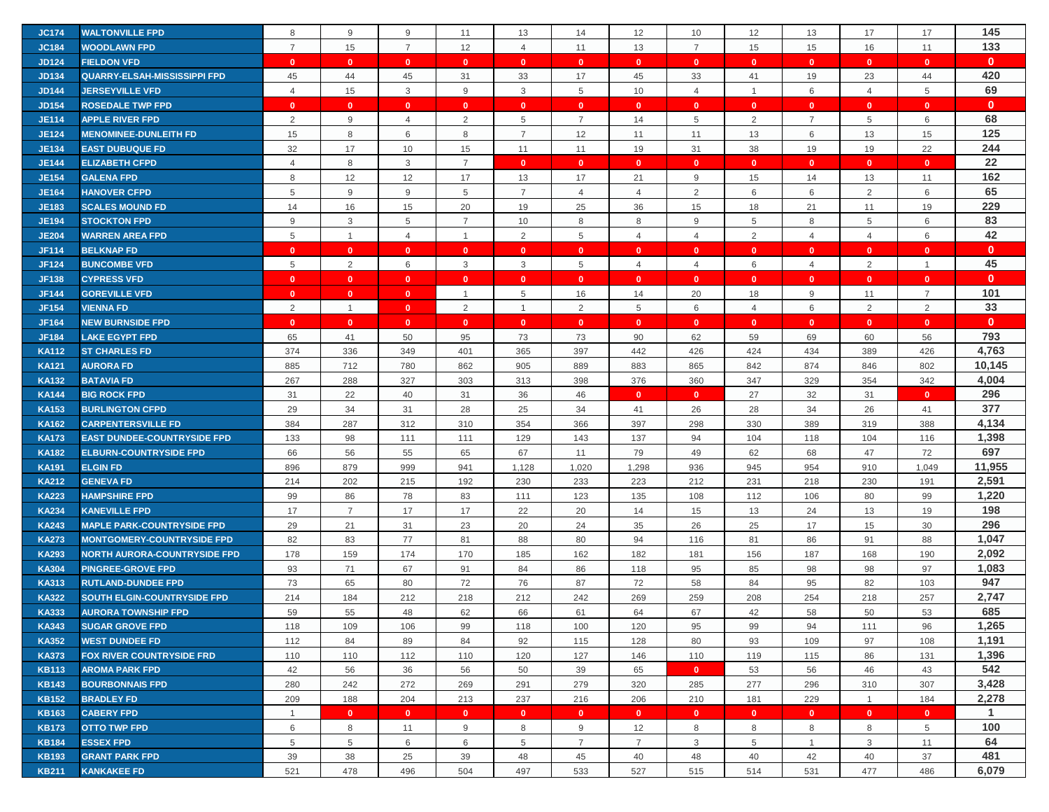| <b>JC174</b> | <b>WALTONVILLE FPD</b>              | 8              | 9              | 9                       | 11             | 13             | 14             | 12             | 10             | 12             | 13             | 17             | 17             | 145          |
|--------------|-------------------------------------|----------------|----------------|-------------------------|----------------|----------------|----------------|----------------|----------------|----------------|----------------|----------------|----------------|--------------|
| <b>JC184</b> | <b>WOODLAWN FPD</b>                 | $\overline{7}$ | 15             | $\overline{7}$          | 12             | $\overline{4}$ | 11             | 13             | $\overline{7}$ | 15             | 15             | 16             | 11             | 133          |
| <b>JD124</b> | <b>FIELDON VFD</b>                  | $\mathbf{0}$   | $\mathbf{0}$   | $\mathbf{0}$            | $\mathbf{0}$   | $\mathbf{0}$   | $\mathbf{0}$   | $\mathbf{0}$   | $\mathbf{0}$   | $\mathbf{0}$   | $\mathbf{0}$   | $\mathbf{0}$   | $\mathbf{0}$   | $\mathbf{0}$ |
| <b>JD134</b> | <b>QUARRY-ELSAH-MISSISSIPPI FPD</b> | 45             | 44             | 45                      | 31             | 33             | 17             | 45             | 33             | 41             | 19             | 23             | 44             | 420          |
| <b>JD144</b> | <b>JERSEYVILLE VFD</b>              | $\overline{4}$ | 15             | 3                       | 9              | $\mathbf{3}$   | 5              | 10             | $\overline{4}$ | $\overline{1}$ | 6              | $\overline{4}$ | 5              | 69           |
| <b>JD154</b> | <b>ROSEDALE TWP FPD</b>             | $\mathbf{0}$   | $\mathbf{0}$   | $\mathbf{0}$            | $\mathbf{0}$   | $\mathbf{0}$   | $\mathbf{0}$   | $\mathbf{0}$   | $\mathbf{0}$   | $\mathbf{0}$   | $\mathbf{0}$   | $\mathbf{0}$   | $\mathbf{0}$   | $\mathbf{0}$ |
| <b>JE114</b> | <b>APPLE RIVER FPD</b>              | 2              |                |                         |                |                | $\overline{7}$ |                |                |                | $\overline{7}$ | 5              |                | 68           |
|              |                                     |                | 9              | 4                       | $\overline{2}$ | 5              |                | 14             | 5              | $\overline{2}$ |                |                | 6              | 125          |
| <b>JE124</b> | <b>MENOMINEE-DUNLEITH FD</b>        | 15             | 8              | 6                       | 8              | $\overline{7}$ | 12             | 11             | 11             | 13             | 6              | 13             | 15             |              |
| <b>JE134</b> | <b>EAST DUBUQUE FD</b>              | 32             | 17             | 10                      | 15             | 11             | 11             | 19             | 31             | 38             | 19             | 19             | 22             | 244<br>22    |
| <b>JE144</b> | <b>ELIZABETH CFPD</b>               | $\overline{4}$ | 8              | $\mathsf 3$             | $\overline{7}$ | $\mathbf{0}$   | $\mathbf{0}$   | $\mathbf{0}$   | $\mathbf{0}$   | $\mathbf{0}$   | $\mathbf{0}$   | $\mathbf{0}$   | $\mathbf{0}$   |              |
| <b>JE154</b> | <b>GALENA FPD</b>                   | 8              | 12             | 12                      | 17             | 13             | 17             | 21             | 9              | 15             | 14             | 13             | 11             | 162          |
| <b>JE164</b> | <b>HANOVER CFPD</b>                 | 5              | 9              | 9                       | 5              | $\overline{7}$ | $\overline{4}$ | $\overline{4}$ | 2              | 6              | 6              | 2              | 6              | 65           |
| <b>JE183</b> | <b>SCALES MOUND FD</b>              | 14             | 16             | 15                      | 20             | 19             | 25             | 36             | 15             | 18             | 21             | 11             | 19             | 229          |
| <b>JE194</b> | <b>STOCKTON FPD</b>                 | 9              | 3              | 5                       | $\overline{7}$ | 10             | 8              | 8              | 9              | 5              | 8              | 5              | 6              | 83           |
| <b>JE204</b> | <b>WARREN AREA FPD</b>              | 5              | $\mathbf{1}$   | $\overline{4}$          | $\overline{1}$ | 2              | 5              | $\overline{4}$ | $\overline{4}$ | 2              | $\overline{4}$ | $\overline{4}$ | 6              | 42           |
| <b>JF114</b> | <b>BELKNAP FD</b>                   | $\mathbf{0}$   | $\mathbf{0}$   | $\mathbf{0}$            | $\mathbf{0}$   | $\mathbf{0}$   | $\mathbf{0}$   | $\mathbf{0}$   | $\mathbf{0}$   | $\mathbf{0}$   | $\mathbf{0}$   | $\mathbf{0}$   | $\mathbf{0}$   | $\mathbf{0}$ |
| <b>JF124</b> | <b>BUNCOMBE VFD</b>                 | $\,$ 5 $\,$    | $\overline{2}$ | 6                       | 3              | $\mathbf{3}$   | 5              | $\overline{4}$ | $\overline{4}$ | 6              | 4              | $\overline{2}$ | $\overline{1}$ | 45           |
| <b>JF138</b> | <b>CYPRESS VFD</b>                  | $\mathbf{0}$   | $\mathbf{0}$   | $\mathbf{0}$            | $\mathbf{0}$   | $\mathbf{0}$   | $\mathbf{0}$   | $\Omega$       | $\mathbf{0}$   | $\mathbf{0}$   | $\mathbf{0}$   | $\mathbf{0}$   | $\mathbf{0}$   | $\mathbf{0}$ |
| <b>JF144</b> | <b>GOREVILLE VFD</b>                | $\mathbf{0}$   | $\mathbf{0}$   | $\mathbf{0}$            | $\mathbf{1}$   | 5              | 16             | 14             | 20             | 18             | 9              | 11             | $\overline{7}$ | 101          |
| <b>JF154</b> | <b>VIENNA FD</b>                    | $\overline{2}$ | $\mathbf{1}$   | $\mathbf{0}$            | $\overline{2}$ | $\overline{1}$ | $\overline{2}$ | 5              | 6              | $\overline{4}$ | 6              | 2              | $\overline{2}$ | 33           |
| <b>JF164</b> | <b>NEW BURNSIDE FPD</b>             | $\mathbf{0}$   | $\mathbf{0}$   | $\overline{\mathbf{0}}$ | $\mathbf{0}$   | $\mathbf{0}$   | $\mathbf{0}$   | $\mathbf{0}$   | $\mathbf{0}$   | $\mathbf{0}$   | $\mathbf{0}$   | $\mathbf{0}$   | $\mathbf{0}$   | $\mathbf{0}$ |
| <b>JF184</b> | <b>LAKE EGYPT FPD</b>               | 65             | 41             | 50                      | 95             | 73             | 73             | 90             | 62             | 59             | 69             | 60             | 56             | 793          |
| <b>KA112</b> | <b>ST CHARLES FD</b>                | 374            | 336            | 349                     | 401            | 365            | 397            | 442            | 426            | 424            | 434            | 389            | 426            | 4,763        |
| <b>KA121</b> | <b>AURORA FD</b>                    | 885            | 712            | 780                     | 862            | 905            | 889            | 883            | 865            | 842            | 874            | 846            | 802            | 10,145       |
| <b>KA132</b> | <b>BATAVIA FD</b>                   | 267            | 288            | 327                     | 303            | 313            | 398            | 376            | 360            | 347            | 329            | 354            | 342            | 4,004        |
| <b>KA144</b> | <b>BIG ROCK FPD</b>                 | 31             | 22             | 40                      | 31             | 36             | 46             | $\mathbf{0}$   | $\mathbf{0}$   | 27             | 32             | 31             | $\mathbf{0}$   | 296          |
| <b>KA153</b> | <b>BURLINGTON CFPD</b>              | 29             | 34             | 31                      | 28             | 25             | 34             | 41             | 26             | 28             | 34             | 26             | 41             | 377          |
| <b>KA162</b> | <b>CARPENTERSVILLE FD</b>           | 384            | 287            | 312                     | 310            | 354            | 366            | 397            | 298            | 330            | 389            | 319            | 388            | 4,134        |
| <b>KA173</b> | <b>EAST DUNDEE-COUNTRYSIDE FPD</b>  | 133            | 98             | 111                     | 111            | 129            | 143            | 137            | 94             | 104            | 118            | 104            | 116            | 1,398        |
| <b>KA182</b> | <b>ELBURN-COUNTRYSIDE FPD</b>       | 66             | 56             | 55                      | 65             | 67             | 11             | 79             | 49             | 62             | 68             | 47             | 72             | 697          |
| <b>KA191</b> | <b>ELGIN FD</b>                     | 896            | 879            | 999                     | 941            | 1,128          | 1,020          | 1,298          | 936            | 945            | 954            | 910            | 1,049          | 11,955       |
| <b>KA212</b> | <b>GENEVA FD</b>                    | 214            | 202            | 215                     | 192            | 230            | 233            | 223            | 212            | 231            | 218            | 230            | 191            | 2,591        |
| <b>KA223</b> | <b>HAMPSHIRE FPD</b>                | 99             | 86             | 78                      | 83             | 111            | 123            | 135            | 108            | 112            | 106            | 80             | 99             | 1,220        |
| <b>KA234</b> | <b>KANEVILLE FPD</b>                | 17             | $\overline{7}$ | 17                      | 17             | 22             | 20             | 14             | 15             | 13             | 24             | 13             | 19             | 198          |
| <b>KA243</b> | <b>MAPLE PARK-COUNTRYSIDE FPD</b>   | 29             | 21             | 31                      | 23             | 20             | 24             | 35             | 26             | 25             | 17             | 15             | 30             | 296          |
| <b>KA273</b> | <b>MONTGOMERY-COUNTRYSIDE FPD</b>   | 82             | 83             | 77                      | 81             | 88             | 80             | 94             | 116            | 81             | 86             | 91             | 88             | 1,047        |
| <b>KA293</b> | <b>NORTH AURORA-COUNTRYSIDE FPD</b> | 178            | 159            | 174                     | 170            | 185            | 162            | 182            | 181            | 156            | 187            | 168            | 190            | 2,092        |
| <b>KA304</b> | <b>PINGREE-GROVE FPD</b>            | 93             | 71             | 67                      | 91             | 84             | 86             | 118            | 95             | 85             | 98             | 98             | 97             | 1,083        |
| <b>KA313</b> | <b>RUTLAND-DUNDEE FPD</b>           | 73             | 65             | 80                      | 72             | 76             | 87             | 72             | 58             | 84             | 95             | 82             | 103            | 947          |
| <b>KA322</b> | <b>SOUTH ELGIN-COUNTRYSIDE FPD</b>  | 214            | 184            | 212                     | 218            | 212            | 242            | 269            | 259            | 208            | 254            | 218            | 257            | 2,747        |
| <b>KA333</b> | <b>AURORA TOWNSHIP FPD</b>          | 59             | 55             | 48                      | 62             | 66             | 61             | 64             | 67             | 42             | 58             | 50             | 53             | 685          |
| <b>KA343</b> | <b>SUGAR GROVE FPD</b>              | 118            | 109            | 106                     | 99             | 118            | 100            | 120            | 95             | 99             | 94             | 111            | 96             | 1,265        |
| <b>KA352</b> | <b>WEST DUNDEE FD</b>               | 112            | 84             | 89                      | 84             | 92             | 115            | 128            | 80             | 93             | 109            | 97             | 108            | 1,191        |
| <b>KA373</b> | <b>FOX RIVER COUNTRYSIDE FRD</b>    | 110            | 110            | 112                     | 110            | 120            | 127            | 146            | 110            | 119            | 115            | 86             | 131            | 1,396        |
| <b>KB113</b> | <b>AROMA PARK FPD</b>               | 42             | 56             | 36                      | 56             | 50             | 39             | 65             | $\mathbf{0}$   | 53             | 56             | 46             | 43             | 542          |
| <b>KB143</b> | <b>BOURBONNAIS FPD</b>              | 280            | 242            | 272                     | 269            | 291            | 279            | 320            | 285            | 277            | 296            | 310            | 307            | 3,428        |
| <b>KB152</b> | <b>BRADLEY FD</b>                   | 209            | 188            | 204                     | 213            | 237            | 216            | 206            | 210            | 181            | 229            | $\mathbf{1}$   | 184            | 2,278        |
| <b>KB163</b> | <b>CABERY FPD</b>                   | $\overline{1}$ | $\mathbf{0}$   | $\mathbf{0}$            | $\mathbf{0}$   | $\overline{0}$ | $\mathbf{0}$   | $\mathbf{0}$   | $\mathbf{0}$   | $\mathbf{0}$   | $\mathbf{0}$   | $\mathbf{0}$   | $\mathbf{0}$   | 1            |
| <b>KB173</b> | <b>OTTO TWP FPD</b>                 | 6              | 8              | 11                      | 9              | 8              | 9              | 12             | 8              | 8              | 8              | 8              | 5              | 100          |
| <b>KB184</b> | <b>ESSEX FPD</b>                    | 5              | 5              | 6                       | 6              | 5              | $\overline{7}$ | $\overline{7}$ | 3              | 5              | $\mathbf{1}$   | 3              | 11             | 64           |
| <b>KB193</b> | <b>GRANT PARK FPD</b>               | 39             | 38             | 25                      | 39             | 48             | 45             | 40             | 48             | 40             | 42             | 40             | 37             | 481          |
| <b>KB211</b> | <b>KANKAKEE FD</b>                  | 521            | 478            | 496                     | 504            | 497            | 533            | 527            | 515            | 514            | 531            | 477            | 486            | 6,079        |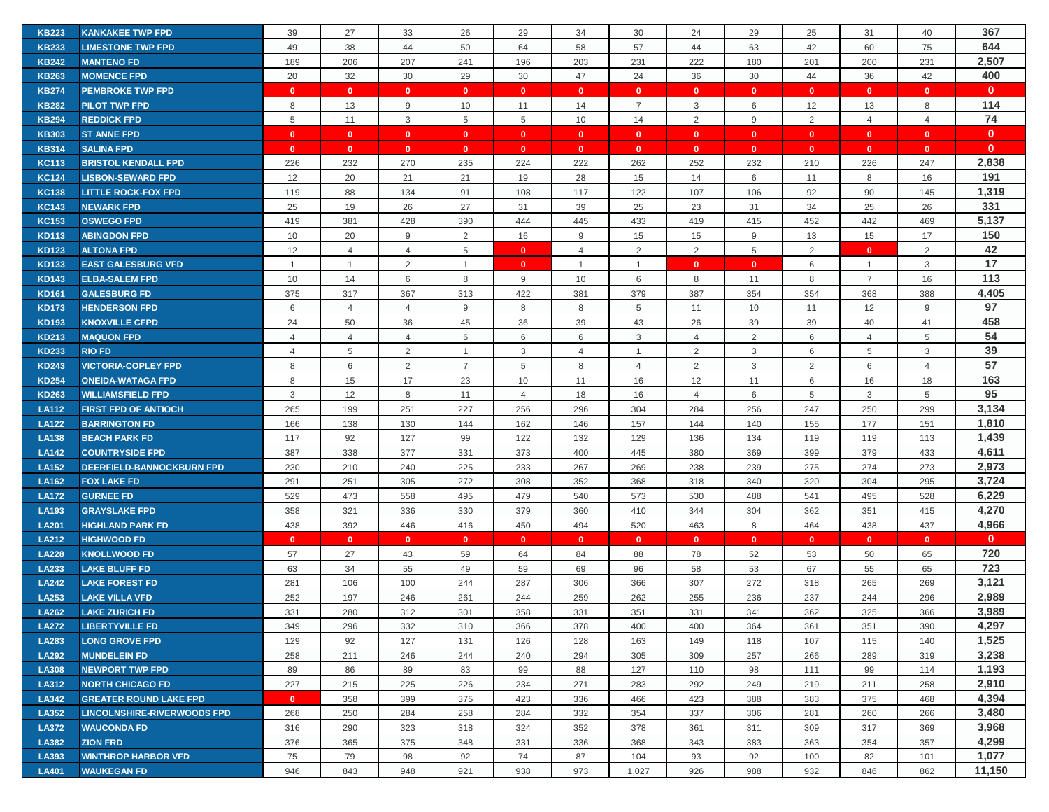| <b>KB223</b> | <b>KANKAKEE TWP FPD</b>            | 39             | 27             | 33             | 26             | 29             | 34             | 30             | 24             | 29           | 25             | 31             | 40             | 367          |
|--------------|------------------------------------|----------------|----------------|----------------|----------------|----------------|----------------|----------------|----------------|--------------|----------------|----------------|----------------|--------------|
| <b>KB233</b> | <b>LIMESTONE TWP FPD</b>           | 49             | 38             | 44             | 50             | 64             | 58             | 57             | 44             | 63           | 42             | 60             | 75             | 644          |
| <b>KB242</b> | <b>MANTENO FD</b>                  | 189            | 206            | 207            | 241            | 196            | 203            | 231            | 222            | 180          | 201            | 200            | 231            | 2,507        |
| <b>KB263</b> | <b>MOMENCE FPD</b>                 | 20             | 32             | 30             | 29             | 30             | 47             | 24             | 36             | 30           | 44             | 36             | 42             | 400          |
| <b>KB274</b> | <b>PEMBROKE TWP FPD</b>            | $\mathbf{0}$   | $\mathbf{0}$   | $\mathbf{0}$   | $\mathbf{0}$   | $\mathbf{0}$   | $\mathbf{0}$   | $\mathbf{0}$   | $\mathbf{0}$   | $\mathbf{0}$ | $\mathbf{0}$   | $\mathbf{0}$   | $\mathbf{0}$   | $\mathbf{0}$ |
| <b>KB282</b> | <b>PILOT TWP FPD</b>               | 8              | 13             | 9              | 10             | 11             | 14             | $\overline{7}$ | 3              | 6            | 12             | 13             | 8              | 114          |
| <b>KB294</b> | <b>REDDICK FPD</b>                 | 5              | 11             | 3              | 5              | 5              | 10             | 14             | 2              | 9            | 2              | $\overline{4}$ | $\overline{4}$ | 74           |
| <b>KB303</b> | <b>ST ANNE FPD</b>                 | $\mathbf{0}$   | $\mathbf{0}$   | $\mathbf{0}$   | $\mathbf{0}$   | $\mathbf{0}$   | $\mathbf{0}$   | $\mathbf{0}$   | $\mathbf{0}$   | $\mathbf{0}$ | $\overline{0}$ | $\mathbf{0}$   | $\mathbf{0}$   | $\mathbf{0}$ |
| <b>KB314</b> | <b>SALINA FPD</b>                  | $\mathbf{0}$   | $\mathbf{0}$   | $\mathbf{0}$   | $\mathbf{0}$   | $\mathbf{0}$   | $\mathbf{0}$   | $\mathbf{0}$   | $\mathbf{0}$   | $\mathbf{0}$ | $\bullet$      | $\mathbf{0}$   | $\mathbf{0}$   | $\mathbf{0}$ |
| <b>KC113</b> | <b>BRISTOL KENDALL FPD</b>         | 226            | 232            | 270            | 235            | 224            | 222            | 262            | 252            | 232          | 210            | 226            | 247            | 2,838        |
| <b>KC124</b> | <b>LISBON-SEWARD FPD</b>           | 12             | 20             | 21             | 21             | 19             | 28             | 15             | 14             | 6            | 11             | 8              | 16             | 191          |
| <b>KC138</b> | <b>LITTLE ROCK-FOX FPD</b>         | 119            | 88             | 134            | 91             | 108            | 117            | 122            | 107            | 106          | 92             | 90             | 145            | 1,319        |
| <b>KC143</b> | <b>NEWARK FPD</b>                  | 25             | 19             | 26             | 27             | 31             | 39             | 25             | 23             | 31           | 34             | 25             | 26             | 331          |
| <b>KC153</b> | <b>OSWEGO FPD</b>                  | 419            | 381            | 428            | 390            | 444            | 445            | 433            | 419            | 415          | 452            | 442            | 469            | 5,137        |
| <b>KD113</b> | <b>ABINGDON FPD</b>                | 10             | 20             | 9              | 2              | 16             | 9              | 15             | 15             | $9\,$        | 13             | 15             | 17             | 150          |
| <b>KD123</b> | <b>ALTONA FPD</b>                  | 12             | $\overline{4}$ | $\overline{4}$ | 5              | $\mathbf{0}$   | $\overline{4}$ | $\overline{2}$ | $\overline{2}$ | 5            | 2              | $\mathbf{0}$   | $\overline{2}$ | 42           |
| <b>KD133</b> | <b>EAST GALESBURG VFD</b>          | $\mathbf{1}$   | $\mathbf{1}$   | 2              | $\overline{1}$ | $\mathbf{0}$   | $\overline{1}$ | $\overline{1}$ | $\mathbf{0}$   | $\mathbf{0}$ | 6              | $\mathbf{1}$   | 3              | 17           |
| <b>KD143</b> | <b>ELBA-SALEM FPD</b>              | 10             | 14             | 6              | 8              | 9              | 10             | 6              | 8              | 11           | 8              | $\overline{7}$ | 16             | 113          |
| <b>KD161</b> | <b>GALESBURG FD</b>                | 375            | 317            | 367            | 313            | 422            | 381            | 379            | 387            | 354          | 354            | 368            | 388            | 4,405        |
| <b>KD173</b> | <b>HENDERSON FPD</b>               | 6              | $\overline{4}$ | $\overline{4}$ | 9              | 8              | 8              | 5              | 11             | 10           | 11             | 12             | 9              | 97           |
| <b>KD193</b> | <b>KNOXVILLE CFPD</b>              | 24             | 50             | 36             | 45             | 36             | 39             | 43             | 26             | 39           | 39             | 40             | 41             | 458          |
| <b>KD213</b> | <b>MAQUON FPD</b>                  | $\overline{4}$ | $\overline{4}$ | $\overline{4}$ | 6              | 6              | 6              | 3              | $\overline{4}$ | 2            | 6              | $\overline{4}$ | 5              | 54           |
| <b>KD233</b> | <b>RIO FD</b>                      | $\overline{4}$ | 5              | $\overline{2}$ | -1             | 3              | $\overline{4}$ | -1             | $\overline{2}$ | 3            | 6              | 5              | 3              | 39           |
| <b>KD243</b> | <b>VICTORIA-COPLEY FPD</b>         | 8              | 6              | $\overline{2}$ | $\overline{7}$ | 5              | 8              | 4              | 2              | 3            | 2              | 6              | $\overline{4}$ | 57           |
| <b>KD254</b> | <b>ONEIDA-WATAGA FPD</b>           | 8              | 15             | 17             | 23             | 10             | 11             | 16             | 12             | 11           | 6              | 16             | 18             | 163          |
| <b>KD263</b> | <b>WILLIAMSFIELD FPD</b>           | 3              | 12             | 8              | 11             | $\overline{4}$ | 18             | 16             | $\overline{4}$ | 6            | 5              | 3              | 5              | 95           |
| <b>LA112</b> | <b>FIRST FPD OF ANTIOCH</b>        | 265            | 199            | 251            | 227            | 256            | 296            | 304            | 284            | 256          | 247            | 250            | 299            | 3,134        |
| <b>LA122</b> | <b>BARRINGTON FD</b>               | 166            | 138            | 130            | 144            | 162            | 146            | 157            | 144            | 140          | 155            | 177            | 151            | 1,810        |
| <b>LA138</b> | <b>BEACH PARK FD</b>               | 117            | 92             | 127            | 99             | 122            | 132            | 129            | 136            | 134          | 119            | 119            | 113            | 1,439        |
| <b>LA142</b> | <b>COUNTRYSIDE FPD</b>             | 387            | 338            | 377            | 331            | 373            | 400            | 445            | 380            | 369          | 399            | 379            | 433            | 4,611        |
| <b>LA152</b> | <b>DEERFIELD-BANNOCKBURN FPD</b>   | 230            | 210            | 240            | 225            | 233            | 267            | 269            | 238            | 239          | 275            | 274            | 273            | 2,973        |
| <b>LA162</b> | <b>FOX LAKE FD</b>                 | 291            | 251            | 305            | 272            | 308            | 352            | 368            | 318            | 340          | 320            | 304            | 295            | 3,724        |
| <b>LA172</b> | <b>GURNEE FD</b>                   | 529            | 473            | 558            | 495            | 479            | 540            | 573            | 530            | 488          | 541            | 495            | 528            | 6,229        |
| LA193        | <b>GRAYSLAKE FPD</b>               | 358            | 321            | 336            | 330            | 379            | 360            | 410            | 344            | 304          | 362            | 351            | 415            | 4,270        |
| <b>LA201</b> | <b>HIGHLAND PARK FD</b>            | 438            | 392            | 446            | 416            | 450            | 494            | 520            | 463            | 8            | 464            | 438            | 437            | 4,966        |
| <b>LA212</b> | <b>HIGHWOOD FD</b>                 | $\mathbf{0}$   | $\mathbf{0}$   | $\mathbf{0}$   | $\mathbf{0}$   | $\mathbf{0}$   | $\mathbf{0}$   | $\mathbf{0}$   | $\mathbf{0}$   | $\mathbf{0}$ | $\mathbf{0}$   | $\mathbf{0}$   | $\mathbf{0}$   | $\mathbf{0}$ |
| <b>LA228</b> | <b>KNOLLWOOD FD</b>                | 57             | 27             | 43             | 59             | 64             | 84             | 88             | 78             | 52           | 53             | 50             | 65             | 720          |
| LA233        | <b>LAKE BLUFF FD</b>               | 63             | 34             | 55             | 49             | 59             | 69             | 96             | 58             | 53           | 67             | 55             | 65             | 723          |
| <b>LA242</b> | <b>LAKE FOREST FD</b>              | 281            | 106            | 100            | 244            | 287            | 306            | 366            | 307            | 272          | 318            | 265            | 269            | 3,121        |
| LA253        | <b>LAKE VILLA VFD</b>              | 252            | 197            | 246            | 261            | 244            | 259            | 262            | 255            | 236          | 237            | 244            | 296            | 2,989        |
| LA262        | <b>LAKE ZURICH FD</b>              | 331            | 280            | 312            | 301            | 358            | 331            | 351            | 331            | 341          | 362            | 325            | 366            | 3,989        |
| <b>LA272</b> | <b>LIBERTYVILLE FD</b>             | 349            | 296            | 332            | 310            | 366            | 378            | 400            | 400            | 364          | 361            | 351            | 390            | 4,297        |
| <b>LA283</b> | <b>LONG GROVE FPD</b>              | 129            | 92             | 127            | 131            | 126            | 128            | 163            | 149            | 118          | 107            | 115            | 140            | 1,525        |
| <b>LA292</b> | <b>MUNDELEIN FD</b>                | 258            | 211            | 246            | 244            | 240            | 294            | 305            | 309            | 257          | 266            | 289            | 319            | 3,238        |
| <b>LA308</b> | <b>NEWPORT TWP FPD</b>             | 89             | 86             | 89             | 83             | 99             | 88             | 127            | 110            | 98           | 111            | 99             | 114            | 1,193        |
| LA312        | <b>NORTH CHICAGO FD</b>            | 227            | 215            | 225            | 226            | 234            | 271            | 283            | 292            | 249          | 219            | 211            | 258            | 2,910        |
| LA342        | <b>GREATER ROUND LAKE FPD</b>      | $\mathbf{0}$   | 358            | 399            | 375            | 423            | 336            | 466            | 423            | 388          | 383            | 375            | 468            | 4,394        |
| LA352        | <b>LINCOLNSHIRE-RIVERWOODS FPD</b> | 268            | 250            | 284            | 258            | 284            | 332            | 354            | 337            | 306          | 281            | 260            | 266            | 3,480        |
| <b>LA372</b> | <b>WAUCONDA FD</b>                 | 316            | 290            | 323            | 318            | 324            | 352            | 378            | 361            | 311          | 309            | 317            | 369            | 3,968        |
| LA382        | <b>ZION FRD</b>                    | 376            | 365            | 375            | 348            | 331            | 336            | 368            | 343            | 383          | 363            | 354            | 357            | 4,299        |
| LA393        | <b>WINTHROP HARBOR VFD</b>         | 75             | 79             | 98             | 92             | 74             | 87             | 104            | 93             | 92           | 100            | 82             | 101            | 1,077        |
| <b>LA401</b> | <b>WAUKEGAN FD</b>                 | 946            | 843            | 948            | 921            | 938            | 973            | 1,027          | 926            | 988          | 932            | 846            | 862            | 11,150       |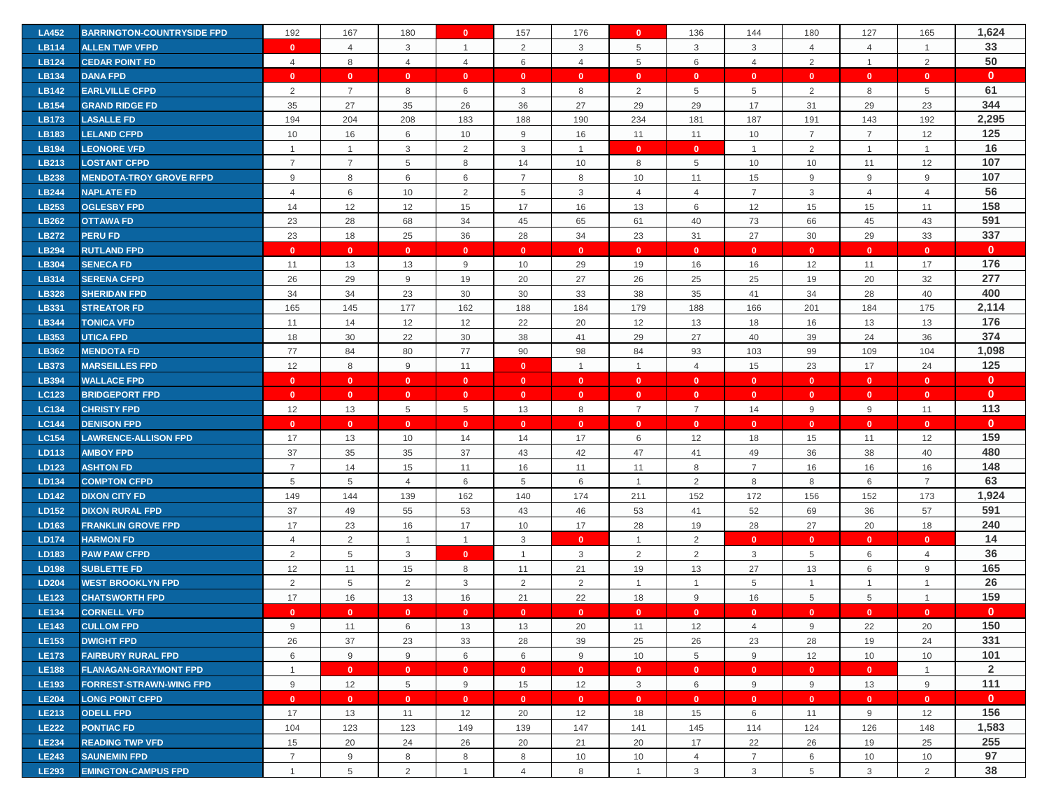| <b>LA452</b>                 | <b>BARRINGTON-COUNTRYSIDE FPD</b>                 | 192            | 167             | 180                     | $\mathbf{0}$        | 157                 | 176            | $\mathbf{0}$         | 136                 | 144                 | 180            | 127            | 165              | 1,624          |
|------------------------------|---------------------------------------------------|----------------|-----------------|-------------------------|---------------------|---------------------|----------------|----------------------|---------------------|---------------------|----------------|----------------|------------------|----------------|
| <b>LB114</b>                 | <b>ALLEN TWP VFPD</b>                             | $\mathbf{0}$   | $\overline{4}$  | 3                       | $\mathbf{1}$        | $\overline{2}$      | $\mathbf{3}$   | 5                    | 3                   | 3                   | $\overline{4}$ | $\overline{4}$ | $\mathbf{1}$     | 33             |
| <b>LB124</b>                 | <b>CEDAR POINT FD</b>                             | $\overline{4}$ | $\,8\,$         | $\overline{4}$          | $\overline{4}$      | 6                   | $\overline{4}$ | 5                    | $\,6\,$             | $\overline{4}$      | $\overline{2}$ | $\mathbf{1}$   | $\overline{2}$   | 50             |
| LB134                        | <b>DANA FPD</b>                                   | $\mathbf{0}$   | $\mathbf{0}$    | $\mathbf{0}$            | $\mathbf{0}$        | $\mathbf{0}$        | $\overline{0}$ | $\mathbf{0}$         | $\mathbf{0}$        | $\mathbf{0}$        | $\mathbf{0}$   | $\mathbf{0}$   | $\mathbf{0}$     | $\mathbf{0}$   |
| <b>LB142</b>                 | <b>EARLVILLE CFPD</b>                             | 2              | $\overline{7}$  | 8                       | 6                   | 3                   | 8              | 2                    | 5                   | 5                   | 2              | 8              | 5                | 61             |
| <b>LB154</b>                 | <b>GRAND RIDGE FD</b>                             | 35             | 27              | 35                      | 26                  | 36                  | 27             | 29                   | 29                  | 17                  | 31             | 29             | 23               | 344            |
| LB173                        | <b>LASALLE FD</b>                                 | 194            | 204             | 208                     | 183                 | 188                 | 190            | 234                  | 181                 | 187                 | 191            | 143            | 192              | 2,295          |
| <b>LB183</b>                 | <b>LELAND CFPD</b>                                | 10             | 16              | 6                       | 10                  | 9                   | 16             | 11                   | 11                  | 10                  | $\overline{7}$ | $\overline{7}$ | 12               | 125            |
| <b>LB194</b>                 | <b>LEONORE VFD</b>                                | $\overline{1}$ | $\overline{1}$  | 3                       | 2                   | 3                   | $\overline{1}$ | $\mathbf{0}$         | $\mathbf{0}$        | $\mathbf{1}$        | 2              | $\mathbf{1}$   | $\overline{1}$   | 16             |
| LB213                        | <b>LOSTANT CFPD</b>                               | $\overline{7}$ | $\overline{7}$  | 5                       | 8                   | 14                  | 10             | 8                    | 5                   | 10                  | 10             | 11             | 12               | 107            |
| <b>LB238</b>                 | <b>MENDOTA-TROY GROVE RFPD</b>                    | 9              | 8               | 6                       | 6                   | $\overline{7}$      | 8              | 10                   | 11                  | 15                  | 9              | 9              | $\boldsymbol{9}$ | 107            |
| <b>LB244</b>                 | <b>NAPLATE FD</b>                                 | $\overline{4}$ | 6               | 10                      | 2                   | 5                   | 3              | $\overline{4}$       | $\overline{4}$      | $\overline{7}$      | 3              | $\overline{4}$ | $\overline{4}$   | 56             |
| LB253                        | <b>OGLESBY FPD</b>                                | 14             | 12              | 12                      | 15                  | 17                  | 16             | 13                   | 6                   | 12                  | 15             | 15             | 11               | 158            |
| <b>LB262</b>                 | <b>OTTAWA FD</b>                                  | 23             | 28              | 68                      | 34                  | 45                  | 65             | 61                   | 40                  | 73                  | 66             | 45             | 43               | 591            |
| <b>LB272</b>                 | <b>PERU FD</b>                                    | 23             | 18              | 25                      | 36                  | 28                  | 34             | 23                   | 31                  | 27                  | 30             | 29             | 33               | 337            |
| <b>LB294</b>                 | <b>RUTLAND FPD</b>                                | $\mathbf{0}$   | $\mathbf{0}$    | $\bullet$               | $\mathbf{0}$        | $\mathbf{0}$        | $\mathbf{0}$   | $\mathbf{0}$         | $\mathbf{0}$        | $\mathbf{0}$        | $\mathbf{0}$   | $\mathbf{0}$   | $\mathbf{0}$     | $\mathbf{0}$   |
| <b>LB304</b>                 | <b>SENECA FD</b>                                  | 11             | 13              | 13                      | 9                   | 10                  | 29             | 19                   | 16                  | 16                  | 12             | 11             | 17               | 176            |
| <b>LB314</b>                 | <b>SERENA CFPD</b>                                | 26             | 29              | 9                       | 19                  | 20                  | 27             | 26                   | 25                  | 25                  | 19             | 20             | 32               | 277            |
| <b>LB328</b>                 | <b>SHERIDAN FPD</b>                               | 34             | 34              | 23                      | 30                  | 30                  | 33             | 38                   | 35                  | 41                  | 34             | 28             | 40               | 400            |
| <b>LB331</b>                 | <b>STREATOR FD</b>                                | 165            | 145             | 177                     | 162                 | 188                 | 184            | 179                  | 188                 | 166                 | 201            | 184            | 175              | 2,114          |
| <b>LB344</b>                 | <b>TONICA VFD</b>                                 | 11             | 14              | 12                      | 12                  | 22                  | 20             | 12                   | 13                  | 18                  | 16             | 13             | 13               | 176            |
| LB353                        | <b>UTICA FPD</b>                                  | 18             | 30              | 22                      | 30                  | 38                  | 41             | 29                   | 27                  | 40                  | 39             | 24             | 36               | 374            |
| <b>LB362</b>                 | <b>MENDOTA FD</b>                                 | 77             | 84              | 80                      | 77                  | 90                  | 98             | 84                   | 93                  | 103                 | 99             | 109            | 104              | 1,098          |
| LB373                        | <b>MARSEILLES FPD</b>                             | 12             | 8               | 9                       | 11                  | $\mathbf{0}$        | $\overline{1}$ | - 1                  | $\overline{4}$      | 15                  | 23             | 17             | 24               | 125            |
| <b>LB394</b>                 | <b>WALLACE FPD</b>                                | $\mathbf{0}$   | $\mathbf{0}$    | $\mathbf{0}$            | $\mathbf{0}$        | $\mathbf{0}$        | $\mathbf{0}$   | $\mathbf{0}$         | $\mathbf{0}$        | $\mathbf{0}$        | $\mathbf{0}$   | $\mathbf{0}$   | $\mathbf{0}$     | $\mathbf{0}$   |
| <b>LC123</b>                 | <b>BRIDGEPORT FPD</b>                             | $\mathbf{0}$   | $\mathbf{0}$    | $\overline{\mathbf{0}}$ | $\mathbf{0}$        | $\mathbf{0}$        | $\mathbf{0}$   | $\mathbf{0}$         | $\mathbf{0}$        | $\mathbf{0}$        | $\mathbf{0}$   | $\mathbf{0}$   | $\mathbf{0}$     | $\mathbf{0}$   |
|                              |                                                   |                |                 |                         |                     |                     |                |                      |                     |                     |                |                |                  |                |
| <b>LC134</b>                 | <b>CHRISTY FPD</b>                                | 12             | 13              | $5\phantom{.0}$         | 5                   | 13                  | 8              | $\overline{7}$       | $\overline{7}$      | 14                  | 9              | 9              | 11               | 113            |
| <b>LC144</b>                 | <b>DENISON FPD</b>                                | $\mathbf{0}$   | $\mathbf{0}$    | $\overline{\mathbf{0}}$ | $\mathbf{0}$        | $\mathbf{0}$        | $\mathbf{0}$   | $\mathbf{0}$         | $\mathbf{0}$        | $\mathbf{0}$        | $\mathbf{0}$   | $\mathbf{0}$   | $\mathbf{0}$     | $\mathbf{0}$   |
| <b>LC154</b>                 | <b>LAWRENCE-ALLISON FPD</b>                       | 17             | 13              | 10                      | 14                  | 14                  | 17             | 6                    | 12                  | 18                  | 15             | 11             | 12               | 159            |
| LD113                        | <b>AMBOY FPD</b>                                  | 37             | 35              | 35                      | 37                  | 43                  | 42             | 47                   | 41                  | 49                  | 36             | 38             | 40               | 480            |
| LD123                        | <b>ASHTON FD</b>                                  | $\overline{7}$ | 14              | 15                      | 11                  | 16                  | 11             | 11                   | 8                   | $\overline{7}$      | 16             | 16             | 16               | 148            |
| LD134                        | <b>COMPTON CFPD</b>                               | 5              | $\overline{5}$  | $\overline{4}$          | 6                   | 5                   | 6              | $\overline{1}$       | $\overline{2}$      | 8                   | 8              | 6              | $\overline{7}$   | 63             |
| LD142                        | <b>DIXON CITY FD</b>                              | 149            | 144             | 139                     | 162                 | 140                 | 174            | 211                  | 152                 | 172                 | 156            | 152            | 173              | 1,924          |
| LD152                        | <b>DIXON RURAL FPD</b>                            | 37             | 49              | 55                      | 53                  | 43                  | 46             | 53                   | 41                  | 52                  | 69             | 36             | 57               | 591            |
| LD163                        | <b>FRANKLIN GROVE FPD</b>                         | 17             | 23              | 16                      | 17                  | 10                  | 17             | 28                   | 19                  | 28                  | 27             | 20             | 18               | 240            |
| <b>LD174</b>                 | <b>HARMON FD</b>                                  | $\overline{4}$ | 2               | $\mathbf{1}$            | $\overline{1}$      | 3                   | $\mathbf{0}$   | -1                   | 2                   | $\mathbf{0}$        | $\bullet$      | $\mathbf{0}$   | $\mathbf{0}$     | 14             |
| LD183                        | <b>PAW PAW CFPD</b>                               | $\overline{2}$ | $5\phantom{.0}$ | $\mathbf{3}$            | $\mathbf{0}$        | $\overline{1}$      | 3              | $\overline{2}$       | $\overline{2}$      | 3                   | 5              | 6              | $\overline{4}$   | 36             |
| LD198                        | <b>SUBLETTE FD</b>                                | 12             | 11              | 15                      | 8                   | 11                  | 21             | 19                   | 13                  | 27                  | 13             | 6              | $9\,$            | 165            |
| <b>LD204</b>                 | <b>WEST BROOKLYN FPD</b>                          | $\overline{2}$ | 5               | $\overline{2}$          | 3                   | $\overline{2}$      | $\overline{2}$ | -1                   | $\mathbf{1}$        | 5                   | $\mathbf 1$    | $\mathbf{1}$   | $\overline{1}$   | 26             |
| <b>LE123</b>                 | <b>CHATSWORTH FPD</b>                             | 17             | 16              | 13                      | 16                  | 21                  | 22             | 18                   | 9                   | 16                  | 5              | 5              | $\mathbf{1}$     | 159            |
| <b>LE134</b>                 | <b>CORNELL VFD</b>                                | $\mathbf{0}$   | $\mathbf{0}$    | $\mathbf{0}$            | $\mathbf{0}$        | $\mathbf{0}$        | $\mathbf{0}$   | $\mathbf{0}$         | $\mathbf{0}$        | $\mathbf{0}$        | $\mathbf{0}$   | $\mathbf{0}$   | $\mathbf{0}$     | $\mathbf{0}$   |
| <b>LE143</b>                 | <b>CULLOM FPD</b>                                 | 9              | 11              | 6                       | 13                  | 13                  | 20             | 11                   | 12                  | $\overline{4}$      | 9              | 22             | 20               | 150            |
| LE153                        | <b>DWIGHT FPD</b>                                 | 26             | 37              | 23                      | 33                  | 28                  | 39             | 25                   | 26                  | 23                  | 28             | 19             | 24               | 331            |
| <b>LE173</b>                 | <b>FAIRBURY RURAL FPD</b>                         | 6              | 9               | 9                       | 6                   | 6                   | 9              | 10                   | 5                   | 9                   | 12             | 10             | 10               | 101            |
| <b>LE188</b>                 | <b>FLANAGAN-GRAYMONT FPD</b>                      |                | $\mathbf{0}$    | $\mathbf{0}$            | $\mathbf{0}$        | $\mathbf{0}$        | $\mathbf{0}$   | $\mathbf{0}$         | $\mathbf{0}$        | $\mathbf{0}$        | $\overline{0}$ | $\mathbf{0}$   | $\mathbf{1}$     | $\overline{2}$ |
| <b>LE193</b>                 | <b>FORREST-STRAWN-WING FPD</b>                    | 9              | 12              | 5                       | 9                   | 15                  | 12             | 3                    | 6                   | 9                   | 9              | 13             | 9                | 111            |
| <b>LE204</b>                 | <b>LONG POINT CFPD</b>                            | $\mathbf{0}$   | $\mathbf{0}$    | $\mathbf{0}$            | $\mathbf{0}$        | $\bullet$           | $\mathbf{0}$   | $\mathbf{0}$         | $\mathbf{0}$        | $\mathbf{0}$        | $\bullet$      | $\mathbf{0}$   | $\mathbf{0}$     | $\mathbf{0}$   |
| <b>LE213</b>                 | <b>ODELL FPD</b>                                  | 17             | 13              | 11                      | 12                  | 20                  | 12             | 18                   | 15                  | 6                   | 11             | 9              | 12               | 156            |
| <b>LE222</b>                 | <b>PONTIAC FD</b>                                 | 104            | 123             | 123                     | 149                 | 139                 | 147            | 141                  | 145                 | 114                 | 124            | 126            | 148              | 1,583          |
| <b>LE234</b>                 | <b>READING TWP VFD</b>                            | 15             | 20              | 24                      | 26                  | 20                  | 21             | 20                   | 17                  | 22                  | 26             | 19             | 25               | 255            |
| <b>LE243</b><br><b>LE293</b> | <b>SAUNEMIN FPD</b><br><b>EMINGTON-CAMPUS FPD</b> | $\overline{7}$ | 9<br>5          | 8<br>2                  | 8<br>$\overline{1}$ | 8<br>$\overline{4}$ | 10<br>8        | 10<br>$\overline{1}$ | $\overline{4}$<br>3 | $\overline{7}$<br>3 | 6<br>5         | 10<br>3        | 10<br>2          | 97<br>38       |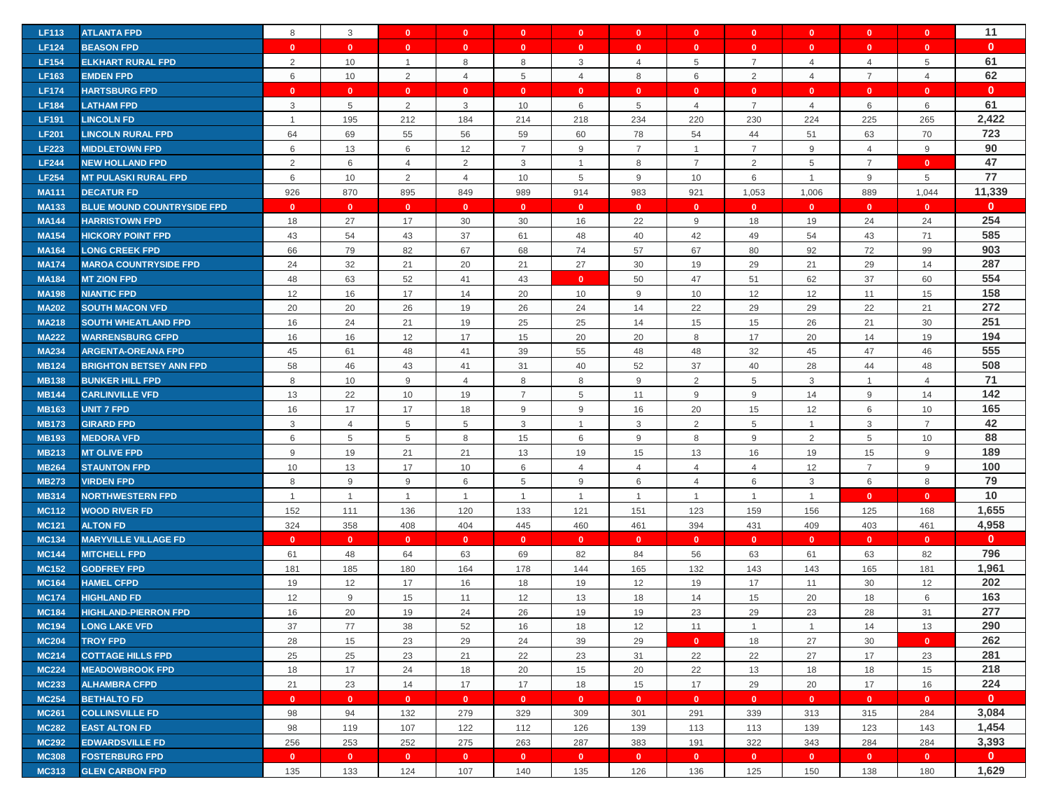| <b>LF113</b> | <b>ATLANTA FPD</b>                | 8              | $\mathbf{3}$   | $\overline{\mathbf{0}}$ | $\mathbf{0}$   | $\mathbf{0}$     | $\mathbf{0}$   | $\mathbf{0}$             | $\mathbf{0}$   | $\mathbf{0}$   | $\mathbf{0}$   | $\mathbf{0}$   | $\mathbf{0}$     | 11           |
|--------------|-----------------------------------|----------------|----------------|-------------------------|----------------|------------------|----------------|--------------------------|----------------|----------------|----------------|----------------|------------------|--------------|
| <b>LF124</b> | <b>BEASON FPD</b>                 | $\mathbf{0}$   | $\mathbf{0}$   | $\mathbf{0}$            | $\mathbf{0}$   | $\mathbf{0}$     | $\mathbf{0}$   | $\mathbf{0}$             | $\mathbf{0}$   | $\mathbf{0}$   | $\mathbf{0}$   | $\mathbf{0}$   | $\mathbf{0}$     | $\mathbf{0}$ |
| <b>LF154</b> | <b>ELKHART RURAL FPD</b>          | 2              | 10             | $\overline{1}$          | 8              | 8                | 3              | $\overline{\mathcal{A}}$ | $\overline{5}$ | $\overline{7}$ | $\overline{4}$ | $\overline{4}$ | 5                | 61           |
| <b>LF163</b> | <b>EMDEN FPD</b>                  | 6              | 10             | 2                       | $\overline{4}$ | 5                | $\overline{4}$ | 8                        | $\,6\,$        | 2              | $\overline{4}$ | $\overline{7}$ | $\overline{4}$   | 62           |
|              |                                   |                |                |                         |                |                  |                |                          |                |                |                |                |                  | $\mathbf{0}$ |
| <b>LF174</b> | <b>HARTSBURG FPD</b>              | $\mathbf{0}$   | $\mathbf{0}$   | $\mathbf{0}$            | $\mathbf{0}$   | $\mathbf{0}$     | $\mathbf{0}$   | $\mathbf{0}$             | $\mathbf{0}$   | $\mathbf{0}$   | $\mathbf{0}$   | $\mathbf{0}$   | $\mathbf{0}$     | 61           |
| <b>LF184</b> | <b>LATHAM FPD</b>                 | 3              | 5              | $\overline{2}$          | 3              | 10               | 6              | 5                        | $\overline{4}$ | $\overline{7}$ | $\overline{4}$ | 6              | 6                |              |
| <b>LF191</b> | <b>LINCOLN FD</b>                 | $\overline{1}$ | 195            | 212                     | 184            | 214              | 218            | 234                      | 220            | 230            | 224            | 225            | 265              | 2,422        |
| <b>LF201</b> | <b>LINCOLN RURAL FPD</b>          | 64             | 69             | 55                      | 56             | 59               | 60             | 78                       | 54             | 44             | 51             | 63             | 70               | 723          |
| <b>LF223</b> | <b>MIDDLETOWN FPD</b>             | 6              | 13             | 6                       | 12             | $\overline{7}$   | 9              | $\overline{7}$           | $\mathbf{1}$   | $\overline{7}$ | 9              | $\overline{4}$ | 9                | 90           |
| <b>LF244</b> | <b>NEW HOLLAND FPD</b>            | $\overline{2}$ | 6              | 4                       | $\overline{2}$ | 3                | $\overline{1}$ | 8                        | $\overline{7}$ | $\overline{2}$ | 5              | $\overline{7}$ | $\mathbf{0}$     | 47           |
| <b>LF254</b> | <b>MT PULASKI RURAL FPD</b>       | 6              | 10             | 2                       | $\overline{4}$ | 10               | 5              | 9                        | 10             | 6              | $\mathbf{1}$   | 9              | 5                | 77           |
| <b>MA111</b> | <b>DECATUR FD</b>                 | 926            | 870            | 895                     | 849            | 989              | 914            | 983                      | 921            | 1,053          | 1,006          | 889            | 1,044            | 11,339       |
| <b>MA133</b> | <b>BLUE MOUND COUNTRYSIDE FPD</b> | $\mathbf{0}$   | $\mathbf{0}$   | $\mathbf{0}$            | $\mathbf{0}$   | $\mathbf{0}$     | $\mathbf{0}$   | $\mathbf{0}$             | $\mathbf{0}$   | $\mathbf{0}$   | $\mathbf{0}$   | $\mathbf{0}$   | $\mathbf{0}$     | $\mathbf{0}$ |
| <b>MA144</b> | <b>HARRISTOWN FPD</b>             | 18             | 27             | 17                      | 30             | 30               | 16             | 22                       | 9              | 18             | 19             | 24             | 24               | 254          |
| <b>MA154</b> | <b>HICKORY POINT FPD</b>          | 43             | 54             | 43                      | 37             | 61               | 48             | 40                       | 42             | 49             | 54             | 43             | 71               | 585          |
| <b>MA164</b> | <b>LONG CREEK FPD</b>             | 66             | 79             | 82                      | 67             | 68               | 74             | 57                       | 67             | 80             | 92             | 72             | 99               | 903          |
| <b>MA174</b> | <b>MAROA COUNTRYSIDE FPD</b>      | 24             | 32             | 21                      | 20             | 21               | 27             | 30                       | 19             | 29             | 21             | 29             | 14               | 287          |
| <b>MA184</b> | <b>MT ZION FPD</b>                | 48             | 63             | 52                      | 41             | 43               | $\mathbf{0}$   | 50                       | 47             | 51             | 62             | 37             | 60               | 554          |
| <b>MA198</b> | <b>NIANTIC FPD</b>                | 12             | 16             | 17                      | 14             | 20               | 10             | 9                        | 10             | 12             | 12             | 11             | 15               | 158          |
| <b>MA202</b> | <b>SOUTH MACON VFD</b>            | 20             | 20             | 26                      | 19             | 26               | 24             | 14                       | 22             | 29             | 29             | 22             | 21               | 272          |
| <b>MA218</b> | <b>SOUTH WHEATLAND FPD</b>        | 16             | 24             | 21                      | 19             | 25               | 25             | 14                       | 15             | 15             | 26             | 21             | 30               | 251          |
| <b>MA222</b> | <b>WARRENSBURG CFPD</b>           | 16             | 16             | 12                      | 17             | 15               | 20             | 20                       | 8              | 17             | 20             | 14             | 19               | 194          |
| <b>MA234</b> | <b>ARGENTA-OREANA FPD</b>         | 45             | 61             | 48                      | 41             | 39               | 55             | 48                       | 48             | 32             | 45             | 47             | 46               | 555          |
| <b>MB124</b> | <b>BRIGHTON BETSEY ANN FPD</b>    | 58             | 46             | 43                      | 41             | 31               | 40             | 52                       | 37             | 40             | 28             | 44             | 48               | 508          |
| <b>MB138</b> | <b>BUNKER HILL FPD</b>            | 8              | 10             | 9                       | $\overline{4}$ | 8                | 8              | 9                        | 2              | 5              | 3              | $\overline{1}$ | $\overline{4}$   | 71           |
| <b>MB144</b> | <b>CARLINVILLE VFD</b>            | 13             | 22             | 10                      | 19             | $\overline{7}$   | 5              | 11                       | 9              | 9              | 14             | 9              | 14               | 142          |
| <b>MB163</b> | <b>UNIT 7 FPD</b>                 | 16             | 17             | 17                      | 18             | $\boldsymbol{9}$ | 9              | 16                       | 20             | 15             | 12             | 6              | 10               | 165          |
| <b>MB173</b> | <b>GIRARD FPD</b>                 | 3              | $\overline{4}$ | 5                       | 5              | 3                | $\overline{1}$ | 3                        | 2              | 5              | $\mathbf{1}$   | 3              | $\overline{7}$   | 42           |
| <b>MB193</b> | <b>MEDORA VFD</b>                 | 6              | 5              | 5                       | 8              | 15               | 6              | 9                        | 8              | 9              | 2              | 5              | 10               | 88           |
| <b>MB213</b> | <b>MT OLIVE FPD</b>               | 9              | 19             | 21                      | 21             | 13               | 19             | 15                       | 13             | 16             | 19             | 15             | 9                | 189          |
| <b>MB264</b> | <b>STAUNTON FPD</b>               | 10             | 13             | 17                      | 10             | 6                | $\overline{4}$ | $\overline{4}$           | $\overline{4}$ | $\overline{4}$ | 12             | $\overline{7}$ | $\boldsymbol{9}$ | 100          |
| <b>MB273</b> | <b>VIRDEN FPD</b>                 | 8              | 9              | 9                       | 6              | 5                | 9              | 6                        | $\overline{4}$ | 6              | 3              | 6              | 8                | 79           |
| <b>MB314</b> | <b>NORTHWESTERN FPD</b>           | $\overline{1}$ | $\overline{1}$ | $\overline{1}$          | $\overline{1}$ | $\overline{1}$   | $\overline{1}$ | $\overline{1}$           | $\mathbf{1}$   | $\overline{1}$ | $\mathbf{1}$   | $\mathbf{0}$   | $\mathbf{0}$     | 10           |
| <b>MC112</b> | <b>WOOD RIVER FD</b>              | 152            | 111            | 136                     | 120            | 133              | 121            | 151                      | 123            | 159            | 156            | 125            | 168              | 1,655        |
| <b>MC121</b> | <b>ALTON FD</b>                   | 324            | 358            | 408                     | 404            | 445              | 460            | 461                      | 394            | 431            | 409            | 403            | 461              | 4,958        |
| <b>MC134</b> | <b>MARYVILLE VILLAGE FD</b>       | $\mathbf{0}$   | $\mathbf{0}$   | $\mathbf{0}$            | $\mathbf{0}$   | $\mathbf{0}$     | $\mathbf{0}$   | $\mathbf{0}$             | $\mathbf{0}$   | $\mathbf{0}$   | $\mathbf{0}$   | $\mathbf{0}$   | $\mathbf{0}$     | $\mathbf{0}$ |
| <b>MC144</b> | <b>MITCHELL FPD</b>               | 61             | 48             | 64                      | 63             | 69               | 82             | 84                       | 56             | 63             | 61             | 63             | 82               | 796          |
| <b>MC152</b> | <b>GODFREY FPD</b>                | 181            | 185            | 180                     | 164            | 178              | 144            | 165                      | 132            | 143            | 143            | 165            | 181              | 1,961        |
| <b>MC164</b> | <b>HAMEL CFPD</b>                 | 19             | 12             | 17                      | 16             | 18               | 19             | 12                       | 19             | 17             | 11             | 30             | 12               | 202          |
| <b>MC174</b> | <b>HIGHLAND FD</b>                | 12             | 9              | 15                      | 11             | 12               | 13             | 18                       | 14             | 15             | 20             | 18             | 6                | 163          |
| <b>MC184</b> | <b>HIGHLAND-PIERRON FPD</b>       | 16             | 20             | 19                      | 24             | 26               | 19             | 19                       | 23             | 29             | 23             | 28             | 31               | 277          |
| <b>MC194</b> | <b>LONG LAKE VFD</b>              | 37             | 77             | 38                      | 52             | 16               | 18             | 12                       | 11             | $\overline{1}$ | $\mathbf{1}$   | 14             | 13               | 290          |
| <b>MC204</b> | <b>TROY FPD</b>                   | 28             | 15             | 23                      | 29             | 24               | 39             | 29                       | $\mathbf{0}$   | 18             | 27             | 30             | $\mathbf{0}$     | 262          |
| <b>MC214</b> | <b>COTTAGE HILLS FPD</b>          | 25             | 25             | 23                      | 21             | 22               | 23             | 31                       | 22             | 22             | 27             | 17             | 23               | 281          |
| <b>MC224</b> | <b>MEADOWBROOK FPD</b>            | 18             | 17             | 24                      | 18             | 20               | 15             | 20                       | 22             | 13             | 18             | 18             | 15               | 218          |
| <b>MC233</b> | <b>ALHAMBRA CFPD</b>              | 21             | 23             | 14                      | 17             | 17               | 18             | 15                       | 17             | 29             | 20             | 17             | 16               | 224          |
| <b>MC254</b> | <b>BETHALTO FD</b>                | $\mathbf{0}$   | $\mathbf{0}$   | $\mathbf{0}$            | $\mathbf{0}$   | $\mathbf{0}$     | $\mathbf{0}$   | $\mathbf{0}$             | $\mathbf{0}$   | $\mathbf{0}$   | $\mathbf{0}$   | $\mathbf{0}$   | $\mathbf{0}$     | $\mathbf{0}$ |
| <b>MC261</b> | <b>COLLINSVILLE FD</b>            | 98             | 94             | 132                     | 279            | 329              | 309            | 301                      | 291            | 339            | 313            | 315            | 284              | 3,084        |
| <b>MC282</b> | <b>EAST ALTON FD</b>              | 98             | 119            | 107                     | 122            | 112              | 126            | 139                      | 113            | 113            | 139            | 123            | 143              | 1,454        |
| <b>MC292</b> | <b>EDWARDSVILLE FD</b>            | 256            | 253            | 252                     | 275            | 263              | 287            | 383                      | 191            | 322            | 343            | 284            | 284              | 3,393        |
| <b>MC308</b> | <b>FOSTERBURG FPD</b>             | $\mathbf{0}$   | $\bullet$      | $\overline{\mathbf{0}}$ | $\mathbf{0}$   | $\mathbf{0}$     | $\mathbf{0}$   | $\mathbf{0}$             | $\mathbf{0}$   | $\bullet$      | $\mathbf{0}$   | $\mathbf{0}$   | $\mathbf{0}$     | $\mathbf{0}$ |
| <b>MC313</b> | <b>GLEN CARBON FPD</b>            | 135            | 133            | 124                     | 107            | 140              | 135            | 126                      | 136            | 125            | 150            | 138            | 180              | 1,629        |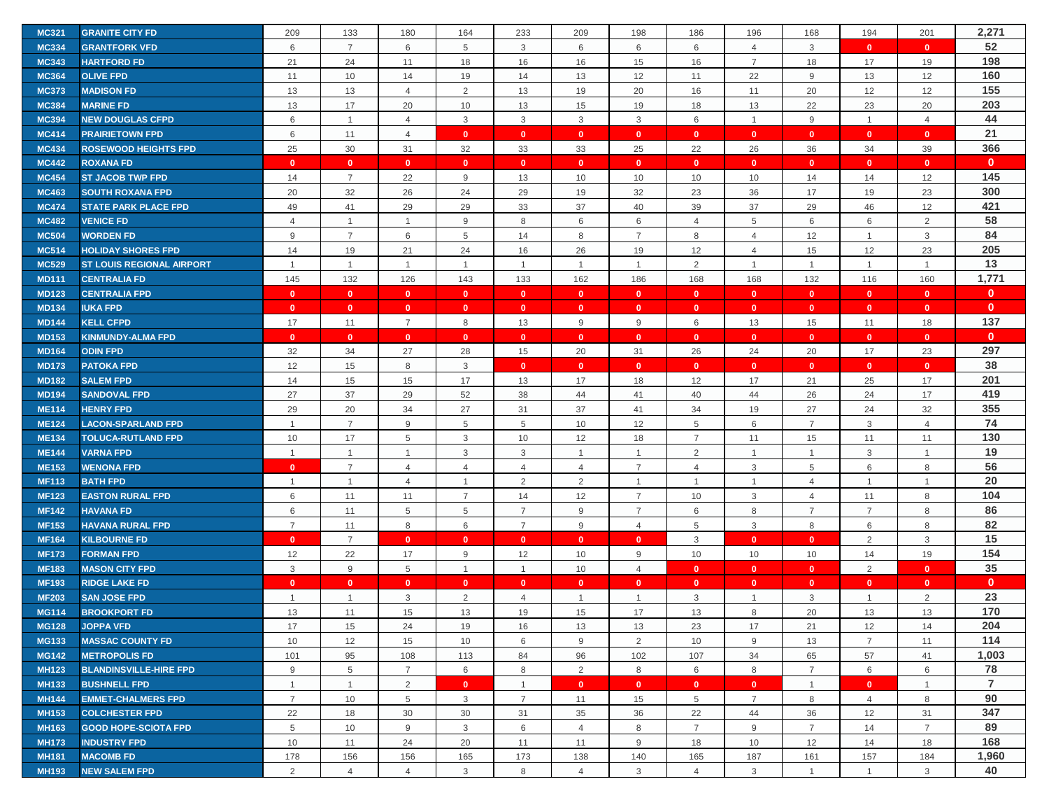| <b>MC321</b> | <b>GRANITE CITY FD</b>           | 209            | 133             | 180            | 164            | 233            | 209            | 198            | 186                       | 196            | 168            | 194            | 201                       | 2,271          |
|--------------|----------------------------------|----------------|-----------------|----------------|----------------|----------------|----------------|----------------|---------------------------|----------------|----------------|----------------|---------------------------|----------------|
| <b>MC334</b> | <b>GRANTFORK VFD</b>             | 6              | $\overline{7}$  | 6              | 5              | 3              | 6              | 6              | 6                         | $\overline{4}$ | 3              | $\mathbf{0}$   | $\mathbf{0}$              | 52             |
| <b>MC343</b> | <b>HARTFORD FD</b>               | 21             | 24              | 11             | 18             | 16             | 16             | 15             | 16                        | $\overline{7}$ | 18             | 17             | 19                        | 198            |
| <b>MC364</b> | <b>OLIVE FPD</b>                 | 11             | 10              | 14             | 19             | 14             | 13             | 12             | 11                        | 22             | 9              | 13             | 12                        | 160            |
| <b>MC373</b> | <b>MADISON FD</b>                | 13             | 13              | $\overline{4}$ | 2              | 13             | 19             | 20             | 16                        | 11             | 20             | 12             | 12                        | 155            |
| <b>MC384</b> | <b>MARINE FD</b>                 | 13             | 17              | 20             | 10             | 13             | 15             | 19             | 18                        | 13             | 22             | 23             | 20                        | 203            |
| <b>MC394</b> | <b>NEW DOUGLAS CFPD</b>          | 6              | $\mathbf{1}$    | $\overline{4}$ | 3              | 3              | 3              | 3              | 6                         | $\mathbf{1}$   | 9              | $\mathbf{1}$   | $\overline{4}$            | 44             |
| <b>MC414</b> | <b>PRAIRIETOWN FPD</b>           | 6              | 11              | $\overline{4}$ | $\mathbf{0}$   | $\mathbf{0}$   | $\mathbf{0}$   | $\mathbf{0}$   | $\mathbf{0}$              | $\mathbf{0}$   | $\mathbf{0}$   | $\mathbf{0}$   | $\mathbf{0}$              | 21             |
| <b>MC434</b> | <b>ROSEWOOD HEIGHTS FPD</b>      | 25             | 30              | 31             | 32             | 33             | 33             | 25             | 22                        | 26             | 36             | 34             | 39                        | 366            |
| <b>MC442</b> | <b>ROXANA FD</b>                 | $\mathbf{0}$   | $\mathbf{0}$    | $\mathbf{0}$   | $\mathbf{0}$   | $\mathbf{0}$   | $\mathbf{0}$   | $\mathbf{0}$   | $\mathbf{0}$              | $\mathbf{0}$   | $\mathbf{0}$   | $\mathbf{0}$   | $\mathbf{0}$              | $\mathbf{0}$   |
| <b>MC454</b> | <b>ST JACOB TWP FPD</b>          | 14             | $\overline{7}$  | 22             | 9              | 13             | 10             | 10             | 10                        | 10             | 14             | 14             | 12                        | 145            |
| <b>MC463</b> | <b>SOUTH ROXANA FPD</b>          | 20             | 32              | 26             | 24             | 29             | 19             | 32             | 23                        | 36             | 17             | 19             | 23                        | 300            |
| <b>MC474</b> | <b>STATE PARK PLACE FPD</b>      | 49             | 41              | 29             | 29             | 33             | 37             | 40             | 39                        | 37             | 29             | 46             | 12                        | 421            |
| <b>MC482</b> | <b>VENICE FD</b>                 | $\overline{4}$ | $\mathbf{1}$    | $\mathbf{1}$   | 9              | 8              | 6              | 6              | $\overline{4}$            | 5              | 6              | 6              | 2                         | 58             |
| <b>MC504</b> | <b>WORDEN FD</b>                 | 9              | $\overline{7}$  | 6              | 5              | 14             | 8              | $\overline{7}$ | 8                         | $\overline{4}$ | 12             | $\mathbf{1}$   | $\ensuremath{\mathsf{3}}$ | 84             |
|              |                                  |                |                 |                |                |                |                |                |                           |                |                |                |                           | 205            |
| <b>MC514</b> | <b>HOLIDAY SHORES FPD</b>        | 14             | 19              | 21             | 24             | 16             | 26             | 19             | 12                        | $\overline{4}$ | 15             | 12             | 23                        | 13             |
| <b>MC529</b> | <b>ST LOUIS REGIONAL AIRPORT</b> | $\overline{1}$ | $\mathbf{1}$    | $\mathbf{1}$   | $\mathbf{1}$   | $\mathbf{1}$   | $\overline{1}$ | $\overline{1}$ | $\overline{2}$            | $\mathbf{1}$   | $\overline{1}$ | $\mathbf{1}$   | $\mathbf{1}$              |                |
| <b>MD111</b> | <b>CENTRALIA FD</b>              | 145            | 132             | 126            | 143            | 133            | 162            | 186            | 168                       | 168            | 132            | 116            | 160                       | 1,771          |
| <b>MD123</b> | <b>CENTRALIA FPD</b>             | $\mathbf{0}$   | $\mathbf{0}$    | $\mathbf{0}$   | $\mathbf{0}$   | $\mathbf{0}$   | $\mathbf{0}$   | $\mathbf{0}$   | $\mathbf{0}$              | $\mathbf{0}$   | $\mathbf{0}$   | $\mathbf{0}$   | $\mathbf{0}$              | $\mathbf{0}$   |
| <b>MD134</b> | <b>IUKA FPD</b>                  | $\mathbf{0}$   | $\mathbf{0}$    | $\mathbf{0}$   | $\mathbf{0}$   | $\mathbf{0}$   | $\mathbf{0}$   | $\mathbf{0}$   | $\mathbf{0}$              | $\mathbf{0}$   | $\overline{0}$ | $\mathbf{0}$   | $\mathbf{0}$              | $\mathbf{0}$   |
| <b>MD144</b> | <b>KELL CFPD</b>                 | 17             | 11              | $\overline{7}$ | 8              | 13             | 9              | 9              | 6                         | 13             | 15             | 11             | 18                        | 137            |
| <b>MD153</b> | <b>KINMUNDY-ALMA FPD</b>         | $\mathbf{0}$   | $\mathbf{0}$    | $\mathbf{0}$   | $\mathbf{0}$   | $\mathbf{0}$   | $\mathbf{0}$   | $\mathbf{0}$   | $\mathbf{0}$              | $\mathbf{0}$   | $\mathbf{0}$   | $\mathbf{0}$   | $\mathbf{0}$              | $\mathbf{0}$   |
| <b>MD164</b> | <b>ODIN FPD</b>                  | 32             | 34              | 27             | 28             | 15             | 20             | 31             | 26                        | 24             | 20             | 17             | 23                        | 297            |
| <b>MD173</b> | <b>PATOKA FPD</b>                | 12             | 15              | 8              | 3              | $\mathbf{0}$   | $\mathbf{0}$   | $\mathbf{0}$   | $\mathbf{0}$              | $\mathbf{0}$   | $\mathbf{0}$   | $\mathbf{0}$   | $\mathbf{0}$              | 38             |
| <b>MD182</b> | <b>SALEM FPD</b>                 | 14             | 15              | 15             | 17             | 13             | 17             | 18             | 12                        | 17             | 21             | 25             | 17                        | 201            |
| <b>MD194</b> | <b>SANDOVAL FPD</b>              | 27             | 37              | 29             | 52             | 38             | 44             | 41             | 40                        | 44             | 26             | 24             | 17                        | 419            |
| <b>ME114</b> | <b>HENRY FPD</b>                 | 29             | 20              | 34             | 27             | 31             | 37             | 41             | 34                        | 19             | 27             | 24             | 32                        | 355            |
| <b>ME124</b> | <b>LACON-SPARLAND FPD</b>        | $\overline{1}$ | $\overline{7}$  | 9              | 5              | 5              | 10             | 12             | 5                         | 6              | $\overline{7}$ | 3              | $\overline{4}$            | 74             |
| <b>ME134</b> | <b>TOLUCA-RUTLAND FPD</b>        | 10             | 17              | 5              | 3              | 10             | 12             | 18             | $\overline{7}$            | 11             | 15             | 11             | 11                        | 130            |
| <b>ME144</b> | <b>VARNA FPD</b>                 | $\overline{1}$ | $\overline{1}$  | $\mathbf{1}$   | 3              | 3              | $\overline{1}$ | $\overline{1}$ | 2                         | $\overline{1}$ | $\mathbf{1}$   | 3              | $\mathbf{1}$              | 19             |
| <b>ME153</b> | <b>WENONA FPD</b>                | $\mathbf{0}$   | $\overline{7}$  | $\overline{4}$ | 4              | $\overline{4}$ | $\overline{4}$ | $\overline{7}$ | $\overline{4}$            | 3              | 5              | 6              | 8                         | 56             |
| <b>MF113</b> | <b>BATH FPD</b>                  | $\overline{1}$ | $\mathbf{1}$    | $\overline{4}$ | $\mathbf{1}$   | 2              | 2              | $\overline{1}$ | $\mathbf{1}$              | $\mathbf{1}$   | $\overline{4}$ | $\mathbf{1}$   | $\overline{1}$            | 20             |
| <b>MF123</b> | <b>EASTON RURAL FPD</b>          | 6              | 11              | 11             | $\overline{7}$ | 14             | 12             | $\overline{7}$ | 10                        | 3              | $\overline{4}$ | 11             | 8                         | 104            |
| <b>MF142</b> | <b>HAVANA FD</b>                 | 6              | 11              | 5              | 5              | $\overline{7}$ | 9              | $\overline{7}$ | 6                         | 8              | 7              | $\overline{7}$ | 8                         | 86             |
| <b>MF153</b> | <b>HAVANA RURAL FPD</b>          | $\overline{7}$ | 11              | 8              | 6              | $\overline{7}$ | 9              | $\overline{4}$ | $\,$ 5 $\,$               | 3              | 8              | 6              | $\,8\,$                   | 82             |
| <b>MF164</b> | <b>KILBOURNE FD</b>              | $\mathbf{0}$   | $\overline{7}$  | $\mathbf{0}$   | $\mathbf{0}$   | $\mathbf{0}$   | $\mathbf{0}$   | $\Omega$       | 3                         | $\mathbf{0}$   | $\mathbf{0}$   | 2              | 3                         | 15             |
| <b>MF173</b> | <b>FORMAN FPD</b>                | 12             | 22              | 17             | 9              | 12             | 10             | 9              | 10                        | 10             | 10             | 14             | 19                        | 154            |
| <b>MF183</b> | <b>MASON CITY FPD</b>            | 3              | $9\,$           | 5              | $\mathbf{1}$   | $\mathbf{1}$   | 10             | 4              | $\mathbf{0}$              | $\mathbf{0}$   | $\mathbf{0}$   | 2              | $\mathbf{0}$              | 35             |
| <b>MF193</b> | <b>RIDGE LAKE FD</b>             | $\mathbf{0}$   | $\mathbf{0}$    | $\mathbf{0}$   | $\mathbf{0}$   | $\mathbf{0}$   | $\mathbf{0}$   | $\mathbf{0}$   | $\mathbf{0}$              | $\mathbf{0}$   | $\mathbf{0}$   | $\mathbf{0}$   | $\mathbf{0}$              | $\mathbf{0}$   |
| <b>MF203</b> | <b>SAN JOSE FPD</b>              | $\overline{1}$ | $\mathbf{1}$    | 3              | $\overline{2}$ | $\overline{4}$ | $\overline{1}$ | $\overline{1}$ | $\ensuremath{\mathsf{3}}$ | $\mathbf{1}$   | 3              | $\mathbf{1}$   | $\overline{2}$            | 23             |
| <b>MG114</b> | <b>BROOKPORT FD</b>              | 13             | 11              | 15             | 13             | 19             | 15             | 17             | 13                        | 8              | 20             | 13             | 13                        | 170            |
| <b>MG128</b> | <b>JOPPA VFD</b>                 | 17             | 15              | 24             | 19             | 16             | 13             | 13             | 23                        | 17             | 21             | 12             | 14                        | 204            |
| <b>MG133</b> | <b>MASSAC COUNTY FD</b>          | 10             | 12              | 15             | 10             | 6              | 9              | $\overline{2}$ | 10                        | 9              | 13             | $\overline{7}$ | 11                        | 114            |
| <b>MG142</b> | <b>METROPOLIS FD</b>             | 101            | 95              | 108            | 113            | 84             | 96             | 102            | 107                       | 34             | 65             | 57             | 41                        | 1,003          |
| <b>MH123</b> | <b>BLANDINSVILLE-HIRE FPD</b>    | 9              | $5\phantom{.0}$ | $\overline{7}$ | 6              | 8              | $\overline{2}$ | 8              | 6                         | 8              | $\overline{7}$ | 6              | 6                         | 78             |
| <b>MH133</b> | <b>BUSHNELL FPD</b>              | $\mathbf{1}$   | $\mathbf{1}$    | 2              | $\mathbf{0}$   | $\mathbf{1}$   | $\mathbf{0}$   | $\mathbf{0}$   | $\mathbf{0}$              | $\mathbf{0}$   | $\overline{1}$ | $\mathbf{0}$   | $\mathbf{1}$              | $\overline{7}$ |
| <b>MH144</b> | <b>EMMET-CHALMERS FPD</b>        | $\overline{7}$ | 10              | 5              | 3              | $\overline{7}$ | 11             | 15             | 5                         | $\overline{7}$ | 8              | $\overline{4}$ | 8                         | 90             |
| <b>MH153</b> | <b>COLCHESTER FPD</b>            | 22             | 18              | 30             | 30             | 31             | 35             | 36             | 22                        | 44             | 36             | 12             | 31                        | 347            |
| <b>MH163</b> | <b>GOOD HOPE-SCIOTA FPD</b>      | 5              | 10              | 9              | 3              | 6              | $\overline{4}$ | 8              | $\overline{7}$            | 9              | $\overline{7}$ | 14             | $\overline{7}$            | 89             |
| <b>MH173</b> | <b>INDUSTRY FPD</b>              | 10             | 11              | 24             | 20             | 11             | 11             | 9              | 18                        | 10             | 12             | 14             | 18                        | 168            |
| <b>MH181</b> | <b>MACOMB FD</b>                 | 178            | 156             | 156            | 165            | 173            | 138            | 140            | 165                       | 187            | 161            | 157            | 184                       | 1,960          |
| <b>MH193</b> | <b>NEW SALEM FPD</b>             | 2              | $\overline{4}$  | $\overline{4}$ | 3              | 8              | $\overline{4}$ | 3              | $\overline{4}$            | 3              | $\overline{1}$ | $\mathbf{1}$   | 3                         | 40             |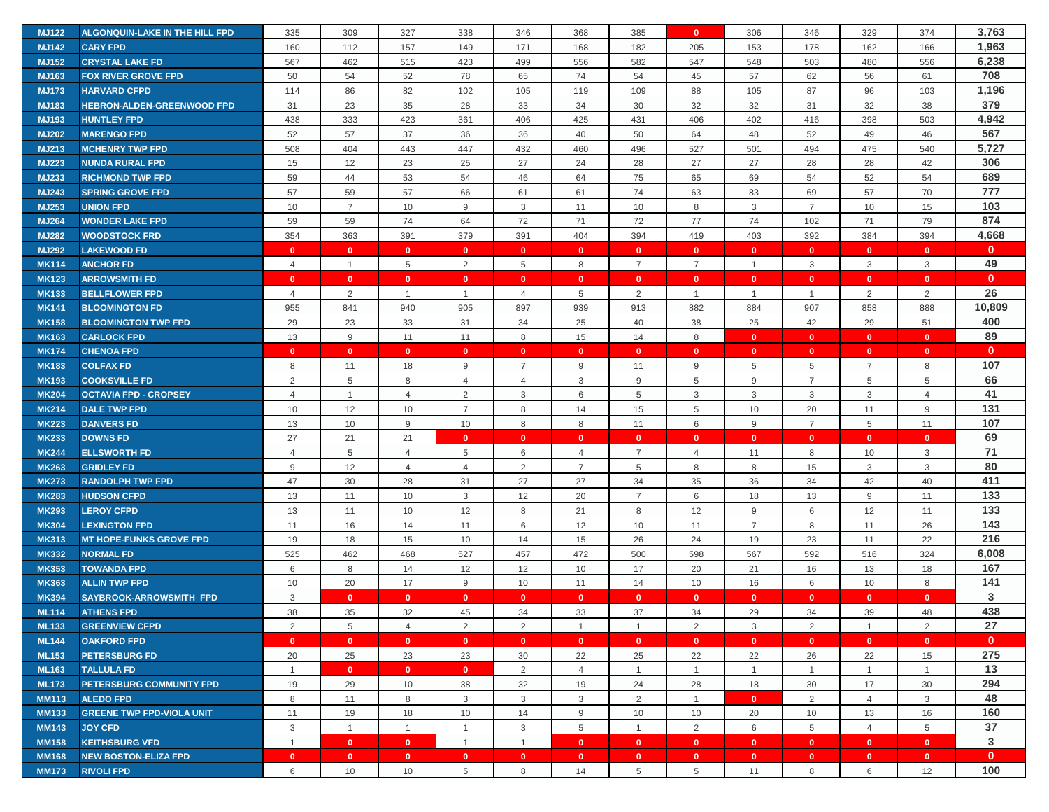| <b>MJ122</b> | ALGONQUIN-LAKE IN THE HILL FPD   | 335            | 309             | 327                     | 338            | 346            | 368             | 385            | $\mathbf{0}$    | 306            | 346            | 329            | 374            | 3,763        |
|--------------|----------------------------------|----------------|-----------------|-------------------------|----------------|----------------|-----------------|----------------|-----------------|----------------|----------------|----------------|----------------|--------------|
| <b>MJ142</b> | <b>CARY FPD</b>                  | 160            | 112             | 157                     | 149            | 171            | 168             | 182            | 205             | 153            | 178            | 162            | 166            | 1,963        |
| <b>MJ152</b> | <b>CRYSTAL LAKE FD</b>           | 567            | 462             | 515                     | 423            | 499            | 556             | 582            | 547             | 548            | 503            | 480            | 556            | 6,238        |
| MJ163        | <b>FOX RIVER GROVE FPD</b>       | 50             | 54              | 52                      | 78             | 65             | 74              | 54             | 45              | 57             | 62             | 56             | 61             | 708          |
| <b>MJ173</b> | <b>HARVARD CFPD</b>              | 114            | 86              | 82                      | 102            | 105            | 119             | 109            | 88              | 105            | 87             | 96             | 103            | 1,196        |
| <b>MJ183</b> | HEBRON-ALDEN-GREENWOOD FPD       | 31             | 23              | 35                      | 28             | 33             | 34              | 30             | 32              | 32             | 31             | 32             | 38             | 379          |
| MJ193        | <b>HUNTLEY FPD</b>               | 438            | 333             | 423                     | 361            | 406            | 425             | 431            | 406             | 402            | 416            | 398            | 503            | 4,942        |
| <b>MJ202</b> | <b>MARENGO FPD</b>               | 52             | 57              | 37                      | 36             | 36             | 40              | 50             | 64              | 48             | 52             | 49             | 46             | 567          |
| <b>MJ213</b> | <b>MCHENRY TWP FPD</b>           | 508            | 404             | 443                     | 447            | 432            | 460             | 496            | 527             | 501            | 494            | 475            | 540            | 5,727        |
| <b>MJ223</b> | <b>NUNDA RURAL FPD</b>           | 15             | 12              | 23                      | 25             | 27             | 24              | 28             | 27              | 27             | 28             | 28             | 42             | 306          |
| <b>MJ233</b> | <b>RICHMOND TWP FPD</b>          | 59             | 44              | 53                      | 54             | 46             | 64              | 75             | 65              | 69             | 54             | 52             | 54             | 689          |
| <b>MJ243</b> | <b>SPRING GROVE FPD</b>          | 57             | 59              | 57                      | 66             | 61             | 61              | 74             | 63              | 83             | 69             | 57             | 70             | 777          |
| MJ253        | <b>UNION FPD</b>                 | 10             | $\overline{7}$  | 10                      | 9              | 3              | 11              | 10             | 8               | 3              | $\overline{7}$ | 10             | 15             | 103          |
| <b>MJ264</b> | <b>WONDER LAKE FPD</b>           | 59             | 59              | 74                      | 64             | 72             | 71              | 72             | 77              | 74             | 102            | 71             | 79             | 874          |
| <b>MJ282</b> | <b>WOODSTOCK FRD</b>             | 354            | 363             | 391                     | 379            | 391            | 404             | 394            | 419             | 403            | 392            | 384            | 394            | 4,668        |
| <b>MJ292</b> | <b>LAKEWOOD FD</b>               | $\mathbf{0}$   | $\mathbf{0}$    | $\mathbf{0}$            | $\mathbf{0}$   | $\mathbf{0}$   | $\mathbf{0}$    | $\mathbf{0}$   | $\mathbf{0}$    | $\mathbf{0}$   | $\mathbf{0}$   | $\mathbf{0}$   | $\mathbf{0}$   | $\mathbf{0}$ |
| <b>MK114</b> | <b>ANCHOR FD</b>                 | $\overline{4}$ | $\overline{1}$  | $5\phantom{.0}$         | 2              | 5              | 8               | $\overline{7}$ | $\overline{7}$  | $\overline{1}$ | 3              | 3              | $\mathbf{3}$   | 49           |
| <b>MK123</b> | <b>ARROWSMITH FD</b>             | $\mathbf{0}$   | $\mathbf{0}$    | $\mathbf{0}$            | $\mathbf{0}$   | $\mathbf{0}$   | $\mathbf{0}$    | $\mathbf{0}$   | $\mathbf{0}$    | $\mathbf{0}$   | $\mathbf{0}$   | $\mathbf{0}$   | $\mathbf{0}$   | $\mathbf{0}$ |
| <b>MK133</b> | <b>BELLFLOWER FPD</b>            | $\overline{4}$ | $\overline{2}$  | $\overline{1}$          | $\overline{1}$ | $\overline{4}$ | 5               | $\overline{2}$ | $\overline{1}$  | $\overline{1}$ | $\overline{1}$ | 2              | 2              | 26           |
| <b>MK141</b> | <b>BLOOMINGTON FD</b>            | 955            | 841             | 940                     | 905            | 897            | 939             | 913            | 882             | 884            | 907            | 858            | 888            | 10,809       |
| <b>MK158</b> | <b>BLOOMINGTON TWP FPD</b>       | 29             | 23              | 33                      | 31             | 34             | 25              | 40             | 38              | 25             | 42             | 29             | 51             | 400          |
| <b>MK163</b> | <b>CARLOCK FPD</b>               | 13             | 9               | 11                      | 11             | 8              | 15              | 14             | 8               | $\mathbf{0}$   | $\bullet$      | $\mathbf{0}$   | $\mathbf{0}$   | 89           |
| <b>MK174</b> | <b>CHENOA FPD</b>                | $\mathbf{0}$   | $\mathbf{0}$    | $\mathbf{0}$            | $\mathbf{0}$   | $\mathbf{0}$   | $\mathbf{0}$    | $\mathbf{0}$   | $\mathbf{0}$    | $\mathbf{0}$   | $\mathbf{0}$   | $\mathbf{0}$   | $\mathbf{0}$   | $\mathbf{0}$ |
| <b>MK183</b> | <b>COLFAX FD</b>                 | 8              | 11              | 18                      | 9              | $\overline{7}$ | 9               | 11             | 9               | 5              | 5              | $\overline{7}$ | 8              | 107          |
| <b>MK193</b> | <b>COOKSVILLE FD</b>             | 2              | $5\phantom{.0}$ | 8                       | $\overline{4}$ | $\overline{4}$ | 3               | 9              | 5               | 9              | $\overline{7}$ | 5              | 5              | 66           |
| <b>MK204</b> | <b>OCTAVIA FPD - CROPSEY</b>     | $\overline{4}$ | $\overline{1}$  | $\overline{4}$          | 2              | 3              | 6               | 5              | 3               | $\mathbf{3}$   | 3              | $\mathsf 3$    | $\overline{4}$ | 41           |
| <b>MK214</b> | <b>DALE TWP FPD</b>              | 10             | 12              | 10                      | $\overline{7}$ | 8              | 14              | 15             | 5               | 10             | 20             | 11             | 9              | 131          |
| <b>MK223</b> | <b>DANVERS FD</b>                | 13             | 10              | 9                       | 10             | 8              | 8               | 11             | 6               | 9              | $\overline{7}$ | 5              | 11             | 107          |
| <b>MK233</b> | <b>DOWNS FD</b>                  | 27             | 21              | 21                      | $\mathbf{0}$   | $\mathbf{0}$   | $\mathbf{0}$    | $\mathbf{0}$   | $\mathbf{0}$    | $\mathbf{0}$   | $\mathbf{0}$   | $\mathbf{0}$   | $\mathbf{0}$   | 69           |
| <b>MK244</b> | <b>ELLSWORTH FD</b>              | $\overline{4}$ | $\overline{5}$  | 4                       | 5              | 6              | 4               | $\overline{7}$ | $\overline{4}$  | 11             | 8              | 10             | 3              | 71           |
| <b>MK263</b> | <b>GRIDLEY FD</b>                | 9              | 12              | 4                       | $\overline{4}$ | 2              | $\overline{7}$  | 5              | 8               | 8              | 15             | 3              | 3              | 80           |
| <b>MK273</b> | <b>RANDOLPH TWP FPD</b>          | 47             | 30              | 28                      | 31             | 27             | 27              | 34             | 35              | 36             | 34             | 42             | 40             | 411          |
| <b>MK283</b> | <b>HUDSON CFPD</b>               | 13             | 11              | 10                      | 3              | 12             | 20              | $\overline{7}$ | 6               | 18             | 13             | 9              | 11             | 133          |
| <b>MK293</b> | <b>LEROY CFPD</b>                | 13             | 11              | 10                      | 12             | 8              | 21              | 8              | 12              | 9              | 6              | 12             | 11             | 133          |
| <b>MK304</b> | <b>LEXINGTON FPD</b>             | 11             | 16              | 14                      | 11             | 6              | 12              | 10             | 11              | $\overline{7}$ | 8              | 11             | 26             | 143          |
| <b>MK313</b> | <b>MT HOPE-FUNKS GROVE FPD</b>   | 19             | 18              | 15                      | 10             | 14             | 15              | 26             | 24              | 19             | 23             | 11             | 22             | 216          |
| <b>MK332</b> | <b>NORMAL FD</b>                 | 525            | 462             | 468                     | 527            | 457            | 472             | 500            | 598             | 567            | 592            | 516            | 324            | 6,008        |
| <b>MK353</b> | <b>TOWANDA FPD</b>               | 6              | 8               | 14                      | 12             | 12             | 10              | 17             | 20              | 21             | 16             | 13             | 18             | 167          |
| <b>MK363</b> | <b>ALLIN TWP FPD</b>             | 10             | 20              | 17                      | 9              | 10             | 11              | 14             | 10              | 16             | 6              | 10             | 8              | 141          |
| <b>MK394</b> | <b>SAYBROOK-ARROWSMITH FPD</b>   | 3              | $\mathbf{0}$    | $\mathbf{0}$            | $\mathbf{0}$   | $\mathbf{0}$   | $\mathbf{0}$    | $\mathbf{0}$   | $\mathbf{0}$    | $\mathbf{0}$   | $\mathbf{0}$   | $\mathbf{0}$   | $\mathbf{0}$   | 3            |
| <b>ML114</b> | <b>ATHENS FPD</b>                | 38             | 35              | 32                      | 45             | 34             | 33              | 37             | 34              | 29             | 34             | 39             | 48             | 438          |
| <b>ML133</b> | <b>GREENVIEW CFPD</b>            | 2              | 5               | $\overline{4}$          | 2              | 2              | $\overline{1}$  | $\overline{1}$ | 2               | 3              | 2              | $\overline{1}$ | 2              | 27           |
| <b>ML144</b> | <b>OAKFORD FPD</b>               | $\mathbf{0}$   | $\mathbf{0}$    | $\overline{\mathbf{0}}$ | $\mathbf{0}$   | $\mathbf{0}$   | $\mathbf{0}$    | $\mathbf{0}$   | $\mathbf{0}$    | $\mathbf{0}$   | $\mathbf{0}$   | $\mathbf{0}$   | $\mathbf{0}$   | $\mathbf{0}$ |
| <b>ML153</b> | <b>PETERSBURG FD</b>             | 20             | 25              | 23                      | 23             | 30             | 22              | 25             | 22              | 22             | 26             | 22             | 15             | 275          |
| <b>ML163</b> | <b>TALLULA FD</b>                | $\overline{1}$ | $\mathbf{0}$    | $\overline{0}$          | $\mathbf{0}$   | 2              | $\overline{4}$  | $\mathbf{1}$   | $\mathbf{1}$    | $\mathbf{1}$   | $\mathbf{1}$   | $\mathbf{1}$   | $\overline{1}$ | 13           |
| <b>ML173</b> | PETERSBURG COMMUNITY FPD         | 19             | 29              | 10                      | 38             | 32             | 19              | 24             | 28              | 18             | 30             | 17             | 30             | 294          |
| <b>MM113</b> | <b>ALEDO FPD</b>                 | 8              | 11              | 8                       | 3              | 3              | 3               | 2              | $\mathbf{1}$    | $\mathbf{0}$   | $\overline{2}$ | $\overline{4}$ | 3              | 48           |
| <b>MM133</b> | <b>GREENE TWP FPD-VIOLA UNIT</b> | 11             | 19              | 18                      | 10             | 14             | 9               | 10             | 10              | 20             | 10             | 13             | 16             | 160          |
| <b>MM143</b> | <b>JOY CFD</b>                   | $\mathbf{3}$   | $\mathbf{1}$    | $\overline{1}$          | $\mathbf{1}$   | $\mathbf{3}$   | $5\phantom{.0}$ | $\mathbf{1}$   | $\overline{2}$  | 6              | 5              | $\overline{4}$ | 5              | 37           |
| <b>MM158</b> | <b>KEITHSBURG VFD</b>            | $\overline{1}$ | $\bullet$       | $\overline{0}$          | $\overline{1}$ | $\mathbf{1}$   | $\mathbf{0}$    | $\mathbf{0}$   | $\mathbf{0}$    | $\mathbf{0}$   | $\overline{0}$ | $\mathbf{0}$   | $\mathbf{0}$   | 3            |
| <b>MM168</b> | <b>NEW BOSTON-ELIZA FPD</b>      | $\mathbf{0}$   | $\mathbf{0}$    | $\overline{\mathbf{0}}$ | $\mathbf{0}$   | $\bullet$      | $\mathbf{0}$    | $\mathbf{0}$   | $\mathbf{0}$    | $\mathbf{0}$   | $\mathbf{0}$   | $\mathbf{0}$   | $\mathbf{0}$   | $\mathbf{0}$ |
| <b>MM173</b> | <b>RIVOLI FPD</b>                | 6              | 10              | 10                      | 5              | 8              | 14              | 5              | $5\overline{)}$ | 11             | 8              | 6              | 12             | 100          |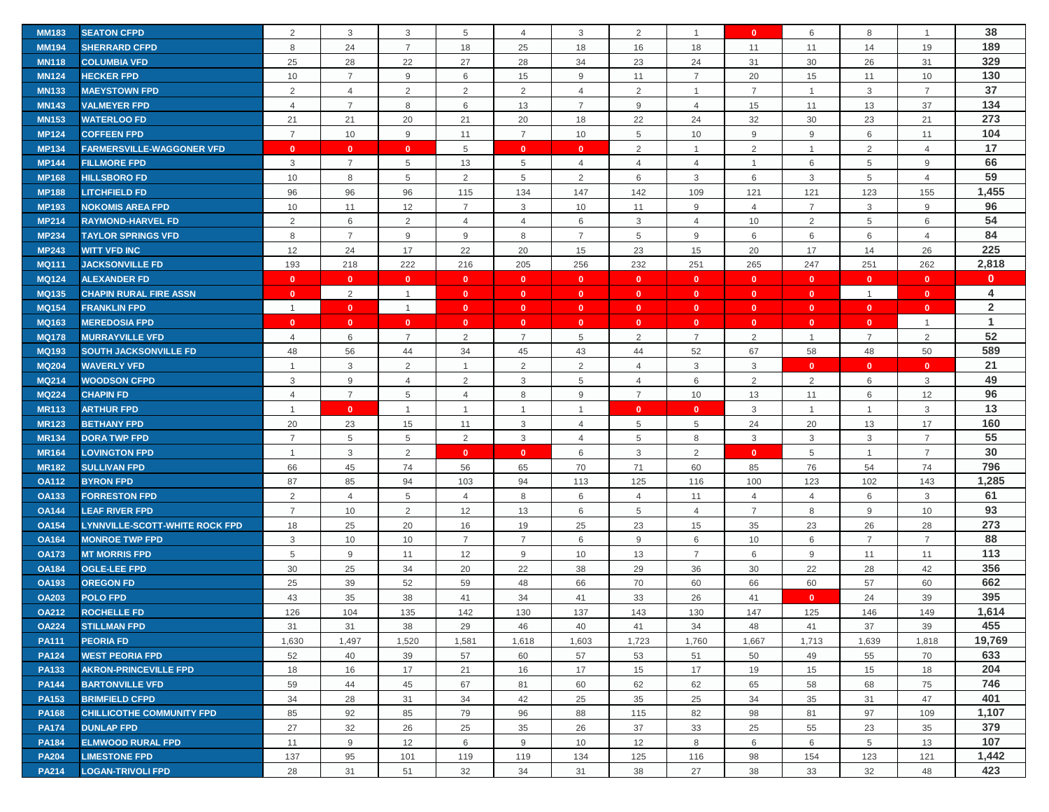| <b>MM183</b> | <b>SEATON CFPD</b>                    | 2              | 3              | 3               | 5              | $\overline{4}$ | 3              | 2              |                 | $\mathbf{0}$   | 6              | 8              | $\overline{1}$ | 38             |
|--------------|---------------------------------------|----------------|----------------|-----------------|----------------|----------------|----------------|----------------|-----------------|----------------|----------------|----------------|----------------|----------------|
| <b>MM194</b> | <b>SHERRARD CFPD</b>                  | 8              | 24             | $\overline{7}$  | 18             | 25             | 18             | 16             | 18              | 11             | 11             | 14             | 19             | 189            |
| <b>MN118</b> | <b>COLUMBIA VFD</b>                   | 25             | 28             | 22              | 27             | 28             | 34             | 23             | 24              | 31             | 30             | 26             | 31             | 329            |
| <b>MN124</b> | <b>HECKER FPD</b>                     | 10             | $\overline{7}$ | 9               | 6              | 15             | 9              | 11             | $\overline{7}$  | 20             | 15             | 11             | 10             | 130            |
| <b>MN133</b> | <b>MAEYSTOWN FPD</b>                  | 2              | $\overline{4}$ | $\overline{2}$  | 2              | 2              | $\overline{4}$ | 2              | $\mathbf{1}$    | $\overline{7}$ | $\overline{1}$ | 3              | $\overline{7}$ | 37             |
| <b>MN143</b> | <b>VALMEYER FPD</b>                   | 4              | $\overline{7}$ | 8               | 6              | 13             | $\overline{7}$ | 9              | $\overline{4}$  | 15             | 11             | 13             | 37             | 134            |
| <b>MN153</b> | <b>WATERLOO FD</b>                    | 21             | 21             | 20              | 21             | 20             | 18             | 22             | 24              | 32             | 30             | 23             | 21             | 273            |
| <b>MP124</b> | <b>COFFEEN FPD</b>                    | $\overline{7}$ | 10             | 9               | 11             | $\overline{7}$ | 10             | 5              | 10              | 9              | 9              | 6              | 11             | 104            |
| <b>MP134</b> | <b>FARMERSVILLE-WAGGONER VFD</b>      | $\mathbf{0}$   | $\mathbf{0}$   | $\mathbf{0}$    | 5              | $\mathbf{0}$   | $\mathbf{0}$   | 2              | 1               | 2              | $\mathbf{1}$   | 2              | $\overline{4}$ | 17             |
| <b>MP144</b> | <b>FILLMORE FPD</b>                   | 3              | $\overline{7}$ | 5               | 13             | 5              | $\overline{4}$ | $\overline{4}$ | $\overline{4}$  | $\overline{1}$ | 6              | 5              | 9              | 66             |
| <b>MP168</b> | <b>HILLSBORO FD</b>                   | 10             | 8              | 5               | $\overline{2}$ | 5              | $\overline{2}$ | 6              | 3               | 6              | 3              | 5              | 4              | 59             |
| <b>MP188</b> | <b>LITCHFIELD FD</b>                  | 96             | 96             | 96              | 115            | 134            | 147            | 142            | 109             | 121            | 121            | 123            | 155            | 1,455          |
| <b>MP193</b> | <b>NOKOMIS AREA FPD</b>               | 10             | 11             | 12              | $\overline{7}$ | 3              | 10             | 11             | 9               | $\overline{4}$ | $\overline{7}$ | 3              | $9\,$          | 96             |
| <b>MP214</b> | <b>RAYMOND-HARVEL FD</b>              | 2              | $\,6\,$        | 2               | $\overline{4}$ | $\overline{4}$ | 6              | 3              | $\overline{4}$  | 10             | 2              | 5              | 6              | 54             |
| <b>MP234</b> | <b>TAYLOR SPRINGS VFD</b>             | 8              | $\overline{7}$ | 9               | 9              | 8              | $\overline{7}$ | 5              | 9               | 6              | 6              | 6              | $\overline{4}$ | 84             |
| <b>MP243</b> | <b>WITT VFD INC</b>                   | 12             | 24             | 17              | 22             | 20             | 15             | 23             | 15              | 20             | 17             | 14             | 26             | 225            |
| <b>MQ111</b> | <b>JACKSONVILLE FD</b>                | 193            | 218            | 222             | 216            | 205            | 256            | 232            | 251             | 265            | 247            | 251            | 262            | 2,818          |
| <b>MQ124</b> | <b>ALEXANDER FD</b>                   | $\mathbf{0}$   | $\mathbf{0}$   | $\mathbf{0}$    | $\mathbf{0}$   | $\mathbf{0}$   | $\bullet$      | $\mathbf{0}$   | $\mathbf{0}$    | $\mathbf{0}$   | $\mathbf{0}$   | $\mathbf{0}$   | $\mathbf{0}$   | $\mathbf{0}$   |
| <b>MQ135</b> | <b>CHAPIN RURAL FIRE ASSN</b>         | $\mathbf{0}$   | 2              | $\overline{1}$  | $\mathbf{0}$   | $\mathbf{0}$   | $\mathbf{0}$   | $\mathbf{0}$   | $\mathbf{0}$    | $\mathbf{0}$   | $\mathbf{0}$   | $\overline{1}$ | $\mathbf{0}$   | 4              |
| <b>MQ154</b> | <b>FRANKLIN FPD</b>                   | $\overline{1}$ | $\mathbf{0}$   | $\overline{1}$  | $\mathbf{0}$   | $\mathbf{0}$   | $\mathbf{0}$   | $\mathbf{0}$   | $\mathbf{0}$    | $\mathbf{0}$   | $\mathbf{0}$   | $\mathbf{0}$   | $\mathbf{0}$   | $\overline{2}$ |
| <b>MQ163</b> | <b>MEREDOSIA FPD</b>                  | $\mathbf{0}$   | $\mathbf{0}$   | $\mathbf{0}$    | $\mathbf{0}$   | $\mathbf{0}$   | $\mathbf{0}$   | $\mathbf{0}$   | $\mathbf{0}$    | $\mathbf{0}$   | $\mathbf{0}$   | $\mathbf{0}$   | $\mathbf{1}$   | $\mathbf{1}$   |
| <b>MQ178</b> | <b>MURRAYVILLE VFD</b>                | 4              | 6              | $\overline{7}$  | 2              | $\overline{7}$ | 5              | $\overline{2}$ | $\overline{7}$  | $\overline{2}$ | $\overline{1}$ | $\overline{7}$ | $\overline{2}$ | 52             |
| <b>MQ193</b> | <b>SOUTH JACKSONVILLE FD</b>          | 48             | 56             | 44              | 34             | 45             | 43             | 44             | 52              | 67             | 58             | 48             | 50             | 589            |
| <b>MQ204</b> | <b>WAVERLY VFD</b>                    | $\overline{1}$ | 3              | 2               | $\overline{1}$ | 2              | $\overline{2}$ | $\overline{4}$ | 3               | $\mathbf{3}$   | $\mathbf{0}$   | $\mathbf{0}$   | $\mathbf{0}$   | 21             |
| <b>MQ214</b> | <b>WOODSON CFPD</b>                   | 3              | 9              | $\overline{4}$  | 2              | 3              | 5              | $\overline{4}$ | 6               | $\overline{2}$ | $\overline{2}$ | 6              | 3              | 49             |
| <b>MQ224</b> | <b>CHAPIN FD</b>                      | $\overline{4}$ | $\overline{7}$ | 5               | $\overline{4}$ | 8              | 9              | $\overline{7}$ | 10              | 13             | 11             | 6              | 12             | 96             |
| <b>MR113</b> | <b>ARTHUR FPD</b>                     | $\overline{1}$ | $\mathbf{0}$   | $\overline{1}$  | $\overline{1}$ | $\overline{1}$ | $\overline{1}$ | $\mathbf{0}$   | $\mathbf{0}$    | $\mathbf{3}$   | $\overline{1}$ | $\overline{1}$ | 3              | 13             |
| <b>MR123</b> | <b>BETHANY FPD</b>                    | 20             | 23             | 15              | 11             | 3              | $\overline{4}$ | 5              | $5\phantom{.0}$ | 24             | 20             | 13             | 17             | 160            |
| <b>MR134</b> | <b>DORA TWP FPD</b>                   | $\overline{7}$ | 5              | $5\phantom{.0}$ | 2              | 3              | 4              | 5              | 8               | 3              | 3              | 3              | $\overline{7}$ | 55             |
| <b>MR164</b> | <b>LOVINGTON FPD</b>                  | $\overline{1}$ | $\mathsf 3$    | $\overline{2}$  | $\mathbf{0}$   | $\mathbf{0}$   | 6              | 3              | $\overline{2}$  | $\mathbf{0}$   | 5              | $\mathbf{1}$   | $\overline{7}$ | 30             |
| <b>MR182</b> | <b>SULLIVAN FPD</b>                   | 66             | 45             | 74              | 56             | 65             | 70             | 71             | 60              | 85             | 76             | 54             | 74             | 796            |
| <b>OA112</b> | <b>BYRON FPD</b>                      | 87             | 85             | 94              | 103            | 94             | 113            | 125            | 116             | 100            | 123            | 102            | 143            | 1,285          |
| <b>OA133</b> | <b>FORRESTON FPD</b>                  | 2              | $\overline{4}$ | 5               | 4              | 8              | 6              | $\overline{4}$ | 11              | $\overline{4}$ | $\overline{4}$ | 6              | 3              | 61             |
| <b>OA144</b> | <b>LEAF RIVER FPD</b>                 | $\overline{7}$ | 10             | 2               | 12             | 13             | 6              | 5              | $\overline{4}$  | $\overline{7}$ | 8              | 9              | 10             | 93             |
| <b>OA154</b> | <b>LYNNVILLE-SCOTT-WHITE ROCK FPD</b> | 18             | 25             | 20              | 16             | 19             | 25             | 23             | 15              | 35             | 23             | 26             | 28             | 273            |
| <b>OA164</b> | <b>MONROE TWP FPD</b>                 | 3              | 10             | 10              | $\overline{7}$ | $\overline{7}$ | 6              | 9              | 6               | 10             | 6              | $\overline{7}$ | $\overline{7}$ | 88             |
| <b>OA173</b> | <b>MT MORRIS FPD</b>                  | 5              | 9              | 11              | 12             | 9              | 10             | 13             | $\overline{7}$  | 6              | 9              | 11             | 11             | 113            |
| <b>OA184</b> | <b>OGLE-LEE FPD</b>                   | 30             | 25             | 34              | 20             | 22             | 38             | 29             | 36              | 30             | 22             | 28             | 42             | 356            |
| <b>OA193</b> | <b>OREGON FD</b>                      | 25             | 39             | 52              | 59             | 48             | 66             | 70             | 60              | 66             | 60             | 57             | 60             | 662            |
| <b>OA203</b> | <b>POLO FPD</b>                       | 43             | 35             | 38              | 41             | 34             | 41             | 33             | 26              | 41             | $\mathbf{0}$   | 24             | 39             | 395            |
| <b>OA212</b> | <b>ROCHELLE FD</b>                    | 126            | 104            | 135             | 142            | 130            | 137            | 143            | 130             | 147            | 125            | 146            | 149            | 1.614          |
| <b>OA224</b> | <b>STILLMAN FPD</b>                   | 31             | 31             | 38              | 29             | 46             | 40             | 41             | 34              | 48             | 41             | 37             | 39             | 455            |
| <b>PA111</b> | <b>PEORIA FD</b>                      | 1,630          | 1,497          | 1,520           | 1,581          | 1,618          | 1,603          | 1,723          | 1,760           | 1,667          | 1,713          | 1,639          | 1,818          | 19,769         |
| <b>PA124</b> | <b>WEST PEORIA FPD</b>                | 52             | 40             | 39              | 57             | 60             | 57             | 53             | 51              | 50             | 49             | 55             | 70             | 633            |
| <b>PA133</b> | <b>AKRON-PRINCEVILLE FPD</b>          | 18             | 16             | 17              | 21             | 16             | 17             | 15             | 17              | 19             | 15             | 15             | 18             | 204            |
| <b>PA144</b> | <b>BARTONVILLE VFD</b>                | 59             | 44             | 45              | 67             | 81             | 60             | 62             | 62              | 65             | 58             | 68             | 75             | 746            |
| <b>PA153</b> | <b>BRIMFIELD CFPD</b>                 | 34             | 28             | 31              | 34             | 42             | 25             | 35             | 25              | 34             | 35             | 31             | 47             | 401            |
| <b>PA168</b> | <b>CHILLICOTHE COMMUNITY FPD</b>      | 85             | 92             | 85              | 79             | 96             | 88             | 115            | 82              | 98             | 81             | 97             | 109            | 1,107          |
| <b>PA174</b> | <b>DUNLAP FPD</b>                     | 27             | 32             | 26              | 25             | 35             | 26             | 37             | 33              | 25             | 55             | 23             | 35             | 379            |
| <b>PA184</b> | <b>ELMWOOD RURAL FPD</b>              | 11             | 9              | 12              | 6              | 9              | 10             | 12             | 8               | 6              | 6              | 5              | 13             | 107            |
| <b>PA204</b> | <b>LIMESTONE FPD</b>                  | 137            | 95             | 101             | 119            | 119            | 134            | 125            | 116             | 98             | 154            | 123            | 121            | 1,442          |
| <b>PA214</b> | <b>LOGAN-TRIVOLI FPD</b>              | 28             | 31             | 51              | 32             | 34             | 31             | 38             | 27              | 38             | 33             | 32             | 48             | 423            |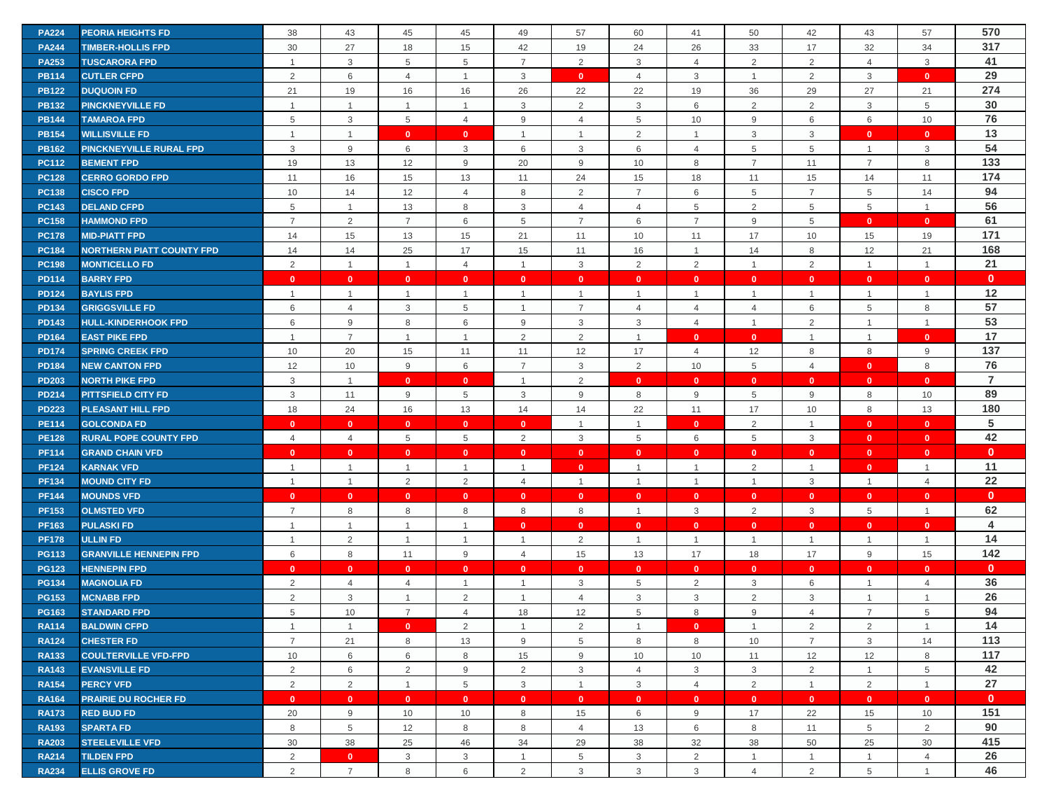| <b>PA224</b> | <b>PEORIA HEIGHTS FD</b>         | 38             | 43             | 45             | 45             | 49             | 57             | 60             | 41             | 50             | 42             | 43             | 57             | 570            |
|--------------|----------------------------------|----------------|----------------|----------------|----------------|----------------|----------------|----------------|----------------|----------------|----------------|----------------|----------------|----------------|
| <b>PA244</b> | <b>TIMBER-HOLLIS FPD</b>         | 30             | 27             | 18             | 15             | 42             | 19             | 24             | 26             | 33             | 17             | 32             | 34             | 317            |
| <b>PA253</b> | <b>TUSCARORA FPD</b>             | $\overline{1}$ | $\mathbf{3}$   | 5              | 5              | $\overline{7}$ | 2              | 3              | $\overline{4}$ | 2              | 2              | $\overline{4}$ | 3              | 41             |
| <b>PB114</b> | <b>CUTLER CFPD</b>               | 2              | 6              | $\overline{4}$ | $\overline{1}$ | 3              | $\mathbf{0}$   | $\overline{4}$ | 3              | $\mathbf{1}$   | 2              | 3              | $\mathbf{0}$   | 29             |
| <b>PB122</b> | <b>DUQUOIN FD</b>                | 21             | 19             | 16             | 16             | 26             | 22             | 22             | 19             | 36             | 29             | 27             | 21             | 274            |
| <b>PB132</b> | <b>PINCKNEYVILLE FD</b>          | $\overline{1}$ | $\mathbf{1}$   | $\overline{1}$ | $\overline{1}$ | 3              | 2              | 3              | 6              | 2              | 2              | 3              | 5              | 30             |
| <b>PB144</b> | <b>TAMAROA FPD</b>               | 5              | 3              | 5              | $\overline{4}$ | 9              | $\overline{4}$ | 5              | 10             | 9              | 6              | 6              | 10             | 76             |
| <b>PB154</b> | <b>WILLISVILLE FD</b>            | $\overline{1}$ | $\overline{1}$ | $\mathbf{0}$   | $\mathbf{0}$   | $\overline{1}$ | $\overline{1}$ | 2              | $\mathbf{1}$   | 3              | 3              | $\mathbf{0}$   | $\mathbf{0}$   | 13             |
| <b>PB162</b> | <b>PINCKNEYVILLE RURAL FPD</b>   | 3              | 9              | 6              | 3              | 6              | 3              | 6              | 4              | 5              | 5              | $\mathbf{1}$   | 3              | 54             |
| <b>PC112</b> | <b>BEMENT FPD</b>                | 19             | 13             | 12             | 9              | 20             | 9              | 10             | 8              | $\overline{7}$ | 11             | $\overline{7}$ | 8              | 133            |
| <b>PC128</b> | <b>CERRO GORDO FPD</b>           | 11             | 16             | 15             | 13             | 11             | 24             | 15             | 18             | 11             | 15             | 14             | 11             | 174            |
| <b>PC138</b> | <b>CISCO FPD</b>                 | 10             | 14             | 12             | 4              | 8              | 2              | $\overline{7}$ | 6              | 5              | $\overline{7}$ | 5              | 14             | 94             |
| <b>PC143</b> | <b>DELAND CFPD</b>               | 5              | $\overline{1}$ | 13             | 8              | 3              | $\overline{4}$ | 4              | 5              | $\overline{2}$ | 5              | 5              | $\overline{1}$ | 56             |
| <b>PC158</b> | <b>HAMMOND FPD</b>               | $\overline{7}$ | $\overline{2}$ | $\overline{7}$ | 6              | 5              | $\overline{7}$ | 6              | $\overline{7}$ | 9              | 5              | $\mathbf{0}$   | $\mathbf{0}$   | 61             |
| <b>PC178</b> | <b>MID-PIATT FPD</b>             | 14             | 15             | 13             | 15             | 21             | 11             | 10             | 11             | 17             | 10             | 15             | 19             | 171            |
| <b>PC184</b> | <b>NORTHERN PIATT COUNTY FPD</b> | 14             | 14             | 25             | 17             | 15             | 11             | 16             | $\mathbf{1}$   | 14             | 8              | 12             | 21             | 168            |
| <b>PC198</b> | <b>MONTICELLO FD</b>             | 2              | $\mathbf{1}$   | $\overline{1}$ | $\overline{4}$ | $\overline{1}$ | $\mathbf{3}$   | $\overline{2}$ | 2              | $\overline{1}$ | 2              | $\mathbf{1}$   | $\overline{1}$ | 21             |
| <b>PD114</b> | <b>BARRY FPD</b>                 | $\mathbf{0}$   | $\mathbf{0}$   | $\mathbf{0}$   | $\mathbf{0}$   | $\mathbf{0}$   | $\mathbf{0}$   | $\mathbf{0}$   | $\mathbf{0}$   | $\mathbf{0}$   | $\mathbf{0}$   | $\mathbf{0}$   | $\mathbf{0}$   | $\mathbf{0}$   |
| <b>PD124</b> | <b>BAYLIS FPD</b>                | $\overline{1}$ | $\mathbf{1}$   | $\overline{1}$ | $\overline{1}$ | $\overline{1}$ | $\overline{1}$ | $\overline{1}$ | $\mathbf{1}$   | $\overline{1}$ | $\overline{1}$ | $\mathbf{1}$   | $\overline{1}$ | 12             |
| <b>PD134</b> | <b>GRIGGSVILLE FD</b>            | 6              | $\overline{4}$ | 3              | 5              | $\overline{1}$ | $\overline{7}$ | $\overline{4}$ | $\overline{4}$ | $\overline{4}$ | 6              | 5              | 8              | 57             |
| <b>PD143</b> | <b>HULL-KINDERHOOK FPD</b>       | 6              | 9              | 8              | 6              | 9              | 3              | 3              | $\overline{4}$ | $\mathbf{1}$   | 2              | $\mathbf{1}$   | $\overline{1}$ | 53             |
| <b>PD164</b> | <b>EAST PIKE FPD</b>             | $\overline{1}$ | $\overline{7}$ | $\overline{1}$ | $\overline{1}$ | 2              | 2              | $\overline{1}$ | $\mathbf{0}$   | $\mathbf{0}$   | $\overline{1}$ | $\mathbf{1}$   | $\mathbf{0}$   | 17             |
| <b>PD174</b> | <b>SPRING CREEK FPD</b>          | 10             | 20             | 15             | 11             | 11             | 12             | 17             | $\overline{4}$ | 12             | 8              | 8              | 9              | 137            |
| <b>PD184</b> | <b>NEW CANTON FPD</b>            | 12             | 10             | 9              | 6              | $\overline{7}$ | 3              | 2              | 10             | 5              | $\overline{4}$ | $\mathbf{0}$   | 8              | 76             |
| <b>PD203</b> | <b>NORTH PIKE FPD</b>            | 3              | $\overline{1}$ | $\mathbf{0}$   | $\mathbf{0}$   | $\overline{1}$ | 2              | $\mathbf{0}$   | $\mathbf{0}$   | $\mathbf{0}$   | $\mathbf{0}$   | $\mathbf{0}$   | $\mathbf{0}$   | $\overline{7}$ |
| <b>PD214</b> | <b>PITTSFIELD CITY FD</b>        | 3              | 11             | 9              | 5              | 3              | 9              | 8              | 9              | $\overline{5}$ | 9              | 8              | 10             | 89             |
| <b>PD223</b> | PLEASANT HILL FPD                | 18             | 24             | 16             | 13             | 14             | 14             | 22             | 11             | 17             | 10             | 8              | 13             | 180            |
| <b>PE114</b> | <b>GOLCONDA FD</b>               | $\mathbf{0}$   | $\mathbf{0}$   | $\mathbf{0}$   | $\mathbf{0}$   | $\mathbf{0}$   | $\overline{1}$ | $\overline{1}$ | $\mathbf{0}$   | $\overline{2}$ | $\overline{1}$ | $\mathbf{0}$   | $\mathbf{0}$   | 5              |
| <b>PE128</b> | <b>RURAL POPE COUNTY FPD</b>     | $\overline{4}$ | $\overline{4}$ | 5              | 5              | 2              | 3              | 5              | 6              | 5              | 3              | $\mathbf{0}$   | $\mathbf{0}$   | 42             |
| <b>PF114</b> | <b>GRAND CHAIN VFD</b>           | $\mathbf{0}$   | $\mathbf{0}$   | $\mathbf{0}$   | $\mathbf{0}$   | $\mathbf{0}$   | $\mathbf{0}$   | $\mathbf{0}$   | $\mathbf{0}$   | $\mathbf{0}$   | $\mathbf{0}$   | $\mathbf{0}$   | $\mathbf{0}$   | $\mathbf{0}$   |
| <b>PF124</b> | <b>KARNAK VFD</b>                | $\overline{1}$ | $\mathbf{1}$   | $\mathbf{1}$   | $\overline{1}$ | $\overline{1}$ | $\bullet$      | -1             | $\mathbf{1}$   | 2              | $\mathbf{1}$   | $\mathbf{0}$   | $\mathbf{1}$   | 11             |
| <b>PF134</b> | <b>MOUND CITY FD</b>             | $\overline{1}$ | $\mathbf{1}$   | 2              | 2              | $\overline{4}$ | $\overline{1}$ | $\overline{1}$ | $\mathbf{1}$   | $\mathbf{1}$   | $\mathbf{3}$   | $\mathbf{1}$   | $\overline{4}$ | 22             |
| <b>PF144</b> | <b>MOUNDS VFD</b>                | $\mathbf{0}$   | $\mathbf{0}$   | $\mathbf{0}$   | $\mathbf{0}$   | $\mathbf{0}$   | $\mathbf{0}$   | $\mathbf{0}$   | $\mathbf{0}$   | $\mathbf{0}$   | $\mathbf{0}$   | $\mathbf{0}$   | $\mathbf{0}$   | $\mathbf{0}$   |
| <b>PF153</b> | <b>OLMSTED VFD</b>               | $\overline{7}$ | 8              | 8              | 8              | 8              | 8              | $\overline{1}$ | 3              | 2              | 3              | 5              | $\overline{1}$ | 62             |
| <b>PF163</b> | <b>PULASKI FD</b>                | $\overline{1}$ | $\mathbf{1}$   | $\overline{1}$ | $\overline{1}$ | $\mathbf{0}$   | $\mathbf{0}$   | $\mathbf{0}$   | $\mathbf{0}$   | $\mathbf{0}$   | $\mathbf{0}$   | $\mathbf{0}$   | $\mathbf{0}$   | 4              |
| <b>PF178</b> | <b>ULLIN FD</b>                  | $\overline{1}$ | $\overline{2}$ | $\overline{1}$ | $\mathbf{1}$   | $\overline{1}$ | $\overline{2}$ | -1             | $\mathbf{1}$   | $\mathbf{1}$   | $\overline{1}$ | $\mathbf{1}$   | $\overline{1}$ | 14             |
| <b>PG113</b> | <b>GRANVILLE HENNEPIN FPD</b>    | 6              | 8              |                |                |                |                |                |                |                |                |                | 15             | 142            |
| <b>PG123</b> |                                  |                |                | 11             | 9              | $\overline{4}$ | 15             | 13             | 17             | 18             | 17             | 9              |                |                |
|              | <b>HENNEPIN FPD</b>              | $\mathbf{0}$   | $\mathbf{0}$   | $\mathbf{0}$   | $\mathbf{0}$   | $\mathbf{0}$   | $\bullet$      | $\mathbf{0}$   | $\mathbf{0}$   | $\mathbf{0}$   | $\mathbf{0}$   | $\mathbf{0}$   | $\mathbf{0}$   | $\mathbf{0}$   |
| <b>PG134</b> | <b>MAGNOLIA FD</b>               | $\overline{2}$ | $\overline{4}$ | $\overline{4}$ | $\overline{1}$ | $\overline{1}$ | 3              | 5              | $\overline{2}$ | 3              | 6              | $\mathbf{1}$   | $\overline{4}$ | 36             |
| <b>PG153</b> | <b>MCNABB FPD</b>                | 2              | 3              | $\mathbf{1}$   | $\overline{2}$ | $\overline{1}$ | $\overline{4}$ | 3              | 3              | $\overline{2}$ | 3              | $\mathbf{1}$   |                | 26             |
| <b>PG163</b> | <b>STANDARD FPD</b>              | 5              | 10             | $\overline{7}$ | $\overline{4}$ | 18             | 12             | 5              | 8              | 9              | $\overline{4}$ | $\overline{7}$ | 5              | 94             |
| <b>RA114</b> | <b>BALDWIN CFPD</b>              | $\overline{1}$ | $\overline{1}$ | $\mathbf{0}$   | 2              | $\overline{1}$ | 2              | - 1            | $\mathbf{0}$   | $\overline{1}$ | 2              | 2              | $\overline{1}$ | 14             |
| <b>RA124</b> | <b>CHESTER FD</b>                | $\overline{7}$ | 21             | 8              | 13             | 9              | 5              | 8              | 8              | 10             | $\overline{7}$ | 3              | 14             | 113            |
| <b>RA133</b> | <b>COULTERVILLE VFD-FPD</b>      | 10             | 6              | 6              | 8              | 15             | 9              | 10             | 10             | 11             | 12             | 12             | 8              | 117            |
| <b>RA143</b> | <b>EVANSVILLE FD</b>             | $\overline{2}$ | 6              | $\overline{2}$ | 9              | 2              | 3              | $\overline{4}$ | 3              | $\mathbf{3}$   | $\overline{2}$ | $\mathbf{1}$   | 5              | 42             |
| <b>RA154</b> | <b>PERCY VFD</b>                 | 2              | $\overline{2}$ | $\overline{1}$ | 5              | $\mathbf{3}$   | $\overline{1}$ | 3              | $\overline{4}$ | 2              | $\overline{1}$ | $\overline{2}$ | $\overline{1}$ | 27             |
| <b>RA164</b> | <b>PRAIRIE DU ROCHER FD</b>      | $\mathbf{0}$   | $\mathbf{0}$   | $\mathbf{0}$   | $\mathbf{0}$   | $\mathbf{0}$   | $\mathbf{0}$   | $\mathbf{0}$   | $\mathbf{0}$   | $\mathbf{0}$   | $\mathbf{0}$   | $\mathbf{0}$   | $\mathbf{0}$   | $\mathbf{0}$   |
| <b>RA173</b> | <b>RED BUD FD</b>                | 20             | 9              | 10             | 10             | 8              | 15             | 6              | 9              | 17             | 22             | 15             | 10             | 151            |
| <b>RA193</b> | <b>SPARTA FD</b>                 | 8              | 5              | 12             | 8              | 8              | $\overline{4}$ | 13             | 6              | 8              | 11             | 5              | 2              | 90             |
| <b>RA203</b> | <b>STEELEVILLE VFD</b>           | 30             | 38             | 25             | 46             | 34             | 29             | 38             | 32             | 38             | 50             | 25             | 30             | 415            |
| <b>RA214</b> | <b>TILDEN FPD</b>                | $\overline{2}$ | $\bullet$      | 3              | 3              | $\overline{1}$ | 5              | 3              | $\overline{2}$ | $\mathbf{1}$   | $\mathbf 1$    | $\mathbf{1}$   | $\overline{4}$ | 26             |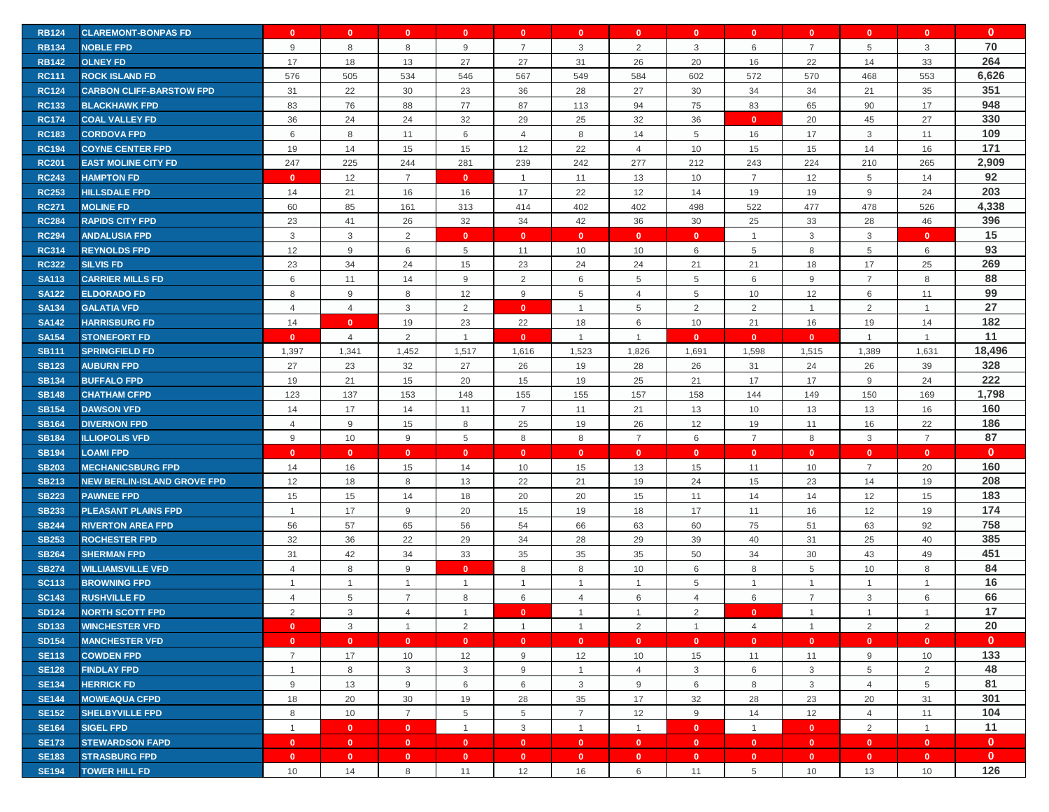| <b>RB124</b> | <b>CLAREMONT-BONPAS FD</b>         | $\mathbf{0}$   | $\mathbf{0}$   | $\mathbf{0}$            | $\mathbf{0}$   | $\mathbf{0}$   | $\mathbf{0}$   | $\mathbf{0}$   | $\mathbf{0}$   | $\mathbf{0}$   | $\mathbf{0}$   | $\mathbf{0}$   | $\mathbf{0}$   | $\mathbf{0}$ |
|--------------|------------------------------------|----------------|----------------|-------------------------|----------------|----------------|----------------|----------------|----------------|----------------|----------------|----------------|----------------|--------------|
| <b>RB134</b> | <b>NOBLE FPD</b>                   | 9              | 8              | 8                       | 9              | $\overline{7}$ | 3              | 2              | 3              | 6              | $\overline{7}$ | 5              | 3              | 70           |
| <b>RB142</b> | <b>OLNEY FD</b>                    | 17             | 18             | 13                      | 27             | 27             | 31             | 26             | 20             | 16             | 22             | 14             | 33             | 264          |
| <b>RC111</b> | <b>ROCK ISLAND FD</b>              | 576            | 505            | 534                     | 546            | 567            | 549            | 584            | 602            | 572            | 570            | 468            | 553            | 6,626        |
| <b>RC124</b> | <b>CARBON CLIFF-BARSTOW FPD</b>    | 31             | 22             | 30                      | 23             | 36             | 28             | 27             | 30             | 34             | 34             | 21             | 35             | 351          |
| <b>RC133</b> | <b>BLACKHAWK FPD</b>               | 83             | 76             | 88                      | 77             | 87             | 113            | 94             | 75             | 83             | 65             | 90             | 17             | 948          |
| <b>RC174</b> | <b>COAL VALLEY FD</b>              | 36             | 24             | 24                      | 32             | 29             | 25             | 32             | 36             | $\mathbf{0}$   | 20             | 45             | 27             | 330          |
| <b>RC183</b> | <b>CORDOVA FPD</b>                 | 6              | 8              | 11                      | 6              | $\overline{4}$ | 8              | 14             | 5              | 16             | 17             | 3              | 11             | 109          |
| <b>RC194</b> | <b>COYNE CENTER FPD</b>            | 19             | 14             | 15                      | 15             | 12             | 22             | $\overline{4}$ | 10             | 15             | 15             | 14             | 16             | 171          |
| <b>RC201</b> | <b>EAST MOLINE CITY FD</b>         | 247            | 225            | 244                     | 281            | 239            | 242            | 277            | 212            | 243            | 224            | 210            | 265            | 2,909        |
| <b>RC243</b> | <b>HAMPTON FD</b>                  | $\mathbf{0}$   | 12             | $\overline{7}$          | $\mathbf{0}$   | $\overline{1}$ | 11             | 13             | 10             | $\overline{7}$ | 12             | 5              | 14             | 92           |
| <b>RC253</b> | <b>HILLSDALE FPD</b>               | 14             | 21             | 16                      | 16             | 17             | 22             | 12             | 14             | 19             | 19             | 9              | 24             | 203          |
| <b>RC271</b> | <b>MOLINE FD</b>                   | 60             | 85             | 161                     | 313            | 414            | 402            | 402            | 498            | 522            | 477            | 478            | 526            | 4,338        |
| <b>RC284</b> | <b>RAPIDS CITY FPD</b>             | 23             | 41             | 26                      | 32             | 34             | 42             | 36             | 30             | 25             | 33             | 28             | 46             | 396          |
| <b>RC294</b> | <b>ANDALUSIA FPD</b>               | $\mathbf{3}$   | $\mathbf{3}$   | $\overline{2}$          | $\mathbf{0}$   | $\mathbf{0}$   | $\mathbf{0}$   | $\mathbf{0}$   | $\mathbf{0}$   | $\overline{1}$ | 3              | 3              | $\mathbf{0}$   | 15           |
| <b>RC314</b> | <b>REYNOLDS FPD</b>                | 12             | 9              | 6                       | 5              | 11             | 10             | 10             | 6              | 5              | 8              | 5              | 6              | 93           |
| <b>RC322</b> | <b>SILVIS FD</b>                   | 23             | 34             | 24                      | 15             | 23             | 24             | 24             | 21             | 21             | 18             | 17             | 25             | 269          |
| <b>SA113</b> | <b>CARRIER MILLS FD</b>            | 6              | 11             | 14                      | 9              | 2              | 6              | 5              | 5              | 6              | 9              | $\overline{7}$ | 8              | 88           |
| <b>SA122</b> | <b>ELDORADO FD</b>                 | 8              | 9              | 8                       | 12             | 9              | 5              | $\overline{4}$ | $\,$ 5 $\,$    | 10             | 12             | 6              | 11             | 99           |
| <b>SA134</b> | <b>GALATIA VFD</b>                 | $\overline{4}$ | $\overline{4}$ | 3                       | 2              | $\mathbf{0}$   | $\mathbf{1}$   | 5              | 2              | 2              | $\overline{1}$ | 2              | $\overline{1}$ | 27           |
| <b>SA142</b> | <b>HARRISBURG FD</b>               | 14             | $\mathbf{0}$   | 19                      | 23             | 22             | 18             | 6              | 10             | 21             | 16             | 19             | 14             | 182          |
| <b>SA154</b> | <b>STONEFORT FD</b>                | $\mathbf{0}$   | $\overline{4}$ | 2                       | $\overline{1}$ | $\mathbf{0}$   | $\overline{1}$ | $\mathbf{1}$   | $\mathbf{0}$   | $\mathbf{0}$   | $\mathbf{0}$   | $\mathbf{1}$   | $\overline{1}$ | 11           |
| <b>SB111</b> | <b>SPRINGFIELD FD</b>              | 1,397          | 1,341          | 1,452                   | 1,517          | 1,616          | 1,523          | 1,826          | 1,691          | 1,598          | 1,515          | 1,389          | 1,631          | 18,496       |
| <b>SB123</b> | <b>AUBURN FPD</b>                  | 27             | 23             | 32                      | 27             | 26             | 19             | 28             | 26             | 31             | 24             | 26             | 39             | 328          |
| <b>SB134</b> | <b>BUFFALO FPD</b>                 | 19             | 21             | 15                      | 20             | 15             | 19             | 25             | 21             | 17             | 17             | 9              | 24             | 222          |
| <b>SB148</b> | <b>CHATHAM CFPD</b>                | 123            | 137            | 153                     | 148            | 155            | 155            | 157            | 158            | 144            | 149            | 150            | 169            | 1,798        |
| <b>SB154</b> | <b>DAWSON VFD</b>                  | 14             | 17             | 14                      | 11             | $\overline{7}$ | 11             | 21             | 13             | 10             | 13             | 13             | 16             | 160          |
| <b>SB164</b> | <b>DIVERNON FPD</b>                | $\overline{4}$ | 9              | 15                      | 8              | 25             | 19             | 26             | 12             | 19             | 11             | 16             | 22             | 186          |
| <b>SB184</b> | <b>ILLIOPOLIS VFD</b>              | 9              | 10             | 9                       | 5              | 8              | 8              | $\overline{7}$ | 6              | $\overline{7}$ | 8              | 3              | $\overline{7}$ | 87           |
| <b>SB194</b> | <b>LOAMI FPD</b>                   | $\mathbf{0}$   | $\mathbf{0}$   | $\mathbf{0}$            | $\mathbf{0}$   | $\mathbf{0}$   | $\mathbf{0}$   | $\mathbf{0}$   | $\mathbf{0}$   | $\mathbf{0}$   | $\mathbf{0}$   | $\mathbf{0}$   | $\mathbf{0}$   | $\mathbf{0}$ |
| <b>SB203</b> | <b>MECHANICSBURG FPD</b>           | 14             | 16             | 15                      | 14             | 10             | 15             | 13             | 15             | 11             | 10             | $\overline{7}$ | 20             | 160          |
| <b>SB213</b> | <b>NEW BERLIN-ISLAND GROVE FPD</b> | 12             | 18             | 8                       | 13             | 22             | 21             | 19             | 24             | 15             | 23             | 14             | 19             | 208          |
| <b>SB223</b> | <b>PAWNEE FPD</b>                  | 15             | 15             | 14                      | 18             | 20             | 20             | 15             | 11             | 14             | 14             | 12             | 15             | 183          |
| <b>SB233</b> | <b>PLEASANT PLAINS FPD</b>         | $\overline{1}$ | 17             | 9                       | 20             | 15             | 19             | 18             | 17             | 11             | 16             | 12             | 19             | 174          |
| <b>SB244</b> | <b>RIVERTON AREA FPD</b>           | 56             | 57             | 65                      | 56             | 54             | 66             | 63             | 60             | 75             | 51             | 63             | 92             | 758          |
| <b>SB253</b> | <b>ROCHESTER FPD</b>               | 32             | 36             | 22                      | 29             | 34             | 28             | 29             | 39             | 40             | 31             | 25             | 40             | 385          |
| <b>SB264</b> | <b>SHERMAN FPD</b>                 | 31             | 42             | 34                      | 33             | 35             | 35             | 35             | 50             | 34             | 30             | 43             | 49             | 451          |
| <b>SB274</b> | <b>WILLIAMSVILLE VFD</b>           | $\overline{4}$ | 8              | 9                       | $\mathbf{0}$   | 8              | 8              | 10             | 6              | 8              | 5              | 10             | 8              | 84           |
| <b>SC113</b> | <b>BROWNING FPD</b>                | $\overline{1}$ | $\overline{1}$ | $\overline{1}$          | $\mathbf{1}$   | $\overline{1}$ | $\overline{1}$ | $\mathbf{1}$   | 5              | $\overline{1}$ | $\mathbf{1}$   | $\mathbf{1}$   | $\overline{1}$ | 16           |
| <b>SC143</b> | <b>RUSHVILLE FD</b>                | $\overline{4}$ | $\,$ 5 $\,$    | $\overline{7}$          | 8              | 6              | $\overline{4}$ | 6              | $\overline{4}$ | 6              | $\overline{7}$ | 3              | 6              | 66           |
| <b>SD124</b> | <b>NORTH SCOTT FPD</b>             | 2              | 3              | $\overline{4}$          | $\overline{1}$ | $\mathbf{0}$   | $\overline{1}$ | $\overline{1}$ | 2              | $\mathbf{0}$   | $\overline{1}$ | $\mathbf{1}$   | $\overline{1}$ | 17           |
| <b>SD133</b> | <b>WINCHESTER VFD</b>              | $\mathbf{0}$   | 3              | $\overline{1}$          | 2              | $\overline{1}$ | $\overline{1}$ | 2              | $\mathbf{1}$   | $\overline{4}$ | $\overline{1}$ | 2              | 2              | 20           |
| <b>SD154</b> | <b>MANCHESTER VFD</b>              | $\mathbf{0}$   | $\mathbf{0}$   | $\bullet$               | $\mathbf{0}$   | $\mathbf{0}$   | $\mathbf{0}$   | $\mathbf{0}$   | $\mathbf{0}$   | $\mathbf{0}$   | $\bullet$      | $\mathbf{0}$   | $\mathbf{0}$   | $\mathbf{0}$ |
| <b>SE113</b> | <b>COWDEN FPD</b>                  | $\overline{7}$ | 17             | 10                      | 12             | 9              | 12             | 10             | 15             | 11             | 11             | 9              | 10             | 133          |
| <b>SE128</b> | <b>FINDLAY FPD</b>                 | $\overline{1}$ | 8              | 3                       | 3              | 9              | $\overline{1}$ | $\overline{4}$ | 3              | 6              | 3              | 5              | $\overline{2}$ | 48           |
| <b>SE134</b> | <b>HERRICK FD</b>                  | 9              | 13             | $9\,$                   | 6              | 6              | $\mathbf{3}$   | 9              | 6              | 8              | 3              | $\overline{4}$ | 5              | 81           |
| <b>SE144</b> | <b>MOWEAQUA CFPD</b>               | 18             | 20             | $30\,$                  | 19             | 28             | 35             | 17             | 32             | 28             | 23             | 20             | 31             | 301          |
| <b>SE152</b> | <b>SHELBYVILLE FPD</b>             | 8              | 10             | $\overline{7}$          | 5              | 5              | $\overline{7}$ | 12             | 9              | 14             | 12             | 4              | 11             | 104          |
| <b>SE164</b> | <b>SIGEL FPD</b>                   | $\overline{1}$ | $\mathbf{0}$   | $\overline{\mathbf{0}}$ | $\overline{1}$ | $\mathbf{3}$   | $\mathbf{1}$   | $\mathbf{1}$   | $\mathbf{0}$   | $\mathbf{1}$   | $\mathbf{0}$   | $\overline{2}$ | $\overline{1}$ | 11           |
| <b>SE173</b> | <b>STEWARDSON FAPD</b>             | $\mathbf{0}$   | $\mathbf{0}$   | $\mathbf{0}$            | $\mathbf{0}$   | $\mathbf{0}$   | $\mathbf{0}$   | $\mathbf{0}$   | $\mathbf{0}$   | $\mathbf{0}$   | $\overline{0}$ | $\mathbf{0}$   | $\mathbf{0}$   | $\mathbf{0}$ |
| <b>SE183</b> | <b>STRASBURG FPD</b>               | $\mathbf{0}$   | $\bullet$      | $\bullet$               | $\mathbf{0}$   | $\mathbf{0}$   | $\mathbf{0}$   | $\mathbf{0}$   | $\mathbf{0}$   | $\mathbf{0}$   | $\bullet$      | $\mathbf{0}$   | $\mathbf{0}$   | $\mathbf{0}$ |
| <b>SE194</b> | <b>TOWER HILL FD</b>               | 10             | 14             | 8                       | 11             | 12             | 16             | 6              | 11             | 5              | 10             | 13             | 10             | 126          |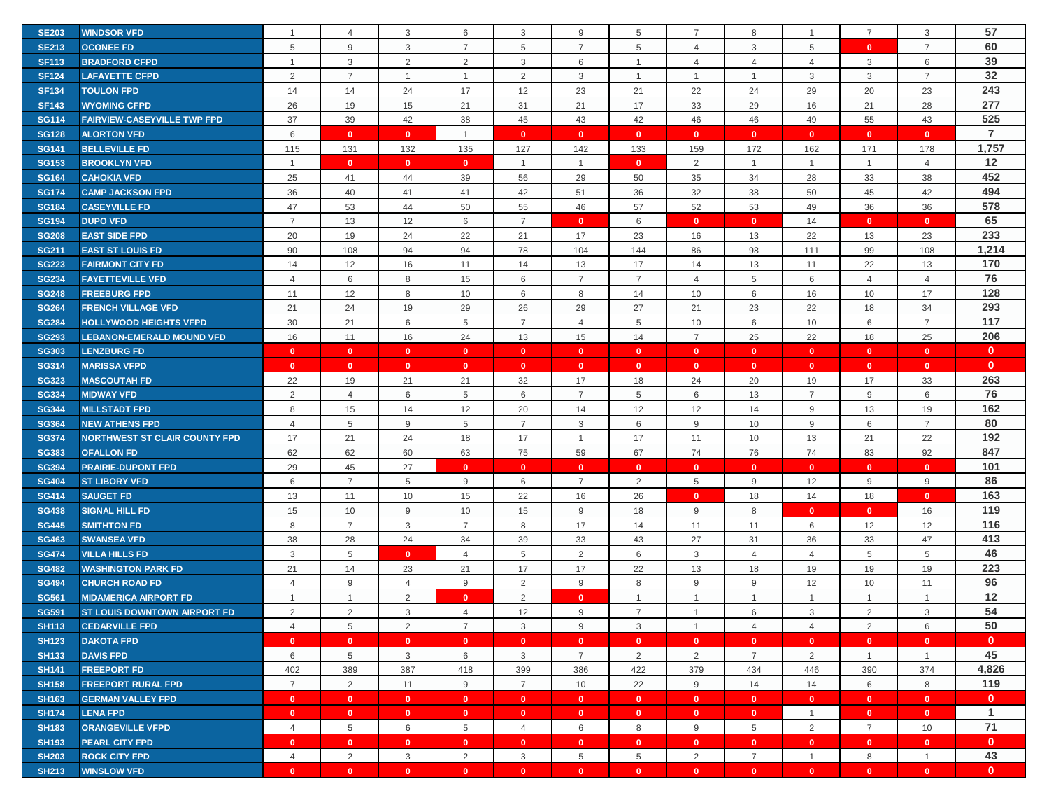| <b>SE203</b> | <b>WINDSOR VFD</b>                   |                | $\overline{4}$  | 3              | 6              | 3              | 9              | 5              | $\overline{7}$ | 8              |                | 7              | 3              | 57             |
|--------------|--------------------------------------|----------------|-----------------|----------------|----------------|----------------|----------------|----------------|----------------|----------------|----------------|----------------|----------------|----------------|
| <b>SE213</b> | <b>OCONEE FD</b>                     | 5              | 9               | 3              | $\overline{7}$ | 5              | $\overline{7}$ | 5              | $\overline{4}$ | 3              | 5              | $\mathbf{0}$   | $\overline{7}$ | 60             |
| <b>SF113</b> | <b>BRADFORD CFPD</b>                 | -1             | $\mathbf{3}$    | $\overline{2}$ | 2              | 3              | 6              | $\overline{1}$ | $\overline{4}$ | $\overline{4}$ | $\overline{4}$ | 3              | 6              | 39             |
| <b>SF124</b> | <b>LAFAYETTE CFPD</b>                | 2              | $\overline{7}$  | -1             | $\overline{1}$ | 2              | 3              | -1             | $\overline{1}$ | $\overline{1}$ | 3              | 3              | $\overline{7}$ | 32             |
| <b>SF134</b> | <b>TOULON FPD</b>                    | 14             | 14              | 24             | 17             | 12             | 23             | 21             | 22             | 24             | 29             | 20             | 23             | 243            |
| <b>SF143</b> | <b>WYOMING CFPD</b>                  | 26             | 19              | 15             | 21             | 31             | 21             | 17             | 33             | 29             | 16             | 21             | 28             | 277            |
| <b>SG114</b> | <b>FAIRVIEW-CASEYVILLE TWP FPD</b>   | 37             | 39              | 42             | 38             | 45             | 43             | 42             | 46             | 46             | 49             | 55             | 43             | 525            |
| <b>SG128</b> | <b>ALORTON VFD</b>                   | 6              | $\mathbf{0}$    | $\mathbf{0}$   | $\mathbf{1}$   | $\mathbf{0}$   | $\mathbf{0}$   | $\mathbf{0}$   | $\mathbf{0}$   | $\mathbf{0}$   | $\mathbf{0}$   | $\mathbf{0}$   | $\mathbf{0}$   | $\overline{7}$ |
| <b>SG141</b> | <b>BELLEVILLE FD</b>                 | 115            | 131             | 132            | 135            | 127            | 142            | 133            | 159            | 172            | 162            | 171            | 178            | 1,757          |
| <b>SG153</b> | <b>BROOKLYN VFD</b>                  | $\overline{1}$ | $\mathbf{0}$    | $\mathbf{0}$   | $\mathbf{0}$   | $\mathbf{1}$   | $\overline{1}$ | $\mathbf{0}$   | 2              | $\mathbf{1}$   | $\mathbf{1}$   | $\mathbf{1}$   | $\overline{4}$ | 12             |
| <b>SG164</b> | <b>CAHOKIA VFD</b>                   | 25             | 41              | 44             | 39             | 56             | 29             | 50             | 35             | 34             | 28             | 33             | 38             | 452            |
| <b>SG174</b> | <b>CAMP JACKSON FPD</b>              | 36             | 40              | 41             | 41             | 42             | 51             | 36             | 32             | 38             | 50             | 45             | 42             | 494            |
| <b>SG184</b> | <b>CASEYVILLE FD</b>                 | 47             | 53              | 44             | 50             | 55             | 46             | 57             | 52             | 53             | 49             | 36             | 36             | 578            |
| <b>SG194</b> | <b>DUPO VFD</b>                      | $\overline{7}$ | 13              | 12             | 6              | $\overline{7}$ | $\mathbf{0}$   | 6              | $\mathbf{0}$   | $\mathbf{0}$   | 14             | $\mathbf{0}$   | $\mathbf{0}$   | 65             |
| <b>SG208</b> | <b>EAST SIDE FPD</b>                 | 20             | 19              | 24             | 22             | 21             | 17             | 23             | 16             | 13             | 22             | 13             | 23             | 233            |
| <b>SG211</b> | <b>EAST ST LOUIS FD</b>              | 90             | 108             | 94             | 94             | 78             | 104            | 144            | 86             | 98             | 111            | 99             | 108            | 1,214          |
| <b>SG223</b> | <b>FAIRMONT CITY FD</b>              | 14             | 12              | 16             | 11             | 14             | 13             | 17             | 14             | 13             | 11             | 22             | 13             | 170            |
| <b>SG234</b> | <b>FAYETTEVILLE VFD</b>              | $\overline{4}$ | 6               | 8              | 15             | 6              | $\overline{7}$ | $\overline{7}$ | 4              | 5              | 6              | $\overline{4}$ | $\overline{4}$ | 76             |
| <b>SG248</b> | <b>FREEBURG FPD</b>                  | 11             | 12              | 8              | 10             | 6              | 8              | 14             | 10             | 6              | 16             | 10             | 17             | 128            |
| <b>SG264</b> | <b>FRENCH VILLAGE VFD</b>            | 21             | 24              | 19             | 29             | 26             | 29             | 27             | 21             | 23             | 22             | 18             | 34             | 293            |
| <b>SG284</b> | <b>HOLLYWOOD HEIGHTS VFPD</b>        | 30             | 21              | 6              | 5              | $\overline{7}$ | $\overline{4}$ | 5              | 10             | 6              | 10             | 6              | $\overline{7}$ | 117            |
| <b>SG293</b> | <b>LEBANON-EMERALD MOUND VFD</b>     | 16             | 11              | 16             | 24             | 13             | 15             | 14             | $\overline{7}$ | 25             | 22             | 18             | 25             | 206            |
| <b>SG303</b> | <b>LENZBURG FD</b>                   | $\mathbf{0}$   | $\mathbf{0}$    | $\mathbf{0}$   | $\mathbf{0}$   | $\mathbf{0}$   | $\mathbf{0}$   | $\mathbf{0}$   | $\mathbf{0}$   | $\mathbf{0}$   | $\mathbf{0}$   | $\mathbf{0}$   | $\mathbf{0}$   | $\mathbf{0}$   |
| <b>SG314</b> | <b>MARISSA VFPD</b>                  | $\mathbf{0}$   | $\mathbf{0}$    | $\mathbf{0}$   | $\mathbf{0}$   | $\mathbf{0}$   | $\mathbf{0}$   | $\mathbf{0}$   | $\mathbf{0}$   | $\mathbf{0}$   | $\mathbf{0}$   | $\mathbf{0}$   | $\mathbf{0}$   | $\mathbf{0}$   |
| <b>SG323</b> | <b>MASCOUTAH FD</b>                  | 22             | 19              | 21             | 21             | 32             | 17             | 18             | 24             | 20             | 19             | 17             | 33             | 263            |
| <b>SG334</b> | <b>MIDWAY VFD</b>                    | 2              | $\overline{4}$  | 6              | 5              | 6              | $\overline{7}$ | 5              | 6              | 13             | $\overline{7}$ | 9              | 6              | 76             |
| <b>SG344</b> | <b>MILLSTADT FPD</b>                 | 8              | 15              | 14             | 12             | 20             | 14             | 12             | 12             | 14             | 9              | 13             | 19             | 162            |
| <b>SG364</b> | <b>NEW ATHENS FPD</b>                | 4              | $\overline{5}$  | 9              | 5              | $\overline{7}$ | $\mathbf{3}$   | 6              | 9              | 10             | 9              | 6              | $\overline{7}$ | 80             |
| <b>SG374</b> | <b>NORTHWEST ST CLAIR COUNTY FPD</b> | 17             | 21              | 24             | 18             | 17             | $\overline{1}$ | 17             | 11             | 10             | 13             | 21             | 22             | 192            |
| <b>SG383</b> | <b>OFALLON FD</b>                    | 62             | 62              | 60             | 63             | 75             | 59             | 67             | 74             | 76             | 74             | 83             | 92             | 847            |
| <b>SG394</b> | <b>PRAIRIE-DUPONT FPD</b>            | 29             | 45              | 27             | $\mathbf{0}$   | $\mathbf{0}$   | $\mathbf{0}$   | $\mathbf{0}$   | $\mathbf{0}$   | $\mathbf{0}$   | $\mathbf{0}$   | $\mathbf{0}$   | $\mathbf{0}$   | 101            |
| <b>SG404</b> | <b>ST LIBORY VFD</b>                 | 6              | $\overline{7}$  | 5              | 9              | 6              | $\overline{7}$ | $\overline{2}$ | 5              | 9              | 12             | 9              | $9$            | 86             |
| <b>SG414</b> | <b>SAUGET FD</b>                     | 13             | 11              | 10             | 15             | 22             | 16             | 26             | $\mathbf{0}$   | 18             | 14             | 18             | $\mathbf{0}$   | 163            |
| <b>SG438</b> | <b>SIGNAL HILL FD</b>                | 15             | 10              | 9              | 10             | 15             | 9              | 18             | 9              | 8              | $\mathbf{0}$   | $\mathbf{0}$   | 16             | 119            |
| <b>SG445</b> | <b>SMITHTON FD</b>                   | 8              | $\overline{7}$  | 3              | $\overline{7}$ | 8              | 17             | 14             | 11             | 11             | 6              | 12             | 12             | 116            |
| <b>SG463</b> | <b>SWANSEA VFD</b>                   | 38             | 28              | 24             | 34             | 39             | 33             | 43             | 27             | 31             | 36             | 33             | 47             | 413            |
| <b>SG474</b> | <b>VILLA HILLS FD</b>                | 3              | 5               | $\mathbf{0}$   | $\overline{4}$ | 5              | 2              | 6              | 3              | $\overline{4}$ | $\overline{4}$ | 5              | 5              | 46             |
| <b>SG482</b> | <b>WASHINGTON PARK FD</b>            | 21             | 14              | 23             | 21             | 17             | 17             | 22             | 13             | 18             | 19             | 19             | 19             | 223            |
| <b>SG494</b> | <b>CHURCH ROAD FD</b>                | $\overline{4}$ | 9               | 4              | 9              | $\overline{2}$ | 9              | 8              | 9              | 9              | 12             | 10             | 11             | 96             |
| <b>SG561</b> | <b>MIDAMERICA AIRPORT FD</b>         | $\overline{1}$ | $\mathbf{1}$    | $\overline{2}$ | $\mathbf{0}$   | 2              | $\mathbf{0}$   | $\overline{1}$ | $\mathbf{1}$   | $\mathbf{1}$   | $\mathbf{1}$   | $\mathbf{1}$   | $\mathbf{1}$   | $12$           |
| <b>SG591</b> | ST LOUIS DOWNTOWN AIRPORT FD         | $\overline{2}$ | $\overline{2}$  | 3              | $\overline{4}$ | 12             | 9              | $\overline{7}$ |                | 6              | 3              | $\overline{2}$ | 3              | 54             |
| <b>SH113</b> | <b>CEDARVILLE FPD</b>                | $\overline{4}$ | 5               | 2              | $\overline{7}$ | 3              | 9              | 3              | $\mathbf{1}$   | $\overline{4}$ | $\overline{4}$ | 2              | 6              | 50             |
| <b>SH123</b> | <b>DAKOTA FPD</b>                    | $\mathbf{0}$   | $\mathbf{0}$    | $\bullet$      | $\overline{0}$ | $\bullet$      | $\mathbf{0}$   | $\mathbf{0}$   | $\mathbf{0}$   | $\mathbf{0}$   | $\overline{0}$ | $\mathbf{0}$   | $\mathbf{0}$   | $\mathbf{0}$   |
| <b>SH133</b> | <b>DAVIS FPD</b>                     | 6              | $5\phantom{.0}$ | $\mathbf{3}$   | 6              | 3              | $\overline{7}$ | 2              | $\overline{2}$ | $\overline{7}$ | $\overline{2}$ | $\mathbf{1}$   | $\mathbf{1}$   | 45             |
| <b>SH141</b> | <b>FREEPORT FD</b>                   | 402            | 389             | 387            | 418            | 399            | 386            | 422            | 379            | 434            | 446            | 390            | 374            | 4,826          |
| <b>SH158</b> | <b>FREEPORT RURAL FPD</b>            | $\overline{7}$ | $\overline{2}$  | 11             | 9              | $\overline{7}$ | 10             | 22             | 9              | 14             | 14             | 6              | 8              | 119            |
| <b>SH163</b> | <b>GERMAN VALLEY FPD</b>             | $\mathbf{0}$   | $\mathbf{0}$    | $\mathbf{0}$   | $\mathbf{0}$   | $\mathbf{0}$   | $\mathbf{0}$   | $\mathbf{0}$   | $\bullet$      | $\mathbf{0}$   | $\mathbf{0}$   | $\mathbf{0}$   | $\mathbf{0}$   | $\mathbf{0}$   |
| <b>SH174</b> | <b>LENA FPD</b>                      | $\mathbf{0}$   | $\mathbf{0}$    | $\mathbf{0}$   | $\mathbf{0}$   | $\mathbf{0}$   | $\mathbf{0}$   | $\mathbf{0}$   | $\mathbf{0}$   | $\mathbf{0}$   | $\overline{1}$ | $\mathbf{0}$   | $\mathbf{0}$   | $\mathbf{1}$   |
| <b>SH183</b> | <b>ORANGEVILLE VFPD</b>              | $\overline{4}$ | $\overline{5}$  | 6              | 5              | $\overline{4}$ | 6              | 8              | 9              | 5              | $\overline{2}$ | $\overline{7}$ | 10             | 71             |
| <b>SH193</b> | <b>PEARL CITY FPD</b>                | $\mathbf{0}$   | $\mathbf{0}$    | $\mathbf{0}$   | $\mathbf{0}$   | $\mathbf{0}$   | $\mathbf{0}$   | $\mathbf{0}$   | $\mathbf{0}$   | $\mathbf{0}$   | $\mathbf{0}$   | $\mathbf{0}$   | $\mathbf{0}$   | $\mathbf{0}$   |
| <b>SH203</b> | <b>ROCK CITY FPD</b>                 | $\overline{4}$ | 2               | $\mathbf{3}$   | 2              | 3              | 5              | 5              | 2              | $\overline{7}$ | $\overline{1}$ | 8              | $\overline{1}$ | 43             |
| <b>SH213</b> | <b>WINSLOW VFD</b>                   | $\mathbf{0}$   | $\mathbf{0}$    | $\mathbf{0}$   | $\mathbf{0}$   | $\mathbf{0}$   | $\mathbf{0}$   | $\mathbf{0}$   | $\mathbf{0}$   | $\mathbf{0}$   | $\mathbf{0}$   | $\mathbf{0}$   | $\mathbf{0}$   | $\mathbf{0}$   |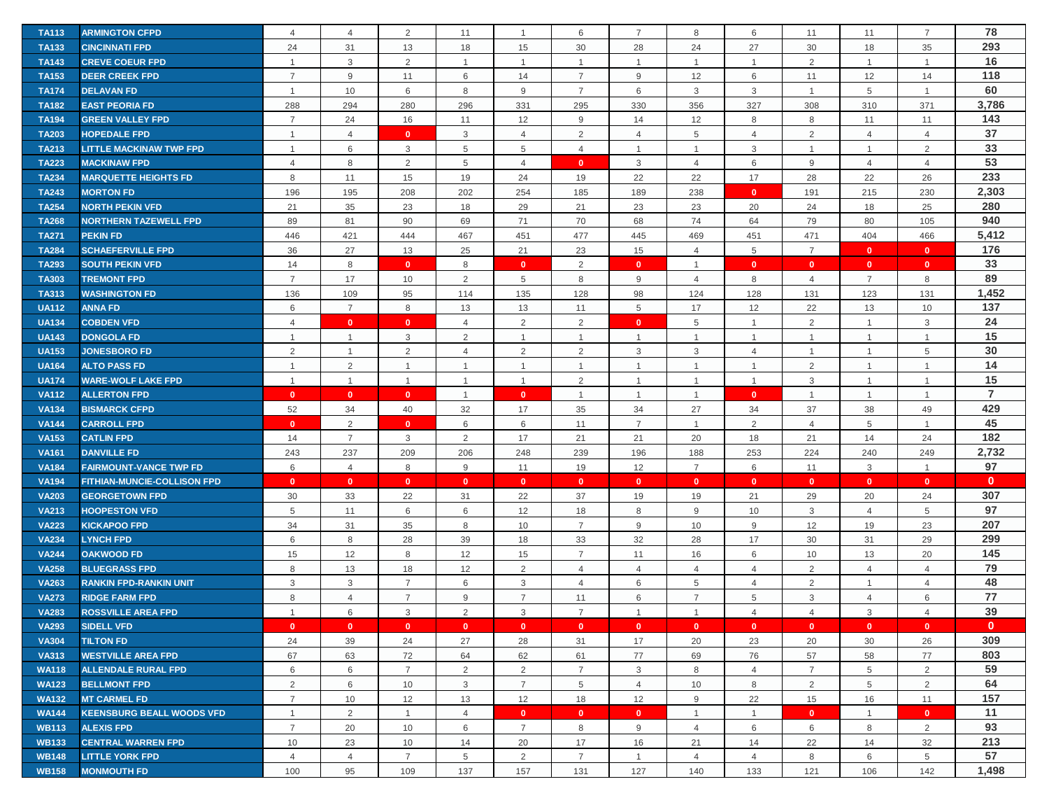| <b>TA113</b> | <b>ARMINGTON CFPD</b>              | $\overline{4}$ | $\overline{4}$ | 2                       | 11             | $\overline{1}$ | 6              | $\overline{7}$ | 8              | 6               | 11             | 11             | $\overline{7}$ | 78             |
|--------------|------------------------------------|----------------|----------------|-------------------------|----------------|----------------|----------------|----------------|----------------|-----------------|----------------|----------------|----------------|----------------|
| <b>TA133</b> | <b>CINCINNATI FPD</b>              | 24             | 31             | 13                      | 18             | 15             | 30             | 28             | 24             | 27              | 30             | 18             | 35             | 293            |
| <b>TA143</b> | <b>CREVE COEUR FPD</b>             | $\overline{1}$ | $\mathbf{3}$   | 2                       | $\mathbf 1$    | $\overline{1}$ | $\overline{1}$ | -1             | $\mathbf{1}$   | $\mathbf{1}$    | 2              | $\mathbf{1}$   | $\overline{1}$ | 16             |
| <b>TA153</b> | <b>DEER CREEK FPD</b>              | $\overline{7}$ | 9              | 11                      | 6              | 14             | $\overline{7}$ | 9              | 12             | 6               | 11             | 12             | 14             | 118            |
| <b>TA174</b> | <b>DELAVAN FD</b>                  | $\overline{1}$ | 10             | 6                       | 8              | 9              | $\overline{7}$ | 6              | 3              | 3               | $\overline{1}$ | 5              | $\overline{1}$ | 60             |
| <b>TA182</b> | <b>EAST PEORIA FD</b>              | 288            | 294            | 280                     | 296            | 331            | 295            | 330            | 356            | 327             | 308            | 310            | 371            | 3,786          |
| <b>TA194</b> | <b>GREEN VALLEY FPD</b>            | $\overline{7}$ | 24             | 16                      | 11             | 12             | 9              | 14             | 12             | 8               | 8              | 11             | 11             | 143            |
| <b>TA203</b> | <b>HOPEDALE FPD</b>                | $\mathbf{1}$   | $\overline{4}$ | $\mathbf{0}$            | 3              | $\overline{4}$ | 2              | 4              | 5              | 4               | 2              | 4              | $\overline{4}$ | 37             |
| <b>TA213</b> | <b>LITTLE MACKINAW TWP FPD</b>     | $\mathbf{1}$   | 6              | 3                       | 5              | 5              | $\overline{4}$ | $\overline{1}$ | $\mathbf{1}$   | 3               | $\mathbf{1}$   | $\mathbf{1}$   | 2              | 33             |
| <b>TA223</b> | <b>MACKINAW FPD</b>                | $\overline{4}$ | 8              | 2                       | 5              | $\overline{4}$ | $\mathbf{0}$   | 3              | $\overline{4}$ | 6               | 9              | $\overline{4}$ | $\overline{4}$ | 53             |
| <b>TA234</b> | <b>MARQUETTE HEIGHTS FD</b>        | 8              | 11             | 15                      | 19             | 24             | 19             | 22             | 22             | 17              | 28             | 22             | 26             | 233            |
| <b>TA243</b> | <b>MORTON FD</b>                   | 196            | 195            | 208                     | 202            | 254            | 185            | 189            | 238            | $\mathbf{0}$    | 191            | 215            | 230            | 2,303          |
| <b>TA254</b> | <b>NORTH PEKIN VFD</b>             | 21             | 35             | 23                      | 18             | 29             | 21             | 23             | 23             | 20              | 24             | 18             | 25             | 280            |
| <b>TA268</b> | <b>NORTHERN TAZEWELL FPD</b>       | 89             | 81             | 90                      | 69             | 71             | 70             | 68             | 74             | 64              | 79             | 80             | 105            | 940            |
| <b>TA271</b> | <b>PEKIN FD</b>                    | 446            | 421            | 444                     | 467            | 451            | 477            | 445            | 469            | 451             | 471            | 404            | 466            | 5,412          |
| <b>TA284</b> | <b>SCHAEFERVILLE FPD</b>           | 36             | 27             | 13                      | 25             | 21             | 23             | 15             | $\overline{4}$ | $5\phantom{.0}$ | $\overline{7}$ | $\mathbf{0}$   | $\mathbf{0}$   | 176            |
| <b>TA293</b> | <b>SOUTH PEKIN VFD</b>             | 14             | 8              | $\overline{0}$          | 8              | $\mathbf{0}$   | 2              | $\mathbf{0}$   | $\mathbf{1}$   | $\mathbf{0}$    | $\mathbf{0}$   | $\mathbf{0}$   | $\mathbf{0}$   | 33             |
| <b>TA303</b> | <b>TREMONT FPD</b>                 | $\overline{7}$ | 17             | 10                      | $\overline{2}$ | 5              | 8              | 9              | 4              | 8               | 4              | $\overline{7}$ | 8              | 89             |
| <b>TA313</b> | <b>WASHINGTON FD</b>               | 136            | 109            | 95                      | 114            | 135            | 128            | 98             | 124            | 128             | 131            | 123            | 131            | 1,452          |
| <b>UA112</b> | <b>ANNA FD</b>                     | 6              | $\overline{7}$ | 8                       | 13             | 13             | 11             | 5              | 17             | 12              | 22             | 13             | 10             | 137            |
| <b>UA134</b> | <b>COBDEN VFD</b>                  | $\overline{4}$ | $\mathbf{0}$   | $\mathbf{0}$            | $\overline{4}$ | 2              | 2              | $\mathbf{0}$   | 5              | $\mathbf{1}$    | 2              | $\mathbf{1}$   | $\mathbf{3}$   | 24             |
| <b>UA143</b> | <b>DONGOLA FD</b>                  | $\overline{1}$ | $\overline{1}$ | 3                       | 2              | $\overline{1}$ | $\overline{1}$ | $\overline{1}$ | $\mathbf{1}$   | $\overline{1}$  | $\mathbf{1}$   | $\mathbf{1}$   | $\overline{1}$ | 15             |
| <b>UA153</b> | <b>JONESBORO FD</b>                | $\overline{2}$ | $\overline{1}$ | $\overline{2}$          | $\overline{4}$ | 2              | $\overline{2}$ | 3              | 3              | $\overline{4}$  | $\overline{1}$ | $\mathbf{1}$   | 5              | 30             |
| <b>UA164</b> | <b>ALTO PASS FD</b>                | $\overline{1}$ | $\overline{2}$ | $\overline{1}$          |                | $\overline{1}$ | 1              | -1             | $\mathbf{1}$   | $\mathbf{1}$    | 2              | $\mathbf{1}$   | $\overline{1}$ | 14             |
| <b>UA174</b> | <b>WARE-WOLF LAKE FPD</b>          | $\overline{1}$ | $\overline{1}$ | $\overline{1}$          | $\mathbf 1$    | $\overline{1}$ | $\overline{2}$ | -1             | $\mathbf{1}$   | $\mathbf{1}$    | 3              | $\mathbf{1}$   | $\mathbf{1}$   | 15             |
| <b>VA112</b> | <b>ALLERTON FPD</b>                | $\mathbf{0}$   | $\mathbf{0}$   | $\mathbf{0}$            | $\overline{1}$ | $\mathbf{0}$   | $\overline{1}$ | $\overline{1}$ | $\mathbf{1}$   | $\mathbf{0}$    | $\overline{1}$ | $\mathbf{1}$   | $\mathbf{1}$   | $\overline{7}$ |
| <b>VA134</b> | <b>BISMARCK CFPD</b>               | 52             | 34             | 40                      | 32             | 17             | 35             | 34             | 27             | 34              | 37             | 38             | 49             | 429            |
| <b>VA144</b> | <b>CARROLL FPD</b>                 | $\mathbf{0}$   | 2              | $\overline{0}$          | 6              | 6              | 11             | $\overline{7}$ | $\mathbf{1}$   | $\overline{2}$  | $\overline{4}$ | 5              | $\overline{1}$ | 45             |
| <b>VA153</b> | <b>CATLIN FPD</b>                  | 14             | $\overline{7}$ | 3                       | 2              | 17             | 21             | 21             | 20             | 18              | 21             | 14             | 24             | 182            |
| <b>VA161</b> | <b>DANVILLE FD</b>                 | 243            | 237            | 209                     | 206            | 248            | 239            | 196            | 188            | 253             | 224            | 240            | 249            | 2,732          |
| <b>VA184</b> | <b>FAIRMOUNT-VANCE TWP FD</b>      | 6              | $\overline{4}$ | 8                       | 9              | 11             | 19             | 12             | $\overline{7}$ | 6               | 11             | 3              | $\overline{1}$ | 97             |
| <b>VA194</b> | <b>FITHIAN-MUNCIE-COLLISON FPD</b> | $\mathbf{0}$   | $\mathbf{0}$   | $\mathbf{0}$            | $\mathbf{0}$   | $\mathbf{0}$   | $\bullet$      | $\mathbf{0}$   | $\mathbf{0}$   | $\mathbf{0}$    | $\overline{0}$ | $\mathbf{0}$   | $\mathbf{0}$   | $\mathbf{0}$   |
| <b>VA203</b> | <b>GEORGETOWN FPD</b>              | 30             | 33             | 22                      | 31             | 22             | 37             | 19             | 19             | 21              | 29             | 20             | 24             | 307            |
| <b>VA213</b> | <b>HOOPESTON VFD</b>               | 5              | 11             | 6                       | 6              | 12             | 18             | 8              | 9              | 10              | $\mathbf{3}$   | $\overline{4}$ | 5              | 97             |
| <b>VA223</b> | <b>KICKAPOO FPD</b>                | 34             | 31             | 35                      | 8              | 10             | $\overline{7}$ | 9              | 10             | 9               | 12             | 19             | 23             | 207            |
| <b>VA234</b> | <b>LYNCH FPD</b>                   | 6              | 8              | 28                      | 39             | 18             | 33             | 32             | 28             | 17              | 30             | 31             | 29             | 299            |
| <b>VA244</b> | <b>OAKWOOD FD</b>                  | 15             | 12             | 8                       | 12             | 15             | $\overline{7}$ | 11             | 16             | 6               | 10             | 13             | 20             | 145            |
| <b>VA258</b> | <b>BLUEGRASS FPD</b>               | 8              | 13             | 18                      | 12             | 2              | $\overline{4}$ | $\overline{4}$ | $\overline{4}$ | $\overline{4}$  | 2              | $\overline{4}$ | $\overline{4}$ | 79             |
| <b>VA263</b> | <b>RANKIN FPD-RANKIN UNIT</b>      | 3              | 3              | $\overline{7}$          | 6              | 3              | $\overline{4}$ | 6              | 5              | 4               | $\overline{2}$ | $\mathbf{1}$   | $\overline{4}$ | 48             |
| <b>VA273</b> | <b>RIDGE FARM FPD</b>              | 8              | $\overline{4}$ | $\overline{7}$          | 9              | $\overline{7}$ | 11             | 6              | $\overline{7}$ | 5               | 3              | 4              | 6              | 77             |
| <b>VA283</b> | <b>ROSSVILLE AREA FPD</b>          |                | 6              | 3                       | 2              | 3              | $\overline{7}$ | $\overline{1}$ |                | 4               | $\overline{A}$ | 3              | $\overline{4}$ | 39             |
| <b>VA293</b> | <b>SIDELL VFD</b>                  | $\mathbf{0}$   | $\mathbf{0}$   | $\overline{\mathbf{0}}$ | $\mathbf{0}$   | $\mathbf{0}$   | $\mathbf{0}$   | $\mathbf{0}$   | $\mathbf{0}$   | $\mathbf{0}$    | $\mathbf{0}$   | $\mathbf{0}$   | $\mathbf{0}$   | $\mathbf{0}$   |
| <b>VA304</b> | <b>TILTON FD</b>                   | 24             | 39             | 24                      | 27             | 28             | 31             | 17             | 20             | 23              | 20             | 30             | 26             | 309            |
| <b>VA313</b> | <b>WESTVILLE AREA FPD</b>          | 67             | 63             | 72                      | 64             | 62             | 61             | 77             | 69             | 76              | 57             | 58             | 77             | 803            |
| <b>WA118</b> | <b>ALLENDALE RURAL FPD</b>         | 6              | 6              | $\overline{7}$          | $\overline{2}$ | $\overline{2}$ | $\overline{7}$ | 3              | 8              | $\overline{4}$  | $\overline{7}$ | 5              | $\overline{2}$ | 59             |
| <b>WA123</b> | <b>BELLMONT FPD</b>                | 2              | 6              | 10                      | 3              | $\overline{7}$ | 5              | 4              | 10             | 8               | $\overline{2}$ | 5              | $\overline{2}$ | 64             |
| <b>WA132</b> | <b>MT CARMEL FD</b>                | $\overline{7}$ | 10             | 12                      | 13             | 12             | 18             | 12             | $9\,$          | 22              | 15             | 16             | 11             | 157            |
| <b>WA144</b> | <b>KEENSBURG BEALL WOODS VFD</b>   | $\overline{1}$ | 2              | $\overline{1}$          | $\overline{4}$ | $\mathbf{0}$   | $\mathbf{0}$   | $\mathbf{0}$   | $\mathbf{1}$   | $\overline{1}$  | $\mathbf{0}$   | $\mathbf{1}$   | $\mathbf{0}$   | 11             |
| <b>WB113</b> | <b>ALEXIS FPD</b>                  | $\overline{7}$ | 20             | 10                      | 6              | $\overline{7}$ | 8              | 9              | $\overline{4}$ | 6               | 6              | 8              | $\overline{2}$ | 93             |
| <b>WB133</b> | <b>CENTRAL WARREN FPD</b>          | 10             | 23             | 10                      | 14             | 20             | 17             | 16             | 21             | 14              | 22             | 14             | 32             | 213            |
| <b>WB148</b> | <b>LITTLE YORK FPD</b>             | $\overline{4}$ | $\overline{4}$ | $\overline{7}$          | 5              | 2              | $\overline{7}$ | $\overline{1}$ | $\overline{4}$ | $\overline{4}$  | 8              | 6              | 5              | 57             |
| <b>WB158</b> | <b>MONMOUTH FD</b>                 | 100            | 95             | 109                     | 137            | 157            | 131            | 127            | 140            | 133             | 121            | 106            | 142            | 1,498          |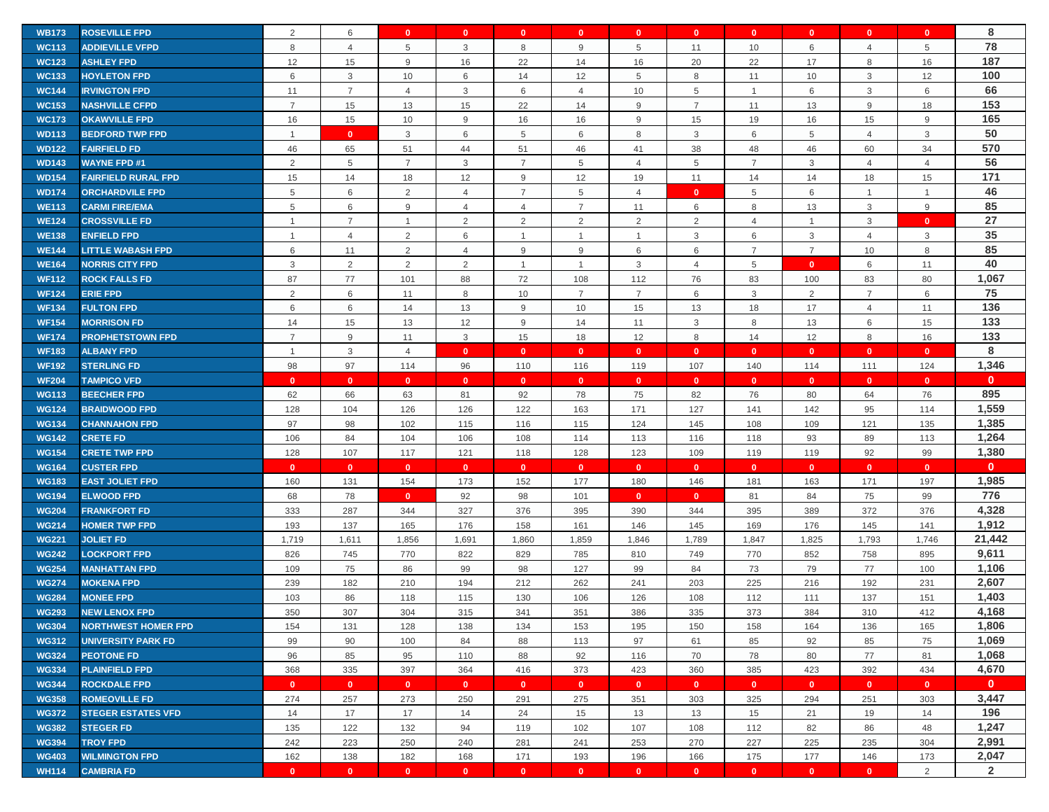|              | <b>ROSEVILLE FPD</b>       | 2              |                         | $\mathbf{0}$   | $\mathbf{0}$   | $\mathbf{0}$   | $\mathbf{0}$   | $\mathbf{0}$   |                | $\mathbf{0}$   | $\mathbf{0}$   | $\mathbf{0}$   | $\mathbf{0}$   | 8              |
|--------------|----------------------------|----------------|-------------------------|----------------|----------------|----------------|----------------|----------------|----------------|----------------|----------------|----------------|----------------|----------------|
| <b>WB173</b> |                            |                | 6                       |                |                |                |                |                | $\mathbf{0}$   |                |                |                |                | 78             |
| <b>WC113</b> | <b>ADDIEVILLE VFPD</b>     | 8              | $\overline{4}$          | 5              | 3              | 8              | 9              | 5              | 11             | 10             | 6              | $\overline{4}$ | 5              | 187            |
| <b>WC123</b> | <b>ASHLEY FPD</b>          | 12             | 15                      | 9              | 16             | 22             | 14             | 16             | 20             | 22             | 17             | 8              | 16             |                |
| <b>WC133</b> | <b>HOYLETON FPD</b>        | 6              | $\mathbf{3}$            | 10             | 6              | 14             | 12             | 5              | 8              | 11             | 10             | 3              | 12             | 100            |
| <b>WC144</b> | <b>IRVINGTON FPD</b>       | 11             | $\overline{7}$          | $\overline{4}$ | 3              | 6              | $\overline{4}$ | 10             | 5              | $\overline{1}$ | 6              | 3              | 6              | 66             |
| <b>WC153</b> | <b>NASHVILLE CFPD</b>      | $\overline{7}$ | 15                      | 13             | 15             | 22             | 14             | 9              | $\overline{7}$ | 11             | 13             | 9              | 18             | 153            |
| <b>WC173</b> | <b>OKAWVILLE FPD</b>       | 16             | 15                      | 10             | 9              | 16             | 16             | 9              | 15             | 19             | 16             | 15             | 9              | 165            |
| <b>WD113</b> | <b>BEDFORD TWP FPD</b>     | $\overline{1}$ | $\mathbf{0}$            | 3              | 6              | 5              | 6              | 8              | 3              | 6              | 5              | $\overline{4}$ | 3              | 50             |
| <b>WD122</b> | <b>FAIRFIELD FD</b>        | 46             | 65                      | 51             | 44             | 51             | 46             | 41             | 38             | 48             | 46             | 60             | 34             | 570            |
| <b>WD143</b> | <b>WAYNE FPD #1</b>        | $\overline{2}$ | 5                       | $\overline{7}$ | 3              | $\overline{7}$ | 5              | $\overline{4}$ | $\overline{5}$ | $\overline{7}$ | 3              | 4              | $\overline{4}$ | 56             |
| <b>WD154</b> | <b>FAIRFIELD RURAL FPD</b> | 15             | 14                      | 18             | 12             | 9              | 12             | 19             | 11             | 14             | 14             | 18             | 15             | 171            |
| <b>WD174</b> | <b>ORCHARDVILE FPD</b>     | 5              | 6                       | $\overline{2}$ | $\overline{4}$ | $\overline{7}$ | 5              | $\overline{4}$ | $\mathbf{0}$   | 5              | 6              | $\mathbf{1}$   | $\overline{1}$ | 46             |
| <b>WE113</b> | <b>CARMI FIRE/EMA</b>      | 5              | 6                       | 9              | $\overline{4}$ | $\overline{4}$ | $\overline{7}$ | 11             | 6              | 8              | 13             | 3              | 9              | 85             |
| <b>WE124</b> | <b>CROSSVILLE FD</b>       |                | $\overline{7}$          | $\mathbf{1}$   | 2              | 2              | 2              | 2              | 2              | $\overline{4}$ | $\overline{1}$ | 3              | $\mathbf{0}$   | 27             |
| <b>WE138</b> | <b>ENFIELD FPD</b>         | $\overline{1}$ | $\overline{4}$          | $\overline{2}$ | 6              | $\overline{1}$ | $\overline{1}$ | $\overline{1}$ | $\mathbf{3}$   | 6              | 3              | $\overline{4}$ | $\mathbf{3}$   | 35             |
| <b>WE144</b> | <b>LITTLE WABASH FPD</b>   | 6              | 11                      | $\overline{2}$ | $\overline{4}$ | 9              | 9              | 6              | 6              | $\overline{7}$ | $\overline{7}$ | 10             | 8              | 85             |
| <b>WE164</b> | <b>NORRIS CITY FPD</b>     | 3              | $\overline{2}$          | $\overline{2}$ | $\overline{2}$ | $\overline{1}$ | $\overline{1}$ | 3              | $\overline{4}$ | 5              | $\mathbf{0}$   | 6              | 11             | 40             |
| <b>WF112</b> | <b>ROCK FALLS FD</b>       | 87             | 77                      | 101            | 88             | 72             | 108            | 112            | 76             | 83             | 100            | 83             | 80             | 1,067          |
| <b>WF124</b> | <b>ERIE FPD</b>            | 2              | 6                       | 11             | 8              | 10             | $\overline{7}$ | $\overline{7}$ | 6              | 3              | 2              | $\overline{7}$ | 6              | 75             |
| <b>WF134</b> | <b>FULTON FPD</b>          | 6              | 6                       | 14             | 13             | 9              | 10             | 15             | 13             | 18             | 17             | $\overline{4}$ | 11             | 136            |
| <b>WF154</b> | <b>MORRISON FD</b>         | 14             | 15                      | 13             | 12             | 9              | 14             | 11             | 3              | 8              | 13             | 6              | 15             | 133            |
| <b>WF174</b> | <b>PROPHETSTOWN FPD</b>    | $\overline{7}$ | 9                       | 11             | $\mathbf{3}$   | 15             | 18             | 12             | 8              | 14             | 12             | 8              | 16             | 133            |
| <b>WF183</b> | <b>ALBANY FPD</b>          |                | 3                       | $\overline{4}$ | $\mathbf{0}$   | $\mathbf{0}$   | $\mathbf{0}$   | $\mathbf{0}$   | $\mathbf{0}$   | $\mathbf{0}$   | $\mathbf{0}$   | $\mathbf{0}$   | $\mathbf{0}$   | 8              |
| <b>WF192</b> | <b>STERLING FD</b>         | 98             | 97                      | 114            | 96             | 110            | 116            | 119            | 107            | 140            | 114            | 111            | 124            | 1,346          |
| <b>WF204</b> | <b>TAMPICO VFD</b>         | $\mathbf{0}$   | $\mathbf{0}$            | $\mathbf{0}$   | $\mathbf{0}$   | $\mathbf{0}$   | $\mathbf{0}$   | $\mathbf{0}$   | $\mathbf{0}$   | $\mathbf{0}$   | $\mathbf{0}$   | $\mathbf{0}$   | $\mathbf{0}$   | $\mathbf{0}$   |
| <b>WG113</b> | <b>BEECHER FPD</b>         | 62             | 66                      | 63             | 81             | 92             | 78             | 75             | 82             | 76             | 80             | 64             | 76             | 895            |
| <b>WG124</b> | <b>BRAIDWOOD FPD</b>       | 128            | 104                     | 126            | 126            | 122            | 163            | 171            | 127            | 141            | 142            | 95             | 114            | 1,559          |
| <b>WG134</b> | <b>CHANNAHON FPD</b>       | 97             | 98                      | 102            | 115            | 116            | 115            | 124            | 145            | 108            | 109            | 121            | 135            | 1,385          |
| <b>WG142</b> | <b>CRETE FD</b>            | 106            | 84                      | 104            | 106            | 108            | 114            | 113            | 116            | 118            | 93             | 89             | 113            | 1,264          |
| <b>WG154</b> | <b>CRETE TWP FPD</b>       | 128            | 107                     | 117            | 121            | 118            | 128            | 123            | 109            | 119            | 119            | 92             | 99             | 1,380          |
| <b>WG164</b> | <b>CUSTER FPD</b>          | $\mathbf{0}$   | $\bullet$               | $\mathbf{0}$   | $\mathbf{0}$   | $\bullet$      | $\mathbf{0}$   | $\mathbf{0}$   | $\mathbf{0}$   | $\mathbf{0}$   | $\mathbf{0}$   | $\mathbf{0}$   | $\mathbf{0}$   | $\mathbf{0}$   |
| <b>WG183</b> | <b>EAST JOLIET FPD</b>     | 160            | 131                     | 154            | 173            | 152            | 177            | 180            | 146            | 181            | 163            | 171            | 197            | 1,985          |
| <b>WG194</b> | <b>ELWOOD FPD</b>          | 68             | 78                      | $\mathbf{0}$   | 92             | 98             | 101            | $\mathbf{0}$   | $\mathbf{0}$   | 81             | 84             | 75             | 99             | 776            |
| <b>WG204</b> | <b>FRANKFORT FD</b>        | 333            | 287                     | 344            | 327            | 376            | 395            | 390            | 344            | 395            | 389            | 372            | 376            | 4,328          |
| <b>WG214</b> | <b>HOMER TWP FPD</b>       | 193            | 137                     | 165            | 176            | 158            | 161            | 146            | 145            | 169            | 176            | 145            | 141            | 1,912          |
| <b>WG221</b> | <b>JOLIET FD</b>           | 1,719          | 1,611                   | 1,856          | 1,691          | 1,860          | 1,859          | 1,846          | 1,789          | 1,847          | 1,825          | 1,793          | 1,746          | 21,442         |
| <b>WG242</b> | <b>LOCKPORT FPD</b>        | 826            | 745                     | 770            | 822            | 829            | 785            | 810            | 749            | 770            | 852            | 758            | 895            | 9,611          |
| <b>WG254</b> | <b>MANHATTAN FPD</b>       | 109            | 75                      | 86             | 99             | 98             | 127            | 99             | 84             | 73             | 79             | 77             | 100            | 1,106          |
| <b>WG274</b> | <b>MOKENA FPD</b>          | 239            | 182                     | 210            | 194            | 212            | 262            | 241            | 203            | 225            | 216            | 192            | 231            | 2,607          |
| <b>WG284</b> | <b>MONEE FPD</b>           | 103            | 86                      | 118            | 115            | 130            | 106            | 126            | 108            | 112            | 111            | 137            | 151            | 1,403          |
| <b>WG293</b> | <b>NEW LENOX FPD</b>       | 350            | 307                     | 304            | 315            | 341            | 351            | 386            | 335            | 373            | 384            | 310            | 412            | 4.168          |
| <b>WG304</b> | <b>NORTHWEST HOMER FPD</b> | 154            | 131                     | 128            | 138            | 134            | 153            | 195            | 150            | 158            | 164            | 136            | 165            | 1,806          |
| <b>WG312</b> | <b>UNIVERSITY PARK FD</b>  | 99             | 90                      | 100            | 84             | 88             | 113            | 97             | 61             | 85             | 92             | 85             | 75             | 1,069          |
| <b>WG324</b> | <b>PEOTONE FD</b>          | 96             | 85                      | 95             | 110            | 88             | 92             | 116            | 70             | 78             | 80             | 77             | 81             | 1,068          |
| <b>WG334</b> | <b>PLAINFIELD FPD</b>      | 368            | 335                     | 397            | 364            | 416            | 373            | 423            | 360            | 385            | 423            | 392            | 434            | 4,670          |
| <b>WG344</b> | <b>ROCKDALE FPD</b>        | $\mathbf{0}$   | $\mathbf{0}$            | $\mathbf{0}$   | $\mathbf{0}$   | $\mathbf{0}$   | $\mathbf{0}$   | $\mathbf{0}$   | $\mathbf{0}$   | $\mathbf{0}$   | $\mathbf{0}$   | $\mathbf{0}$   | $\mathbf{0}$   | $\mathbf{0}$   |
| <b>WG358</b> | <b>ROMEOVILLE FD</b>       | 274            | 257                     | 273            | 250            | 291            | 275            | 351            | 303            | 325            | 294            | 251            | 303            | 3,447          |
| <b>WG372</b> | <b>STEGER ESTATES VFD</b>  | 14             | 17                      | 17             | 14             | 24             | 15             | 13             | 13             | 15             | 21             | 19             | 14             | 196            |
| <b>WG382</b> | <b>STEGER FD</b>           | 135            | 122                     | 132            | 94             | 119            | 102            | 107            | 108            | 112            | 82             | 86             | 48             | 1,247          |
| <b>WG394</b> | <b>TROY FPD</b>            | 242            | 223                     | 250            | 240            | 281            | 241            | 253            | 270            | 227            | 225            | 235            | 304            | 2,991          |
| <b>WG403</b> | <b>WILMINGTON FPD</b>      | 162            | 138                     | 182            | 168            | 171            | 193            | 196            | 166            | 175            | 177            | 146            | 173            | 2,047          |
| <b>WH114</b> | <b>CAMBRIA FD</b>          | $\mathbf{0}$   | $\overline{\mathbf{0}}$ | $\mathbf{0}$   | $\mathbf{0}$   | $\mathbf{0}$   | $\mathbf{0}$   | $\mathbf{0}$   | $\mathbf{0}$   | $\mathbf{0}$   | $\mathbf{0}$   | $\mathbf{0}$   | 2              | $\overline{2}$ |
|              |                            |                |                         |                |                |                |                |                |                |                |                |                |                |                |